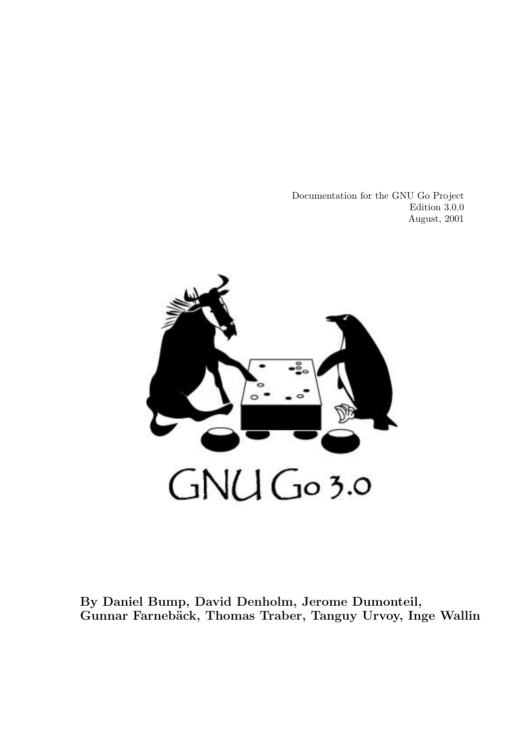Documentation for the GNU Go Project Edition 3.0.0 August, 2001



By Daniel Bump, David Denholm, Jerome Dumonteil, Gunnar Farnebäck, Thomas Traber, Tanguy Urvoy, Inge Wallin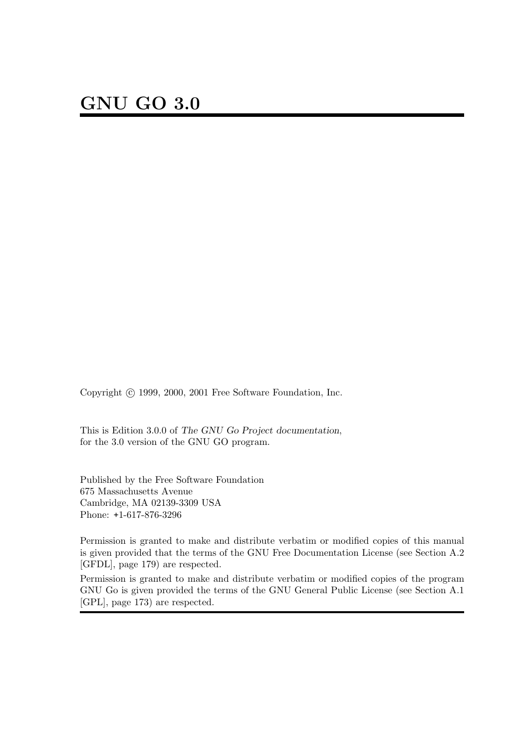Copyright  $\odot$  1999, 2000, 2001 Free Software Foundation, Inc.

This is Edition 3.0.0 of The GNU Go Project documentation, for the 3.0 version of the GNU GO program.

Published by the Free Software Foundation 675 Massachusetts Avenue Cambridge, MA 02139-3309 USA Phone: +1-617-876-3296

Permission is granted to make and distribute verbatim or modified copies of this manual is given provided that the terms of the GNU Free Documentation License (see Section A.2 [GFDL], page 179) are respected.

Permission is granted to make and distribute verbatim or modified copies of the program GNU Go is given provided the terms of the GNU General Public License (see Section A.1 [GPL], page 173) are respected.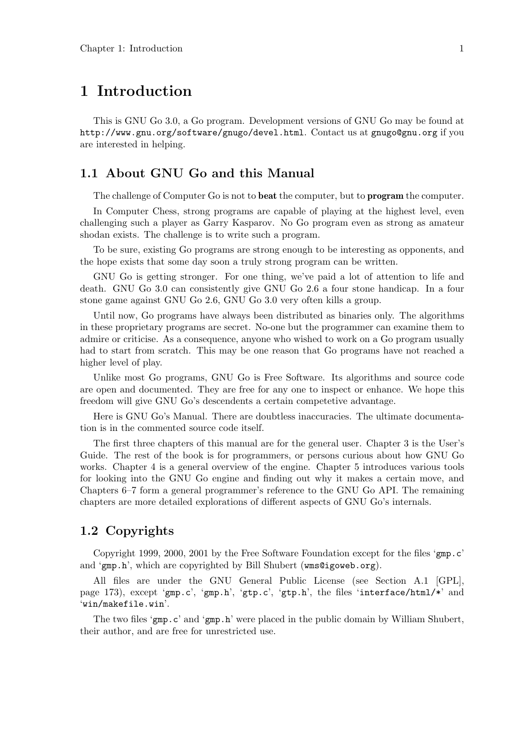# 1 Introduction

This is GNU Go 3.0, a Go program. Development versions of GNU Go may be found at http://www.gnu.org/software/gnugo/devel.html. Contact us at gnugo@gnu.org if you are interested in helping.

# 1.1 About GNU Go and this Manual

The challenge of Computer Go is not to **beat** the computer, but to **program** the computer.

In Computer Chess, strong programs are capable of playing at the highest level, even challenging such a player as Garry Kasparov. No Go program even as strong as amateur shodan exists. The challenge is to write such a program.

To be sure, existing Go programs are strong enough to be interesting as opponents, and the hope exists that some day soon a truly strong program can be written.

GNU Go is getting stronger. For one thing, we've paid a lot of attention to life and death. GNU Go 3.0 can consistently give GNU Go 2.6 a four stone handicap. In a four stone game against GNU Go 2.6, GNU Go 3.0 very often kills a group.

Until now, Go programs have always been distributed as binaries only. The algorithms in these proprietary programs are secret. No-one but the programmer can examine them to admire or criticise. As a consequence, anyone who wished to work on a Go program usually had to start from scratch. This may be one reason that Go programs have not reached a higher level of play.

Unlike most Go programs, GNU Go is Free Software. Its algorithms and source code are open and documented. They are free for any one to inspect or enhance. We hope this freedom will give GNU Go's descendents a certain competetive advantage.

Here is GNU Go's Manual. There are doubtless inaccuracies. The ultimate documentation is in the commented source code itself.

The first three chapters of this manual are for the general user. Chapter 3 is the User's Guide. The rest of the book is for programmers, or persons curious about how GNU Go works. Chapter 4 is a general overview of the engine. Chapter 5 introduces various tools for looking into the GNU Go engine and finding out why it makes a certain move, and Chapters 6–7 form a general programmer's reference to the GNU Go API. The remaining chapters are more detailed explorations of different aspects of GNU Go's internals.

# 1.2 Copyrights

Copyright 1999, 2000, 2001 by the Free Software Foundation except for the files 'gmp.c' and 'gmp.h', which are copyrighted by Bill Shubert (wms@igoweb.org).

All files are under the GNU General Public License (see Section A.1 [GPL], page 173), except 'gmp.c', 'gmp.h', 'gtp.c', 'gtp.h', the files 'interface/html/\*' and 'win/makefile.win'.

The two files 'gmp.c' and 'gmp.h' were placed in the public domain by William Shubert, their author, and are free for unrestricted use.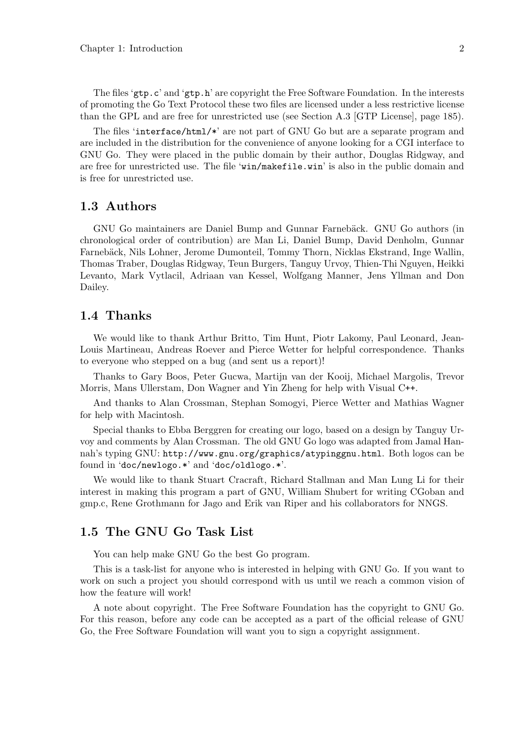The files 'gtp.c' and 'gtp.h' are copyright the Free Software Foundation. In the interests of promoting the Go Text Protocol these two files are licensed under a less restrictive license than the GPL and are free for unrestricted use (see Section A.3 [GTP License], page 185).

The files 'interface/html/\*' are not part of GNU Go but are a separate program and are included in the distribution for the convenience of anyone looking for a CGI interface to GNU Go. They were placed in the public domain by their author, Douglas Ridgway, and are free for unrestricted use. The file 'win/makefile.win' is also in the public domain and is free for unrestricted use.

# 1.3 Authors

GNU Go maintainers are Daniel Bump and Gunnar Farnebäck. GNU Go authors (in chronological order of contribution) are Man Li, Daniel Bump, David Denholm, Gunnar Farnebäck, Nils Lohner, Jerome Dumonteil, Tommy Thorn, Nicklas Ekstrand, Inge Wallin, Thomas Traber, Douglas Ridgway, Teun Burgers, Tanguy Urvoy, Thien-Thi Nguyen, Heikki Levanto, Mark Vytlacil, Adriaan van Kessel, Wolfgang Manner, Jens Yllman and Don Dailey.

# 1.4 Thanks

We would like to thank Arthur Britto, Tim Hunt, Piotr Lakomy, Paul Leonard, Jean-Louis Martineau, Andreas Roever and Pierce Wetter for helpful correspondence. Thanks to everyone who stepped on a bug (and sent us a report)!

Thanks to Gary Boos, Peter Gucwa, Martijn van der Kooij, Michael Margolis, Trevor Morris, Mans Ullerstam, Don Wagner and Yin Zheng for help with Visual C++.

And thanks to Alan Crossman, Stephan Somogyi, Pierce Wetter and Mathias Wagner for help with Macintosh.

Special thanks to Ebba Berggren for creating our logo, based on a design by Tanguy Urvoy and comments by Alan Crossman. The old GNU Go logo was adapted from Jamal Hannah's typing GNU: http://www.gnu.org/graphics/atypinggnu.html. Both logos can be found in 'doc/newlogo.\*' and 'doc/oldlogo.\*'.

We would like to thank Stuart Cracraft, Richard Stallman and Man Lung Li for their interest in making this program a part of GNU, William Shubert for writing CGoban and gmp.c, Rene Grothmann for Jago and Erik van Riper and his collaborators for NNGS.

# 1.5 The GNU Go Task List

You can help make GNU Go the best Go program.

This is a task-list for anyone who is interested in helping with GNU Go. If you want to work on such a project you should correspond with us until we reach a common vision of how the feature will work!

A note about copyright. The Free Software Foundation has the copyright to GNU Go. For this reason, before any code can be accepted as a part of the official release of GNU Go, the Free Software Foundation will want you to sign a copyright assignment.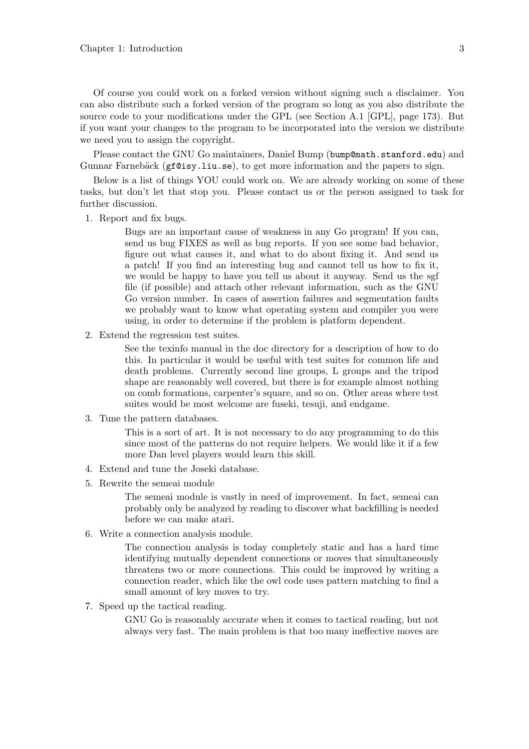Of course you could work on a forked version without signing such a disclaimer. You can also distribute such a forked version of the program so long as you also distribute the source code to your modifications under the GPL (see Section A.1 [GPL], page 173). But if you want your changes to the program to be incorporated into the version we distribute we need you to assign the copyright.

Please contact the GNU Go maintainers, Daniel Bump (bump@math.stanford.edu) and Gunnar Farnebäck ( $gf@isy.liu.se$ ), to get more information and the papers to sign.

Below is a list of things YOU could work on. We are already working on some of these tasks, but don't let that stop you. Please contact us or the person assigned to task for further discussion.

1. Report and fix bugs.

Bugs are an important cause of weakness in any Go program! If you can, send us bug FIXES as well as bug reports. If you see some bad behavior, figure out what causes it, and what to do about fixing it. And send us a patch! If you find an interesting bug and cannot tell us how to fix it, we would be happy to have you tell us about it anyway. Send us the sgf file (if possible) and attach other relevant information, such as the GNU Go version number. In cases of assertion failures and segmentation faults we probably want to know what operating system and compiler you were using, in order to determine if the problem is platform dependent.

2. Extend the regression test suites.

See the texinfo manual in the doc directory for a description of how to do this. In particular it would be useful with test suites for common life and death problems. Currently second line groups, L groups and the tripod shape are reasonably well covered, but there is for example almost nothing on comb formations, carpenter's square, and so on. Other areas where test suites would be most welcome are fuseki, tesuji, and endgame.

3. Tune the pattern databases.

This is a sort of art. It is not necessary to do any programming to do this since most of the patterns do not require helpers. We would like it if a few more Dan level players would learn this skill.

- 4. Extend and tune the Joseki database.
- 5. Rewrite the semeai module

The semeai module is vastly in need of improvement. In fact, semeai can probably only be analyzed by reading to discover what backfilling is needed before we can make atari.

6. Write a connection analysis module.

The connection analysis is today completely static and has a hard time identifying mutually dependent connections or moves that simultaneously threatens two or more connections. This could be improved by writing a connection reader, which like the owl code uses pattern matching to find a small amount of key moves to try.

7. Speed up the tactical reading.

GNU Go is reasonably accurate when it comes to tactical reading, but not always very fast. The main problem is that too many ineffective moves are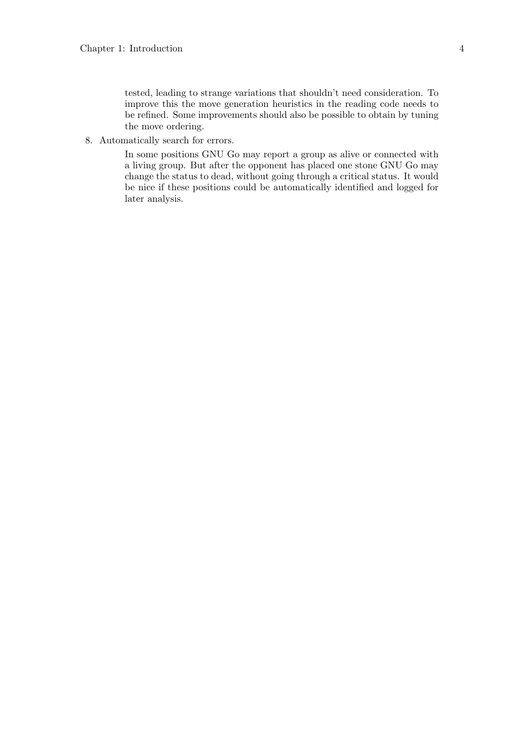tested, leading to strange variations that shouldn't need consideration. To improve this the move generation heuristics in the reading code needs to be refined. Some improvements should also be possible to obtain by tuning the move ordering.

8. Automatically search for errors.

In some positions GNU Go may report a group as alive or connected with a living group. But after the opponent has placed one stone GNU Go may change the status to dead, without going through a critical status. It would be nice if these positions could be automatically identified and logged for later analysis.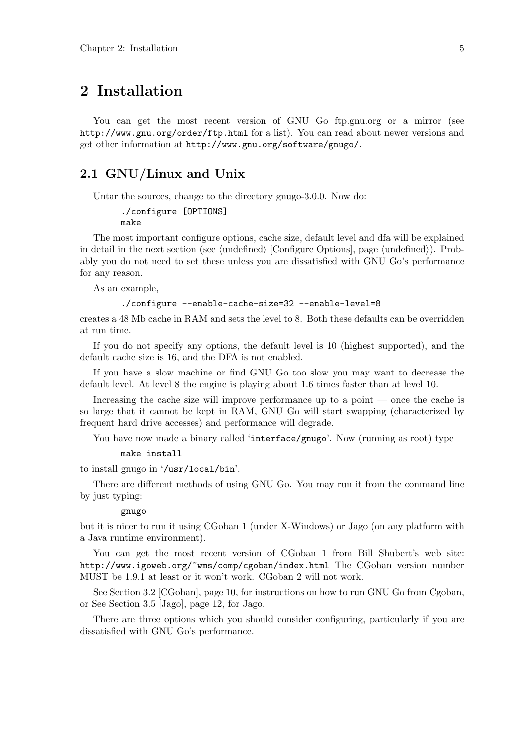# 2 Installation

You can get the most recent version of GNU Go ftp.gnu.org or a mirror (see http://www.gnu.org/order/ftp.html for a list). You can read about newer versions and get other information at http://www.gnu.org/software/gnugo/.

# 2.1 GNU/Linux and Unix

Untar the sources, change to the directory gnugo-3.0.0. Now do:

```
./configure [OPTIONS]
make
```
The most important configure options, cache size, default level and dfa will be explained in detail in the next section (see  $\langle$ undefined $\rangle$  [Configure Options], page  $\langle$ undefined $\rangle$ ). Probably you do not need to set these unless you are dissatisfied with GNU Go's performance for any reason.

As an example,

#### ./configure --enable-cache-size=32 --enable-level=8

creates a 48 Mb cache in RAM and sets the level to 8. Both these defaults can be overridden at run time.

If you do not specify any options, the default level is 10 (highest supported), and the default cache size is 16, and the DFA is not enabled.

If you have a slow machine or find GNU Go too slow you may want to decrease the default level. At level 8 the engine is playing about 1.6 times faster than at level 10.

Increasing the cache size will improve performance up to a point — once the cache is so large that it cannot be kept in RAM, GNU Go will start swapping (characterized by frequent hard drive accesses) and performance will degrade.

You have now made a binary called 'interface/gnugo'. Now (running as root) type

```
make install
```
to install gnugo in '/usr/local/bin'.

There are different methods of using GNU Go. You may run it from the command line by just typing:

#### gnugo

but it is nicer to run it using CGoban 1 (under X-Windows) or Jago (on any platform with a Java runtime environment).

You can get the most recent version of CGoban 1 from Bill Shubert's web site: http://www.igoweb.org/~wms/comp/cgoban/index.html The CGoban version number MUST be 1.9.1 at least or it won't work. CGoban 2 will not work.

See Section 3.2 [CGoban], page 10, for instructions on how to run GNU Go from Cgoban, or See Section 3.5 [Jago], page 12, for Jago.

There are three options which you should consider configuring, particularly if you are dissatisfied with GNU Go's performance.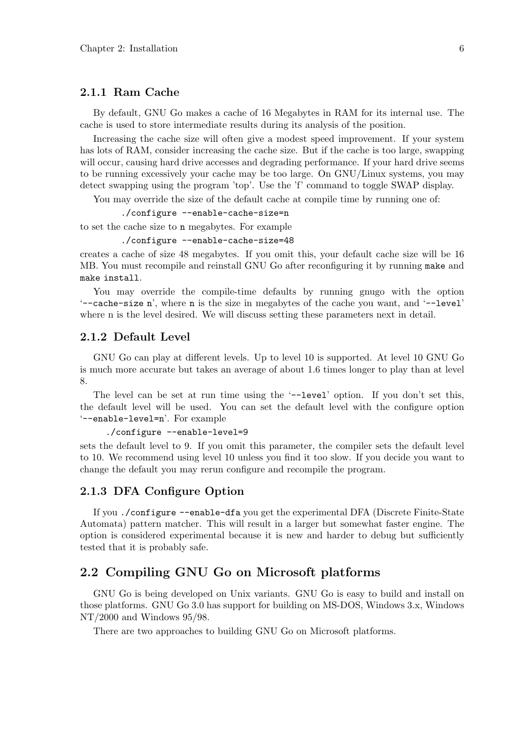### 2.1.1 Ram Cache

By default, GNU Go makes a cache of 16 Megabytes in RAM for its internal use. The cache is used to store intermediate results during its analysis of the position.

Increasing the cache size will often give a modest speed improvement. If your system has lots of RAM, consider increasing the cache size. But if the cache is too large, swapping will occur, causing hard drive accesses and degrading performance. If your hard drive seems to be running excessively your cache may be too large. On GNU/Linux systems, you may detect swapping using the program 'top'. Use the 'f' command to toggle SWAP display.

You may override the size of the default cache at compile time by running one of:

./configure --enable-cache-size=n

to set the cache size to n megabytes. For example

./configure --enable-cache-size=48

creates a cache of size 48 megabytes. If you omit this, your default cache size will be 16 MB. You must recompile and reinstall GNU Go after reconfiguring it by running make and make install.

You may override the compile-time defaults by running gnugo with the option '--cache-size n', where n is the size in megabytes of the cache you want, and '--level' where n is the level desired. We will discuss setting these parameters next in detail.

### 2.1.2 Default Level

GNU Go can play at different levels. Up to level 10 is supported. At level 10 GNU Go is much more accurate but takes an average of about 1.6 times longer to play than at level 8.

The level can be set at run time using the '--level' option. If you don't set this, the default level will be used. You can set the default level with the configure option '--enable-level=n'. For example

```
./configure --enable-level=9
```
sets the default level to 9. If you omit this parameter, the compiler sets the default level to 10. We recommend using level 10 unless you find it too slow. If you decide you want to change the default you may rerun configure and recompile the program.

### 2.1.3 DFA Configure Option

If you ./configure --enable-dfa you get the experimental DFA (Discrete Finite-State Automata) pattern matcher. This will result in a larger but somewhat faster engine. The option is considered experimental because it is new and harder to debug but sufficiently tested that it is probably safe.

# 2.2 Compiling GNU Go on Microsoft platforms

GNU Go is being developed on Unix variants. GNU Go is easy to build and install on those platforms. GNU Go 3.0 has support for building on MS-DOS, Windows 3.x, Windows NT/2000 and Windows 95/98.

There are two approaches to building GNU Go on Microsoft platforms.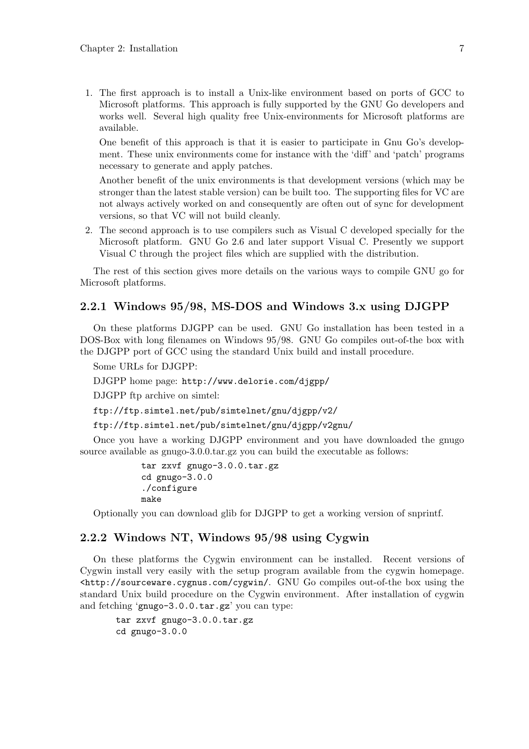1. The first approach is to install a Unix-like environment based on ports of GCC to Microsoft platforms. This approach is fully supported by the GNU Go developers and works well. Several high quality free Unix-environments for Microsoft platforms are available.

One benefit of this approach is that it is easier to participate in Gnu Go's development. These unix environments come for instance with the 'diff' and 'patch' programs necessary to generate and apply patches.

Another benefit of the unix environments is that development versions (which may be stronger than the latest stable version) can be built too. The supporting files for VC are not always actively worked on and consequently are often out of sync for development versions, so that VC will not build cleanly.

2. The second approach is to use compilers such as Visual C developed specially for the Microsoft platform. GNU Go 2.6 and later support Visual C. Presently we support Visual C through the project files which are supplied with the distribution.

The rest of this section gives more details on the various ways to compile GNU go for Microsoft platforms.

# 2.2.1 Windows 95/98, MS-DOS and Windows 3.x using DJGPP

On these platforms DJGPP can be used. GNU Go installation has been tested in a DOS-Box with long filenames on Windows 95/98. GNU Go compiles out-of-the box with the DJGPP port of GCC using the standard Unix build and install procedure.

Some URLs for DJGPP:

DJGPP home page: http://www.delorie.com/djgpp/

DJGPP ftp archive on simtel:

ftp://ftp.simtel.net/pub/simtelnet/gnu/djgpp/v2/

ftp://ftp.simtel.net/pub/simtelnet/gnu/djgpp/v2gnu/

Once you have a working DJGPP environment and you have downloaded the gnugo source available as gnugo-3.0.0.tar.gz you can build the executable as follows:

```
tar zxvf gnugo-3.0.0.tar.gz
cd gnugo-3.0.0
./configure
make
```
Optionally you can download glib for DJGPP to get a working version of snprintf.

#### 2.2.2 Windows NT, Windows 95/98 using Cygwin

On these platforms the Cygwin environment can be installed. Recent versions of Cygwin install very easily with the setup program available from the cygwin homepage. <http://sourceware.cygnus.com/cygwin/. GNU Go compiles out-of-the box using the standard Unix build procedure on the Cygwin environment. After installation of cygwin and fetching 'gnugo-3.0.0.tar.gz' you can type:

```
tar zxvf gnugo-3.0.0.tar.gz
cd gnugo-3.0.0
```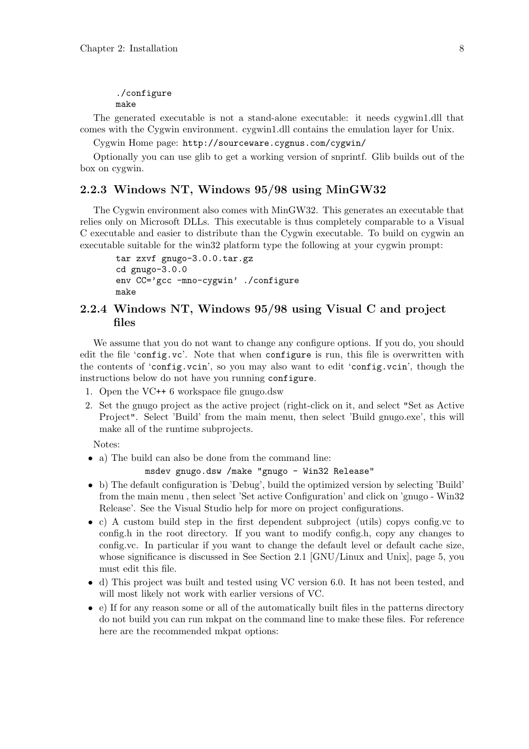# ./configure

make

The generated executable is not a stand-alone executable: it needs cygwin1.dll that comes with the Cygwin environment. cygwin1.dll contains the emulation layer for Unix.

Cygwin Home page: http://sourceware.cygnus.com/cygwin/

Optionally you can use glib to get a working version of snprintf. Glib builds out of the box on cygwin.

### 2.2.3 Windows NT, Windows 95/98 using MinGW32

The Cygwin environment also comes with MinGW32. This generates an executable that relies only on Microsoft DLLs. This executable is thus completely comparable to a Visual C executable and easier to distribute than the Cygwin executable. To build on cygwin an executable suitable for the win32 platform type the following at your cygwin prompt:

```
tar zxvf gnugo-3.0.0.tar.gz
cd gnugo-3.0.0
env CC='gcc -mno-cygwin' ./configure
make
```
# 2.2.4 Windows NT, Windows 95/98 using Visual C and project files

We assume that you do not want to change any configure options. If you do, you should edit the file 'config.vc'. Note that when configure is run, this file is overwritten with the contents of 'config.vcin', so you may also want to edit 'config.vcin', though the instructions below do not have you running configure.

- 1. Open the VC++ 6 workspace file gnugo.dsw
- 2. Set the gnugo project as the active project (right-click on it, and select "Set as Active Project". Select 'Build' from the main menu, then select 'Build gnugo.exe', this will make all of the runtime subprojects.

Notes:

• a) The build can also be done from the command line:

#### msdev gnugo.dsw /make "gnugo - Win32 Release"

- b) The default configuration is 'Debug', build the optimized version by selecting 'Build' from the main menu , then select 'Set active Configuration' and click on 'gnugo - Win32 Release'. See the Visual Studio help for more on project configurations.
- c) A custom build step in the first dependent subproject (utils) copys config.vc to config.h in the root directory. If you want to modify config.h, copy any changes to config.vc. In particular if you want to change the default level or default cache size, whose significance is discussed in See Section 2.1 [GNU/Linux and Unix], page 5, you must edit this file.
- d) This project was built and tested using VC version 6.0. It has not been tested, and will most likely not work with earlier versions of VC.
- e) If for any reason some or all of the automatically built files in the patterns directory do not build you can run mkpat on the command line to make these files. For reference here are the recommended mkpat options: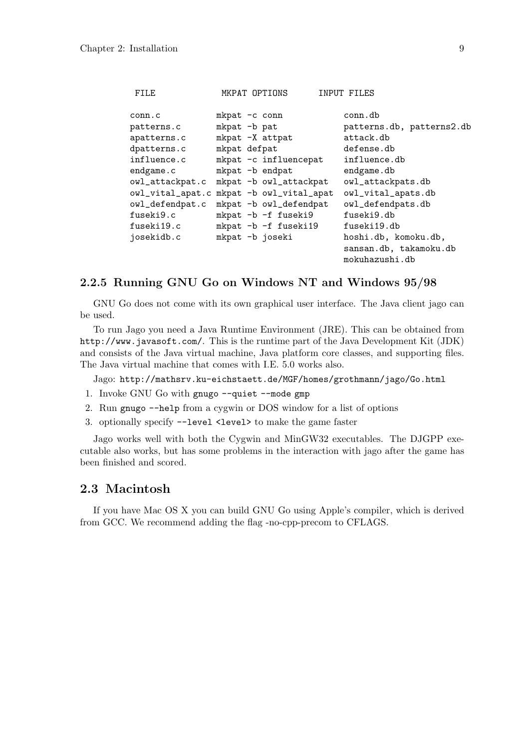| FILE             |               | MKPAT OPTIONS           | INPUT FILES               |
|------------------|---------------|-------------------------|---------------------------|
| conn.c           | mkpat -c conn |                         | conn.db                   |
| patterns.c       | mkpat -b pat  |                         | patterns.db, patterns2.db |
| apatterns.c      |               | mkpat -X attpat         | attack.db                 |
| dpatterns.c      | mkpat defpat  |                         | defense.db                |
| influence.c      |               | mkpat -c influencepat   | influence.db              |
| endgame.c        |               | mkpat -b endpat         | endgame.db                |
| owl_attackpat.c  |               | mkpat -b owl_attackpat  | owl_attackpats.db         |
| owl_vital_apat.c |               | mkpat -b owl_vital_apat | owl_vital_apats.db        |
| owl_defendpat.c  |               | mkpat -b owl_defendpat  | owl_defendpats.db         |
| fuseki9.c        |               | mkpat -b -f fuseki9     | fuseki9.db                |
| fuseki19.c       |               | mkpat -b -f fuseki19    | fuseki19.db               |
| josekidb.c       |               | mkpat -b joseki         | hoshi.db, komoku.db,      |
|                  |               |                         | sansan.db, takamoku.db    |
|                  |               |                         | mokuhazushi.db            |

### 2.2.5 Running GNU Go on Windows NT and Windows 95/98

GNU Go does not come with its own graphical user interface. The Java client jago can be used.

To run Jago you need a Java Runtime Environment (JRE). This can be obtained from http://www.javasoft.com/. This is the runtime part of the Java Development Kit (JDK) and consists of the Java virtual machine, Java platform core classes, and supporting files. The Java virtual machine that comes with I.E. 5.0 works also.

Jago: http://mathsrv.ku-eichstaett.de/MGF/homes/grothmann/jago/Go.html

- 1. Invoke GNU Go with gnugo --quiet --mode gmp
- 2. Run gnugo --help from a cygwin or DOS window for a list of options
- 3. optionally specify --level <level> to make the game faster

Jago works well with both the Cygwin and MinGW32 executables. The DJGPP executable also works, but has some problems in the interaction with jago after the game has been finished and scored.

### 2.3 Macintosh

If you have Mac OS X you can build GNU Go using Apple's compiler, which is derived from GCC. We recommend adding the flag -no-cpp-precom to CFLAGS.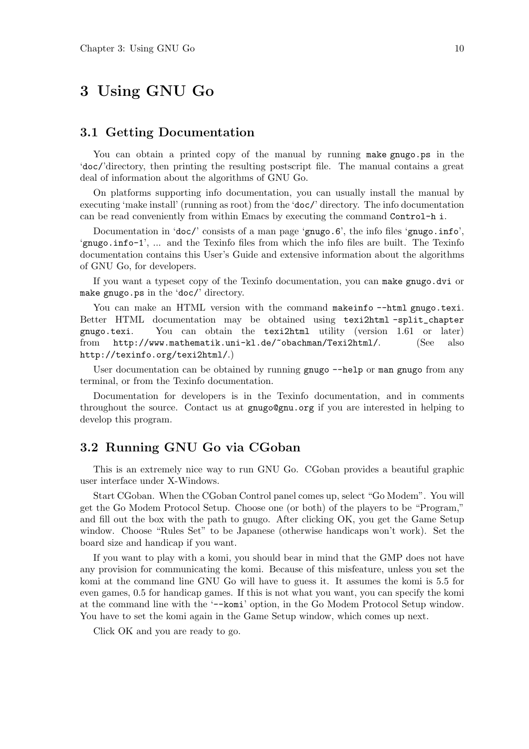# 3 Using GNU Go

# 3.1 Getting Documentation

You can obtain a printed copy of the manual by running make gnugo.ps in the 'doc/'directory, then printing the resulting postscript file. The manual contains a great deal of information about the algorithms of GNU Go.

On platforms supporting info documentation, you can usually install the manual by executing 'make install' (running as root) from the 'doc/' directory. The info documentation can be read conveniently from within Emacs by executing the command Control-h i.

Documentation in 'doc/' consists of a man page 'gnugo.6', the info files 'gnugo.info', 'gnugo.info-1', ... and the Texinfo files from which the info files are built. The Texinfo documentation contains this User's Guide and extensive information about the algorithms of GNU Go, for developers.

If you want a typeset copy of the Texinfo documentation, you can make gnugo.dvi or make gnugo.ps in the 'doc/' directory.

You can make an HTML version with the command makeinfo --html gnugo.texi. Better HTML documentation may be obtained using texi2html -split\_chapter gnugo.texi. You can obtain the texi2html utility (version 1.61 or later) from http://www.mathematik.uni-kl.de/~obachman/Texi2html/. (See also http://texinfo.org/texi2html/.)

User documentation can be obtained by running gnugo  $-\text{help}$  or man gnugo from any terminal, or from the Texinfo documentation.

Documentation for developers is in the Texinfo documentation, and in comments throughout the source. Contact us at gnugo@gnu.org if you are interested in helping to develop this program.

# 3.2 Running GNU Go via CGoban

This is an extremely nice way to run GNU Go. CGoban provides a beautiful graphic user interface under X-Windows.

Start CGoban. When the CGoban Control panel comes up, select "Go Modem". You will get the Go Modem Protocol Setup. Choose one (or both) of the players to be "Program," and fill out the box with the path to gnugo. After clicking OK, you get the Game Setup window. Choose "Rules Set" to be Japanese (otherwise handicaps won't work). Set the board size and handicap if you want.

If you want to play with a komi, you should bear in mind that the GMP does not have any provision for communicating the komi. Because of this misfeature, unless you set the komi at the command line GNU Go will have to guess it. It assumes the komi is 5.5 for even games, 0.5 for handicap games. If this is not what you want, you can specify the komi at the command line with the '--komi' option, in the Go Modem Protocol Setup window. You have to set the komi again in the Game Setup window, which comes up next.

Click OK and you are ready to go.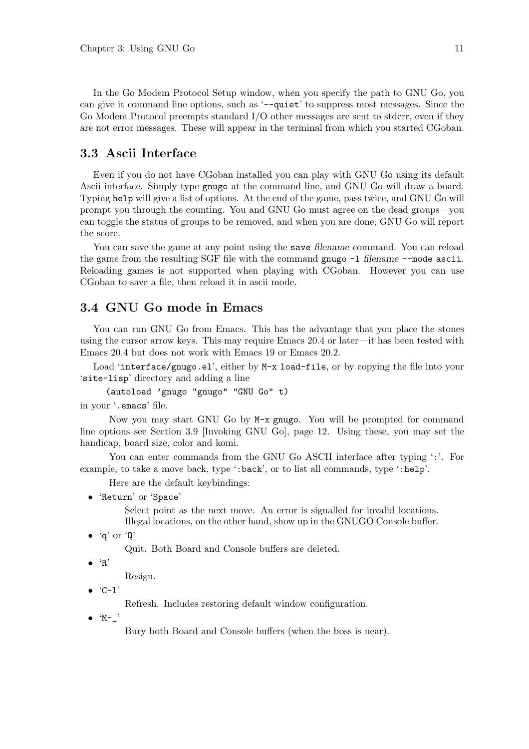In the Go Modem Protocol Setup window, when you specify the path to GNU Go, you can give it command line options, such as '--quiet' to suppress most messages. Since the Go Modem Protocol preempts standard I/O other messages are sent to stderr, even if they are not error messages. These will appear in the terminal from which you started CGoban.

# 3.3 Ascii Interface

Even if you do not have CGoban installed you can play with GNU Go using its default Ascii interface. Simply type gnugo at the command line, and GNU Go will draw a board. Typing help will give a list of options. At the end of the game, pass twice, and GNU Go will prompt you through the counting. You and GNU Go must agree on the dead groups—you can toggle the status of groups to be removed, and when you are done, GNU Go will report the score.

You can save the game at any point using the save filename command. You can reload the game from the resulting SGF file with the command gnugo  $-1$  filename  $-$ -mode ascii. Reloading games is not supported when playing with CGoban. However you can use CGoban to save a file, then reload it in ascii mode.

# 3.4 GNU Go mode in Emacs

You can run GNU Go from Emacs. This has the advantage that you place the stones using the cursor arrow keys. This may require Emacs 20.4 or later—it has been tested with Emacs 20.4 but does not work with Emacs 19 or Emacs 20.2.

Load 'interface/gnugo.el', either by M-x load-file, or by copying the file into your 'site-lisp' directory and adding a line

(autoload 'gnugo "gnugo" "GNU Go" t)

in your '.emacs' file.

Now you may start GNU Go by M-x gnugo. You will be prompted for command line options see Section 3.9 [Invoking GNU Go], page 12. Using these, you may set the handicap, board size, color and komi.

You can enter commands from the GNU Go ASCII interface after typing ':'. For example, to take a move back, type ':back', or to list all commands, type ':help'.

Here are the default keybindings:

• 'Return' or 'Space'

Select point as the next move. An error is signalled for invalid locations. Illegal locations, on the other hand, show up in the GNUGO Console buffer.

```
\bullet 'q' or 'Q'
```
Quit. Both Board and Console buffers are deleted.

 $\bullet$  'R'

Resign.

 $\bullet$   $C-1'$ 

Refresh. Includes restoring default window configuration.

 $\bullet$  'M-\_'

Bury both Board and Console buffers (when the boss is near).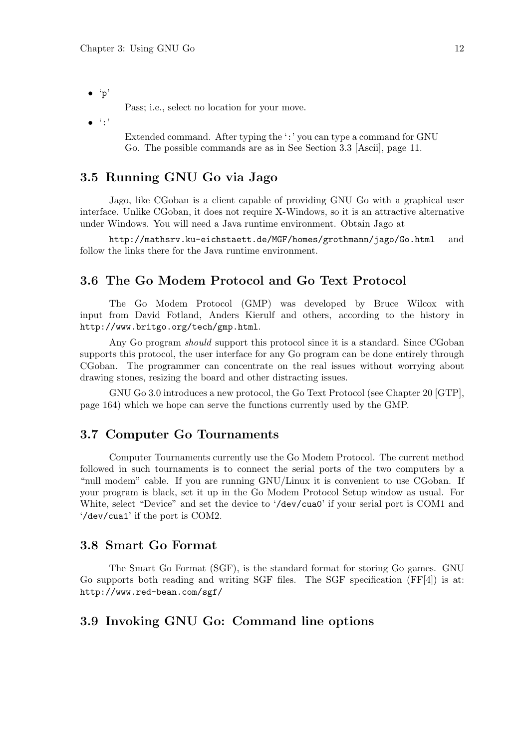• 'p'

Pass; i.e., select no location for your move.

 $\bullet$   $\cdot$  : '

Extended command. After typing the ':' you can type a command for GNU Go. The possible commands are as in See Section 3.3 [Ascii], page 11.

# 3.5 Running GNU Go via Jago

Jago, like CGoban is a client capable of providing GNU Go with a graphical user interface. Unlike CGoban, it does not require X-Windows, so it is an attractive alternative under Windows. You will need a Java runtime environment. Obtain Jago at

http://mathsrv.ku-eichstaett.de/MGF/homes/grothmann/jago/Go.html and follow the links there for the Java runtime environment.

# 3.6 The Go Modem Protocol and Go Text Protocol

The Go Modem Protocol (GMP) was developed by Bruce Wilcox with input from David Fotland, Anders Kierulf and others, according to the history in http://www.britgo.org/tech/gmp.html.

Any Go program *should* support this protocol since it is a standard. Since CGoban supports this protocol, the user interface for any Go program can be done entirely through CGoban. The programmer can concentrate on the real issues without worrying about drawing stones, resizing the board and other distracting issues.

GNU Go 3.0 introduces a new protocol, the Go Text Protocol (see Chapter 20 [GTP], page 164) which we hope can serve the functions currently used by the GMP.

# 3.7 Computer Go Tournaments

Computer Tournaments currently use the Go Modem Protocol. The current method followed in such tournaments is to connect the serial ports of the two computers by a "null modem" cable. If you are running GNU/Linux it is convenient to use CGoban. If your program is black, set it up in the Go Modem Protocol Setup window as usual. For White, select "Device" and set the device to '/dev/cua0' if your serial port is COM1 and '/dev/cua1' if the port is COM2.

# 3.8 Smart Go Format

The Smart Go Format (SGF), is the standard format for storing Go games. GNU Go supports both reading and writing SGF files. The SGF specification (FF[4]) is at: http://www.red-bean.com/sgf/

# 3.9 Invoking GNU Go: Command line options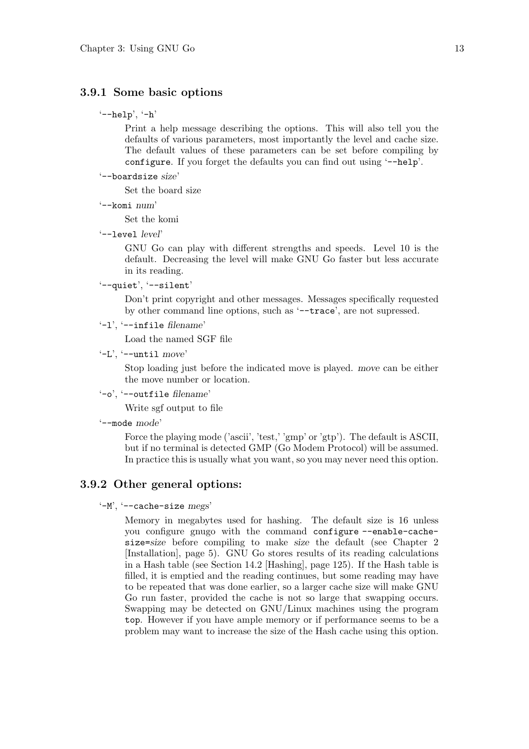### 3.9.1 Some basic options

 $'--he1p', -h'$ 

Print a help message describing the options. This will also tell you the defaults of various parameters, most importantly the level and cache size. The default values of these parameters can be set before compiling by configure. If you forget the defaults you can find out using '--help'.

'--boardsize size'

Set the board size

'--komi num'

Set the komi

'--level level'

GNU Go can play with different strengths and speeds. Level 10 is the default. Decreasing the level will make GNU Go faster but less accurate in its reading.

```
'--quiet', '--silent'
```
Don't print copyright and other messages. Messages specifically requested by other command line options, such as '--trace', are not supressed.

'-l', '--infile filename'

Load the named SGF file

 $'-L$ ,  $'-$ -until move'

Stop loading just before the indicated move is played. move can be either the move number or location.

'-o', '--outfile filename'

Write sgf output to file

'--mode mode'

Force the playing mode ('ascii', 'test,' 'gmp' or 'gtp'). The default is ASCII, but if no terminal is detected GMP (Go Modem Protocol) will be assumed. In practice this is usually what you want, so you may never need this option.

### 3.9.2 Other general options:

 $'-M'$ ,  $'--cache-size megs'$ 

Memory in megabytes used for hashing. The default size is 16 unless you configure gnugo with the command configure --enable-cachesize=size before compiling to make size the default (see Chapter 2 [Installation], page 5). GNU Go stores results of its reading calculations in a Hash table (see Section 14.2 [Hashing], page 125). If the Hash table is filled, it is emptied and the reading continues, but some reading may have to be repeated that was done earlier, so a larger cache size will make GNU Go run faster, provided the cache is not so large that swapping occurs. Swapping may be detected on GNU/Linux machines using the program top. However if you have ample memory or if performance seems to be a problem may want to increase the size of the Hash cache using this option.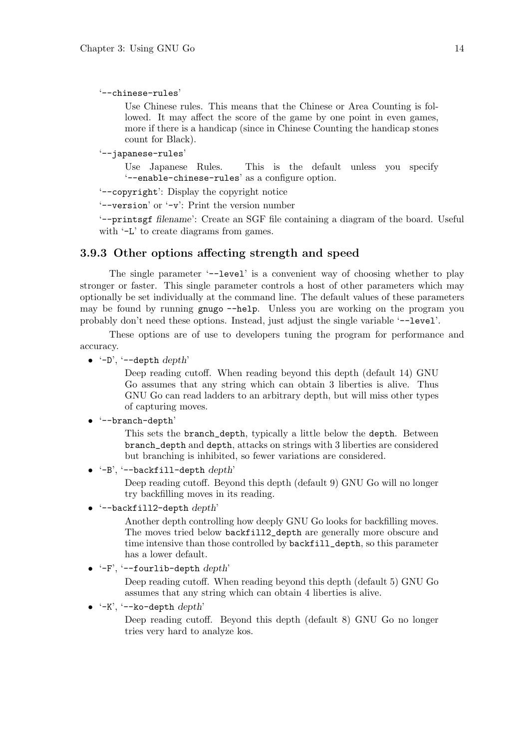'--chinese-rules'

Use Chinese rules. This means that the Chinese or Area Counting is followed. It may affect the score of the game by one point in even games, more if there is a handicap (since in Chinese Counting the handicap stones count for Black).

'--japanese-rules'

Use Japanese Rules. This is the default unless you specify '--enable-chinese-rules' as a configure option.

'--copyright': Display the copyright notice

'--version' or '-v': Print the version number

'--printsgf filename': Create an SGF file containing a diagram of the board. Useful with  $-L'$  to create diagrams from games.

#### 3.9.3 Other options affecting strength and speed

The single parameter '--level' is a convenient way of choosing whether to play stronger or faster. This single parameter controls a host of other parameters which may optionally be set individually at the command line. The default values of these parameters may be found by running gnugo --help. Unless you are working on the program you probably don't need these options. Instead, just adjust the single variable '--level'.

These options are of use to developers tuning the program for performance and accuracy.

 $\bullet$   $\left(-D\right), \left(-\text{depth } depth\right)$ 

Deep reading cutoff. When reading beyond this depth (default 14) GNU Go assumes that any string which can obtain 3 liberties is alive. Thus GNU Go can read ladders to an arbitrary depth, but will miss other types of capturing moves.

#### • '--branch-depth'

This sets the branch\_depth, typically a little below the depth. Between branch\_depth and depth, attacks on strings with 3 liberties are considered but branching is inhibited, so fewer variations are considered.

```
\bullet '-B', '--backfill-depth depth'
```
Deep reading cutoff. Beyond this depth (default 9) GNU Go will no longer try backfilling moves in its reading.

 $'-$ -backfill2-depth  $depth'$ 

Another depth controlling how deeply GNU Go looks for backfilling moves. The moves tried below backfill2\_depth are generally more obscure and time intensive than those controlled by backfill\_depth, so this parameter has a lower default.

 $\bullet$  '-F', '--fourlib-depth depth'

Deep reading cutoff. When reading beyond this depth (default 5) GNU Go assumes that any string which can obtain 4 liberties is alive.

 $(-K)$ ,  $\left(-k\right)$ -depth  $depth$ 

Deep reading cutoff. Beyond this depth (default 8) GNU Go no longer tries very hard to analyze kos.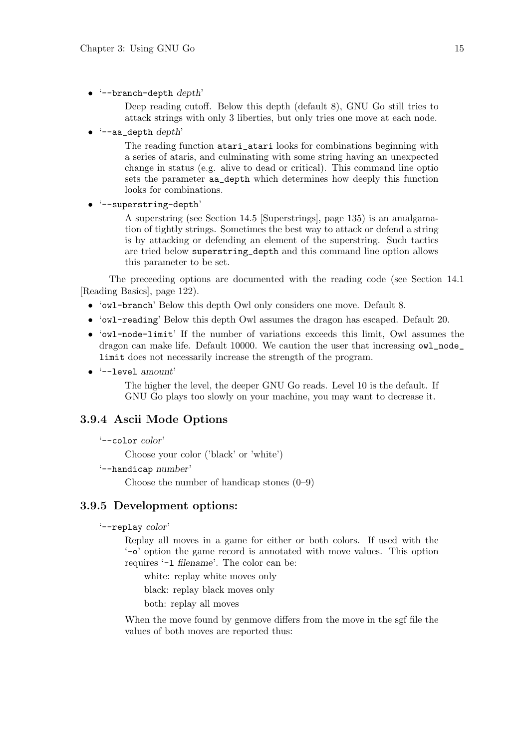$\bullet$  '--branch-depth depth'

Deep reading cutoff. Below this depth (default 8), GNU Go still tries to attack strings with only 3 liberties, but only tries one move at each node.

 $\text{``--aa\_depth depth''}$ 

The reading function atari\_atari looks for combinations beginning with a series of ataris, and culminating with some string having an unexpected change in status (e.g. alive to dead or critical). This command line optio sets the parameter aa\_depth which determines how deeply this function looks for combinations.

• '--superstring-depth'

A superstring (see Section 14.5 [Superstrings], page 135) is an amalgamation of tightly strings. Sometimes the best way to attack or defend a string is by attacking or defending an element of the superstring. Such tactics are tried below superstring\_depth and this command line option allows this parameter to be set.

The preceeding options are documented with the reading code (see Section 14.1 [Reading Basics], page 122).

- 'owl-branch' Below this depth Owl only considers one move. Default 8.
- 'owl-reading' Below this depth Owl assumes the dragon has escaped. Default 20.
- 'owl-node-limit' If the number of variations exceeds this limit, Owl assumes the dragon can make life. Default 10000. We caution the user that increasing owl\_node\_ limit does not necessarily increase the strength of the program.
- '--level amount'

The higher the level, the deeper GNU Go reads. Level 10 is the default. If GNU Go plays too slowly on your machine, you may want to decrease it.

### 3.9.4 Ascii Mode Options

```
'--color color'
```
Choose your color ('black' or 'white')

'--handicap number'

Choose the number of handicap stones (0–9)

### 3.9.5 Development options:

```
'--replay color'
```
Replay all moves in a game for either or both colors. If used with the '-o' option the game record is annotated with move values. This option requires '-l filename'. The color can be:

white: replay white moves only

black: replay black moves only

both: replay all moves

When the move found by genmove differs from the move in the sgf file the values of both moves are reported thus: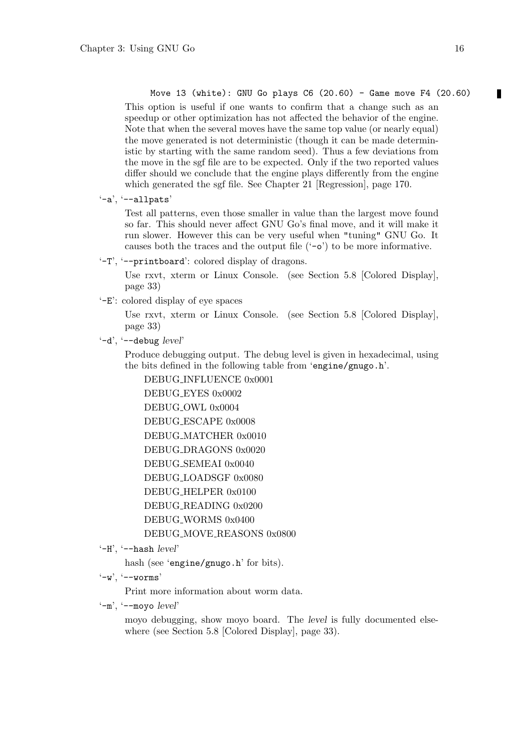Move 13 (white): GNU Go plays  $C6$  (20.60) - Game move F4 (20.60) This option is useful if one wants to confirm that a change such as an speedup or other optimization has not affected the behavior of the engine. Note that when the several moves have the same top value (or nearly equal) the move generated is not deterministic (though it can be made deterministic by starting with the same random seed). Thus a few deviations from the move in the sgf file are to be expected. Only if the two reported values differ should we conclude that the engine plays differently from the engine which generated the sgf file. See Chapter 21 [Regression], page 170.

'-a', '--allpats'

Test all patterns, even those smaller in value than the largest move found so far. This should never affect GNU Go's final move, and it will make it run slower. However this can be very useful when "tuning" GNU Go. It causes both the traces and the output file  $(50)$  to be more informative.

'-T', '--printboard': colored display of dragons.

Use rxvt, xterm or Linux Console. (see Section 5.8 [Colored Display], page 33)

'-E': colored display of eye spaces

Use rxvt, xterm or Linux Console. (see Section 5.8 [Colored Display], page 33)

 $'-d'$ ,  $'-deb \cdot \text{level}'$ 

Produce debugging output. The debug level is given in hexadecimal, using the bits defined in the following table from 'engine/gnugo.h'.

DEBUG INFLUENCE 0x0001 DEBUG EYES 0x0002 DEBUG\_OWL 0x0004 DEBUG ESCAPE 0x0008 DEBUG MATCHER 0x0010 DEBUG DRAGONS 0x0020 DEBUG SEMEAI 0x0040 DEBUG LOADSGF 0x0080 DEBUG HELPER 0x0100 DEBUG READING 0x0200 DEBUG\_WORMS  $0x0400$ DEBUG MOVE REASONS 0x0800

 $'-H'$ ,  $'-$ -hash  $level'$ 

hash (see 'engine/gnugo.h' for bits).

 $'-w'$ ,  $'--worms'$ 

Print more information about worm data.

 $'-m'$ ,  $'--movo level'$ 

moyo debugging, show moyo board. The level is fully documented elsewhere (see Section 5.8 [Colored Display], page 33).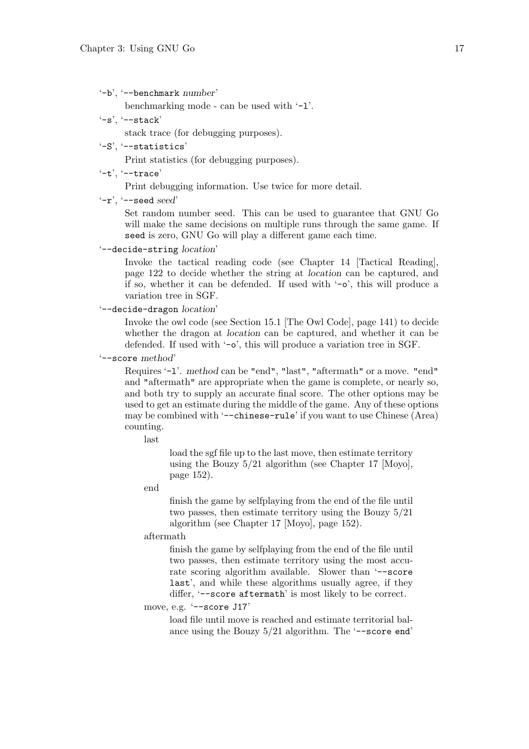'-b', '--benchmark number'

benchmarking mode - can be used with '-l'.

 $'-s'$ ,  $'--stack'$ 

stack trace (for debugging purposes).

'-S', '--statistics'

Print statistics (for debugging purposes).

 $'-t'$ ,  $'--trace'$ 

Print debugging information. Use twice for more detail.

 $'-r'$ ,  $'-$ -seed seed'

Set random number seed. This can be used to guarantee that GNU Go will make the same decisions on multiple runs through the same game. If seed is zero, GNU Go will play a different game each time.

'--decide-string location'

Invoke the tactical reading code (see Chapter 14 [Tactical Reading], page 122 to decide whether the string at location can be captured, and if so, whether it can be defended. If used with  $\sim$ - $\circ$ , this will produce a variation tree in SGF.

'--decide-dragon location'

Invoke the owl code (see Section 15.1 [The Owl Code], page 141) to decide whether the dragon at location can be captured, and whether it can be defended. If used with '-o', this will produce a variation tree in SGF.

'--score method'

Requires '-l'. method can be "end", "last", "aftermath" or a move. "end" and "aftermath" are appropriate when the game is complete, or nearly so, and both try to supply an accurate final score. The other options may be used to get an estimate during the middle of the game. Any of these options may be combined with '--chinese-rule' if you want to use Chinese (Area) counting.

last

load the sgf file up to the last move, then estimate territory using the Bouzy 5/21 algorithm (see Chapter 17 [Moyo], page 152).

end

finish the game by selfplaying from the end of the file until two passes, then estimate territory using the Bouzy 5/21 algorithm (see Chapter 17 [Moyo], page 152).

aftermath

finish the game by selfplaying from the end of the file until two passes, then estimate territory using the most accurate scoring algorithm available. Slower than '--score last', and while these algorithms usually agree, if they differ, '--score aftermath' is most likely to be correct.

#### move, e.g. '--score J17'

load file until move is reached and estimate territorial balance using the Bouzy  $5/21$  algorithm. The '--score end'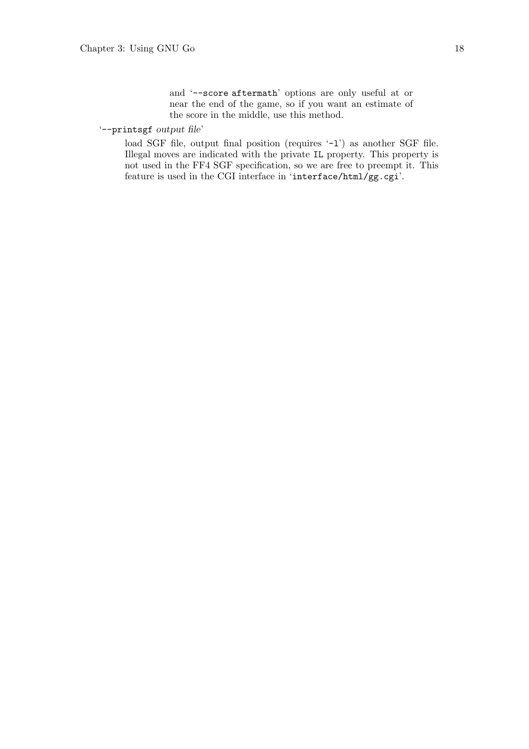and '--score aftermath' options are only useful at or near the end of the game, so if you want an estimate of the score in the middle, use this method.

### '--printsgf output file'

load SGF file, output final position (requires '-1') as another SGF file. Illegal moves are indicated with the private IL property. This property is not used in the FF4 SGF specification, so we are free to preempt it. This feature is used in the CGI interface in 'interface/html/gg.cgi'.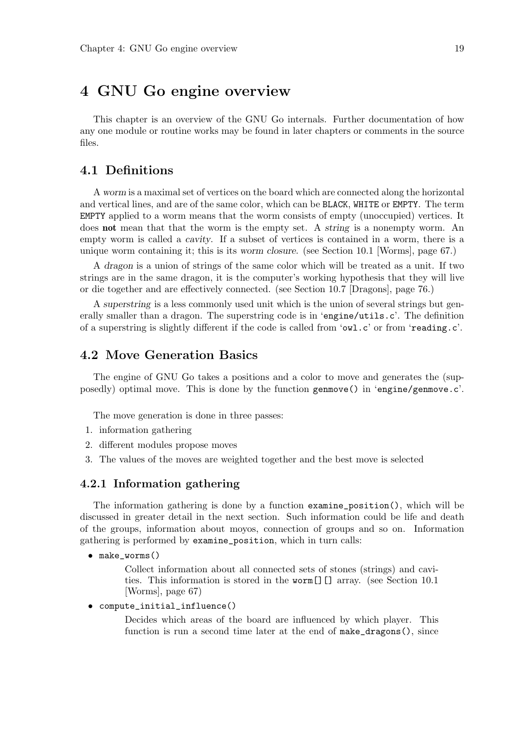# 4 GNU Go engine overview

This chapter is an overview of the GNU Go internals. Further documentation of how any one module or routine works may be found in later chapters or comments in the source files.

# 4.1 Definitions

A worm is a maximal set of vertices on the board which are connected along the horizontal and vertical lines, and are of the same color, which can be BLACK, WHITE or EMPTY. The term EMPTY applied to a worm means that the worm consists of empty (unoccupied) vertices. It does **not** mean that that the worm is the empty set. A string is a nonempty worm. An empty worm is called a cavity. If a subset of vertices is contained in a worm, there is a unique worm containing it; this is its worm closure. (see Section 10.1 [Worms], page 67.)

A dragon is a union of strings of the same color which will be treated as a unit. If two strings are in the same dragon, it is the computer's working hypothesis that they will live or die together and are effectively connected. (see Section 10.7 [Dragons], page 76.)

A superstring is a less commonly used unit which is the union of several strings but generally smaller than a dragon. The superstring code is in 'engine/utils.c'. The definition of a superstring is slightly different if the code is called from 'owl.c' or from 'reading.c'.

# 4.2 Move Generation Basics

The engine of GNU Go takes a positions and a color to move and generates the (supposedly) optimal move. This is done by the function genmove() in 'engine/genmove.c'.

The move generation is done in three passes:

- 1. information gathering
- 2. different modules propose moves
- 3. The values of the moves are weighted together and the best move is selected

### 4.2.1 Information gathering

The information gathering is done by a function examine\_position(), which will be discussed in greater detail in the next section. Such information could be life and death of the groups, information about moyos, connection of groups and so on. Information gathering is performed by examine\_position, which in turn calls:

• make worms()

Collect information about all connected sets of stones (strings) and cavities. This information is stored in the worm[][] array. (see Section 10.1 [Worms], page 67)

• compute\_initial\_influence()

Decides which areas of the board are influenced by which player. This function is run a second time later at the end of  $\texttt{make\_dragons}()$ , since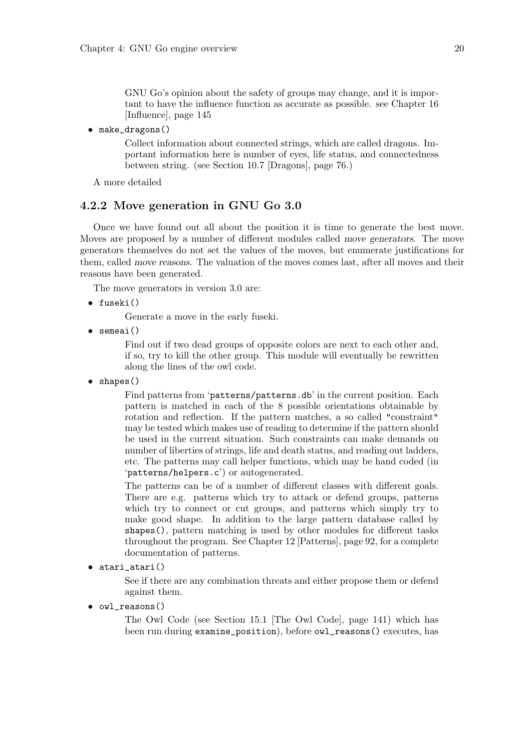GNU Go's opinion about the safety of groups may change, and it is important to have the influence function as accurate as possible. see Chapter 16 [Influence], page 145

• make\_dragons()

Collect information about connected strings, which are called dragons. Important information here is number of eyes, life status, and connectedness between string. (see Section 10.7 [Dragons], page 76.)

A more detailed

## 4.2.2 Move generation in GNU Go 3.0

Once we have found out all about the position it is time to generate the best move. Moves are proposed by a number of different modules called move generators. The move generators themselves do not set the values of the moves, but enumerate justifications for them, called move reasons. The valuation of the moves comes last, after all moves and their reasons have been generated.

The move generators in version 3.0 are:

• fuseki()

Generate a move in the early fuseki.

• semeai()

Find out if two dead groups of opposite colors are next to each other and, if so, try to kill the other group. This module will eventually be rewritten along the lines of the owl code.

• shapes()

Find patterns from 'patterns/patterns.db' in the current position. Each pattern is matched in each of the 8 possible orientations obtainable by rotation and reflection. If the pattern matches, a so called "constraint" may be tested which makes use of reading to determine if the pattern should be used in the current situation. Such constraints can make demands on number of liberties of strings, life and death status, and reading out ladders, etc. The patterns may call helper functions, which may be hand coded (in 'patterns/helpers.c') or autogenerated.

The patterns can be of a number of different classes with different goals. There are e.g. patterns which try to attack or defend groups, patterns which try to connect or cut groups, and patterns which simply try to make good shape. In addition to the large pattern database called by shapes(), pattern matching is used by other modules for different tasks throughout the program. See Chapter 12 [Patterns], page 92, for a complete documentation of patterns.

• atari\_atari()

See if there are any combination threats and either propose them or defend against them.

• owl\_reasons()

The Owl Code (see Section 15.1 [The Owl Code], page 141) which has been run during examine\_position), before owl\_reasons() executes, has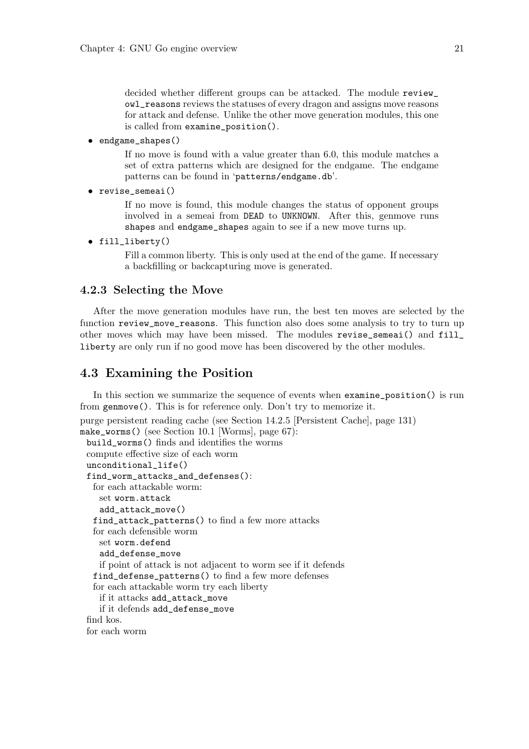decided whether different groups can be attacked. The module review\_ owl\_reasons reviews the statuses of every dragon and assigns move reasons for attack and defense. Unlike the other move generation modules, this one is called from examine\_position().

• endgame\_shapes()

If no move is found with a value greater than 6.0, this module matches a set of extra patterns which are designed for the endgame. The endgame patterns can be found in 'patterns/endgame.db'.

```
• revise semeai()
```
If no move is found, this module changes the status of opponent groups involved in a semeai from DEAD to UNKNOWN. After this, genmove runs shapes and endgame\_shapes again to see if a new move turns up.

```
• fill_liberty()
```
Fill a common liberty. This is only used at the end of the game. If necessary a backfilling or backcapturing move is generated.

### 4.2.3 Selecting the Move

After the move generation modules have run, the best ten moves are selected by the function review\_move\_reasons. This function also does some analysis to try to turn up other moves which may have been missed. The modules revise\_semeai() and fill\_ liberty are only run if no good move has been discovered by the other modules.

# 4.3 Examining the Position

In this section we summarize the sequence of events when examine\_position() is run from genmove(). This is for reference only. Don't try to memorize it.

```
purge persistent reading cache (see Section 14.2.5 [Persistent Cache], page 131)
make_worms() (see Section 10.1 [Worms], page 67):
 build_worms() finds and identifies the worms
 compute effective size of each worm
 unconditional_life()
 find_worm_attacks_and_defenses():
   for each attackable worm:
    set worm.attack
    add_attack_move()
   find_attack_patterns() to find a few more attacks
   for each defensible worm
    set worm.defend
    add_defense_move
    if point of attack is not adjacent to worm see if it defends
   find_defense_patterns() to find a few more defenses
   for each attackable worm try each liberty
    if it attacks add_attack_move
    if it defends add_defense_move
 find kos.
 for each worm
```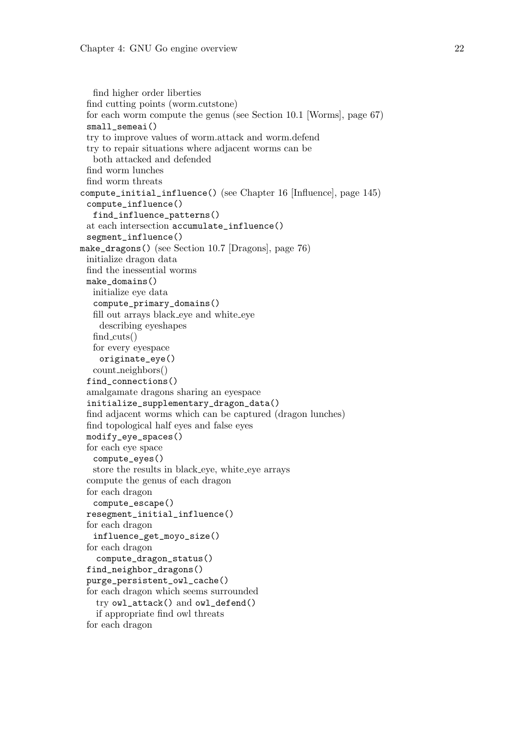```
find higher order liberties
 find cutting points (worm.cutstone)
 for each worm compute the genus (see Section 10.1 [Worms], page 67)
 small_semeai()
 try to improve values of worm.attack and worm.defend
 try to repair situations where adjacent worms can be
  both attacked and defended
 find worm lunches
 find worm threats
compute_initial_influence() (see Chapter 16 [Influence], page 145)
 compute_influence()
  find_influence_patterns()
 at each intersection accumulate_influence()
 segment_influence()
make_dragons() (see Section 10.7 [Dragons], page 76)
 initialize dragon data
 find the inessential worms
 make domains()
  initialize eye data
  compute_primary_domains()
  fill out arrays black eye and white eye
    describing eyeshapes
  find cuts()
  for every eyespace
    originate_eye()
  count neighbors()
 find_connections()
 amalgamate dragons sharing an eyespace
 initialize_supplementary_dragon_data()
 find adjacent worms which can be captured (dragon lunches)
 find topological half eyes and false eyes
 modify_eye_spaces()
 for each eye space
  compute_eyes()
  store the results in black eye, white eye arrays
 compute the genus of each dragon
 for each dragon
  compute_escape()
 resegment_initial_influence()
 for each dragon
   influence_get_moyo_size()
 for each dragon
   compute_dragon_status()
 find_neighbor_dragons()
 purge_persistent_owl_cache()
 for each dragon which seems surrounded
   try owl_attack() and owl_defend()
   if appropriate find owl threats
 for each dragon
```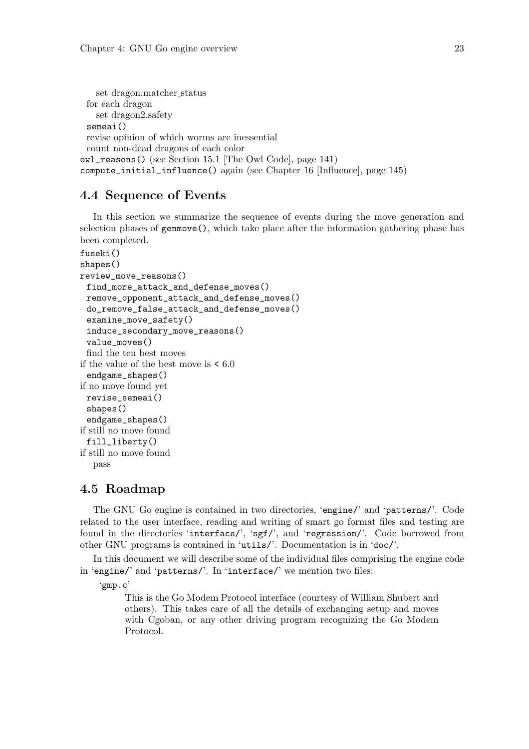```
set dragon.matcher status
 for each dragon
   set dragon2.safety
 semeai()
 revise opinion of which worms are inessential
 count non-dead dragons of each color
owl_reasons() (see Section 15.1 [The Owl Code], page 141)
compute_initial_influence() again (see Chapter 16 [Influence], page 145)
```
# 4.4 Sequence of Events

In this section we summarize the sequence of events during the move generation and selection phases of genmove(), which take place after the information gathering phase has been completed.

```
fuseki()
shapes()
review_move_reasons()
 find_more_attack_and_defense_moves()
 remove_opponent_attack_and_defense_moves()
 do_remove_false_attack_and_defense_moves()
 examine_move_safety()
 induce_secondary_move_reasons()
 value_moves()
 find the ten best moves
if the value of the best move is \leq 6.0endgame_shapes()
if no move found yet
 revise_semeai()
 shapes()
 endgame_shapes()
if still no move found
 fill_liberty()
if still no move found
  pass
```
# 4.5 Roadmap

The GNU Go engine is contained in two directories, 'engine/' and 'patterns/'. Code related to the user interface, reading and writing of smart go format files and testing are found in the directories 'interface/', 'sgf/', and 'regression/'. Code borrowed from other GNU programs is contained in 'utils/'. Documentation is in 'doc/'.

In this document we will describe some of the individual files comprising the engine code in 'engine/' and 'patterns/'. In 'interface/' we mention two files:

'gmp.c'

This is the Go Modem Protocol interface (courtesy of William Shubert and others). This takes care of all the details of exchanging setup and moves with Cgoban, or any other driving program recognizing the Go Modem Protocol.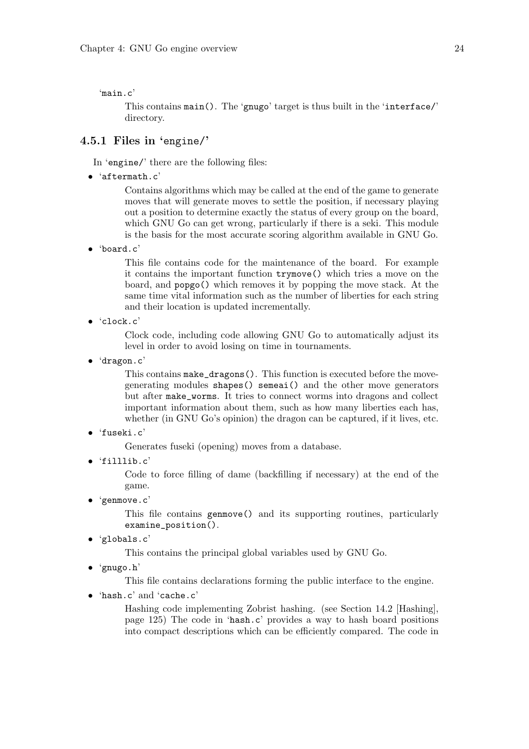'main.c'

This contains main(). The 'gnugo' target is thus built in the 'interface/' directory.

# 4.5.1 Files in 'engine/'

In 'engine/' there are the following files:

• 'aftermath.c'

Contains algorithms which may be called at the end of the game to generate moves that will generate moves to settle the position, if necessary playing out a position to determine exactly the status of every group on the board, which GNU Go can get wrong, particularly if there is a seki. This module is the basis for the most accurate scoring algorithm available in GNU Go.

• 'board.c'

This file contains code for the maintenance of the board. For example it contains the important function trymove() which tries a move on the board, and popgo() which removes it by popping the move stack. At the same time vital information such as the number of liberties for each string and their location is updated incrementally.

• 'clock.c'

Clock code, including code allowing GNU Go to automatically adjust its level in order to avoid losing on time in tournaments.

• 'dragon.c'

This contains make\_dragons(). This function is executed before the movegenerating modules shapes() semeai() and the other move generators but after make\_worms. It tries to connect worms into dragons and collect important information about them, such as how many liberties each has, whether (in GNU Go's opinion) the dragon can be captured, if it lives, etc.

• 'fuseki.c'

Generates fuseki (opening) moves from a database.

• 'filllib.c'

Code to force filling of dame (backfilling if necessary) at the end of the game.

• 'genmove.c'

This file contains genmove() and its supporting routines, particularly examine\_position().

• 'globals.c'

This contains the principal global variables used by GNU Go.

• 'gnugo.h'

This file contains declarations forming the public interface to the engine.

• 'hash.c' and 'cache.c'

Hashing code implementing Zobrist hashing. (see Section 14.2 [Hashing], page 125) The code in 'hash.c' provides a way to hash board positions into compact descriptions which can be efficiently compared. The code in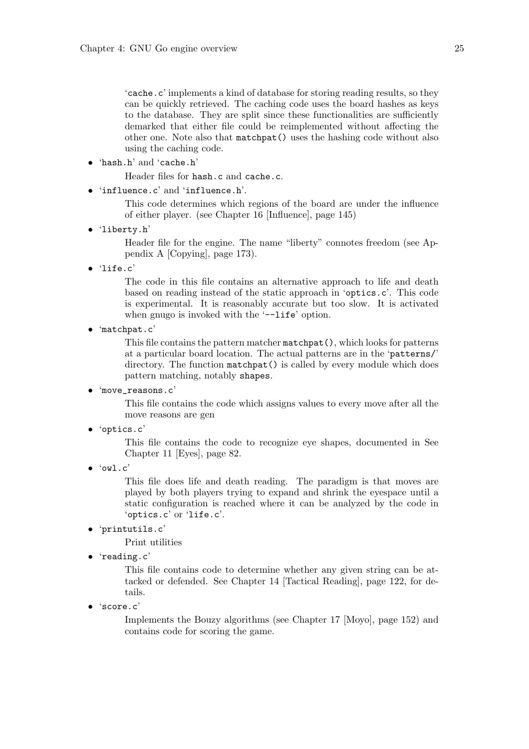'cache.c' implements a kind of database for storing reading results, so they can be quickly retrieved. The caching code uses the board hashes as keys to the database. They are split since these functionalities are sufficiently demarked that either file could be reimplemented without affecting the other one. Note also that matchpat() uses the hashing code without also using the caching code.

• 'hash.h' and 'cache.h'

Header files for hash.c and cache.c.

• 'influence.c' and 'influence.h'.

This code determines which regions of the board are under the influence of either player. (see Chapter 16 [Influence], page 145)

• 'liberty.h'

Header file for the engine. The name "liberty" connotes freedom (see Appendix A [Copying], page 173).

• 'life.c'

The code in this file contains an alternative approach to life and death based on reading instead of the static approach in 'optics.c'. This code is experimental. It is reasonably accurate but too slow. It is activated when gnugo is invoked with the '--life' option.

• 'matchpat.c'

This file contains the pattern matcher matchpat(), which looks for patterns at a particular board location. The actual patterns are in the 'patterns/' directory. The function matchpat() is called by every module which does pattern matching, notably shapes.

• 'move\_reasons.c'

This file contains the code which assigns values to every move after all the move reasons are gen

• 'optics.c'

This file contains the code to recognize eye shapes, documented in See Chapter 11 [Eyes], page 82.

• 'owl.c'

This file does life and death reading. The paradigm is that moves are played by both players trying to expand and shrink the eyespace until a static configuration is reached where it can be analyzed by the code in 'optics.c' or 'life.c'.

• 'printutils.c'

Print utilities

• 'reading.c'

This file contains code to determine whether any given string can be attacked or defended. See Chapter 14 [Tactical Reading], page 122, for details.

• 'score.c'

Implements the Bouzy algorithms (see Chapter 17 [Moyo], page 152) and contains code for scoring the game.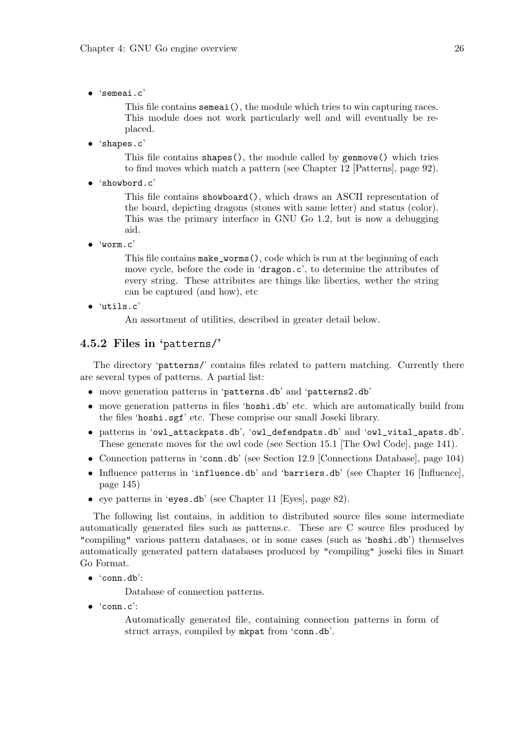• 'semeai.c'

This file contains semeai(), the module which tries to win capturing races. This module does not work particularly well and will eventually be replaced.

• 'shapes.c'

This file contains shapes(), the module called by genmove() which tries to find moves which match a pattern (see Chapter 12 [Patterns], page 92).

• 'showbord.c'

This file contains showboard(), which draws an ASCII representation of the board, depicting dragons (stones with same letter) and status (color). This was the primary interface in GNU Go 1.2, but is now a debugging aid.

• 'worm.c'

This file contains make\_worms(), code which is run at the beginning of each move cycle, before the code in 'dragon.c', to determine the attributes of every string. These attributes are things like liberties, wether the string can be captured (and how), etc

• 'utils.c'

An assortment of utilities, described in greater detail below.

### 4.5.2 Files in 'patterns/'

The directory 'patterns/' contains files related to pattern matching. Currently there are several types of patterns. A partial list:

- move generation patterns in 'patterns.db' and 'patterns2.db'
- move generation patterns in files 'hoshi.db' etc. which are automatically build from the files 'hoshi.sgf' etc. These comprise our small Joseki library.
- patterns in 'owl\_attackpats.db', 'owl\_defendpats.db' and 'owl\_vital\_apats.db'. These generate moves for the owl code (see Section 15.1 [The Owl Code], page 141).
- Connection patterns in 'conn.db' (see Section 12.9 [Connections Database], page 104)
- Influence patterns in 'influence.db' and 'barriers.db' (see Chapter 16 [Influence], page 145)
- eye patterns in 'eyes.db' (see Chapter 11 [Eyes], page 82).

The following list contains, in addition to distributed source files some intermediate automatically generated files such as patterns.c. These are C source files produced by "compiling" various pattern databases, or in some cases (such as 'hoshi.db') themselves automatically generated pattern databases produced by "compiling" joseki files in Smart Go Format.

 $\bullet$  'conn.db':

Database of connection patterns.

• 'conn.c':

Automatically generated file, containing connection patterns in form of struct arrays, compiled by mkpat from 'conn.db'.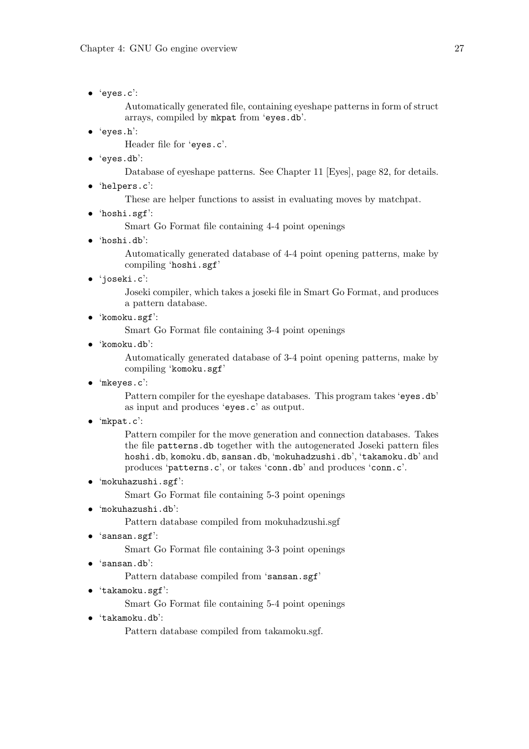• 'eyes.c':

Automatically generated file, containing eyeshape patterns in form of struct arrays, compiled by mkpat from 'eyes.db'.

• 'eyes.h':

Header file for 'eyes.c'.

• 'eyes.db':

Database of eyeshape patterns. See Chapter 11 [Eyes], page 82, for details.

• 'helpers.c':

These are helper functions to assist in evaluating moves by matchpat.

• 'hoshi.sgf':

Smart Go Format file containing 4-4 point openings

 $\bullet$  'hoshi.db'

Automatically generated database of 4-4 point opening patterns, make by compiling 'hoshi.sgf'

• 'joseki.c':

Joseki compiler, which takes a joseki file in Smart Go Format, and produces a pattern database.

• 'komoku.sgf':

Smart Go Format file containing 3-4 point openings

• 'komoku.db':

Automatically generated database of 3-4 point opening patterns, make by compiling 'komoku.sgf'

• 'mkeyes.c':

Pattern compiler for the eyeshape databases. This program takes 'eyes.db' as input and produces 'eyes.c' as output.

• 'mkpat.c':

Pattern compiler for the move generation and connection databases. Takes the file patterns.db together with the autogenerated Joseki pattern files hoshi.db, komoku.db, sansan.db, 'mokuhadzushi.db', 'takamoku.db' and produces 'patterns.c', or takes 'conn.db' and produces 'conn.c'.

• 'mokuhazushi.sgf':

Smart Go Format file containing 5-3 point openings

• 'mokuhazushi.db':

Pattern database compiled from mokuhadzushi.sgf

• 'sansan.sgf':

Smart Go Format file containing 3-3 point openings

• 'sansan.db':

Pattern database compiled from 'sansan.sgf'

• 'takamoku.sgf':

Smart Go Format file containing 5-4 point openings

• 'takamoku.db':

Pattern database compiled from takamoku.sgf.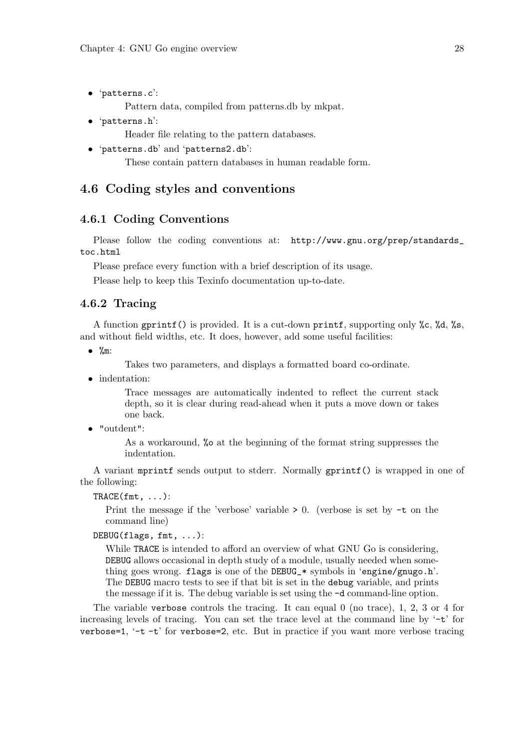• 'patterns.c':

Pattern data, compiled from patterns.db by mkpat.

• 'patterns.h':

Header file relating to the pattern databases.

• 'patterns.db' and 'patterns2.db':

These contain pattern databases in human readable form.

### 4.6 Coding styles and conventions

### 4.6.1 Coding Conventions

Please follow the coding conventions at: http://www.gnu.org/prep/standards\_ toc.html

Please preface every function with a brief description of its usage.

Please help to keep this Texinfo documentation up-to-date.

### 4.6.2 Tracing

A function gprintf() is provided. It is a cut-down printf, supporting only %c, %d, %s, and without field widths, etc. It does, however, add some useful facilities:

 $\bullet\quad$  %m:

Takes two parameters, and displays a formatted board co-ordinate.

• indentation:

Trace messages are automatically indented to reflect the current stack depth, so it is clear during read-ahead when it puts a move down or takes one back.

• "outdent":

As a workaround, %o at the beginning of the format string suppresses the indentation.

A variant mprintf sends output to stderr. Normally gprintf() is wrapped in one of the following:

 $TRACE(fmt, \ldots)$ :

Print the message if the 'verbose' variable  $> 0$ . (verbose is set by  $-t$  on the command line)

#### DEBUG(flags, fmt, ...):

While TRACE is intended to afford an overview of what GNU Go is considering, DEBUG allows occasional in depth study of a module, usually needed when something goes wrong. flags is one of the DEBUG\_\* symbols in 'engine/gnugo.h'. The DEBUG macro tests to see if that bit is set in the debug variable, and prints the message if it is. The debug variable is set using the -d command-line option.

The variable verbose controls the tracing. It can equal 0 (no trace), 1, 2, 3 or 4 for increasing levels of tracing. You can set the trace level at the command line by  $-t$  for verbose=1, '-t -t' for verbose=2, etc. But in practice if you want more verbose tracing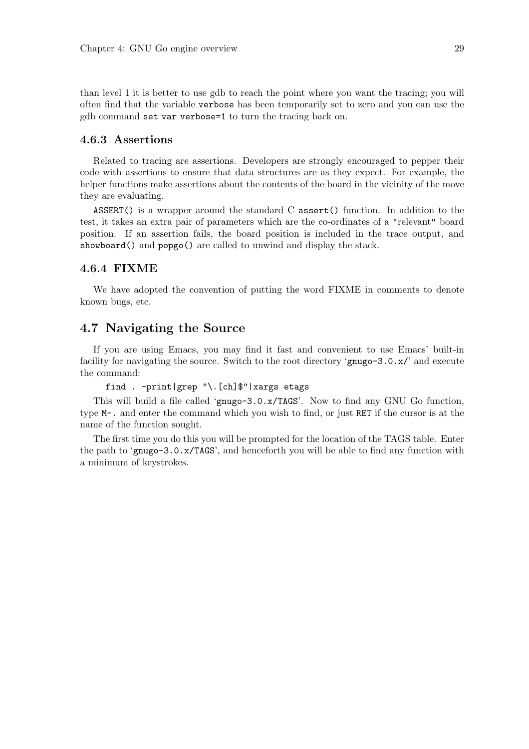than level 1 it is better to use gdb to reach the point where you want the tracing; you will often find that the variable verbose has been temporarily set to zero and you can use the gdb command set var verbose=1 to turn the tracing back on.

#### 4.6.3 Assertions

Related to tracing are assertions. Developers are strongly encouraged to pepper their code with assertions to ensure that data structures are as they expect. For example, the helper functions make assertions about the contents of the board in the vicinity of the move they are evaluating.

ASSERT() is a wrapper around the standard C assert() function. In addition to the test, it takes an extra pair of parameters which are the co-ordinates of a "relevant" board position. If an assertion fails, the board position is included in the trace output, and showboard() and popgo() are called to unwind and display the stack.

# 4.6.4 FIXME

We have adopted the convention of putting the word FIXME in comments to denote known bugs, etc.

# 4.7 Navigating the Source

If you are using Emacs, you may find it fast and convenient to use Emacs' built-in facility for navigating the source. Switch to the root directory 'gnugo-3.0.x/' and execute the command:

#### find . -print|grep "\.[ch]\$"|xargs etags

This will build a file called 'gnugo-3.0.x/TAGS'. Now to find any GNU Go function, type M-. and enter the command which you wish to find, or just RET if the cursor is at the name of the function sought.

The first time you do this you will be prompted for the location of the TAGS table. Enter the path to 'gnugo-3.0.x/TAGS', and henceforth you will be able to find any function with a minimum of keystrokes.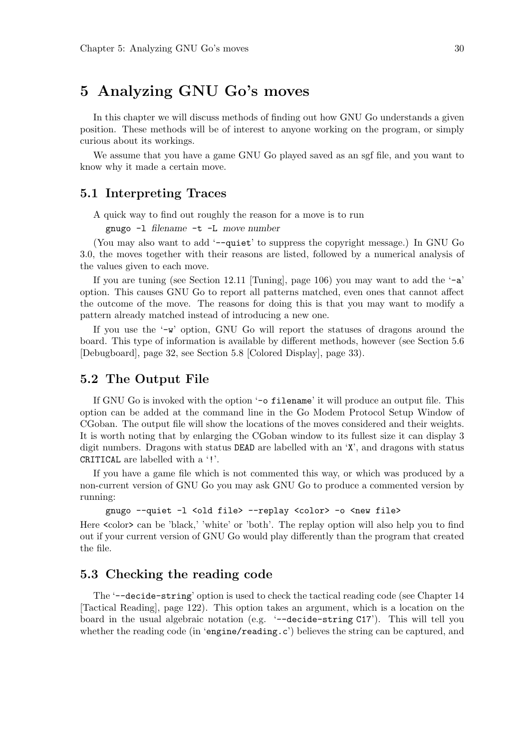# 5 Analyzing GNU Go's moves

In this chapter we will discuss methods of finding out how GNU Go understands a given position. These methods will be of interest to anyone working on the program, or simply curious about its workings.

We assume that you have a game GNU Go played saved as an sgf file, and you want to know why it made a certain move.

### 5.1 Interpreting Traces

A quick way to find out roughly the reason for a move is to run

gnugo -l filename -t -L move number

(You may also want to add '--quiet' to suppress the copyright message.) In GNU Go 3.0, the moves together with their reasons are listed, followed by a numerical analysis of the values given to each move.

If you are tuning (see Section 12.11 [Tuning], page 106) you may want to add the  $-$ a' option. This causes GNU Go to report all patterns matched, even ones that cannot affect the outcome of the move. The reasons for doing this is that you may want to modify a pattern already matched instead of introducing a new one.

If you use the  $-\mathbf{w}'$  option, GNU Go will report the statuses of dragons around the board. This type of information is available by different methods, however (see Section 5.6 [Debugboard], page 32, see Section 5.8 [Colored Display], page 33).

### 5.2 The Output File

If GNU Go is invoked with the option '-o filename' it will produce an output file. This option can be added at the command line in the Go Modem Protocol Setup Window of CGoban. The output file will show the locations of the moves considered and their weights. It is worth noting that by enlarging the CGoban window to its fullest size it can display 3 digit numbers. Dragons with status DEAD are labelled with an 'X', and dragons with status CRITICAL are labelled with a '!'.

If you have a game file which is not commented this way, or which was produced by a non-current version of GNU Go you may ask GNU Go to produce a commented version by running:

```
gnugo --quiet -l <old file> --replay <color> -o <new file>
```
Here  $\alpha$  color can be 'black,' 'white' or 'both'. The replay option will also help you to find out if your current version of GNU Go would play differently than the program that created the file.

# 5.3 Checking the reading code

The '--decide-string' option is used to check the tactical reading code (see Chapter 14 [Tactical Reading], page 122). This option takes an argument, which is a location on the board in the usual algebraic notation (e.g. '--decide-string C17'). This will tell you whether the reading code (in 'engine/reading.c') believes the string can be captured, and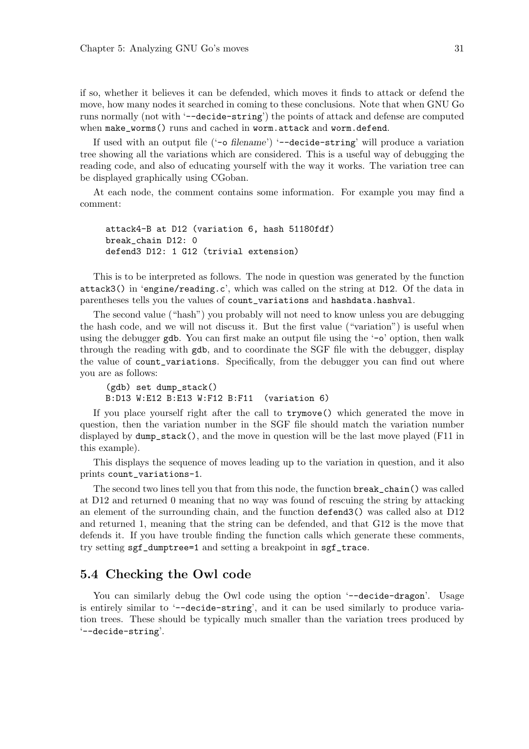if so, whether it believes it can be defended, which moves it finds to attack or defend the move, how many nodes it searched in coming to these conclusions. Note that when GNU Go runs normally (not with '--decide-string') the points of attack and defense are computed when make\_worms() runs and cached in worm.attack and worm.defend.

If used with an output file ('-o filename') '--decide-string' will produce a variation tree showing all the variations which are considered. This is a useful way of debugging the reading code, and also of educating yourself with the way it works. The variation tree can be displayed graphically using CGoban.

At each node, the comment contains some information. For example you may find a comment:

attack4-B at D12 (variation 6, hash 51180fdf) break\_chain D12: 0 defend3 D12: 1 G12 (trivial extension)

This is to be interpreted as follows. The node in question was generated by the function attack3() in 'engine/reading.c', which was called on the string at D12. Of the data in parentheses tells you the values of count\_variations and hashdata.hashval.

The second value ("hash") you probably will not need to know unless you are debugging the hash code, and we will not discuss it. But the first value ("variation") is useful when using the debugger  $gdb$ . You can first make an output file using the  $\sim$  option, then walk through the reading with gdb, and to coordinate the SGF file with the debugger, display the value of count\_variations. Specifically, from the debugger you can find out where you are as follows:

(gdb) set dump\_stack() B:D13 W:E12 B:E13 W:F12 B:F11 (variation 6)

If you place yourself right after the call to trymove() which generated the move in question, then the variation number in the SGF file should match the variation number displayed by  $\text{dump\_stack}($ ), and the move in question will be the last move played (F11 in this example).

This displays the sequence of moves leading up to the variation in question, and it also prints count\_variations-1.

The second two lines tell you that from this node, the function break\_chain() was called at D12 and returned 0 meaning that no way was found of rescuing the string by attacking an element of the surrounding chain, and the function defend3() was called also at D12 and returned 1, meaning that the string can be defended, and that G12 is the move that defends it. If you have trouble finding the function calls which generate these comments, try setting sgf\_dumptree=1 and setting a breakpoint in sgf\_trace.

# 5.4 Checking the Owl code

You can similarly debug the Owl code using the option '--decide-dragon'. Usage is entirely similar to '--decide-string', and it can be used similarly to produce variation trees. These should be typically much smaller than the variation trees produced by '--decide-string'.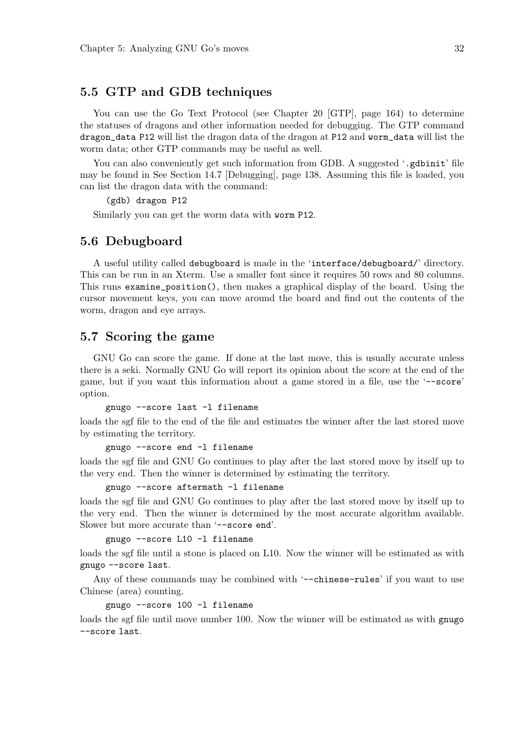# 5.5 GTP and GDB techniques

You can use the Go Text Protocol (see Chapter 20 [GTP], page 164) to determine the statuses of dragons and other information needed for debugging. The GTP command dragon\_data P12 will list the dragon data of the dragon at P12 and worm\_data will list the worm data; other GTP commands may be useful as well.

You can also conveniently get such information from GDB. A suggested '.gdbinit' file may be found in See Section 14.7 [Debugging], page 138. Assuming this file is loaded, you can list the dragon data with the command:

(gdb) dragon P12

Similarly you can get the worm data with worm P12.

### 5.6 Debugboard

A useful utility called debugboard is made in the 'interface/debugboard/' directory. This can be run in an Xterm. Use a smaller font since it requires 50 rows and 80 columns. This runs examine\_position(), then makes a graphical display of the board. Using the cursor movement keys, you can move around the board and find out the contents of the worm, dragon and eye arrays.

### 5.7 Scoring the game

GNU Go can score the game. If done at the last move, this is usually accurate unless there is a seki. Normally GNU Go will report its opinion about the score at the end of the game, but if you want this information about a game stored in a file, use the '--score' option.

gnugo --score last -l filename

loads the sgf file to the end of the file and estimates the winner after the last stored move by estimating the territory.

gnugo --score end -l filename

loads the sgf file and GNU Go continues to play after the last stored move by itself up to the very end. Then the winner is determined by estimating the territory.

gnugo --score aftermath -l filename

loads the sgf file and GNU Go continues to play after the last stored move by itself up to the very end. Then the winner is determined by the most accurate algorithm available. Slower but more accurate than '--score end'.

gnugo --score L10 -l filename

loads the sgf file until a stone is placed on L10. Now the winner will be estimated as with gnugo --score last.

Any of these commands may be combined with '--chinese-rules' if you want to use Chinese (area) counting.

gnugo --score 100 -l filename

loads the sef file until move number 100. Now the winner will be estimated as with gnugo --score last.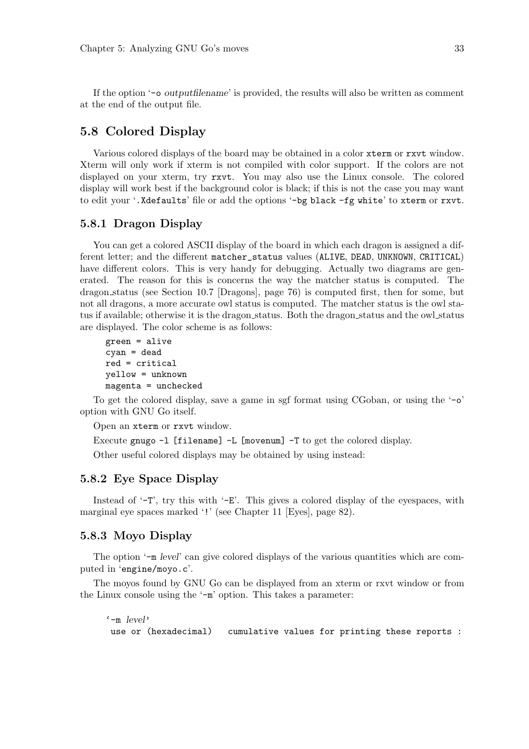If the option '-o outputfilename' is provided, the results will also be written as comment at the end of the output file.

# 5.8 Colored Display

Various colored displays of the board may be obtained in a color xterm or rxvt window. Xterm will only work if xterm is not compiled with color support. If the colors are not displayed on your xterm, try rxvt. You may also use the Linux console. The colored display will work best if the background color is black; if this is not the case you may want to edit your '.Xdefaults' file or add the options '-bg black -fg white' to xterm or rxvt.

### 5.8.1 Dragon Display

You can get a colored ASCII display of the board in which each dragon is assigned a different letter; and the different matcher\_status values (ALIVE, DEAD, UNKNOWN, CRITICAL) have different colors. This is very handy for debugging. Actually two diagrams are generated. The reason for this is concerns the way the matcher status is computed. The dragon status (see Section 10.7 [Dragons], page 76) is computed first, then for some, but not all dragons, a more accurate owl status is computed. The matcher status is the owl status if available; otherwise it is the dragon\_status. Both the dragon\_status and the owl\_status are displayed. The color scheme is as follows:

```
green = alive
cyan = dead
red = critical
yellow = unknown
magenta = unchecked
```
To get the colored display, save a game in sgf format using CGoban, or using the '-o' option with GNU Go itself.

Open an xterm or rxvt window.

Execute gnugo -l [filename] -L [movenum] -T to get the colored display.

Other useful colored displays may be obtained by using instead:

## 5.8.2 Eye Space Display

Instead of  $-T$ , try this with  $-E$ . This gives a colored display of the eyespaces, with marginal eye spaces marked '!' (see Chapter 11 [Eyes], page 82).

#### 5.8.3 Moyo Display

The option '-m level' can give colored displays of the various quantities which are computed in 'engine/moyo.c'.

The moyos found by GNU Go can be displayed from an xterm or rxvt window or from the Linux console using the '-m' option. This takes a parameter:

 $'$ -m  $|_{\text{evol}}$ use or (hexadecimal) cumulative values for printing these reports :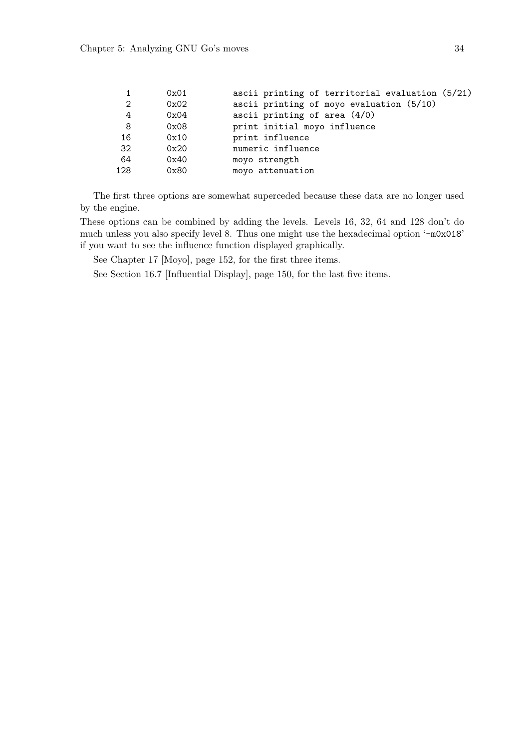|                | 0x01 | ascii printing of territorial evaluation (5/21) |
|----------------|------|-------------------------------------------------|
| $\overline{2}$ | 0x02 | ascii printing of moyo evaluation (5/10)        |
| 4              | 0x04 | ascii printing of area $(4/0)$                  |
| 8              | 0x08 | print initial moyo influence                    |
| 16             | 0x10 | print influence                                 |
| 32             | 0x20 | numeric influence                               |
| 64             | 0x40 | moyo strength                                   |
| 128            | 0x80 | moyo attenuation                                |
|                |      |                                                 |

The first three options are somewhat superceded because these data are no longer used by the engine.

These options can be combined by adding the levels. Levels 16, 32, 64 and 128 don't do much unless you also specify level 8. Thus one might use the hexadecimal option '-m0x018' if you want to see the influence function displayed graphically.

See Chapter 17 [Moyo], page 152, for the first three items.

See Section 16.7 [Influential Display], page 150, for the last five items.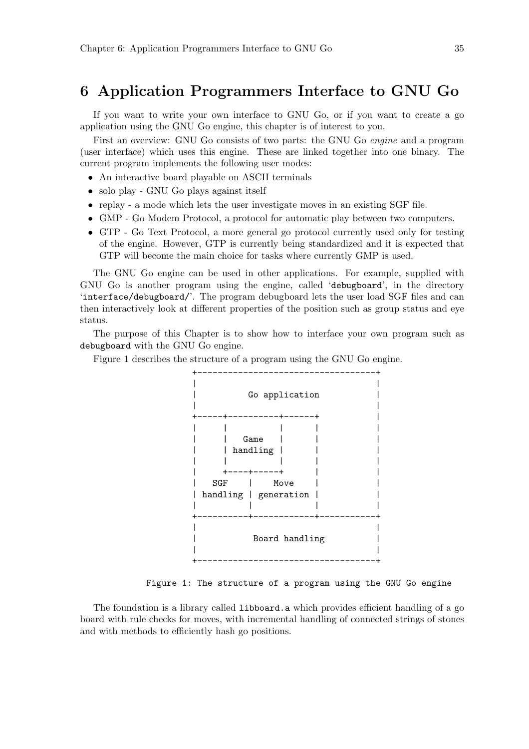# 6 Application Programmers Interface to GNU Go

If you want to write your own interface to GNU Go, or if you want to create a go application using the GNU Go engine, this chapter is of interest to you.

First an overview: GNU Go consists of two parts: the GNU Go engine and a program (user interface) which uses this engine. These are linked together into one binary. The current program implements the following user modes:

- An interactive board playable on ASCII terminals
- solo play GNU Go plays against itself
- replay a mode which lets the user investigate moves in an existing SGF file.
- GMP Go Modem Protocol, a protocol for automatic play between two computers.
- GTP Go Text Protocol, a more general go protocol currently used only for testing of the engine. However, GTP is currently being standardized and it is expected that GTP will become the main choice for tasks where currently GMP is used.

The GNU Go engine can be used in other applications. For example, supplied with GNU Go is another program using the engine, called 'debugboard', in the directory 'interface/debugboard/'. The program debugboard lets the user load SGF files and can then interactively look at different properties of the position such as group status and eye status.

The purpose of this Chapter is to show how to interface your own program such as debugboard with the GNU Go engine.

Figure 1 describes the structure of a program using the GNU Go engine.



Figure 1: The structure of a program using the GNU Go engine

The foundation is a library called libboard.a which provides efficient handling of a go board with rule checks for moves, with incremental handling of connected strings of stones and with methods to efficiently hash go positions.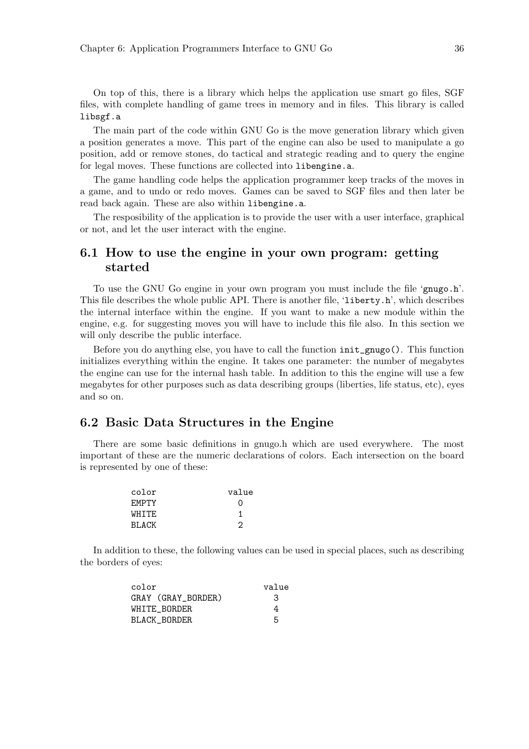On top of this, there is a library which helps the application use smart go files, SGF files, with complete handling of game trees in memory and in files. This library is called libsgf.a

The main part of the code within GNU Go is the move generation library which given a position generates a move. This part of the engine can also be used to manipulate a go position, add or remove stones, do tactical and strategic reading and to query the engine for legal moves. These functions are collected into libengine.a.

The game handling code helps the application programmer keep tracks of the moves in a game, and to undo or redo moves. Games can be saved to SGF files and then later be read back again. These are also within libengine.a.

The resposibility of the application is to provide the user with a user interface, graphical or not, and let the user interact with the engine.

# 6.1 How to use the engine in your own program: getting started

To use the GNU Go engine in your own program you must include the file 'gnugo.h'. This file describes the whole public API. There is another file, 'liberty.h', which describes the internal interface within the engine. If you want to make a new module within the engine, e.g. for suggesting moves you will have to include this file also. In this section we will only describe the public interface.

Before you do anything else, you have to call the function init\_gnugo(). This function initializes everything within the engine. It takes one parameter: the number of megabytes the engine can use for the internal hash table. In addition to this the engine will use a few megabytes for other purposes such as data describing groups (liberties, life status, etc), eyes and so on.

## 6.2 Basic Data Structures in the Engine

There are some basic definitions in gnugo.h which are used everywhere. The most important of these are the numeric declarations of colors. Each intersection on the board is represented by one of these:

| color        | value |
|--------------|-------|
| <b>FMPTY</b> | Ω     |
| WHTTE.       |       |
| <b>BLACK</b> | 2     |

In addition to these, the following values can be used in special places, such as describing the borders of eyes:

| color              | value |
|--------------------|-------|
| GRAY (GRAY_BORDER) | З     |
| WHITE BORDER       | 4     |
| BLACK BORDER       | 5     |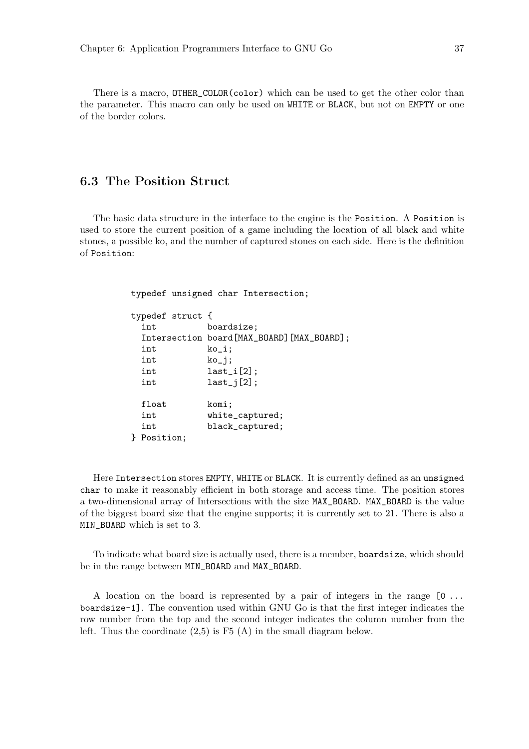There is a macro, OTHER\_COLOR(color) which can be used to get the other color than the parameter. This macro can only be used on WHITE or BLACK, but not on EMPTY or one of the border colors.

# 6.3 The Position Struct

The basic data structure in the interface to the engine is the Position. A Position is used to store the current position of a game including the location of all black and white stones, a possible ko, and the number of captured stones on each side. Here is the definition of Position:

typedef unsigned char Intersection;

```
typedef struct {
 int boardsize;
 Intersection board[MAX_BOARD][MAX_BOARD];
 int ko_i;
 int ko_j;
 int last_i[2];
 int last_j[2];
 float komi;
 int white_captured;
 int black_captured;
} Position;
```
Here Intersection stores EMPTY, WHITE or BLACK. It is currently defined as an unsigned char to make it reasonably efficient in both storage and access time. The position stores a two-dimensional array of Intersections with the size MAX\_BOARD. MAX\_BOARD is the value of the biggest board size that the engine supports; it is currently set to 21. There is also a MIN\_BOARD which is set to 3.

To indicate what board size is actually used, there is a member, boardsize, which should be in the range between MIN\_BOARD and MAX\_BOARD.

A location on the board is represented by a pair of integers in the range  $[0 \dots]$ boardsize-1]. The convention used within GNU Go is that the first integer indicates the row number from the top and the second integer indicates the column number from the left. Thus the coordinate  $(2.5)$  is F<sub>5</sub> (A) in the small diagram below.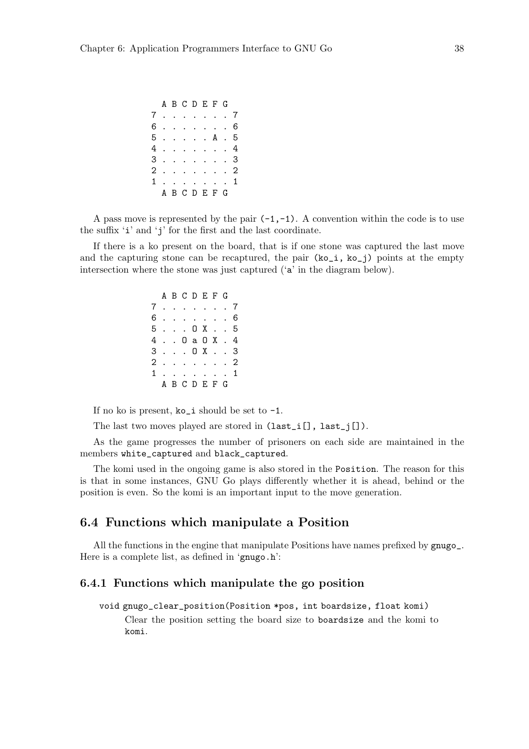|  | A B C D E F G |  |  |  |
|--|---------------|--|--|--|
|  | 7. 7          |  |  |  |
|  | 6. 6          |  |  |  |
|  | 5. A . 5      |  |  |  |
|  | 4. 4          |  |  |  |
|  | 3. 3          |  |  |  |
|  | 2. 2          |  |  |  |
|  | 1 1           |  |  |  |
|  | A B C D E F G |  |  |  |

A pass move is represented by the pair  $(-1,-1)$ . A convention within the code is to use the suffix 'i' and 'j' for the first and the last coordinate.

If there is a ko present on the board, that is if one stone was captured the last move and the capturing stone can be recaptured, the pair  $(ko_i, ko_i)$  points at the empty intersection where the stone was just captured ('a' in the diagram below).

> A B C D E F G 7 . . . . . . . 7 6 . . . . . . . 6 5 . . . O X . . 5 4 . . O a O X . 4 3 . . . O X . . 3 2 . . . . . . . 2 1 . . . . . . . 1 A B C D E F G

If no ko is present,  $ko_i$  should be set to  $-1$ .

The last two moves played are stored in  $(\texttt{last}_i[]$ ,  $\texttt{last}_j[])$ .

As the game progresses the number of prisoners on each side are maintained in the members white\_captured and black\_captured.

The komi used in the ongoing game is also stored in the Position. The reason for this is that in some instances, GNU Go plays differently whether it is ahead, behind or the position is even. So the komi is an important input to the move generation.

# 6.4 Functions which manipulate a Position

All the functions in the engine that manipulate Positions have names prefixed by gnugo\_. Here is a complete list, as defined in 'gnugo.h':

## 6.4.1 Functions which manipulate the go position

void gnugo\_clear\_position(Position \*pos, int boardsize, float komi)

Clear the position setting the board size to boardsize and the komi to komi.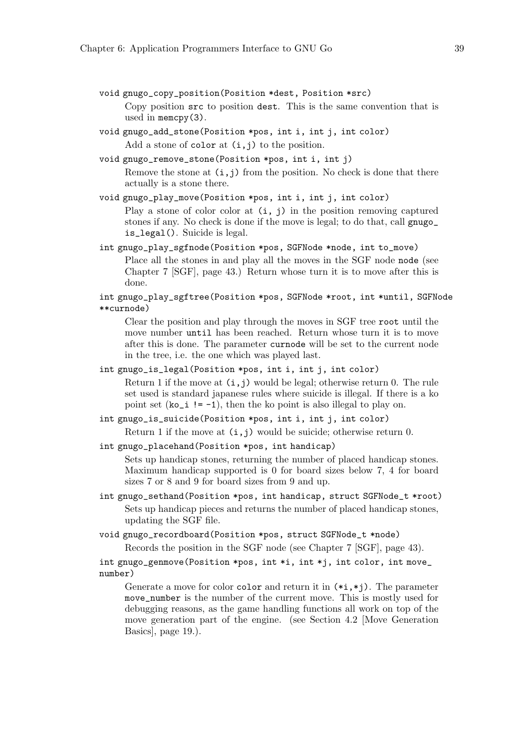- void gnugo\_copy\_position(Position \*dest, Position \*src) Copy position src to position dest. This is the same convention that is used in memcpy(3).
- void gnugo\_add\_stone(Position \*pos, int i, int j, int color) Add a stone of color at  $(i, j)$  to the position.
- void gnugo\_remove\_stone(Position \*pos, int i, int j)

Remove the stone at  $(i, j)$  from the position. No check is done that there actually is a stone there.

void gnugo\_play\_move(Position \*pos, int i, int j, int color)

Play a stone of color color at  $(i, j)$  in the position removing captured stones if any. No check is done if the move is legal; to do that, call gnugo\_ is\_legal(). Suicide is legal.

int gnugo\_play\_sgfnode(Position \*pos, SGFNode \*node, int to\_move) Place all the stones in and play all the moves in the SGF node node (see Chapter 7 [SGF], page 43.) Return whose turn it is to move after this is done.

int gnugo\_play\_sgftree(Position \*pos, SGFNode \*root, int \*until, SGFNode \*\*curnode)

Clear the position and play through the moves in SGF tree root until the move number until has been reached. Return whose turn it is to move after this is done. The parameter curnode will be set to the current node in the tree, i.e. the one which was played last.

```
int gnugo_is_legal(Position *pos, int i, int j, int color)
```
Return 1 if the move at  $(i, j)$  would be legal; otherwise return 0. The rule set used is standard japanese rules where suicide is illegal. If there is a ko point set  $(ko_i i = -1)$ , then the ko point is also illegal to play on.

int gnugo\_is\_suicide(Position \*pos, int i, int j, int color)

Return 1 if the move at  $(i, j)$  would be suicide; otherwise return 0.

```
int gnugo_placehand(Position *pos, int handicap)
```
Sets up handicap stones, returning the number of placed handicap stones. Maximum handicap supported is 0 for board sizes below 7, 4 for board sizes 7 or 8 and 9 for board sizes from 9 and up.

int gnugo\_sethand(Position \*pos, int handicap, struct SGFNode\_t \*root) Sets up handicap pieces and returns the number of placed handicap stones, updating the SGF file.

void gnugo\_recordboard(Position \*pos, struct SGFNode\_t \*node)

Records the position in the SGF node (see Chapter 7 [SGF], page 43).

int gnugo\_genmove(Position \*pos, int \*i, int \*j, int color, int move\_ number)

Generate a move for color color and return it in  $(*i, *i)$ . The parameter move\_number is the number of the current move. This is mostly used for debugging reasons, as the game handling functions all work on top of the move generation part of the engine. (see Section 4.2 [Move Generation Basics], page 19.).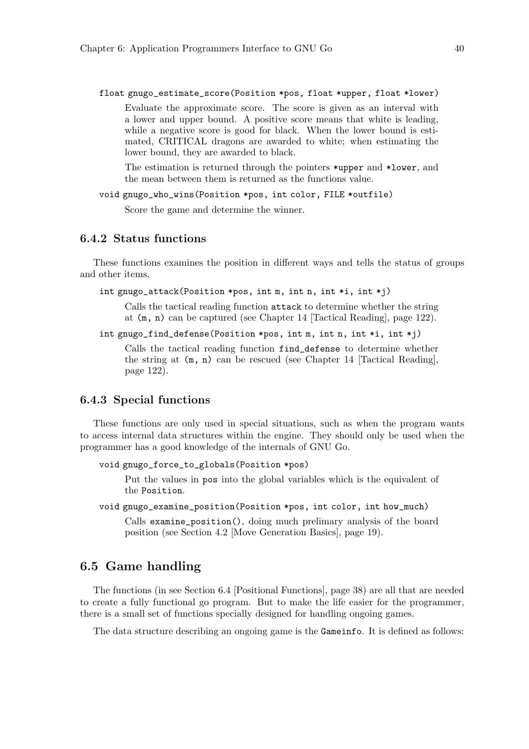float gnugo\_estimate\_score(Position \*pos, float \*upper, float \*lower)

Evaluate the approximate score. The score is given as an interval with a lower and upper bound. A positive score means that white is leading, while a negative score is good for black. When the lower bound is estimated, CRITICAL dragons are awarded to white; when estimating the lower bound, they are awarded to black.

The estimation is returned through the pointers \*upper and \*lower, and the mean between them is returned as the functions value.

void gnugo\_who\_wins(Position \*pos, int color, FILE \*outfile)

Score the game and determine the winner.

## 6.4.2 Status functions

These functions examines the position in different ways and tells the status of groups and other items.

int gnugo\_attack(Position \*pos, int m, int n, int \*i, int \*j)

Calls the tactical reading function attack to determine whether the string at (m, n) can be captured (see Chapter 14 [Tactical Reading], page 122).

int gnugo\_find\_defense(Position \*pos, int m, int n, int \*i, int \*j)

Calls the tactical reading function find\_defense to determine whether the string at (m, n) can be rescued (see Chapter 14 [Tactical Reading], page 122).

## 6.4.3 Special functions

These functions are only used in special situations, such as when the program wants to access internal data structures within the engine. They should only be used when the programmer has a good knowledge of the internals of GNU Go.

```
void gnugo_force_to_globals(Position *pos)
```
Put the values in pos into the global variables which is the equivalent of the Position.

void gnugo\_examine\_position(Position \*pos, int color, int how\_much)

Calls examine\_position(), doing much prelimary analysis of the board position (see Section 4.2 [Move Generation Basics], page 19).

# 6.5 Game handling

The functions (in see Section 6.4 [Positional Functions], page 38) are all that are needed to create a fully functional go program. But to make the life easier for the programmer, there is a small set of functions specially designed for handling ongoing games.

The data structure describing an ongoing game is the Gameinfo. It is defined as follows: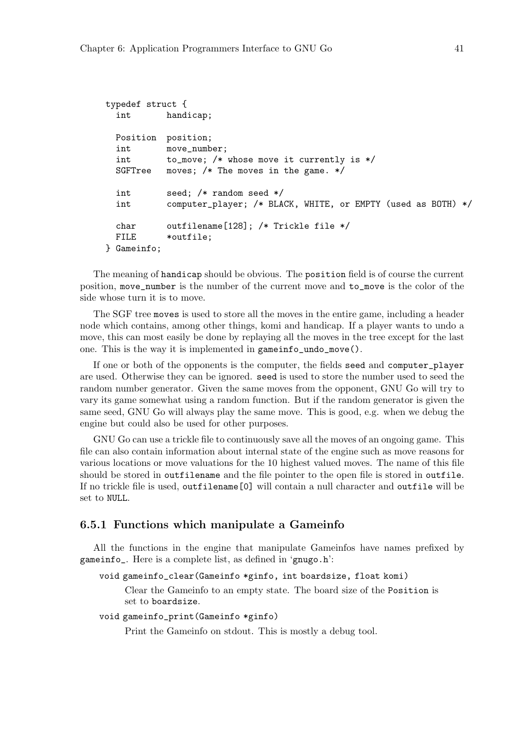```
typedef struct {
 int handicap;
 Position position;
 int move_number;
 int to_move; /* whose move it currently is */
 SGFTree moves; /* The moves in the game. */
 int seed; /* random seed */
 int computer_player; /* BLACK, WHITE, or EMPTY (used as BOTH) */
 char outfilename[128]; /* Trickle file */
 FILE *outfile;
} Gameinfo;
```
The meaning of handicap should be obvious. The position field is of course the current position, move\_number is the number of the current move and to\_move is the color of the side whose turn it is to move.

The SGF tree moves is used to store all the moves in the entire game, including a header node which contains, among other things, komi and handicap. If a player wants to undo a move, this can most easily be done by replaying all the moves in the tree except for the last one. This is the way it is implemented in gameinfo\_undo\_move().

If one or both of the opponents is the computer, the fields seed and computer\_player are used. Otherwise they can be ignored. seed is used to store the number used to seed the random number generator. Given the same moves from the opponent, GNU Go will try to vary its game somewhat using a random function. But if the random generator is given the same seed, GNU Go will always play the same move. This is good, e.g. when we debug the engine but could also be used for other purposes.

GNU Go can use a trickle file to continuously save all the moves of an ongoing game. This file can also contain information about internal state of the engine such as move reasons for various locations or move valuations for the 10 highest valued moves. The name of this file should be stored in outfilename and the file pointer to the open file is stored in outfile. If no trickle file is used, outfilename[0] will contain a null character and outfile will be set to NULL.

### 6.5.1 Functions which manipulate a Gameinfo

All the functions in the engine that manipulate Gameinfos have names prefixed by gameinfo\_. Here is a complete list, as defined in 'gnugo.h':

void gameinfo\_clear(Gameinfo \*ginfo, int boardsize, float komi)

Clear the Gameinfo to an empty state. The board size of the Position is set to boardsize.

### void gameinfo\_print(Gameinfo \*ginfo)

Print the Gameinfo on stdout. This is mostly a debug tool.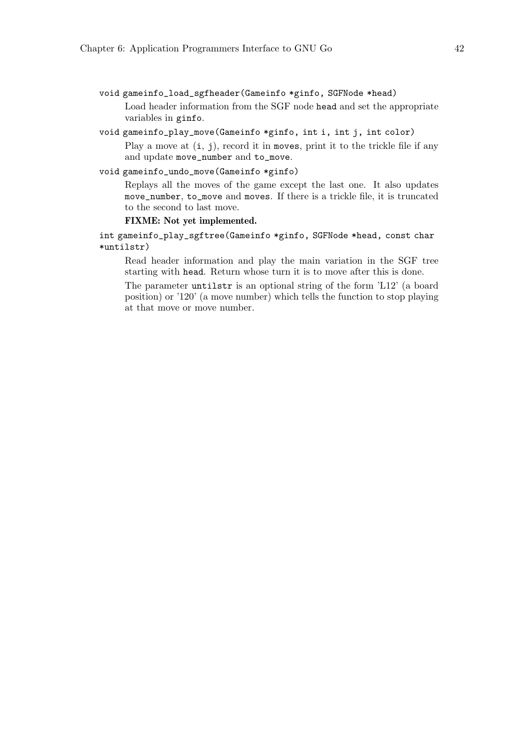- void gameinfo\_load\_sgfheader(Gameinfo \*ginfo, SGFNode \*head) Load header information from the SGF node head and set the appropriate variables in ginfo.
- void gameinfo\_play\_move(Gameinfo \*ginfo, int i, int j, int color)

Play a move at  $(i, j)$ , record it in moves, print it to the trickle file if any and update move\_number and to\_move.

### void gameinfo\_undo\_move(Gameinfo \*ginfo)

Replays all the moves of the game except the last one. It also updates move\_number, to\_move and moves. If there is a trickle file, it is truncated to the second to last move.

### FIXME: Not yet implemented.

int gameinfo\_play\_sgftree(Gameinfo \*ginfo, SGFNode \*head, const char \*untilstr)

Read header information and play the main variation in the SGF tree starting with head. Return whose turn it is to move after this is done.

The parameter untilstr is an optional string of the form 'L12' (a board position) or '120' (a move number) which tells the function to stop playing at that move or move number.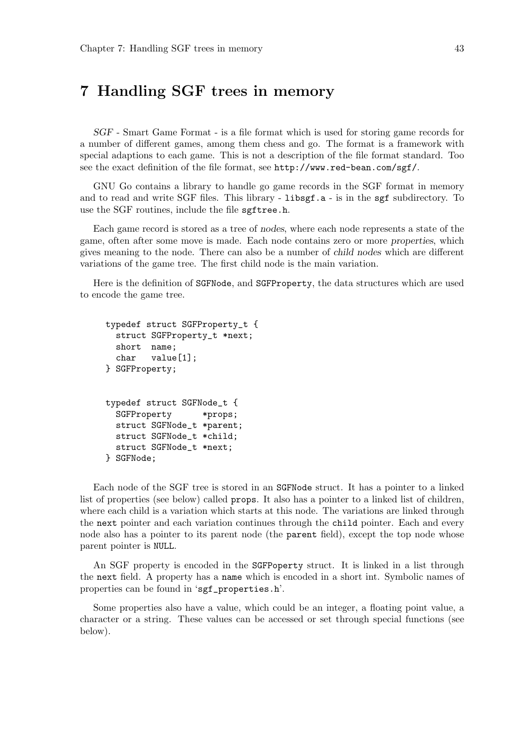# 7 Handling SGF trees in memory

SGF - Smart Game Format - is a file format which is used for storing game records for a number of different games, among them chess and go. The format is a framework with special adaptions to each game. This is not a description of the file format standard. Too see the exact definition of the file format, see http://www.red-bean.com/sgf/.

GNU Go contains a library to handle go game records in the SGF format in memory and to read and write SGF files. This library - libsgf.a - is in the sgf subdirectory. To use the SGF routines, include the file sgftree.h.

Each game record is stored as a tree of nodes, where each node represents a state of the game, often after some move is made. Each node contains zero or more properties, which gives meaning to the node. There can also be a number of child nodes which are different variations of the game tree. The first child node is the main variation.

Here is the definition of SGFNode, and SGFProperty, the data structures which are used to encode the game tree.

```
typedef struct SGFProperty_t {
 struct SGFProperty_t *next;
 short name;
 char value[1];
} SGFProperty;
typedef struct SGFNode_t {
 SGFProperty *props;
 struct SGFNode_t *parent;
 struct SGFNode_t *child;
 struct SGFNode_t *next;
} SGFNode;
```
Each node of the SGF tree is stored in an SGFNode struct. It has a pointer to a linked list of properties (see below) called props. It also has a pointer to a linked list of children, where each child is a variation which starts at this node. The variations are linked through the next pointer and each variation continues through the child pointer. Each and every node also has a pointer to its parent node (the parent field), except the top node whose parent pointer is NULL.

An SGF property is encoded in the SGFPoperty struct. It is linked in a list through the next field. A property has a name which is encoded in a short int. Symbolic names of properties can be found in 'sgf\_properties.h'.

Some properties also have a value, which could be an integer, a floating point value, a character or a string. These values can be accessed or set through special functions (see below).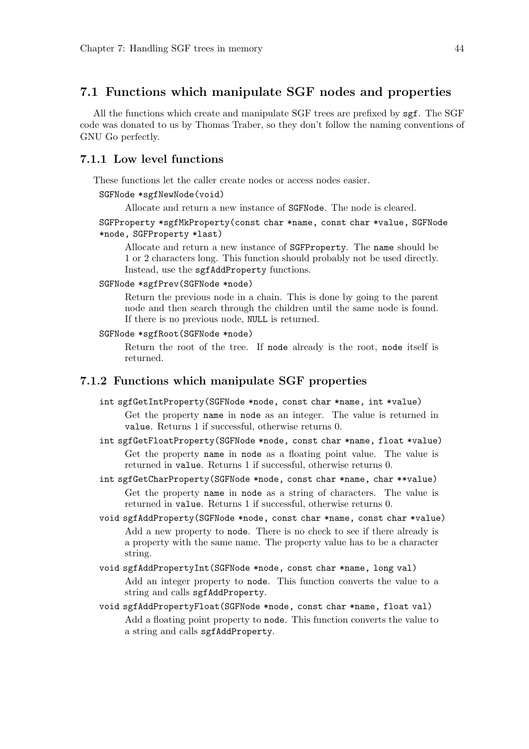# 7.1 Functions which manipulate SGF nodes and properties

All the functions which create and manipulate SGF trees are prefixed by sgf. The SGF code was donated to us by Thomas Traber, so they don't follow the naming conventions of GNU Go perfectly.

### 7.1.1 Low level functions

These functions let the caller create nodes or access nodes easier.

### SGFNode \*sgfNewNode(void)

Allocate and return a new instance of SGFNode. The node is cleared.

SGFProperty \*sgfMkProperty(const char \*name, const char \*value, SGFNode \*node, SGFProperty \*last)

Allocate and return a new instance of SGFProperty. The name should be 1 or 2 characters long. This function should probably not be used directly. Instead, use the sgfAddProperty functions.

### SGFNode \*sgfPrev(SGFNode \*node)

Return the previous node in a chain. This is done by going to the parent node and then search through the children until the same node is found. If there is no previous node, NULL is returned.

#### SGFNode \*sgfRoot(SGFNode \*node)

Return the root of the tree. If node already is the root, node itself is returned.

# 7.1.2 Functions which manipulate SGF properties

int sgfGetIntProperty(SGFNode \*node, const char \*name, int \*value)

Get the property name in node as an integer. The value is returned in value. Returns 1 if successful, otherwise returns 0.

int sgfGetFloatProperty(SGFNode \*node, const char \*name, float \*value) Get the property name in node as a floating point value. The value is returned in value. Returns 1 if successful, otherwise returns 0.

int sgfGetCharProperty(SGFNode \*node, const char \*name, char \*\*value) Get the property name in node as a string of characters. The value is returned in value. Returns 1 if successful, otherwise returns 0.

- void sgfAddProperty(SGFNode \*node, const char \*name, const char \*value) Add a new property to node. There is no check to see if there already is a property with the same name. The property value has to be a character string.
- void sgfAddPropertyInt(SGFNode \*node, const char \*name, long val) Add an integer property to node. This function converts the value to a string and calls sgfAddProperty.
- void sgfAddPropertyFloat(SGFNode \*node, const char \*name, float val) Add a floating point property to node. This function converts the value to a string and calls sgfAddProperty.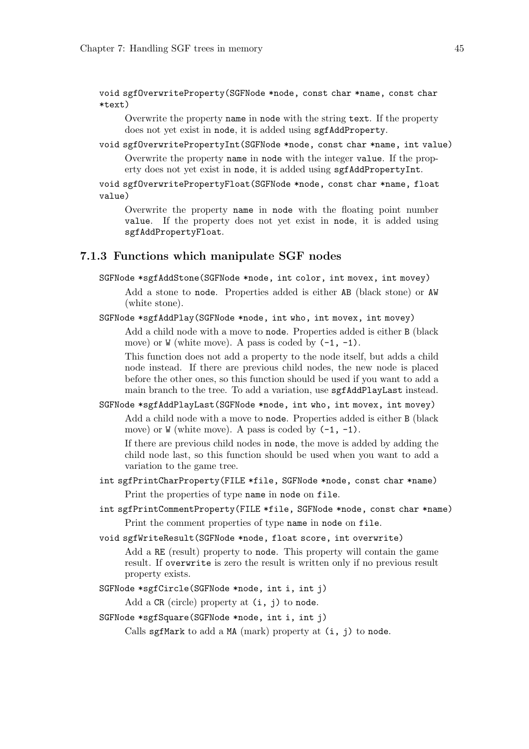void sgfOverwriteProperty(SGFNode \*node, const char \*name, const char \*text)

Overwrite the property name in node with the string text. If the property does not yet exist in node, it is added using sgfAddProperty.

void sgfOverwritePropertyInt(SGFNode \*node, const char \*name, int value)

Overwrite the property name in node with the integer value. If the property does not yet exist in node, it is added using sgfAddPropertyInt.

void sgfOverwritePropertyFloat(SGFNode \*node, const char \*name, float value)

Overwrite the property name in node with the floating point number value. If the property does not yet exist in node, it is added using sgfAddPropertyFloat.

### 7.1.3 Functions which manipulate SGF nodes

SGFNode \*sgfAddStone(SGFNode \*node, int color, int movex, int movey)

Add a stone to node. Properties added is either AB (black stone) or AW (white stone).

SGFNode \*sgfAddPlay(SGFNode \*node, int who, int movex, int movey)

Add a child node with a move to node. Properties added is either B (black move) or  $W$  (white move). A pass is coded by  $(-1, -1)$ .

This function does not add a property to the node itself, but adds a child node instead. If there are previous child nodes, the new node is placed before the other ones, so this function should be used if you want to add a main branch to the tree. To add a variation, use sgfAddPlayLast instead.

SGFNode \*sgfAddPlayLast(SGFNode \*node, int who, int movex, int movey)

Add a child node with a move to node. Properties added is either B (black move) or  $W$  (white move). A pass is coded by  $(-1, -1)$ .

If there are previous child nodes in node, the move is added by adding the child node last, so this function should be used when you want to add a variation to the game tree.

int sgfPrintCharProperty(FILE \*file, SGFNode \*node, const char \*name) Print the properties of type name in node on file.

int sgfPrintCommentProperty(FILE \*file, SGFNode \*node, const char \*name)

Print the comment properties of type name in node on file.

void sgfWriteResult(SGFNode \*node, float score, int overwrite)

Add a RE (result) property to node. This property will contain the game result. If overwrite is zero the result is written only if no previous result property exists.

SGFNode \*sgfCircle(SGFNode \*node, int i, int j)

Add a  $CR$  (circle) property at  $(i, j)$  to node.

SGFNode \*sgfSquare(SGFNode \*node, int i, int j)

Calls sgfMark to add a MA (mark) property at  $(i, j)$  to node.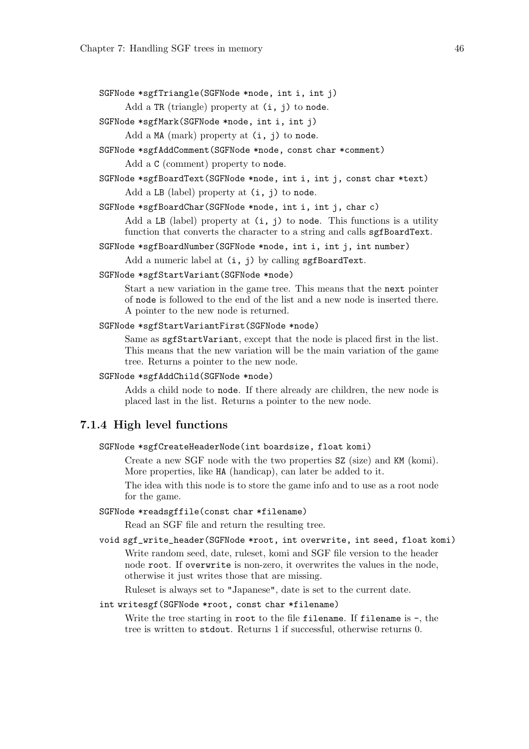SGFNode \*sgfTriangle(SGFNode \*node, int i, int j)

Add a TR (triangle) property at  $(i, j)$  to node.

SGFNode \*sgfMark(SGFNode \*node, int i, int j)

Add a MA (mark) property at  $(i, j)$  to node.

SGFNode \*sgfAddComment(SGFNode \*node, const char \*comment)

Add a C (comment) property to node.

SGFNode \*sgfBoardText(SGFNode \*node, int i, int j, const char \*text)

Add a LB (label) property at (i, j) to node.

SGFNode \*sgfBoardChar(SGFNode \*node, int i, int j, char c)

Add a LB (label) property at (i, j) to node. This functions is a utility function that converts the character to a string and calls sgfBoardText.

SGFNode \*sgfBoardNumber(SGFNode \*node, int i, int j, int number)

Add a numeric label at  $(i, j)$  by calling sgfBoardText.

#### SGFNode \*sgfStartVariant(SGFNode \*node)

Start a new variation in the game tree. This means that the next pointer of node is followed to the end of the list and a new node is inserted there. A pointer to the new node is returned.

### SGFNode \*sgfStartVariantFirst(SGFNode \*node)

Same as sgfStartVariant, except that the node is placed first in the list. This means that the new variation will be the main variation of the game tree. Returns a pointer to the new node.

### SGFNode \*sgfAddChild(SGFNode \*node)

Adds a child node to node. If there already are children, the new node is placed last in the list. Returns a pointer to the new node.

## 7.1.4 High level functions

#### SGFNode \*sgfCreateHeaderNode(int boardsize, float komi)

Create a new SGF node with the two properties SZ (size) and KM (komi). More properties, like HA (handicap), can later be added to it.

The idea with this node is to store the game info and to use as a root node for the game.

### SGFNode \*readsgffile(const char \*filename)

Read an SGF file and return the resulting tree.

void sgf\_write\_header(SGFNode \*root, int overwrite, int seed, float komi) Write random seed, date, ruleset, komi and SGF file version to the header node root. If overwrite is non-zero, it overwrites the values in the node, otherwise it just writes those that are missing.

Ruleset is always set to "Japanese", date is set to the current date.

### int writesgf(SGFNode \*root, const char \*filename)

Write the tree starting in root to the file filename. If filename is -, the tree is written to stdout. Returns 1 if successful, otherwise returns 0.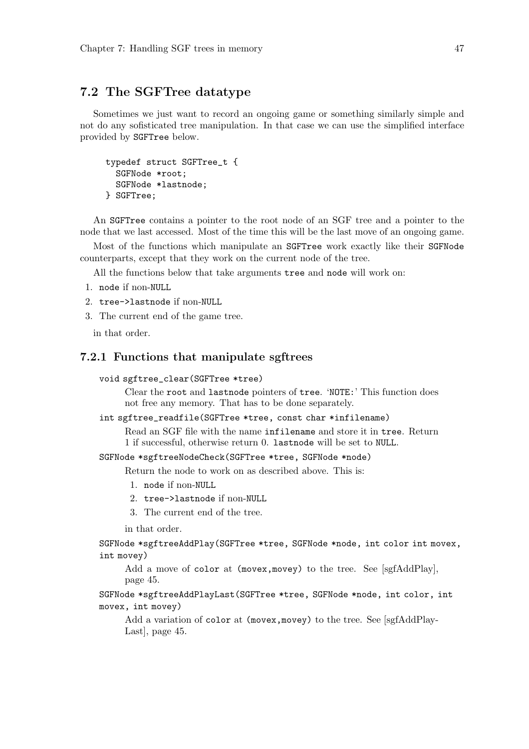# 7.2 The SGFTree datatype

Sometimes we just want to record an ongoing game or something similarly simple and not do any sofisticated tree manipulation. In that case we can use the simplified interface provided by SGFTree below.

```
typedef struct SGFTree_t {
  SGFNode *root;
  SGFNode *lastnode;
} SGFTree;
```
An SGFTree contains a pointer to the root node of an SGF tree and a pointer to the node that we last accessed. Most of the time this will be the last move of an ongoing game.

Most of the functions which manipulate an SGFTree work exactly like their SGFNode counterparts, except that they work on the current node of the tree.

All the functions below that take arguments tree and node will work on:

- 1. node if non-NULL
- 2. tree->lastnode if non-NULL
- 3. The current end of the game tree.

in that order.

### 7.2.1 Functions that manipulate sgftrees

#### void sgftree\_clear(SGFTree \*tree)

Clear the root and lastnode pointers of tree. 'NOTE:' This function does not free any memory. That has to be done separately.

### int sgftree\_readfile(SGFTree \*tree, const char \*infilename)

Read an SGF file with the name infilename and store it in tree. Return 1 if successful, otherwise return 0. lastnode will be set to NULL.

### SGFNode \*sgftreeNodeCheck(SGFTree \*tree, SGFNode \*node)

Return the node to work on as described above. This is:

- 1. node if non-NULL
- 2. tree->lastnode if non-NULL
- 3. The current end of the tree.

in that order.

SGFNode \*sgftreeAddPlay(SGFTree \*tree, SGFNode \*node, int color int movex, int movey)

Add a move of color at (movex, movey) to the tree. See [sgfAddPlay], page 45.

SGFNode \*sgftreeAddPlayLast(SGFTree \*tree, SGFNode \*node, int color, int movex, int movey)

Add a variation of color at (movex, movey) to the tree. See [sgfAddPlay-Last], page 45.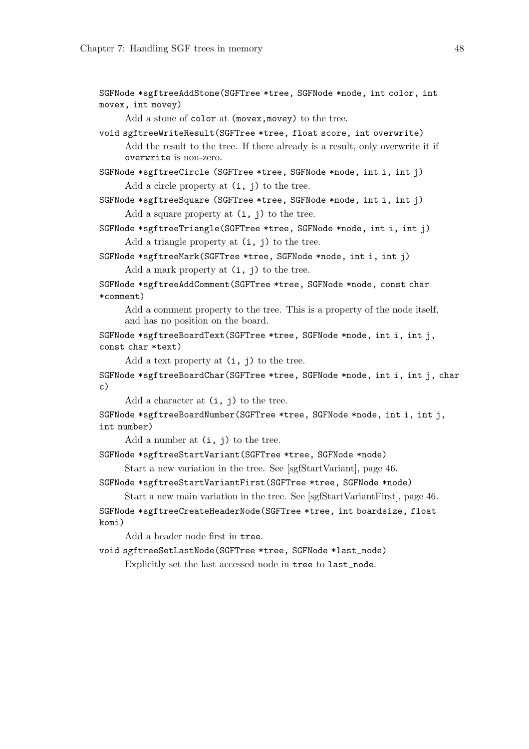SGFNode \*sgftreeAddStone(SGFTree \*tree, SGFNode \*node, int color, int movex, int movey)

Add a stone of color at (movex, movey) to the tree.

void sgftreeWriteResult(SGFTree \*tree, float score, int overwrite) Add the result to the tree. If there already is a result, only overwrite it if overwrite is non-zero.

SGFNode \*sgftreeCircle (SGFTree \*tree, SGFNode \*node, int i, int j) Add a circle property at  $(i, j)$  to the tree.

SGFNode \*sgftreeSquare (SGFTree \*tree, SGFNode \*node, int i, int j) Add a square property at  $(i, j)$  to the tree.

SGFNode \*sgftreeTriangle(SGFTree \*tree, SGFNode \*node, int i, int j) Add a triangle property at  $(i, j)$  to the tree.

SGFNode \*sgftreeMark(SGFTree \*tree, SGFNode \*node, int i, int j) Add a mark property at  $(i, j)$  to the tree.

SGFNode \*sgftreeAddComment(SGFTree \*tree, SGFNode \*node, const char \*comment)

Add a comment property to the tree. This is a property of the node itself, and has no position on the board.

SGFNode \*sgftreeBoardText(SGFTree \*tree, SGFNode \*node, int i, int j, const char \*text)

Add a text property at  $(i, j)$  to the tree.

SGFNode \*sgftreeBoardChar(SGFTree \*tree, SGFNode \*node, int i, int j, char  $c)$ 

Add a character at  $(i, j)$  to the tree.

SGFNode \*sgftreeBoardNumber(SGFTree \*tree, SGFNode \*node, int i, int j, int number)

Add a number at  $(i, j)$  to the tree.

SGFNode \*sgftreeStartVariant(SGFTree \*tree, SGFNode \*node)

Start a new variation in the tree. See [sgfStartVariant], page 46.

SGFNode \*sgftreeStartVariantFirst(SGFTree \*tree, SGFNode \*node)

Start a new main variation in the tree. See [sgfStartVariantFirst], page 46. SGFNode \*sgftreeCreateHeaderNode(SGFTree \*tree, int boardsize, float komi)

Add a header node first in tree.

void sgftreeSetLastNode(SGFTree \*tree, SGFNode \*last\_node)

Explicitly set the last accessed node in tree to last\_node.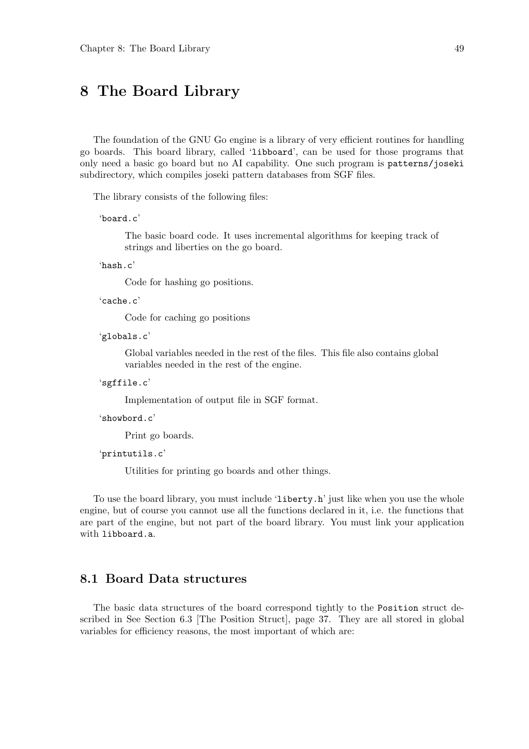# 8 The Board Library

The foundation of the GNU Go engine is a library of very efficient routines for handling go boards. This board library, called 'libboard', can be used for those programs that only need a basic go board but no AI capability. One such program is patterns/joseki subdirectory, which compiles joseki pattern databases from SGF files.

The library consists of the following files:

```
'board.c'
```
The basic board code. It uses incremental algorithms for keeping track of strings and liberties on the go board.

'hash.c'

Code for hashing go positions.

 $'c^c$ 

Code for caching go positions

'globals.c'

Global variables needed in the rest of the files. This file also contains global variables needed in the rest of the engine.

```
'sgffile.c'
```
Implementation of output file in SGF format.

'showbord.c'

Print go boards.

'printutils.c'

Utilities for printing go boards and other things.

To use the board library, you must include 'liberty.h' just like when you use the whole engine, but of course you cannot use all the functions declared in it, i.e. the functions that are part of the engine, but not part of the board library. You must link your application with libboard.a.

# 8.1 Board Data structures

The basic data structures of the board correspond tightly to the Position struct described in See Section 6.3 [The Position Struct], page 37. They are all stored in global variables for efficiency reasons, the most important of which are: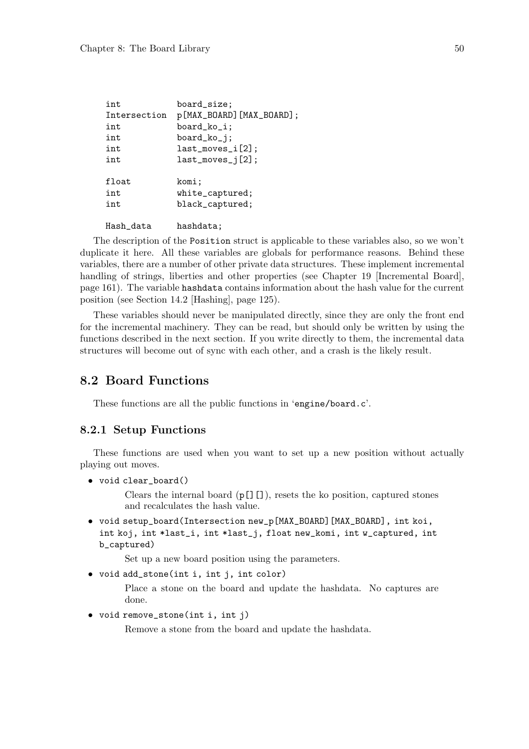| int          | board_size;              |
|--------------|--------------------------|
| Intersection | p[MAX_BOARD][MAX_BOARD]; |
| int          | board_ko_i;              |
| int          | board_ko_j;              |
| int          | $last_moves_i[2];$       |
| int          | $last_moves_j[2];$       |
| float        | komi;                    |
| int          | white_captured;          |
| int          | black_captured;          |
| Hash_data    | hashdata;                |

The description of the Position struct is applicable to these variables also, so we won't duplicate it here. All these variables are globals for performance reasons. Behind these variables, there are a number of other private data structures. These implement incremental handling of strings, liberties and other properties (see Chapter 19 [Incremental Board], page 161). The variable hashdata contains information about the hash value for the current position (see Section 14.2 [Hashing], page 125).

These variables should never be manipulated directly, since they are only the front end for the incremental machinery. They can be read, but should only be written by using the functions described in the next section. If you write directly to them, the incremental data structures will become out of sync with each other, and a crash is the likely result.

# 8.2 Board Functions

These functions are all the public functions in 'engine/board.c'.

## 8.2.1 Setup Functions

These functions are used when you want to set up a new position without actually playing out moves.

• void clear\_board()

Clears the internal board  $(p[]$ []), resets the ko position, captured stones and recalculates the hash value.

• void setup\_board(Intersection new\_p[MAX\_BOARD][MAX\_BOARD], int koi, int koj, int \*last\_i, int \*last\_j, float new\_komi, int w\_captured, int b\_captured)

Set up a new board position using the parameters.

• void add\_stone(int i, int j, int color)

Place a stone on the board and update the hashdata. No captures are done.

• void remove\_stone(int i, int j)

Remove a stone from the board and update the hashdata.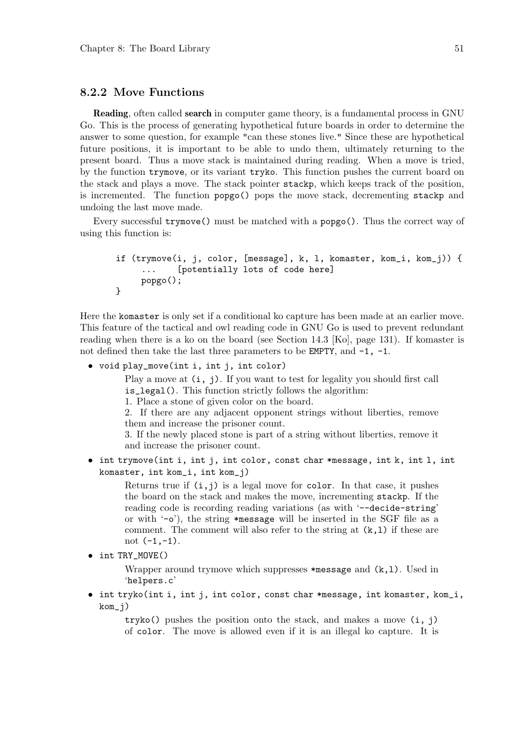## 8.2.2 Move Functions

Reading, often called search in computer game theory, is a fundamental process in GNU Go. This is the process of generating hypothetical future boards in order to determine the answer to some question, for example "can these stones live." Since these are hypothetical future positions, it is important to be able to undo them, ultimately returning to the present board. Thus a move stack is maintained during reading. When a move is tried, by the function trymove, or its variant tryko. This function pushes the current board on the stack and plays a move. The stack pointer stackp, which keeps track of the position, is incremented. The function popgo() pops the move stack, decrementing stackp and undoing the last move made.

Every successful trymove() must be matched with a popgo(). Thus the correct way of using this function is:

```
if (trymove(i, j, color, [message], k, l, komaster, kom_i, kom_j)) {
     ... [potentially lots of code here]
    popgo();
}
```
Here the komaster is only set if a conditional ko capture has been made at an earlier move. This feature of the tactical and owl reading code in GNU Go is used to prevent redundant reading when there is a ko on the board (see Section 14.3 [Ko], page 131). If komaster is not defined then take the last three parameters to be **EMPTY**, and  $-1$ ,  $-1$ .

• void play\_move(int i, int j, int color)

Play a move at  $(i, j)$ . If you want to test for legality you should first call is\_legal(). This function strictly follows the algorithm:

1. Place a stone of given color on the board.

2. If there are any adjacent opponent strings without liberties, remove them and increase the prisoner count.

3. If the newly placed stone is part of a string without liberties, remove it and increase the prisoner count.

• int trymove(int i, int j, int color, const char \*message, int k, int l, int komaster, int kom\_i, int kom\_j)

Returns true if  $(i, j)$  is a legal move for color. In that case, it pushes the board on the stack and makes the move, incrementing stackp. If the reading code is recording reading variations (as with '--decide-string' or with '-o'), the string \*message will be inserted in the SGF file as a comment. The comment will also refer to the string at  $(k,1)$  if these are not  $(-1,-1)$ .

```
• int TRY MOVE()
```
Wrapper around trymove which suppresses  $*$ message and  $(k,1)$ . Used in 'helpers.c'

• int tryko(int i, int j, int color, const char \*message, int komaster, kom\_i,  $kom_j)$ 

 $tryko()$  pushes the position onto the stack, and makes a move  $(i, j)$ of color. The move is allowed even if it is an illegal ko capture. It is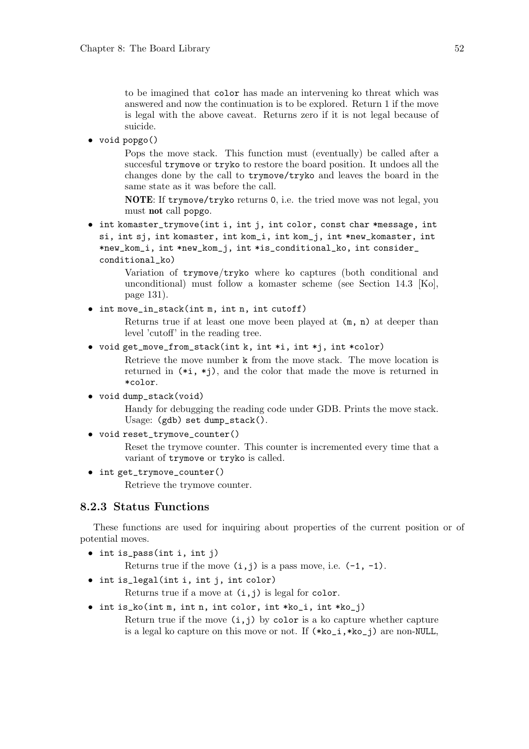to be imagined that color has made an intervening ko threat which was answered and now the continuation is to be explored. Return 1 if the move is legal with the above caveat. Returns zero if it is not legal because of suicide.

• void popgo()

Pops the move stack. This function must (eventually) be called after a succesful trymove or tryko to restore the board position. It undoes all the changes done by the call to trymove/tryko and leaves the board in the same state as it was before the call.

NOTE: If trymove/tryko returns 0, i.e. the tried move was not legal, you must not call popgo.

• int komaster\_trymove(int i, int j, int color, const char \*message, int si, int sj, int komaster, int kom\_i, int kom\_j, int \*new\_komaster, int \*new\_kom\_i, int \*new\_kom\_j, int \*is\_conditional\_ko, int consider\_ conditional\_ko)

> Variation of trymove/tryko where ko captures (both conditional and unconditional) must follow a komaster scheme (see Section 14.3 [Ko], page 131).

• int move\_in\_stack(int m, int n, int cutoff)

Returns true if at least one move been played at (m, n) at deeper than level 'cutoff' in the reading tree.

• void get\_move\_from\_stack(int k, int \*i, int \*j, int \*color)

Retrieve the move number k from the move stack. The move location is returned in  $(*i, *j)$ , and the color that made the move is returned in \*color.

• void dump\_stack(void)

Handy for debugging the reading code under GDB. Prints the move stack. Usage: (gdb) set dump\_stack().

• void reset trymove counter()

Reset the trymove counter. This counter is incremented every time that a variant of trymove or tryko is called.

• int get\_trymove\_counter()

Retrieve the trymove counter.

## 8.2.3 Status Functions

These functions are used for inquiring about properties of the current position or of potential moves.

• int is\_pass(int i, int j)

Returns true if the move  $(i, j)$  is a pass move, i.e.  $(-1, -1)$ .

• int is\_legal(int i, int j, int color)

Returns true if a move at  $(i, j)$  is legal for color.

• int is\_ko(int m, int n, int color, int \*ko\_i, int \*ko\_j) Return true if the move  $(i, j)$  by color is a ko capture whether capture is a legal ko capture on this move or not. If  $(*ko_i,*ko_j)$  are non-NULL,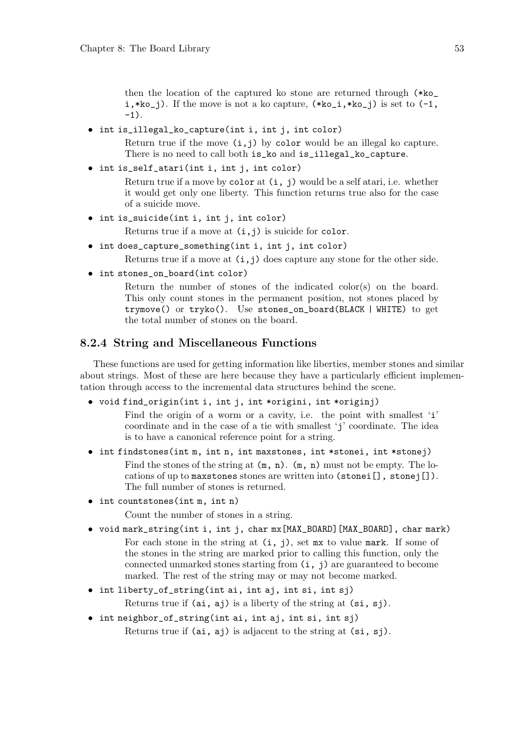then the location of the captured ko stone are returned through (\*ko\_  $i$ ,\*ko\_j). If the move is not a ko capture,  $(*ko_i,*ko_j)$  is set to  $(-1,$  $-1$ ).

• int is\_illegal\_ko\_capture(int i, int j, int color)

Return true if the move  $(i, j)$  by color would be an illegal ko capture. There is no need to call both is\_ko and is\_illegal\_ko\_capture.

• int is\_self\_atari(int i, int j, int color)

Return true if a move by color at  $(i, j)$  would be a self atari, i.e. whether it would get only one liberty. This function returns true also for the case of a suicide move.

• int is\_suicide(int i, int j, int color)

Returns true if a move at  $(i, j)$  is suicide for color.

• int does\_capture\_something(int i, int j, int color)

Returns true if a move at  $(i, j)$  does capture any stone for the other side.

• int stones\_on\_board(int color)

Return the number of stones of the indicated color(s) on the board. This only count stones in the permanent position, not stones placed by trymove() or tryko(). Use stones\_on\_board(BLACK | WHITE) to get the total number of stones on the board.

## 8.2.4 String and Miscellaneous Functions

These functions are used for getting information like liberties, member stones and similar about strings. Most of these are here because they have a particularly efficient implementation through access to the incremental data structures behind the scene.

• void find\_origin(int i, int j, int \*origini, int \*originj)

Find the origin of a worm or a cavity, i.e. the point with smallest 'i' coordinate and in the case of a tie with smallest 'j' coordinate. The idea is to have a canonical reference point for a string.

• int findstones(int m, int n, int maxstones, int \*stonei, int \*stonej) Find the stones of the string at  $(m, n)$ .  $(m, n)$  must not be empty. The lo-

cations of up to maxstones stones are written into (stonei[], stonej[]). The full number of stones is returned.

• int countstones(int m, int n)

Count the number of stones in a string.

- void mark\_string(int i, int j, char mx[MAX\_BOARD][MAX\_BOARD], char mark) For each stone in the string at  $(i, j)$ , set mx to value mark. If some of the stones in the string are marked prior to calling this function, only the connected unmarked stones starting from (i, j) are guaranteed to become marked. The rest of the string may or may not become marked.
- int liberty\_of\_string(int ai, int aj, int si, int sj) Returns true if  $(ai, aj)$  is a liberty of the string at  $(s_i, sj)$ .
- int neighbor\_of\_string(int ai, int aj, int si, int sj) Returns true if (ai, aj) is adjacent to the string at (si, sj).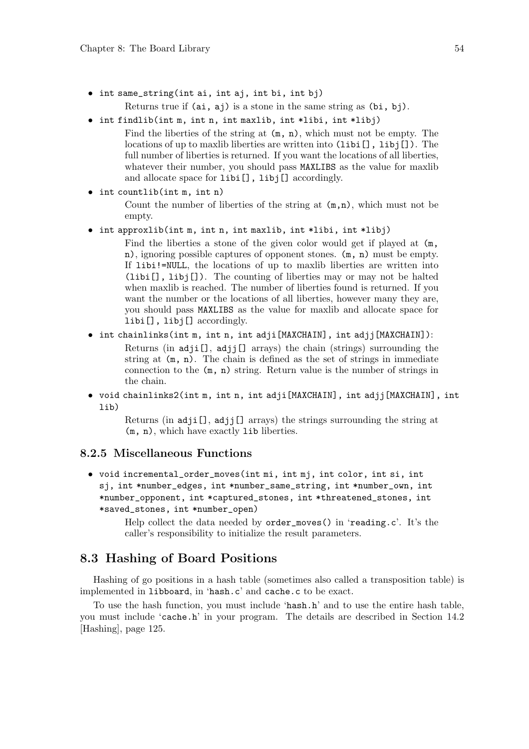- int same\_string(int ai, int aj, int bi, int bj)
	- Returns true if (ai, aj) is a stone in the same string as (bi, bj).
- int findlib(int m, int n, int maxlib, int \*libi, int \*libj) Find the liberties of the string at  $(m, n)$ , which must not be empty. The locations of up to maxlib liberties are written into (libi[], libj[]). The full number of liberties is returned. If you want the locations of all liberties, whatever their number, you should pass MAXLIBS as the value for maxlib and allocate space for libi[], libj[] accordingly.

```
• int countlib(int m, int n)
```
Count the number of liberties of the string at  $(m,n)$ , which must not be empty.

- int approxlib(int m, int n, int maxlib, int \*libi, int \*libj)
	- Find the liberties a stone of the given color would get if played at  $(m,$ n), ignoring possible captures of opponent stones. (m, n) must be empty. If libi!=NULL, the locations of up to maxlib liberties are written into (libi[], libj[]). The counting of liberties may or may not be halted when maxlib is reached. The number of liberties found is returned. If you want the number or the locations of all liberties, however many they are, you should pass MAXLIBS as the value for maxlib and allocate space for libi[], libj[] accordingly.
- int chainlinks(int m, int n, int adji[MAXCHAIN], int adjj[MAXCHAIN]): Returns (in adji[], adjj[] arrays) the chain (strings) surrounding the string at  $(m, n)$ . The chain is defined as the set of strings in immediate connection to the (m, n) string. Return value is the number of strings in the chain.
- void chainlinks2(int m, int n, int adji[MAXCHAIN], int adjj[MAXCHAIN], int lib)

Returns (in adji[], adjj[] arrays) the strings surrounding the string at (m, n), which have exactly lib liberties.

## 8.2.5 Miscellaneous Functions

• void incremental\_order\_moves(int mi, int mj, int color, int si, int sj, int \*number\_edges, int \*number\_same\_string, int \*number\_own, int \*number\_opponent, int \*captured\_stones, int \*threatened\_stones, int \*saved\_stones, int \*number\_open)

> Help collect the data needed by order\_moves() in 'reading.c'. It's the caller's responsibility to initialize the result parameters.

# 8.3 Hashing of Board Positions

Hashing of go positions in a hash table (sometimes also called a transposition table) is implemented in libboard, in 'hash.c' and cache.c to be exact.

To use the hash function, you must include 'hash.h' and to use the entire hash table, you must include 'cache.h' in your program. The details are described in Section 14.2 [Hashing], page 125.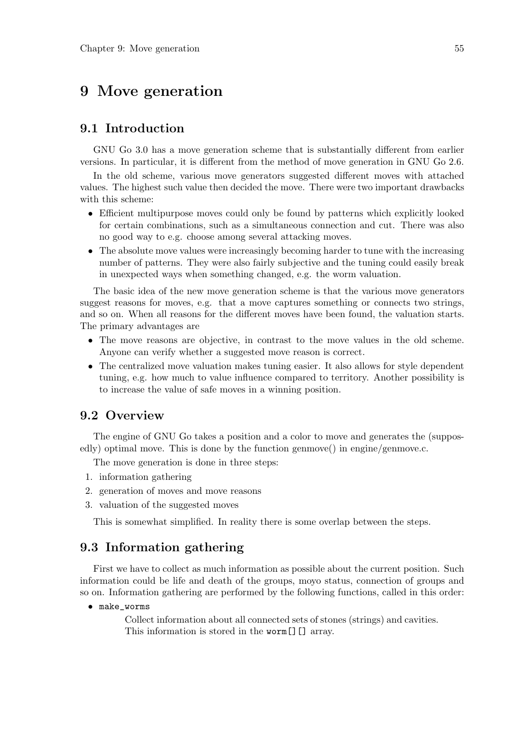# 9 Move generation

# 9.1 Introduction

GNU Go 3.0 has a move generation scheme that is substantially different from earlier versions. In particular, it is different from the method of move generation in GNU Go 2.6.

In the old scheme, various move generators suggested different moves with attached values. The highest such value then decided the move. There were two important drawbacks with this scheme:

- Efficient multipurpose moves could only be found by patterns which explicitly looked for certain combinations, such as a simultaneous connection and cut. There was also no good way to e.g. choose among several attacking moves.
- The absolute move values were increasingly becoming harder to tune with the increasing number of patterns. They were also fairly subjective and the tuning could easily break in unexpected ways when something changed, e.g. the worm valuation.

The basic idea of the new move generation scheme is that the various move generators suggest reasons for moves, e.g. that a move captures something or connects two strings, and so on. When all reasons for the different moves have been found, the valuation starts. The primary advantages are

- The move reasons are objective, in contrast to the move values in the old scheme. Anyone can verify whether a suggested move reason is correct.
- The centralized move valuation makes tuning easier. It also allows for style dependent tuning, e.g. how much to value influence compared to territory. Another possibility is to increase the value of safe moves in a winning position.

# 9.2 Overview

The engine of GNU Go takes a position and a color to move and generates the (supposedly) optimal move. This is done by the function genmove() in engine/genmove.c.

The move generation is done in three steps:

- 1. information gathering
- 2. generation of moves and move reasons
- 3. valuation of the suggested moves

This is somewhat simplified. In reality there is some overlap between the steps.

# 9.3 Information gathering

First we have to collect as much information as possible about the current position. Such information could be life and death of the groups, moyo status, connection of groups and so on. Information gathering are performed by the following functions, called in this order:

• make\_worms

Collect information about all connected sets of stones (strings) and cavities. This information is stored in the worm [] [] array.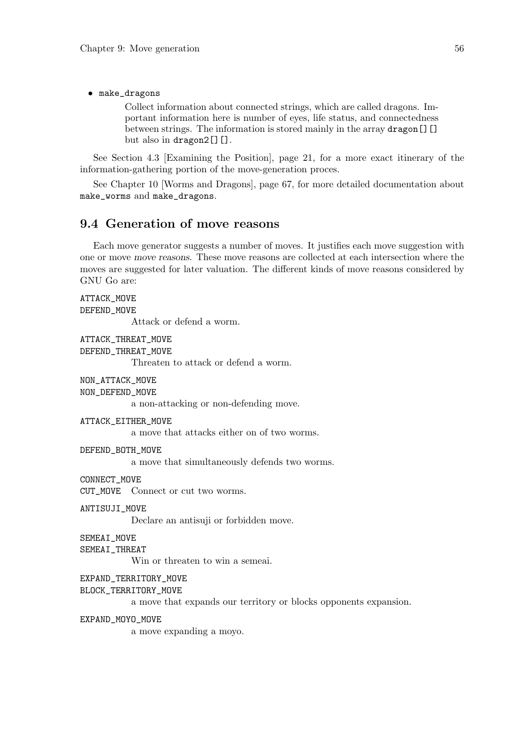• make\_dragons

ATTACK\_MOVE

Collect information about connected strings, which are called dragons. Important information here is number of eyes, life status, and connectedness between strings. The information is stored mainly in the array dragon [][] but also in dragon2[][].

See Section 4.3 [Examining the Position], page 21, for a more exact itinerary of the information-gathering portion of the move-generation proces.

See Chapter 10 [Worms and Dragons], page 67, for more detailed documentation about make\_worms and make\_dragons.

# 9.4 Generation of move reasons

Each move generator suggests a number of moves. It justifies each move suggestion with one or move move reasons. These move reasons are collected at each intersection where the moves are suggested for later valuation. The different kinds of move reasons considered by GNU Go are:

# DEFEND\_MOVE Attack or defend a worm. ATTACK\_THREAT\_MOVE DEFEND\_THREAT\_MOVE Threaten to attack or defend a worm. NON\_ATTACK\_MOVE NON\_DEFEND\_MOVE a non-attacking or non-defending move. ATTACK\_EITHER\_MOVE a move that attacks either on of two worms. DEFEND\_BOTH\_MOVE a move that simultaneously defends two worms. CONNECT\_MOVE CUT\_MOVE Connect or cut two worms. ANTISUJI\_MOVE Declare an antisuji or forbidden move. SEMEAI\_MOVE SEMEAI THREAT Win or threaten to win a semeai. EXPAND\_TERRITORY\_MOVE BLOCK\_TERRITORY\_MOVE a move that expands our territory or blocks opponents expansion. EXPAND\_MOYO\_MOVE a move expanding a moyo.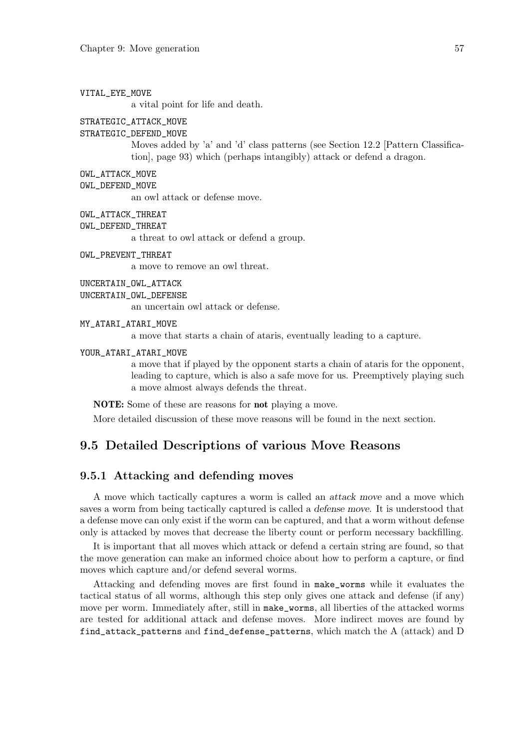### VITAL\_EYE\_MOVE

a vital point for life and death.

#### STRATEGIC\_ATTACK\_MOVE

### STRATEGIC\_DEFEND\_MOVE

Moves added by 'a' and 'd' class patterns (see Section 12.2 [Pattern Classification], page 93) which (perhaps intangibly) attack or defend a dragon.

- OWL\_ATTACK\_MOVE
- OWL\_DEFEND\_MOVE

an owl attack or defense move.

- OWL\_ATTACK\_THREAT
- OWL\_DEFEND\_THREAT

a threat to owl attack or defend a group.

OWL PREVENT THREAT

a move to remove an owl threat.

UNCERTAIN\_OWL\_ATTACK

UNCERTAIN\_OWL\_DEFENSE

an uncertain owl attack or defense.

MY\_ATARI\_ATARI\_MOVE

a move that starts a chain of ataris, eventually leading to a capture.

YOUR\_ATARI\_ATARI\_MOVE

a move that if played by the opponent starts a chain of ataris for the opponent, leading to capture, which is also a safe move for us. Preemptively playing such a move almost always defends the threat.

NOTE: Some of these are reasons for not playing a move.

More detailed discussion of these move reasons will be found in the next section.

# 9.5 Detailed Descriptions of various Move Reasons

## 9.5.1 Attacking and defending moves

A move which tactically captures a worm is called an attack move and a move which saves a worm from being tactically captured is called a defense move. It is understood that a defense move can only exist if the worm can be captured, and that a worm without defense only is attacked by moves that decrease the liberty count or perform necessary backfilling.

It is important that all moves which attack or defend a certain string are found, so that the move generation can make an informed choice about how to perform a capture, or find moves which capture and/or defend several worms.

Attacking and defending moves are first found in make\_worms while it evaluates the tactical status of all worms, although this step only gives one attack and defense (if any) move per worm. Immediately after, still in make\_worms, all liberties of the attacked worms are tested for additional attack and defense moves. More indirect moves are found by find\_attack\_patterns and find\_defense\_patterns, which match the A (attack) and D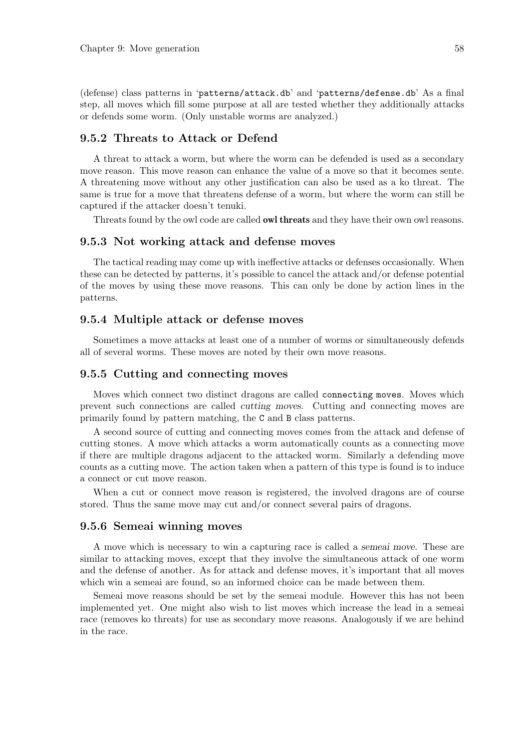(defense) class patterns in 'patterns/attack.db' and 'patterns/defense.db' As a final step, all moves which fill some purpose at all are tested whether they additionally attacks or defends some worm. (Only unstable worms are analyzed.)

## 9.5.2 Threats to Attack or Defend

A threat to attack a worm, but where the worm can be defended is used as a secondary move reason. This move reason can enhance the value of a move so that it becomes sente. A threatening move without any other justification can also be used as a ko threat. The same is true for a move that threatens defense of a worm, but where the worm can still be captured if the attacker doesn't tenuki.

Threats found by the owl code are called owl threats and they have their own owl reasons.

### 9.5.3 Not working attack and defense moves

The tactical reading may come up with ineffective attacks or defenses occasionally. When these can be detected by patterns, it's possible to cancel the attack and/or defense potential of the moves by using these move reasons. This can only be done by action lines in the patterns.

## 9.5.4 Multiple attack or defense moves

Sometimes a move attacks at least one of a number of worms or simultaneously defends all of several worms. These moves are noted by their own move reasons.

### 9.5.5 Cutting and connecting moves

Moves which connect two distinct dragons are called connecting moves. Moves which prevent such connections are called cutting moves. Cutting and connecting moves are primarily found by pattern matching, the C and B class patterns.

A second source of cutting and connecting moves comes from the attack and defense of cutting stones. A move which attacks a worm automatically counts as a connecting move if there are multiple dragons adjacent to the attacked worm. Similarly a defending move counts as a cutting move. The action taken when a pattern of this type is found is to induce a connect or cut move reason.

When a cut or connect move reason is registered, the involved dragons are of course stored. Thus the same move may cut and/or connect several pairs of dragons.

## 9.5.6 Semeai winning moves

A move which is necessary to win a capturing race is called a semeai move. These are similar to attacking moves, except that they involve the simultaneous attack of one worm and the defense of another. As for attack and defense moves, it's important that all moves which win a semeai are found, so an informed choice can be made between them.

Semeai move reasons should be set by the semeai module. However this has not been implemented yet. One might also wish to list moves which increase the lead in a semeai race (removes ko threats) for use as secondary move reasons. Analogously if we are behind in the race.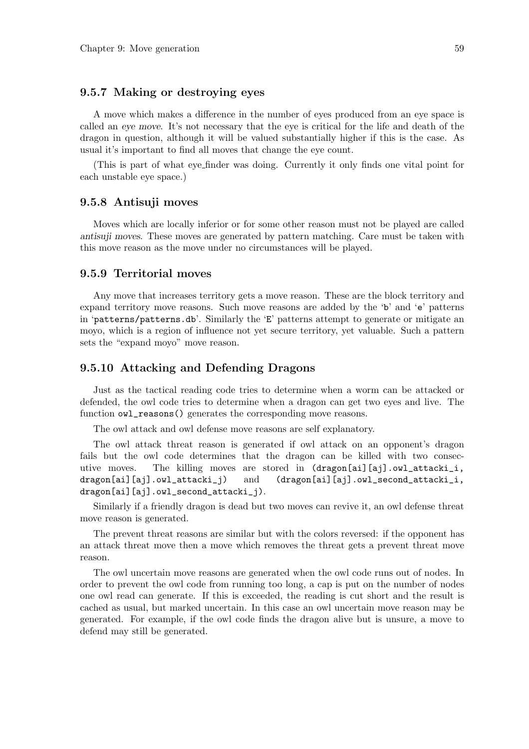## 9.5.7 Making or destroying eyes

A move which makes a difference in the number of eyes produced from an eye space is called an eye move. It's not necessary that the eye is critical for the life and death of the dragon in question, although it will be valued substantially higher if this is the case. As usual it's important to find all moves that change the eye count.

(This is part of what eye finder was doing. Currently it only finds one vital point for each unstable eye space.)

### 9.5.8 Antisuji moves

Moves which are locally inferior or for some other reason must not be played are called antisuji moves. These moves are generated by pattern matching. Care must be taken with this move reason as the move under no circumstances will be played.

## 9.5.9 Territorial moves

Any move that increases territory gets a move reason. These are the block territory and expand territory move reasons. Such move reasons are added by the 'b' and 'e' patterns in 'patterns/patterns.db'. Similarly the 'E' patterns attempt to generate or mitigate an moyo, which is a region of influence not yet secure territory, yet valuable. Such a pattern sets the "expand moyo" move reason.

## 9.5.10 Attacking and Defending Dragons

Just as the tactical reading code tries to determine when a worm can be attacked or defended, the owl code tries to determine when a dragon can get two eyes and live. The function  $ov1$ <sub>reasons</sub>() generates the corresponding move reasons.

The owl attack and owl defense move reasons are self explanatory.

The owl attack threat reason is generated if owl attack on an opponent's dragon fails but the owl code determines that the dragon can be killed with two consecutive moves. The killing moves are stored in (dragon[ai][aj].owl\_attacki\_i, dragon[ai][aj].owl\_attacki\_j) and (dragon[ai][aj].owl\_second\_attacki\_i, dragon[ai][aj].owl\_second\_attacki\_j).

Similarly if a friendly dragon is dead but two moves can revive it, an owl defense threat move reason is generated.

The prevent threat reasons are similar but with the colors reversed: if the opponent has an attack threat move then a move which removes the threat gets a prevent threat move reason.

The owl uncertain move reasons are generated when the owl code runs out of nodes. In order to prevent the owl code from running too long, a cap is put on the number of nodes one owl read can generate. If this is exceeded, the reading is cut short and the result is cached as usual, but marked uncertain. In this case an owl uncertain move reason may be generated. For example, if the owl code finds the dragon alive but is unsure, a move to defend may still be generated.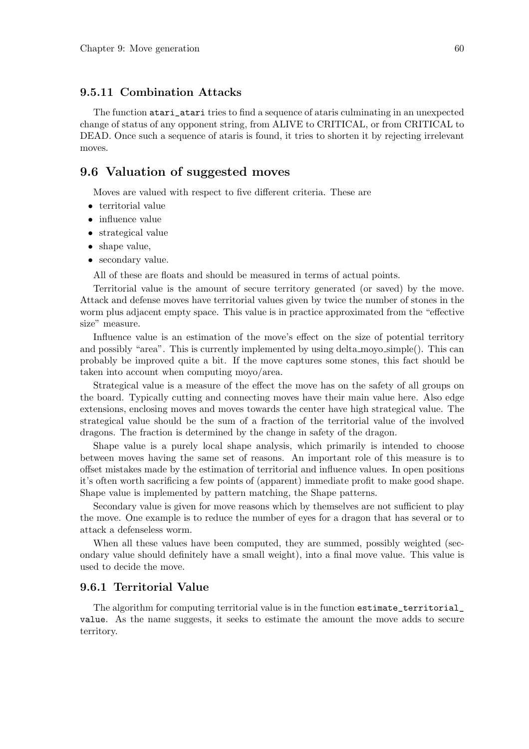# 9.5.11 Combination Attacks

The function atari\_atari tries to find a sequence of ataris culminating in an unexpected change of status of any opponent string, from ALIVE to CRITICAL, or from CRITICAL to DEAD. Once such a sequence of ataris is found, it tries to shorten it by rejecting irrelevant moves.

# 9.6 Valuation of suggested moves

Moves are valued with respect to five different criteria. These are

- territorial value
- influence value
- strategical value
- shape value,
- secondary value.

All of these are floats and should be measured in terms of actual points.

Territorial value is the amount of secure territory generated (or saved) by the move. Attack and defense moves have territorial values given by twice the number of stones in the worm plus adjacent empty space. This value is in practice approximated from the "effective size" measure.

Influence value is an estimation of the move's effect on the size of potential territory and possibly "area". This is currently implemented by using delta moyo simple(). This can probably be improved quite a bit. If the move captures some stones, this fact should be taken into account when computing moyo/area.

Strategical value is a measure of the effect the move has on the safety of all groups on the board. Typically cutting and connecting moves have their main value here. Also edge extensions, enclosing moves and moves towards the center have high strategical value. The strategical value should be the sum of a fraction of the territorial value of the involved dragons. The fraction is determined by the change in safety of the dragon.

Shape value is a purely local shape analysis, which primarily is intended to choose between moves having the same set of reasons. An important role of this measure is to offset mistakes made by the estimation of territorial and influence values. In open positions it's often worth sacrificing a few points of (apparent) immediate profit to make good shape. Shape value is implemented by pattern matching, the Shape patterns.

Secondary value is given for move reasons which by themselves are not sufficient to play the move. One example is to reduce the number of eyes for a dragon that has several or to attack a defenseless worm.

When all these values have been computed, they are summed, possibly weighted (secondary value should definitely have a small weight), into a final move value. This value is used to decide the move.

## 9.6.1 Territorial Value

The algorithm for computing territorial value is in the function estimate\_territorial\_ value. As the name suggests, it seeks to estimate the amount the move adds to secure territory.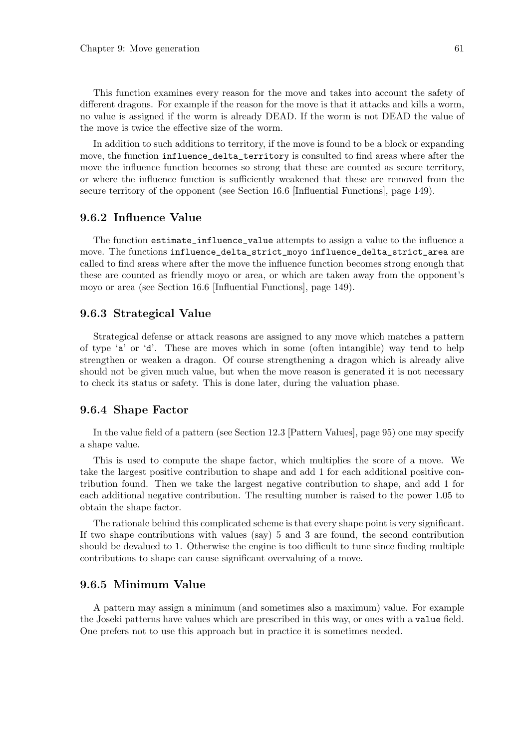This function examines every reason for the move and takes into account the safety of different dragons. For example if the reason for the move is that it attacks and kills a worm, no value is assigned if the worm is already DEAD. If the worm is not DEAD the value of the move is twice the effective size of the worm.

In addition to such additions to territory, if the move is found to be a block or expanding move, the function influence\_delta\_territory is consulted to find areas where after the move the influence function becomes so strong that these are counted as secure territory, or where the influence function is sufficiently weakened that these are removed from the secure territory of the opponent (see Section 16.6 [Influential Functions], page 149).

### 9.6.2 Influence Value

The function estimate\_influence\_value attempts to assign a value to the influence a move. The functions influence\_delta\_strict\_moyo influence\_delta\_strict\_area are called to find areas where after the move the influence function becomes strong enough that these are counted as friendly moyo or area, or which are taken away from the opponent's moyo or area (see Section 16.6 [Influential Functions], page 149).

### 9.6.3 Strategical Value

Strategical defense or attack reasons are assigned to any move which matches a pattern of type 'a' or 'd'. These are moves which in some (often intangible) way tend to help strengthen or weaken a dragon. Of course strengthening a dragon which is already alive should not be given much value, but when the move reason is generated it is not necessary to check its status or safety. This is done later, during the valuation phase.

### 9.6.4 Shape Factor

In the value field of a pattern (see Section 12.3 [Pattern Values], page 95) one may specify a shape value.

This is used to compute the shape factor, which multiplies the score of a move. We take the largest positive contribution to shape and add 1 for each additional positive contribution found. Then we take the largest negative contribution to shape, and add 1 for each additional negative contribution. The resulting number is raised to the power 1.05 to obtain the shape factor.

The rationale behind this complicated scheme is that every shape point is very significant. If two shape contributions with values (say) 5 and 3 are found, the second contribution should be devalued to 1. Otherwise the engine is too difficult to tune since finding multiple contributions to shape can cause significant overvaluing of a move.

## 9.6.5 Minimum Value

A pattern may assign a minimum (and sometimes also a maximum) value. For example the Joseki patterns have values which are prescribed in this way, or ones with a value field. One prefers not to use this approach but in practice it is sometimes needed.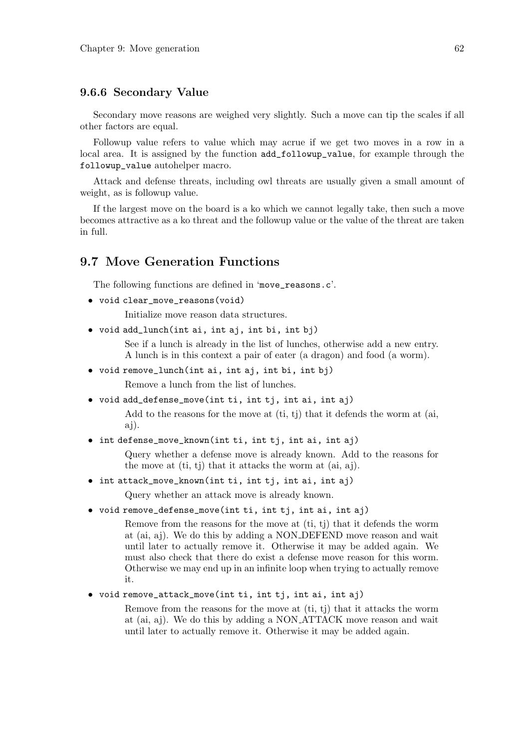### 9.6.6 Secondary Value

Secondary move reasons are weighed very slightly. Such a move can tip the scales if all other factors are equal.

Followup value refers to value which may acrue if we get two moves in a row in a local area. It is assigned by the function add\_followup\_value, for example through the followup\_value autohelper macro.

Attack and defense threats, including owl threats are usually given a small amount of weight, as is followup value.

If the largest move on the board is a ko which we cannot legally take, then such a move becomes attractive as a ko threat and the followup value or the value of the threat are taken in full.

# 9.7 Move Generation Functions

The following functions are defined in 'move\_reasons.c'.

```
• void clear_move_reasons(void)
```
Initialize move reason data structures.

• void add\_lunch(int ai, int aj, int bi, int bj)

See if a lunch is already in the list of lunches, otherwise add a new entry. A lunch is in this context a pair of eater (a dragon) and food (a worm).

• void remove\_lunch(int ai, int aj, int bi, int bj)

Remove a lunch from the list of lunches.

• void add\_defense\_move(int ti, int tj, int ai, int aj)

Add to the reasons for the move at  $(i, t)$  that it defends the worm at  $(ai, t)$ aj).

• int defense\_move\_known(int ti, int tj, int ai, int aj)

Query whether a defense move is already known. Add to the reasons for the move at  $(ti, tj)$  that it attacks the worm at  $(ai, ai)$ .

• int attack\_move\_known(int ti, int tj, int ai, int aj)

Query whether an attack move is already known.

• void remove\_defense\_move(int ti, int tj, int ai, int aj)

Remove from the reasons for the move at (ti, tj) that it defends the worm at (ai, aj). We do this by adding a NON DEFEND move reason and wait until later to actually remove it. Otherwise it may be added again. We must also check that there do exist a defense move reason for this worm. Otherwise we may end up in an infinite loop when trying to actually remove it.

• void remove\_attack\_move(int ti, int tj, int ai, int aj)

Remove from the reasons for the move at (ti, tj) that it attacks the worm at (ai, aj). We do this by adding a NON ATTACK move reason and wait until later to actually remove it. Otherwise it may be added again.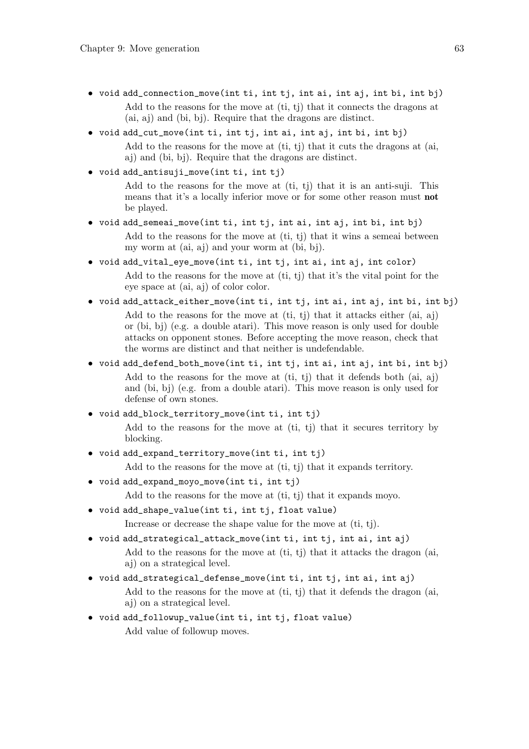- void add\_connection\_move(int ti, int tj, int ai, int aj, int bi, int bj) Add to the reasons for the move at (ti, tj) that it connects the dragons at (ai, aj) and (bi, bj). Require that the dragons are distinct.
- void add\_cut\_move(int ti, int tj, int ai, int aj, int bi, int bj) Add to the reasons for the move at  $(ti, tj)$  that it cuts the dragons at (ai, aj) and (bi, bj). Require that the dragons are distinct.
- void add\_antisuji\_move(int ti, int tj)

Add to the reasons for the move at (ti, tj) that it is an anti-suji. This means that it's a locally inferior move or for some other reason must not be played.

- void add\_semeai\_move(int ti, int tj, int ai, int aj, int bi, int bj) Add to the reasons for the move at (ti, tj) that it wins a semeai between my worm at (ai, aj) and your worm at (bi, bj).
- void add\_vital\_eye\_move(int ti, int tj, int ai, int aj, int color) Add to the reasons for the move at (ti, tj) that it's the vital point for the eye space at (ai, aj) of color color.
- void add\_attack\_either\_move(int ti, int tj, int ai, int aj, int bi, int bj) Add to the reasons for the move at (ti, tj) that it attacks either (ai, aj) or (bi, bj) (e.g. a double atari). This move reason is only used for double attacks on opponent stones. Before accepting the move reason, check that the worms are distinct and that neither is undefendable.
- void add\_defend\_both\_move(int ti, int tj, int ai, int aj, int bi, int bj) Add to the reasons for the move at  $(ti, ti)$  that it defends both  $(ai, ai)$ and (bi, bj) (e.g. from a double atari). This move reason is only used for defense of own stones.
- void add\_block\_territory\_move(int ti, int tj)

Add to the reasons for the move at (ti, tj) that it secures territory by blocking.

• void add\_expand\_territory\_move(int ti, int tj)

Add to the reasons for the move at (ti, tj) that it expands territory.

• void add\_expand\_moyo\_move(int ti, int tj)

Add to the reasons for the move at (ti, tj) that it expands move.

• void add\_shape\_value(int ti, int tj, float value)

Increase or decrease the shape value for the move at (ti, tj).

- void add\_strategical\_attack\_move(int ti, int tj, int ai, int aj) Add to the reasons for the move at (ti, tj) that it attacks the dragon (ai, aj) on a strategical level.
- void add\_strategical\_defense\_move(int ti, int tj, int ai, int aj) Add to the reasons for the move at  $(t_i, t_j)$  that it defends the dragon (ai, aj) on a strategical level.
- void add\_followup\_value(int ti, int tj, float value) Add value of followup moves.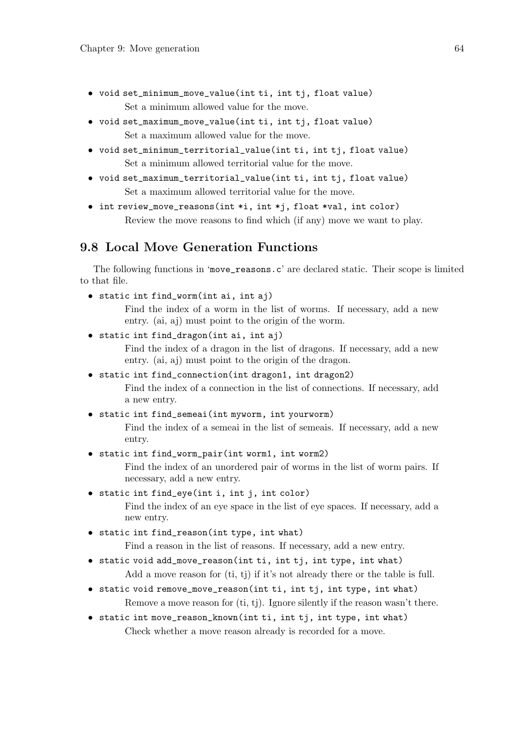- void set\_minimum\_move\_value(int ti, int tj, float value) Set a minimum allowed value for the move.
- void set\_maximum\_move\_value(int ti, int tj, float value) Set a maximum allowed value for the move.
- void set\_minimum\_territorial\_value(int ti, int tj, float value) Set a minimum allowed territorial value for the move.
- void set\_maximum\_territorial\_value(int ti, int tj, float value) Set a maximum allowed territorial value for the move.
- int review\_move\_reasons(int \*i, int \*j, float \*val, int color) Review the move reasons to find which (if any) move we want to play.

# 9.8 Local Move Generation Functions

The following functions in 'move\_reasons.c' are declared static. Their scope is limited to that file.

• static int find\_worm(int ai, int aj)

Find the index of a worm in the list of worms. If necessary, add a new entry. (ai, aj) must point to the origin of the worm.

• static int find\_dragon(int ai, int aj)

Find the index of a dragon in the list of dragons. If necessary, add a new entry. (ai, aj) must point to the origin of the dragon.

• static int find\_connection(int dragon1, int dragon2)

Find the index of a connection in the list of connections. If necessary, add a new entry.

• static int find\_semeai(int myworm, int yourworm)

Find the index of a semeai in the list of semeais. If necessary, add a new entry.

• static int find\_worm\_pair(int worm1, int worm2)

Find the index of an unordered pair of worms in the list of worm pairs. If necessary, add a new entry.

• static int find\_eye(int i, int j, int color)

Find the index of an eye space in the list of eye spaces. If necessary, add a new entry.

• static int find\_reason(int type, int what)

Find a reason in the list of reasons. If necessary, add a new entry.

- static void add\_move\_reason(int ti, int tj, int type, int what) Add a move reason for (ti, tj) if it's not already there or the table is full.
- static void remove\_move\_reason(int ti, int tj, int type, int what) Remove a move reason for (ti, tj). Ignore silently if the reason wasn't there.
- static int move\_reason\_known(int ti, int tj, int type, int what) Check whether a move reason already is recorded for a move.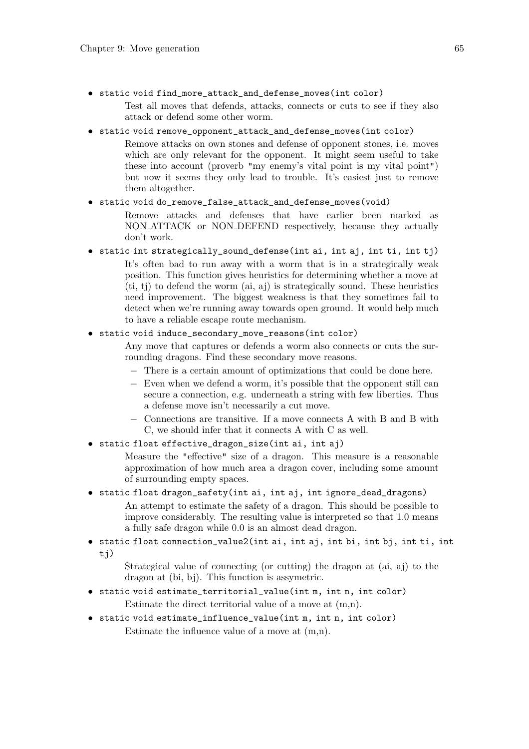- static void find\_more\_attack\_and\_defense\_moves(int color) Test all moves that defends, attacks, connects or cuts to see if they also attack or defend some other worm.
- static void remove\_opponent\_attack\_and\_defense\_moves(int color)

Remove attacks on own stones and defense of opponent stones, i.e. moves which are only relevant for the opponent. It might seem useful to take these into account (proverb "my enemy's vital point is my vital point") but now it seems they only lead to trouble. It's easiest just to remove them altogether.

### • static void do\_remove\_false\_attack\_and\_defense\_moves(void)

Remove attacks and defenses that have earlier been marked as NON ATTACK or NON DEFEND respectively, because they actually don't work.

• static int strategically\_sound\_defense(int ai, int aj, int ti, int tj) It's often bad to run away with a worm that is in a strategically weak position. This function gives heuristics for determining whether a move at (ti, tj) to defend the worm (ai, aj) is strategically sound. These heuristics need improvement. The biggest weakness is that they sometimes fail to detect when we're running away towards open ground. It would help much to have a reliable escape route mechanism.

### • static void induce\_secondary\_move\_reasons(int color)

Any move that captures or defends a worm also connects or cuts the surrounding dragons. Find these secondary move reasons.

- − There is a certain amount of optimizations that could be done here.
- − Even when we defend a worm, it's possible that the opponent still can secure a connection, e.g. underneath a string with few liberties. Thus a defense move isn't necessarily a cut move.
- − Connections are transitive. If a move connects A with B and B with C, we should infer that it connects A with C as well.
- static float effective\_dragon\_size(int ai, int aj)

Measure the "effective" size of a dragon. This measure is a reasonable approximation of how much area a dragon cover, including some amount of surrounding empty spaces.

• static float dragon\_safety(int ai, int aj, int ignore\_dead\_dragons)

An attempt to estimate the safety of a dragon. This should be possible to improve considerably. The resulting value is interpreted so that 1.0 means a fully safe dragon while 0.0 is an almost dead dragon.

• static float connection\_value2(int ai, int aj, int bi, int bj, int ti, int tj)

Strategical value of connecting (or cutting) the dragon at (ai, aj) to the dragon at (bi, bj). This function is assymetric.

- static void estimate\_territorial\_value(int m, int n, int color) Estimate the direct territorial value of a move at (m,n).
- static void estimate\_influence\_value(int m, int n, int color) Estimate the influence value of a move at (m,n).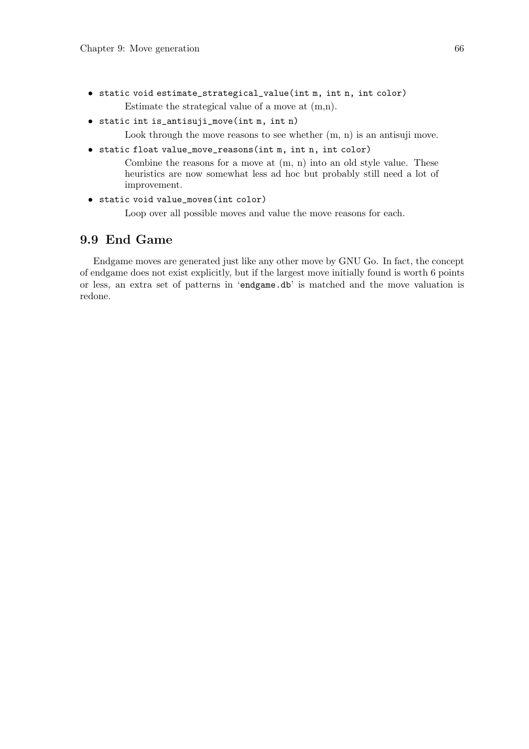- static void estimate\_strategical\_value(int m, int n, int color) Estimate the strategical value of a move at (m,n).
- static int is\_antisuji\_move(int m, int n)

Look through the move reasons to see whether  $(m, n)$  is an antisuji move.

 $\bullet$  static float value\_move\_reasons(int m, int n, int color)

Combine the reasons for a move at  $(m, n)$  into an old style value. These heuristics are now somewhat less ad hoc but probably still need a lot of improvement.

• static void value\_moves(int color)

Loop over all possible moves and value the move reasons for each.

# 9.9 End Game

Endgame moves are generated just like any other move by GNU Go. In fact, the concept of endgame does not exist explicitly, but if the largest move initially found is worth 6 points or less, an extra set of patterns in 'endgame.db' is matched and the move valuation is redone.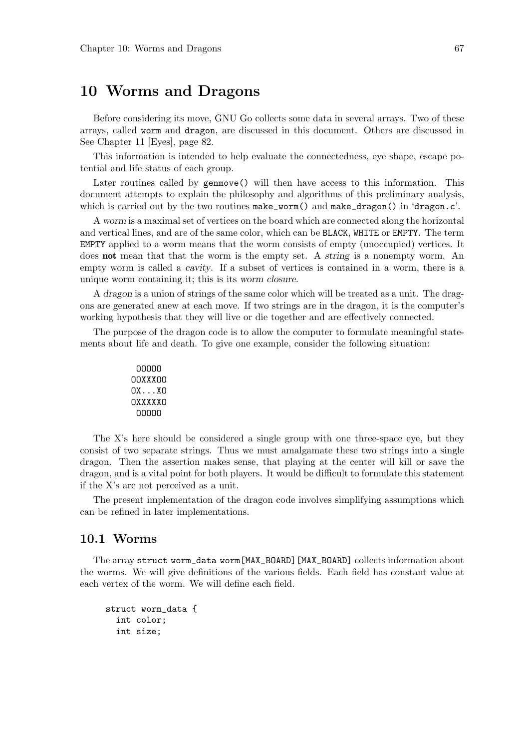# 10 Worms and Dragons

Before considering its move, GNU Go collects some data in several arrays. Two of these arrays, called worm and dragon, are discussed in this document. Others are discussed in See Chapter 11 [Eyes], page 82.

This information is intended to help evaluate the connectedness, eye shape, escape potential and life status of each group.

Later routines called by genmove() will then have access to this information. This document attempts to explain the philosophy and algorithms of this preliminary analysis, which is carried out by the two routines make\_worm() and make\_dragon() in 'dragon.c'.

A worm is a maximal set of vertices on the board which are connected along the horizontal and vertical lines, and are of the same color, which can be BLACK, WHITE or EMPTY. The term EMPTY applied to a worm means that the worm consists of empty (unoccupied) vertices. It does **not** mean that that the worm is the empty set. A string is a nonempty worm. An empty worm is called a cavity. If a subset of vertices is contained in a worm, there is a unique worm containing it; this is its worm closure.

A dragon is a union of strings of the same color which will be treated as a unit. The dragons are generated anew at each move. If two strings are in the dragon, it is the computer's working hypothesis that they will live or die together and are effectively connected.

The purpose of the dragon code is to allow the computer to formulate meaningful statements about life and death. To give one example, consider the following situation:

| nnnnn   |  |
|---------|--|
| NUXXXUU |  |
| OXXO    |  |
| UXXXXXU |  |
| nnnnn   |  |

The X's here should be considered a single group with one three-space eye, but they consist of two separate strings. Thus we must amalgamate these two strings into a single dragon. Then the assertion makes sense, that playing at the center will kill or save the dragon, and is a vital point for both players. It would be difficult to formulate this statement if the X's are not perceived as a unit.

The present implementation of the dragon code involves simplifying assumptions which can be refined in later implementations.

## 10.1 Worms

The array struct worm\_data worm[MAX\_BOARD][MAX\_BOARD] collects information about the worms. We will give definitions of the various fields. Each field has constant value at each vertex of the worm. We will define each field.

```
struct worm_data {
  int color;
  int size;
```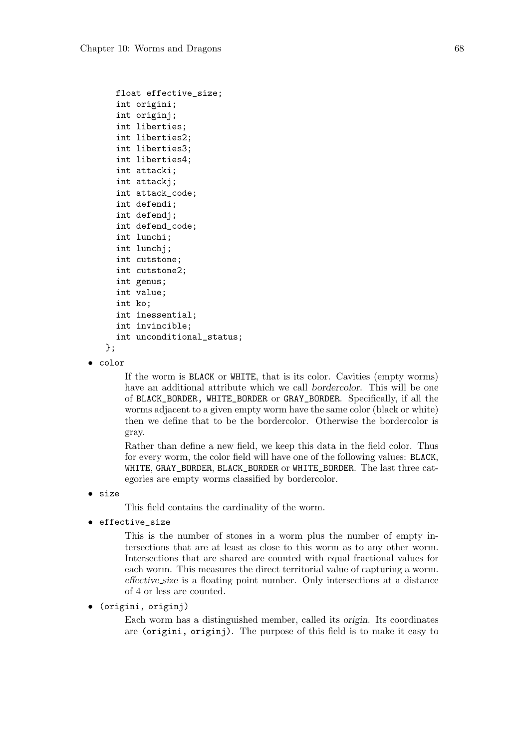```
float effective_size;
  int origini;
  int originj;
  int liberties;
  int liberties2;
  int liberties3;
  int liberties4;
  int attacki;
  int attackj;
  int attack_code;
  int defendi;
  int defendj;
  int defend_code;
  int lunchi;
  int lunchj;
  int cutstone;
  int cutstone2;
  int genus;
  int value;
  int ko;
  int inessential;
  int invincible;
  int unconditional_status;
};
```

```
• color
```
If the worm is BLACK or WHITE, that is its color. Cavities (empty worms) have an additional attribute which we call bordercolor. This will be one of BLACK\_BORDER, WHITE\_BORDER or GRAY\_BORDER. Specifically, if all the worms adjacent to a given empty worm have the same color (black or white) then we define that to be the bordercolor. Otherwise the bordercolor is gray.

Rather than define a new field, we keep this data in the field color. Thus for every worm, the color field will have one of the following values: BLACK, WHITE, GRAY\_BORDER, BLACK\_BORDER or WHITE\_BORDER. The last three categories are empty worms classified by bordercolor.

• size

This field contains the cardinality of the worm.

• effective\_size

This is the number of stones in a worm plus the number of empty intersections that are at least as close to this worm as to any other worm. Intersections that are shared are counted with equal fractional values for each worm. This measures the direct territorial value of capturing a worm. effective size is a floating point number. Only intersections at a distance of 4 or less are counted.

### • (origini, originj)

Each worm has a distinguished member, called its origin. Its coordinates are (origini, originj). The purpose of this field is to make it easy to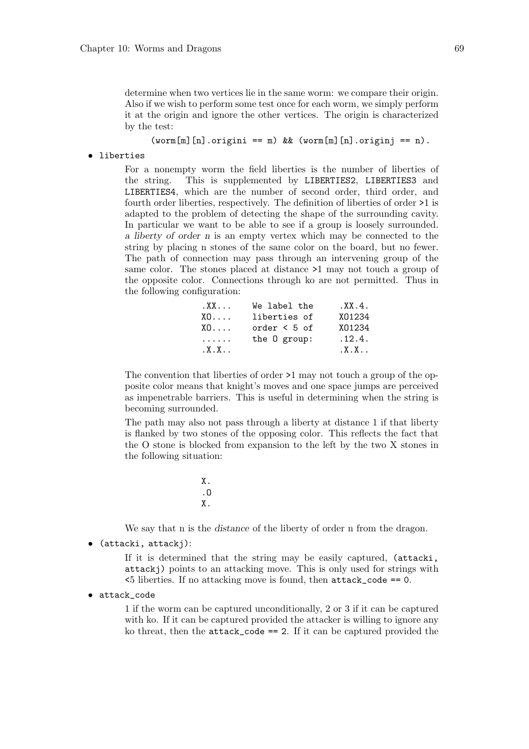determine when two vertices lie in the same worm: we compare their origin. Also if we wish to perform some test once for each worm, we simply perform it at the origin and ignore the other vertices. The origin is characterized by the test:

 $(word[m][n].origini == m)$  &&  $(word[m][n].originj == n)$ .

• liberties

For a nonempty worm the field liberties is the number of liberties of the string. This is supplemented by LIBERTIES2, LIBERTIES3 and LIBERTIES4, which are the number of second order, third order, and fourth order liberties, respectively. The definition of liberties of order >1 is adapted to the problem of detecting the shape of the surrounding cavity. In particular we want to be able to see if a group is loosely surrounded. a liberty of order n is an empty vertex which may be connected to the string by placing n stones of the same color on the board, but no fewer. The path of connection may pass through an intervening group of the same color. The stones placed at distance >1 may not touch a group of the opposite color. Connections through ko are not permitted. Thus in the following configuration:

| $XX \ldots$     | We label the      | XX.4.   |
|-----------------|-------------------|---------|
| X0              | liberties of      | X01234  |
| $X \cap \ldots$ | order $\leq 5$ of | X01234  |
| .               | the 0 group:      | .12.4.  |
| $X, X, \ldots$  |                   | $X.X$ . |

The convention that liberties of order >1 may not touch a group of the opposite color means that knight's moves and one space jumps are perceived as impenetrable barriers. This is useful in determining when the string is becoming surrounded.

The path may also not pass through a liberty at distance 1 if that liberty is flanked by two stones of the opposing color. This reflects the fact that the O stone is blocked from expansion to the left by the two X stones in the following situation:

> X. .O X.

We say that n is the *distance* of the liberty of order n from the dragon.

• (attacki, attackj):

If it is determined that the string may be easily captured, (attacki, attackj) points to an attacking move. This is only used for strings with <5 liberties. If no attacking move is found, then attack\_code == 0.

• attack\_code

1 if the worm can be captured unconditionally, 2 or 3 if it can be captured with ko. If it can be captured provided the attacker is willing to ignore any ko threat, then the  $attack\_code == 2$ . If it can be captured provided the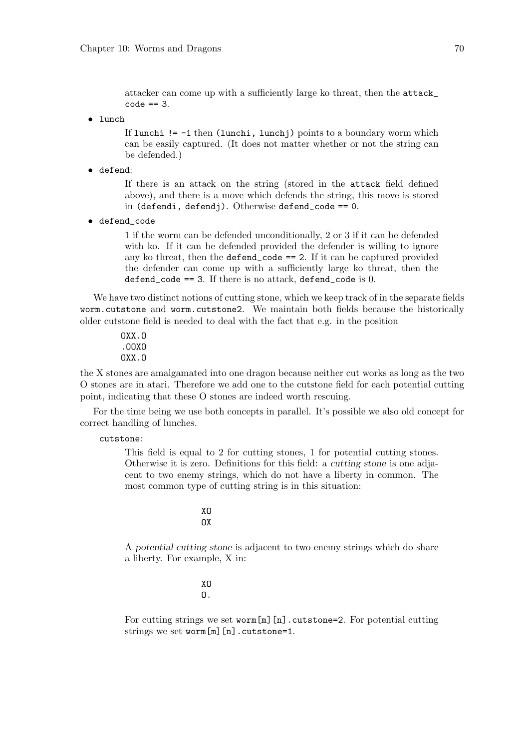attacker can come up with a sufficiently large ko threat, then the attack\_  $code == 3$ .

• lunch

If lunchi  $!= -1$  then (lunchi, lunchj) points to a boundary worm which can be easily captured. (It does not matter whether or not the string can be defended.)

• defend:

If there is an attack on the string (stored in the attack field defined above), and there is a move which defends the string, this move is stored in (defendi, defendj). Otherwise defend\_code == 0.

• defend\_code

1 if the worm can be defended unconditionally, 2 or 3 if it can be defended with ko. If it can be defended provided the defender is willing to ignore any ko threat, then the defend\_code == 2. If it can be captured provided the defender can come up with a sufficiently large ko threat, then the defend\_code ==  $3$ . If there is no attack, defend\_code is 0.

We have two distinct notions of cutting stone, which we keep track of in the separate fields worm.cutstone and worm.cutstone2. We maintain both fields because the historically older cutstone field is needed to deal with the fact that e.g. in the position

> OXX.O .OOXO OXX.O

the X stones are amalgamated into one dragon because neither cut works as long as the two O stones are in atari. Therefore we add one to the cutstone field for each potential cutting point, indicating that these O stones are indeed worth rescuing.

For the time being we use both concepts in parallel. It's possible we also old concept for correct handling of lunches.

cutstone:

This field is equal to 2 for cutting stones, 1 for potential cutting stones. Otherwise it is zero. Definitions for this field: a cutting stone is one adjacent to two enemy strings, which do not have a liberty in common. The most common type of cutting string is in this situation:

> XO OX

A potential cutting stone is adjacent to two enemy strings which do share a liberty. For example, X in:

> XO O.

For cutting strings we set worm[m][n].cutstone=2. For potential cutting strings we set worm[m][n].cutstone=1.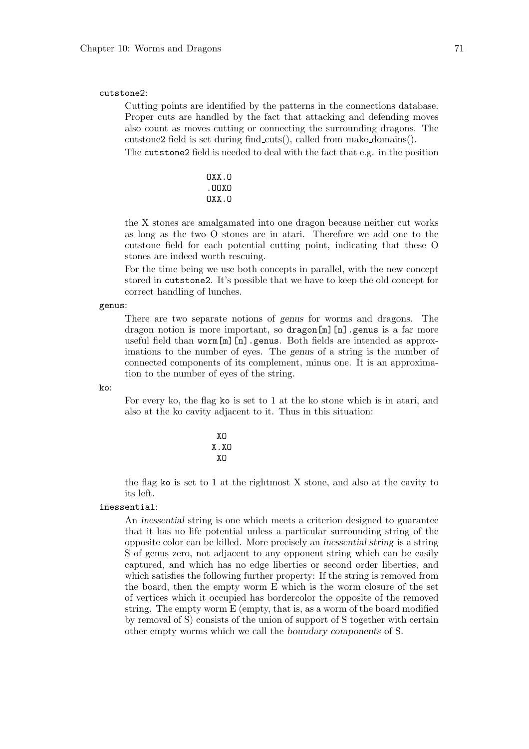#### cutstone2:

Cutting points are identified by the patterns in the connections database. Proper cuts are handled by the fact that attacking and defending moves also count as moves cutting or connecting the surrounding dragons. The cutstone2 field is set during find cuts(), called from make domains().

The cutstone2 field is needed to deal with the fact that e.g. in the position

$$
\begin{array}{c} 0 \tt XX.0 \\ \tt .00X0 \\ \tt 0XX.0 \end{array}
$$

the X stones are amalgamated into one dragon because neither cut works as long as the two O stones are in atari. Therefore we add one to the cutstone field for each potential cutting point, indicating that these O stones are indeed worth rescuing.

For the time being we use both concepts in parallel, with the new concept stored in cutstone2. It's possible that we have to keep the old concept for correct handling of lunches.

#### genus:

There are two separate notions of genus for worms and dragons. The dragon notion is more important, so dragon[m][n].genus is a far more useful field than worm[m][n].genus. Both fields are intended as approximations to the number of eyes. The genus of a string is the number of connected components of its complement, minus one. It is an approximation to the number of eyes of the string.

 $k_0$ :

For every ko, the flag ko is set to 1 at the ko stone which is in atari, and also at the ko cavity adjacent to it. Thus in this situation:

$$
\begin{array}{c} \tt XO \\ \tt X.XO \\ \tt XO \end{array}
$$

the flag ko is set to 1 at the rightmost X stone, and also at the cavity to its left.

#### inessential:

An inessential string is one which meets a criterion designed to guarantee that it has no life potential unless a particular surrounding string of the opposite color can be killed. More precisely an inessential string is a string S of genus zero, not adjacent to any opponent string which can be easily captured, and which has no edge liberties or second order liberties, and which satisfies the following further property: If the string is removed from the board, then the empty worm E which is the worm closure of the set of vertices which it occupied has bordercolor the opposite of the removed string. The empty worm E (empty, that is, as a worm of the board modified by removal of S) consists of the union of support of S together with certain other empty worms which we call the boundary components of S.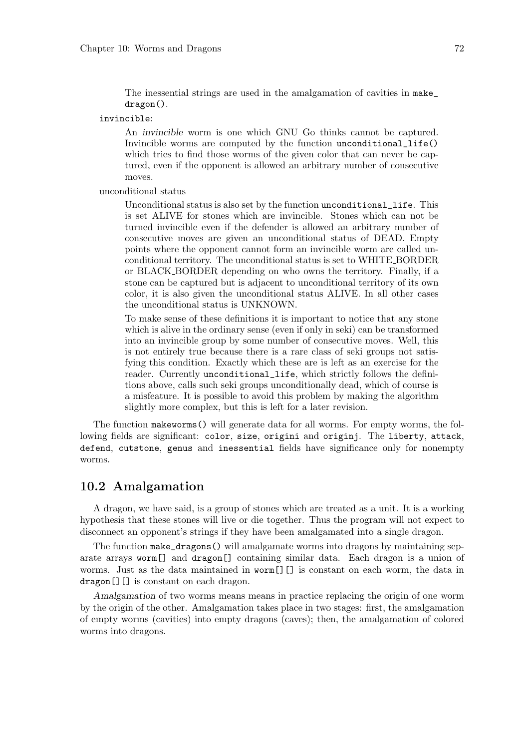The inessential strings are used in the amalgamation of cavities in make\_ dragon().

invincible:

An invincible worm is one which GNU Go thinks cannot be captured. Invincible worms are computed by the function unconditional\_life() which tries to find those worms of the given color that can never be captured, even if the opponent is allowed an arbitrary number of consecutive moves.

unconditional status

Unconditional status is also set by the function unconditional\_life. This is set ALIVE for stones which are invincible. Stones which can not be turned invincible even if the defender is allowed an arbitrary number of consecutive moves are given an unconditional status of DEAD. Empty points where the opponent cannot form an invincible worm are called unconditional territory. The unconditional status is set to WHITE BORDER or BLACK BORDER depending on who owns the territory. Finally, if a stone can be captured but is adjacent to unconditional territory of its own color, it is also given the unconditional status ALIVE. In all other cases the unconditional status is UNKNOWN.

To make sense of these definitions it is important to notice that any stone which is alive in the ordinary sense (even if only in seki) can be transformed into an invincible group by some number of consecutive moves. Well, this is not entirely true because there is a rare class of seki groups not satisfying this condition. Exactly which these are is left as an exercise for the reader. Currently unconditional\_life, which strictly follows the definitions above, calls such seki groups unconditionally dead, which of course is a misfeature. It is possible to avoid this problem by making the algorithm slightly more complex, but this is left for a later revision.

The function makeworms() will generate data for all worms. For empty worms, the following fields are significant: color, size, origini and originj. The liberty, attack, defend, cutstone, genus and inessential fields have significance only for nonempty worms.

### 10.2 Amalgamation

A dragon, we have said, is a group of stones which are treated as a unit. It is a working hypothesis that these stones will live or die together. Thus the program will not expect to disconnect an opponent's strings if they have been amalgamated into a single dragon.

The function make\_dragons() will amalgamate worms into dragons by maintaining separate arrays worm[] and dragon[] containing similar data. Each dragon is a union of worms. Just as the data maintained in worm[][] is constant on each worm, the data in dragon[][] is constant on each dragon.

Amalgamation of two worms means means in practice replacing the origin of one worm by the origin of the other. Amalgamation takes place in two stages: first, the amalgamation of empty worms (cavities) into empty dragons (caves); then, the amalgamation of colored worms into dragons.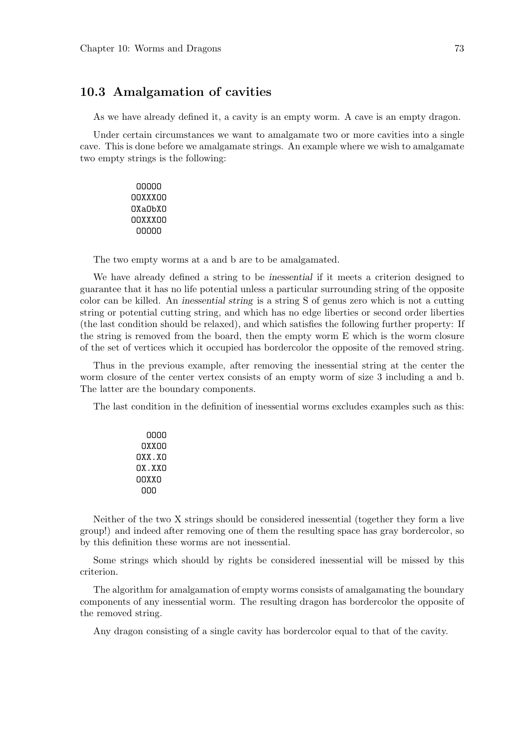### 10.3 Amalgamation of cavities

As we have already defined it, a cavity is an empty worm. A cave is an empty dragon.

Under certain circumstances we want to amalgamate two or more cavities into a single cave. This is done before we amalgamate strings. An example where we wish to amalgamate two empty strings is the following:

> OOOOO OOXXXOO OXaObXO OOXXXOO OOOOO

The two empty worms at a and b are to be amalgamated.

We have already defined a string to be inessential if it meets a criterion designed to guarantee that it has no life potential unless a particular surrounding string of the opposite color can be killed. An inessential string is a string S of genus zero which is not a cutting string or potential cutting string, and which has no edge liberties or second order liberties (the last condition should be relaxed), and which satisfies the following further property: If the string is removed from the board, then the empty worm E which is the worm closure of the set of vertices which it occupied has bordercolor the opposite of the removed string.

Thus in the previous example, after removing the inessential string at the center the worm closure of the center vertex consists of an empty worm of size 3 including a and b. The latter are the boundary components.

The last condition in the definition of inessential worms excludes examples such as this:

| nnnn   |  |
|--------|--|
| nxxnn  |  |
| NXX.XN |  |
| NX.XXN |  |
| nnxxn  |  |
| nnn    |  |

Neither of the two X strings should be considered inessential (together they form a live group!) and indeed after removing one of them the resulting space has gray bordercolor, so by this definition these worms are not inessential.

Some strings which should by rights be considered inessential will be missed by this criterion.

The algorithm for amalgamation of empty worms consists of amalgamating the boundary components of any inessential worm. The resulting dragon has bordercolor the opposite of the removed string.

Any dragon consisting of a single cavity has bordercolor equal to that of the cavity.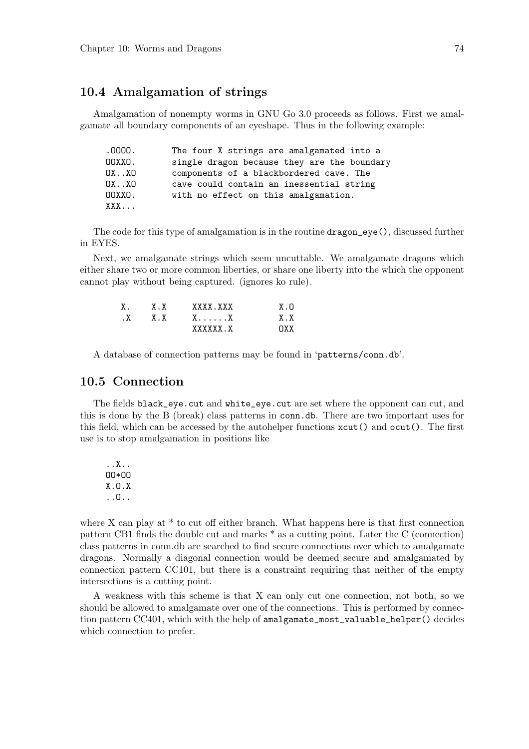### 10.4 Amalgamation of strings

Amalgamation of nonempty worms in GNU Go 3.0 proceeds as follows. First we amalgamate all boundary components of an eyeshape. Thus in the following example:

| .0000. | The four X strings are amalgamated into a   |
|--------|---------------------------------------------|
| OOXXO. | single dragon because they are the boundary |
| 0XXO   | components of a blackbordered cave. The     |
| 0XXO   | cave could contain an inessential string    |
| OOXXO. | with no effect on this amalgamation.        |
| XXX    |                                             |

The code for this type of amalgamation is in the routine dragon\_eye(), discussed further in EYES.

Next, we amalgamate strings which seem uncuttable. We amalgamate dragons which either share two or more common liberties, or share one liberty into the which the opponent cannot play without being captured. (ignores ko rule).

| $X_{\rm A}$ | XX  | XXXX XXX | X.N |
|-------------|-----|----------|-----|
| $\cdot$ X   | X.X | . X      | XX. |
|             |     | XXXXXX X | nxx |

A database of connection patterns may be found in 'patterns/conn.db'.

#### 10.5 Connection

The fields black\_eye.cut and white\_eye.cut are set where the opponent can cut, and this is done by the B (break) class patterns in conn.db. There are two important uses for this field, which can be accessed by the autohelper functions xcut() and ocut(). The first use is to stop amalgamation in positions like

..X.. OO\*OO X.O.X ..O..

where X can play at \* to cut off either branch. What happens here is that first connection pattern CB1 finds the double cut and marks \* as a cutting point. Later the C (connection) class patterns in conn.db are searched to find secure connections over which to amalgamate dragons. Normally a diagonal connection would be deemed secure and amalgamated by connection pattern CC101, but there is a constraint requiring that neither of the empty intersections is a cutting point.

A weakness with this scheme is that X can only cut one connection, not both, so we should be allowed to amalgamate over one of the connections. This is performed by connection pattern CC401, which with the help of amalgamate\_most\_valuable\_helper() decides which connection to prefer.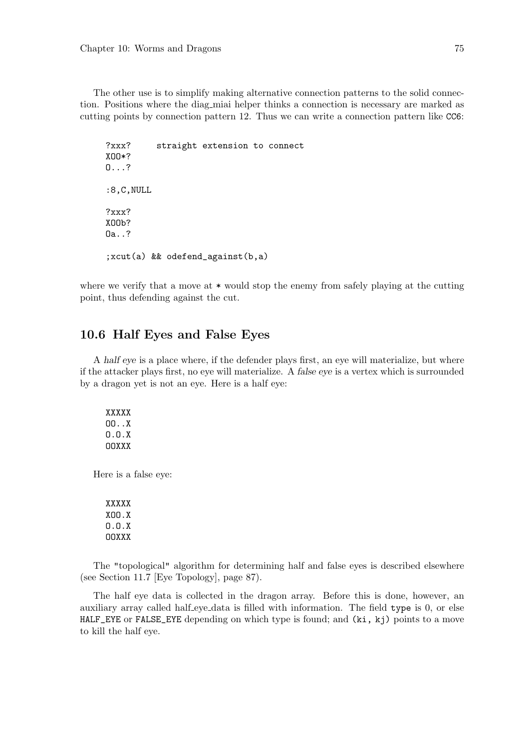The other use is to simplify making alternative connection patterns to the solid connection. Positions where the diag miai helper thinks a connection is necessary are marked as cutting points by connection pattern 12. Thus we can write a connection pattern like CC6:

?xxx? straight extension to connect XOO\*? O...? :8,C,NULL ?xxx? X<sub>DD</sub><sub>2</sub> Oa..? ;xcut(a) && odefend\_against(b,a)

where we verify that a move at  $*$  would stop the enemy from safely playing at the cutting point, thus defending against the cut.

### 10.6 Half Eyes and False Eyes

A half eye is a place where, if the defender plays first, an eye will materialize, but where if the attacker plays first, no eye will materialize. A false eye is a vertex which is surrounded by a dragon yet is not an eye. Here is a half eye:

XXXXX OO..X O.O.X OOXXX

Here is a false eye:

XXXXX XOO.X O.O.X OOXXX

The "topological" algorithm for determining half and false eyes is described elsewhere (see Section 11.7 [Eye Topology], page 87).

The half eye data is collected in the dragon array. Before this is done, however, an auxiliary array called half-eye-data is filled with information. The field type is 0, or else HALF\_EYE or FALSE\_EYE depending on which type is found; and (ki, kj) points to a move to kill the half eye.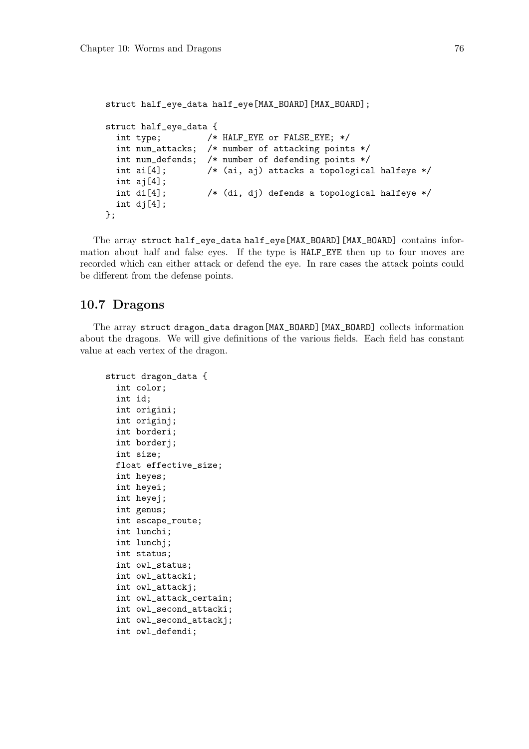```
struct half_eye_data half_eye[MAX_BOARD][MAX_BOARD];
struct half_eye_data {
  int type; /* HALF_EYE or FALSE_EYE; */
  int num_attacks; /* number of attacking points */
  int num_defends; /* number of defending points */
 int ai[4]; \sqrt{\phantom{a}} /* (ai, aj) attacks a topological halfeye */
 int ai[4];
 int di[4]; /* (di, dj) defends a topological halfeye */
 int dj[4];
};
```
The array struct half\_eye\_data half\_eye[MAX\_BOARD][MAX\_BOARD] contains information about half and false eyes. If the type is HALF\_EYE then up to four moves are recorded which can either attack or defend the eye. In rare cases the attack points could be different from the defense points.

# 10.7 Dragons

The array struct dragon\_data dragon[MAX\_BOARD][MAX\_BOARD] collects information about the dragons. We will give definitions of the various fields. Each field has constant value at each vertex of the dragon.

```
struct dragon_data {
 int color;
  int id;
  int origini;
  int originj;
 int borderi;
 int borderj;
  int size;
 float effective_size;
 int heyes;
 int heyei;
  int heyej;
  int genus;
 int escape_route;
  int lunchi;
 int lunchj;
  int status;
  int owl_status;
  int owl_attacki;
  int owl_attackj;
  int owl_attack_certain;
  int owl_second_attacki;
  int owl_second_attackj;
  int owl_defendi;
```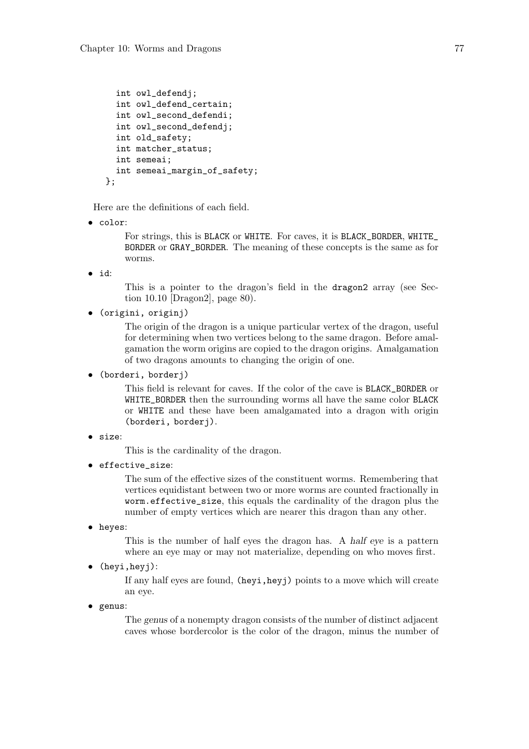```
int owl_defendj;
  int owl_defend_certain;
  int owl second defendi:
  int owl_second_defendj;
  int old_safety;
  int matcher_status;
  int semeai;
  int semeai_margin_of_safety;
};
```
Here are the definitions of each field.

• color:

For strings, this is BLACK or WHITE. For caves, it is BLACK\_BORDER, WHITE\_ BORDER or GRAY\_BORDER. The meaning of these concepts is the same as for worms.

• id:

This is a pointer to the dragon's field in the dragon2 array (see Section 10.10 [Dragon2], page 80).

• (origini, originj)

The origin of the dragon is a unique particular vertex of the dragon, useful for determining when two vertices belong to the same dragon. Before amalgamation the worm origins are copied to the dragon origins. Amalgamation of two dragons amounts to changing the origin of one.

• (borderi, borderj)

This field is relevant for caves. If the color of the cave is BLACK\_BORDER or WHITE\_BORDER then the surrounding worms all have the same color BLACK or WHITE and these have been amalgamated into a dragon with origin (borderi, borderj).

```
• size:
```
This is the cardinality of the dragon.

• effective\_size:

The sum of the effective sizes of the constituent worms. Remembering that vertices equidistant between two or more worms are counted fractionally in worm.effective\_size, this equals the cardinality of the dragon plus the number of empty vertices which are nearer this dragon than any other.

• heyes:

This is the number of half eyes the dragon has. A half eye is a pattern where an eye may or may not materialize, depending on who moves first.

• (heyi,heyj):

If any half eyes are found, (heyi,heyj) points to a move which will create an eye.

• genus:

The genus of a nonempty dragon consists of the number of distinct adjacent caves whose bordercolor is the color of the dragon, minus the number of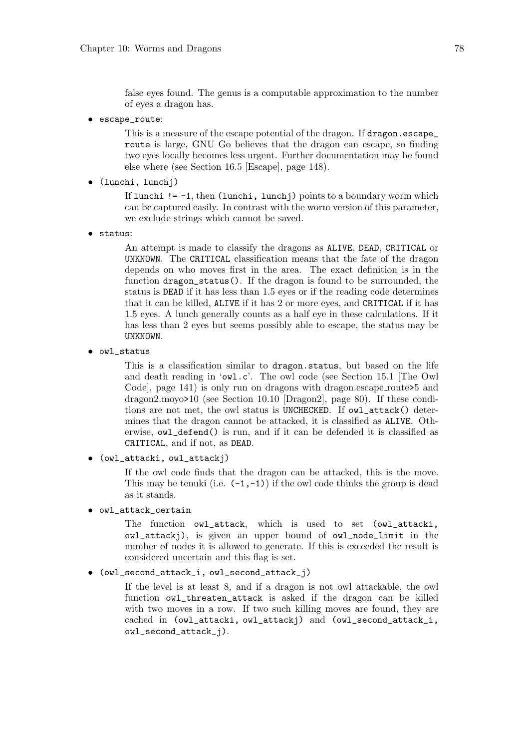false eyes found. The genus is a computable approximation to the number of eyes a dragon has.

• escape\_route:

This is a measure of the escape potential of the dragon. If dragon, escape route is large, GNU Go believes that the dragon can escape, so finding two eyes locally becomes less urgent. Further documentation may be found else where (see Section 16.5 [Escape], page 148).

• (lunchi, lunchj)

If lunchi  $!= -1$ , then (lunchi, lunchj) points to a boundary worm which can be captured easily. In contrast with the worm version of this parameter, we exclude strings which cannot be saved.

• status:

An attempt is made to classify the dragons as ALIVE, DEAD, CRITICAL or UNKNOWN. The CRITICAL classification means that the fate of the dragon depends on who moves first in the area. The exact definition is in the function dragon\_status(). If the dragon is found to be surrounded, the status is DEAD if it has less than 1.5 eyes or if the reading code determines that it can be killed, ALIVE if it has 2 or more eyes, and CRITICAL if it has 1.5 eyes. A lunch generally counts as a half eye in these calculations. If it has less than 2 eyes but seems possibly able to escape, the status may be UNKNOWN.

• owl\_status

This is a classification similar to dragon.status, but based on the life and death reading in 'owl.c'. The owl code (see Section 15.1 [The Owl Code, page 141) is only run on dragons with dragon.escape\_route>5 and dragon2.moyo>10 (see Section 10.10 [Dragon2], page 80). If these conditions are not met, the owl status is UNCHECKED. If owl\_attack() determines that the dragon cannot be attacked, it is classified as ALIVE. Otherwise, owl\_defend() is run, and if it can be defended it is classified as CRITICAL, and if not, as DEAD.

• (owl\_attacki, owl\_attackj)

If the owl code finds that the dragon can be attacked, this is the move. This may be tenuki (i.e.  $(-1,-1)$ ) if the owl code thinks the group is dead as it stands.

• owl\_attack\_certain

The function owl\_attack, which is used to set (owl\_attacki, owl\_attackj), is given an upper bound of owl\_node\_limit in the number of nodes it is allowed to generate. If this is exceeded the result is considered uncertain and this flag is set.

#### • (owl\_second\_attack\_i, owl\_second\_attack\_j)

If the level is at least 8, and if a dragon is not owl attackable, the owl function owl\_threaten\_attack is asked if the dragon can be killed with two moves in a row. If two such killing moves are found, they are cached in (owl\_attacki, owl\_attackj) and (owl\_second\_attack\_i, owl\_second\_attack\_j).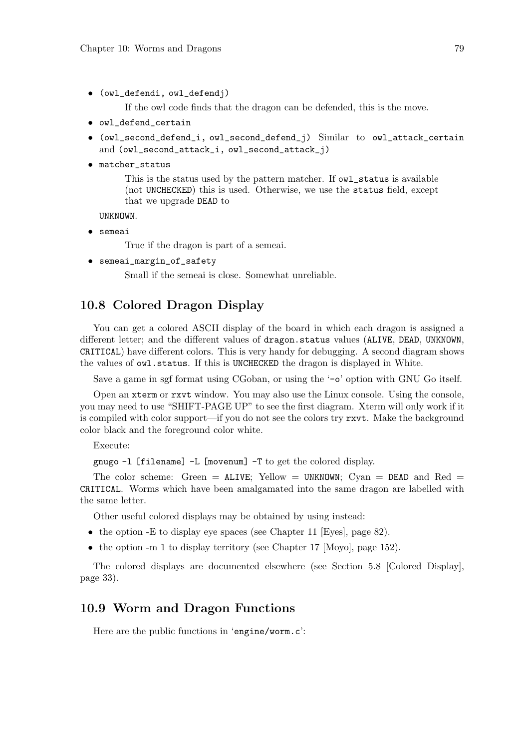• (owl\_defendi, owl\_defendj)

If the owl code finds that the dragon can be defended, this is the move.

- owl defend certain
- (owl\_second\_defend\_i, owl\_second\_defend\_j) Similar to owl\_attack\_certain and (owl\_second\_attack\_i, owl\_second\_attack\_j)
- matcher\_status

This is the status used by the pattern matcher. If owl\_status is available (not UNCHECKED) this is used. Otherwise, we use the status field, except that we upgrade DEAD to

UNKNOWN.

• semeai

True if the dragon is part of a semeai.

• semeai\_margin\_of\_safety

Small if the semeai is close. Somewhat unreliable.

### 10.8 Colored Dragon Display

You can get a colored ASCII display of the board in which each dragon is assigned a different letter; and the different values of dragon.status values (ALIVE, DEAD, UNKNOWN, CRITICAL) have different colors. This is very handy for debugging. A second diagram shows the values of owl.status. If this is UNCHECKED the dragon is displayed in White.

Save a game in sgf format using CGoban, or using the '-o' option with GNU Go itself.

Open an xterm or rxvt window. You may also use the Linux console. Using the console, you may need to use "SHIFT-PAGE UP" to see the first diagram. Xterm will only work if it is compiled with color support—if you do not see the colors try rxvt. Make the background color black and the foreground color white.

Execute:

gnugo -l [filename] -L [movenum] -T to get the colored display.

The color scheme: Green =  $ALIVE$ ; Yellow = UNKNOWN; Cyan =  $DEAD$  and Red = CRITICAL. Worms which have been amalgamated into the same dragon are labelled with the same letter.

Other useful colored displays may be obtained by using instead:

- the option -E to display eye spaces (see Chapter 11 [Eyes], page 82).
- the option -m 1 to display territory (see Chapter 17 [Moyo], page 152).

The colored displays are documented elsewhere (see Section 5.8 [Colored Display], page 33).

### 10.9 Worm and Dragon Functions

Here are the public functions in 'engine/worm.c':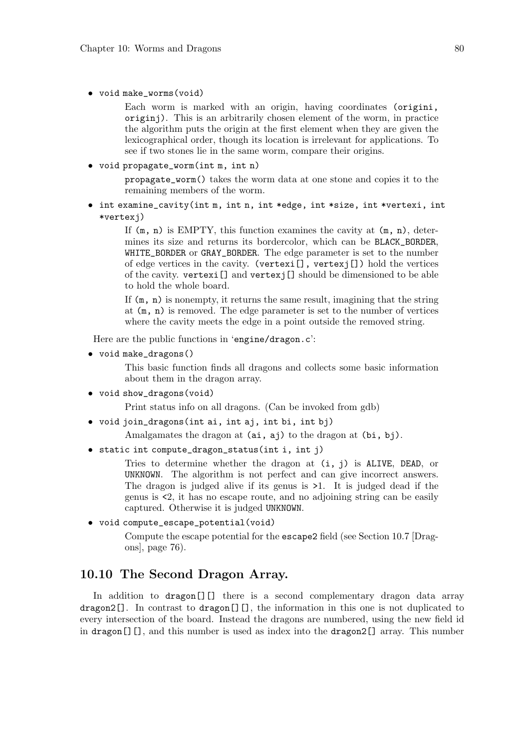• void make\_worms(void)

Each worm is marked with an origin, having coordinates (origini, originj). This is an arbitrarily chosen element of the worm, in practice the algorithm puts the origin at the first element when they are given the lexicographical order, though its location is irrelevant for applications. To see if two stones lie in the same worm, compare their origins.

• void propagate\_worm(int m, int n)

propagate\_worm() takes the worm data at one stone and copies it to the remaining members of the worm.

• int examine\_cavity(int m, int n, int \*edge, int \*size, int \*vertexi, int \*vertexj)

> If  $(m, n)$  is EMPTY, this function examines the cavity at  $(m, n)$ , determines its size and returns its bordercolor, which can be BLACK\_BORDER, WHITE\_BORDER or GRAY\_BORDER. The edge parameter is set to the number of edge vertices in the cavity. (vertexi[], vertexj[]) hold the vertices of the cavity. vertexi[] and vertexj[] should be dimensioned to be able to hold the whole board.

> If (m, n) is nonempty, it returns the same result, imagining that the string at (m, n) is removed. The edge parameter is set to the number of vertices where the cavity meets the edge in a point outside the removed string.

Here are the public functions in 'engine/dragon.c':

• void make\_dragons()

This basic function finds all dragons and collects some basic information about them in the dragon array.

• void show\_dragons(void)

Print status info on all dragons. (Can be invoked from gdb)

• void join\_dragons(int ai, int aj, int bi, int bj)

Amalgamates the dragon at (ai, aj) to the dragon at (bi, bj).

• static int compute\_dragon\_status(int i, int j)

Tries to determine whether the dragon at  $(i, j)$  is ALIVE, DEAD, or UNKNOWN. The algorithm is not perfect and can give incorrect answers. The dragon is judged alive if its genus is >1. It is judged dead if the genus is <2, it has no escape route, and no adjoining string can be easily captured. Otherwise it is judged UNKNOWN.

• void compute\_escape\_potential(void)

Compute the escape potential for the escape2 field (see Section 10.7 [Dragons], page 76).

### 10.10 The Second Dragon Array.

In addition to dragon<sup>[]</sup>[] there is a second complementary dragon data array dragon2[]. In contrast to dragon<sup>[]</sup>[], the information in this one is not duplicated to every intersection of the board. Instead the dragons are numbered, using the new field id in dragon[][], and this number is used as index into the dragon2[] array. This number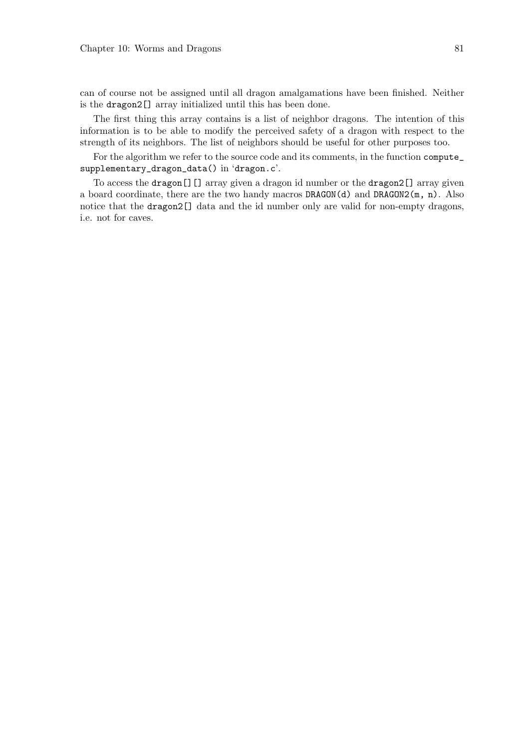can of course not be assigned until all dragon amalgamations have been finished. Neither is the dragon2[] array initialized until this has been done.

The first thing this array contains is a list of neighbor dragons. The intention of this information is to be able to modify the perceived safety of a dragon with respect to the strength of its neighbors. The list of neighbors should be useful for other purposes too.

For the algorithm we refer to the source code and its comments, in the function compute\_ supplementary\_dragon\_data() in 'dragon.c'.

To access the dragon[][] array given a dragon id number or the dragon2[] array given a board coordinate, there are the two handy macros  $DRAGON(d)$  and  $DRAGON2(m, n)$ . Also notice that the dragon2[] data and the id number only are valid for non-empty dragons, i.e. not for caves.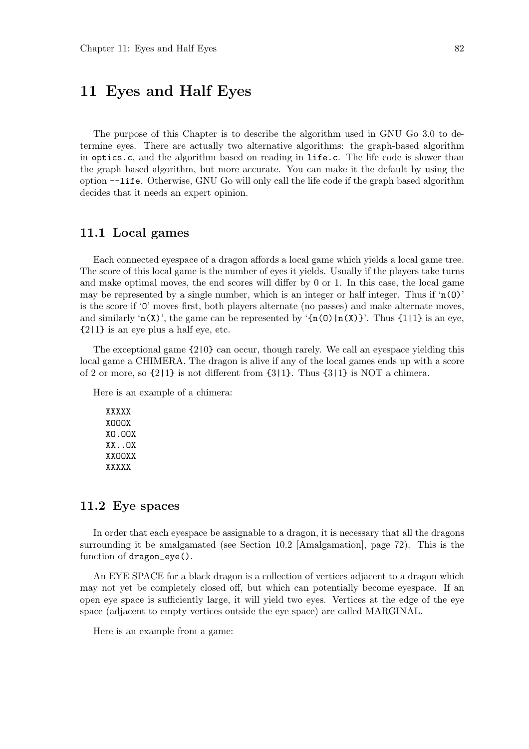# 11 Eyes and Half Eyes

The purpose of this Chapter is to describe the algorithm used in GNU Go 3.0 to determine eyes. There are actually two alternative algorithms: the graph-based algorithm in optics.c, and the algorithm based on reading in life.c. The life code is slower than the graph based algorithm, but more accurate. You can make it the default by using the option --life. Otherwise, GNU Go will only call the life code if the graph based algorithm decides that it needs an expert opinion.

#### 11.1 Local games

Each connected eyespace of a dragon affords a local game which yields a local game tree. The score of this local game is the number of eyes it yields. Usually if the players take turns and make optimal moves, the end scores will differ by 0 or 1. In this case, the local game may be represented by a single number, which is an integer or half integer. Thus if  $(n(0))$ is the score if 'O' moves first, both players alternate (no passes) and make alternate moves, and similarly 'n(X)', the game can be represented by ' $\{n(0)|n(X)\}$ '. Thus  $\{1|1\}$  is an eye, {2|1} is an eye plus a half eye, etc.

The exceptional game {2|0} can occur, though rarely. We call an eyespace yielding this local game a CHIMERA. The dragon is alive if any of the local games ends up with a score of 2 or more, so  $\{2|1\}$  is not different from  $\{3|1\}$ . Thus  $\{3|1\}$  is NOT a chimera.

Here is an example of a chimera:

XXXXX XOOOX XO.OOX XX..OX XXOOXX XXXXX

#### 11.2 Eye spaces

In order that each eyespace be assignable to a dragon, it is necessary that all the dragons surrounding it be amalgamated (see Section 10.2 [Amalgamation], page 72). This is the function of dragon\_eye().

An EYE SPACE for a black dragon is a collection of vertices adjacent to a dragon which may not yet be completely closed off, but which can potentially become eyespace. If an open eye space is sufficiently large, it will yield two eyes. Vertices at the edge of the eye space (adjacent to empty vertices outside the eye space) are called MARGINAL.

Here is an example from a game: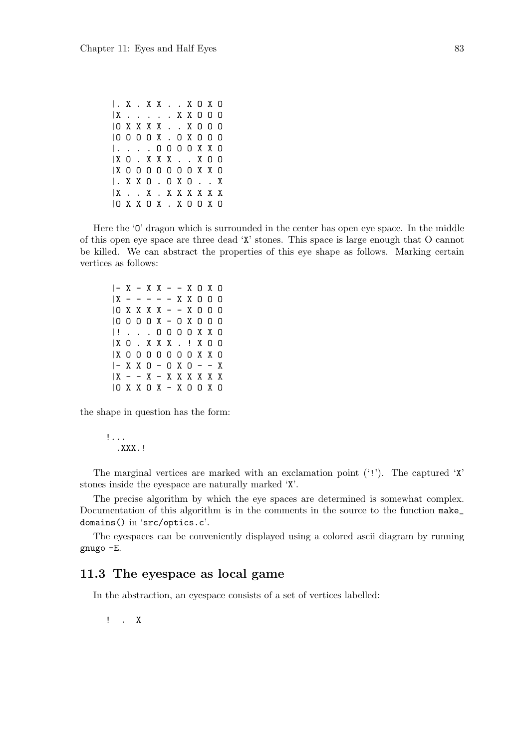|. X . X X . . X O X O |X . . . . . X X O O O |O X X X X . . X O O O |O O O O X . O X O O O |. . . . O O O O X X O |X O . X X X . . X O O |X O O O O O O O X X O |. X X O . O X O . . X |X . . X . X X X X X X |O X X O X . X O O X O

Here the '0' dragon which is surrounded in the center has open eye space. In the middle of this open eye space are three dead 'X' stones. This space is large enough that O cannot be killed. We can abstract the properties of this eye shape as follows. Marking certain vertices as follows:

 $|- X - X X - - X O X O$  $|X - - - - - X X000$ |O X X X X - - X O O O |O O O O X - O X O O O |! . . . O O O O X X O |X O . X X X . ! X O O |X O O O O O O O X X O  $|- X X O - O X O - - X$  $|X - - X - X|$  X X X X X X |O X X O X - X O O X O

the shape in question has the form:

!... . XXX. !

The marginal vertices are marked with an exclamation point  $('!)$ . The captured  $'X'$ stones inside the eyespace are naturally marked 'X'.

The precise algorithm by which the eye spaces are determined is somewhat complex. Documentation of this algorithm is in the comments in the source to the function make\_ domains() in 'src/optics.c'.

The eyespaces can be conveniently displayed using a colored ascii diagram by running gnugo -E.

### 11.3 The eyespace as local game

In the abstraction, an eyespace consists of a set of vertices labelled:

! . X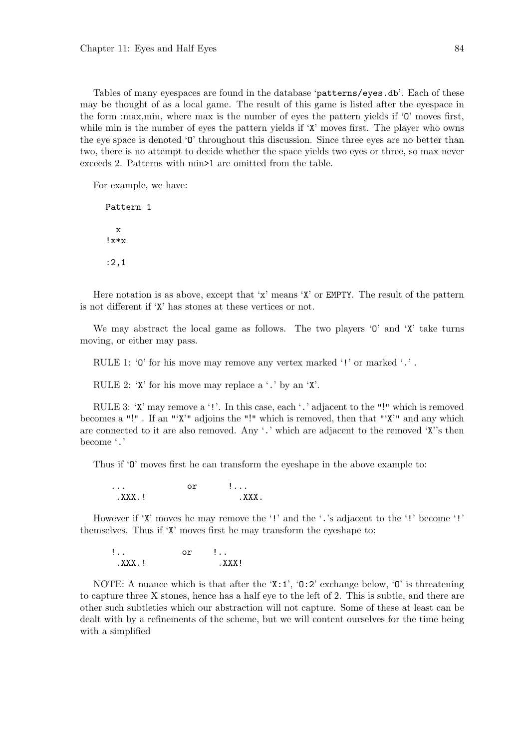Tables of many eyespaces are found in the database 'patterns/eyes.db'. Each of these may be thought of as a local game. The result of this game is listed after the eyespace in the form :max,min, where max is the number of eyes the pattern yields if 'O' moves first, while min is the number of eyes the pattern yields if 'X' moves first. The player who owns the eye space is denoted 'O' throughout this discussion. Since three eyes are no better than two, there is no attempt to decide whether the space yields two eyes or three, so max never exceeds 2. Patterns with min>1 are omitted from the table.

For example, we have:

Pattern 1 x  $l \times x$ :2,1

Here notation is as above, except that 'x' means 'X' or EMPTY. The result of the pattern is not different if 'X' has stones at these vertices or not.

We may abstract the local game as follows. The two players  $\theta$  and  $\mathbf{X}'$  take turns moving, or either may pass.

RULE 1: '0' for his move may remove any vertex marked '!' or marked '.'.

RULE 2: 'X' for his move may replace a '.' by an 'X'.

RULE 3: 'X' may remove a '!'. In this case, each '.' adjacent to the "!" which is removed becomes a "!" . If an "'X'" adjoins the "!" which is removed, then that "'X'" and any which are connected to it are also removed. Any '.' which are adjacent to the removed 'X''s then become '.'

Thus if 'O' moves first he can transform the eyeshape in the above example to:

| $\cdots$ | .          |
|----------|------------|
| . XXX J  | <b>YYY</b> |

However if 'X' moves he may remove the '!' and the '.'s adjacent to the '!' become '!' themselves. Thus if 'X' moves first he may transform the eyeshape to:

$$
\begin{array}{ll}\n1. & \text{or} & 1. \\
\text{.XXX.} & & \\
\end{array}
$$

NOTE: A nuance which is that after the 'X:1', 'O:2' exchange below, 'O' is threatening to capture three X stones, hence has a half eye to the left of 2. This is subtle, and there are other such subtleties which our abstraction will not capture. Some of these at least can be dealt with by a refinements of the scheme, but we will content ourselves for the time being with a simplified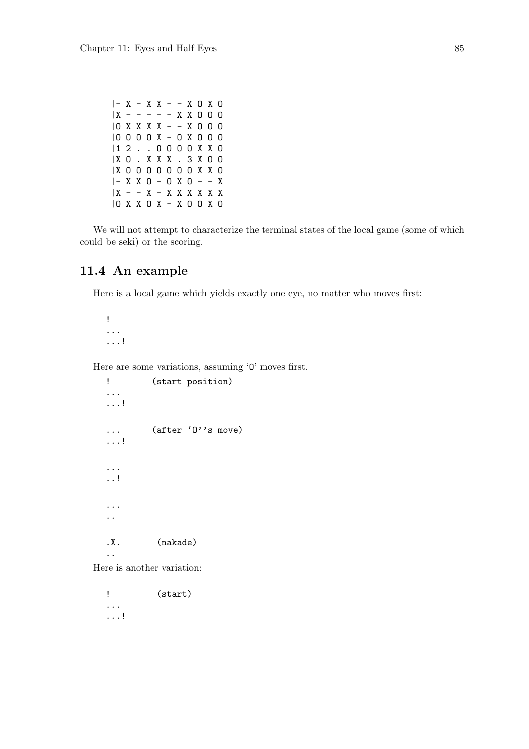|- X - X X - - X O X O |X - - - - - X X O O O |O X X X X - - X O O O |O O O O X - O X O O O |1 2 . . O O O O X X O |X O . X X X . 3 X O O |X O O O O O O O X X O  $|- X X O - O X O - - X$ |X - - X - X X X X X X |O X X O X - X O O X O

We will not attempt to characterize the terminal states of the local game (some of which could be seki) or the scoring.

# 11.4 An example

Here is a local game which yields exactly one eye, no matter who moves first:

! ... ...!

Here are some variations, assuming 'O' moves first.

```
! (start position)
...
...!
... (after 'O''s move)
...!
...
..!
...
..
.X. (nakade)
..
```
Here is another variation:

! (start) ... ...!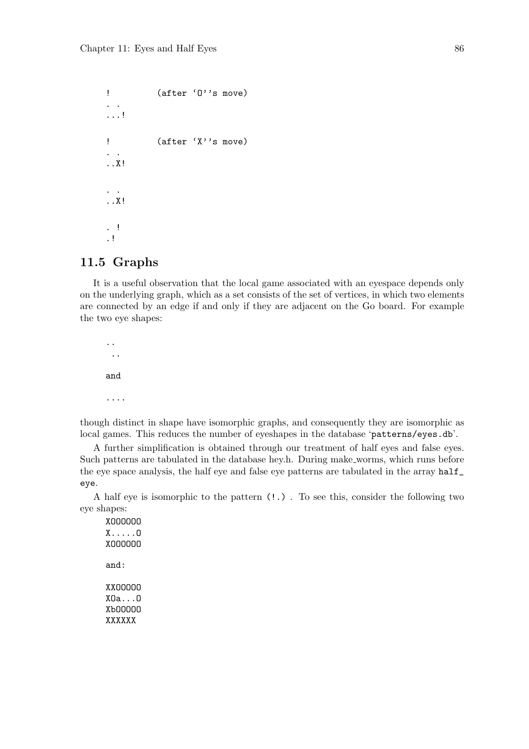```
! (after 'O''s move)
. .
...!
! (after 'X''s move)
. .
..X!
. .
..X!
. !
.!
```
### 11.5 Graphs

It is a useful observation that the local game associated with an eyespace depends only on the underlying graph, which as a set consists of the set of vertices, in which two elements are connected by an edge if and only if they are adjacent on the Go board. For example the two eye shapes:

.. .. and ....

though distinct in shape have isomorphic graphs, and consequently they are isomorphic as local games. This reduces the number of eyeshapes in the database 'patterns/eyes.db'.

A further simplification is obtained through our treatment of half eyes and false eyes. Such patterns are tabulated in the database hey.h. During make worms, which runs before the eye space analysis, the half eye and false eye patterns are tabulated in the array half\_ eye.

A half eye is isomorphic to the pattern (!.) . To see this, consider the following two eye shapes:

XOOOOOO X.....O XOOOOOO and: XXOOOOO XOa...O XbOOOOO XXXXXX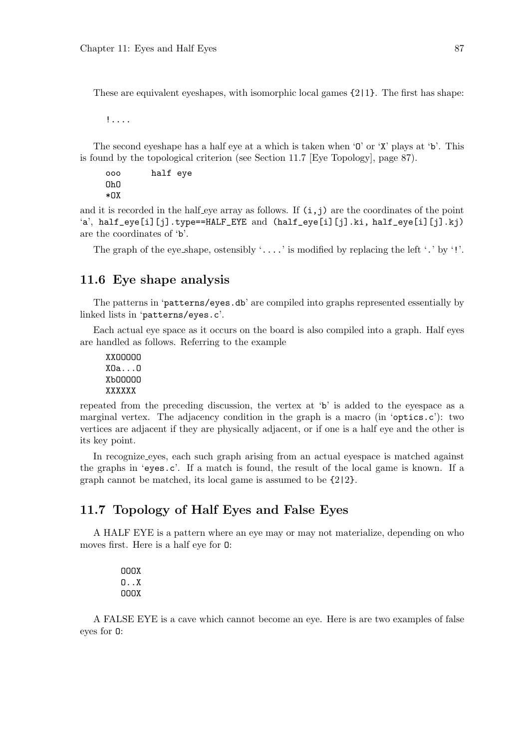These are equivalent eyeshapes, with isomorphic local games {2|1}. The first has shape:

!....

The second eyeshape has a half eye at a which is taken when 'O' or 'X' plays at 'b'. This is found by the topological criterion (see Section 11.7 [Eye Topology], page 87).

ooo half eye OhO \*OX

and it is recorded in the half eye array as follows. If  $(i, j)$  are the coordinates of the point 'a', half\_eye[i][j].type==HALF\_EYE and  $(half\_eye[i][j].ki, half\_eye[i][j].ki)$ are the coordinates of 'b'.

The graph of the eye\_shape, ostensibly  $\langle \ldots \rangle$  is modified by replacing the left  $\langle \cdot \rangle$  by  $\langle \cdot \rangle$ .

#### 11.6 Eye shape analysis

The patterns in 'patterns/eyes.db' are compiled into graphs represented essentially by linked lists in 'patterns/eyes.c'.

Each actual eye space as it occurs on the board is also compiled into a graph. Half eyes are handled as follows. Referring to the example

XXOOOOO XOa...O XbOOOOO XXXXXX

repeated from the preceding discussion, the vertex at 'b' is added to the eyespace as a marginal vertex. The adjacency condition in the graph is a macro (in 'optics.c'): two vertices are adjacent if they are physically adjacent, or if one is a half eye and the other is its key point.

In recognize eyes, each such graph arising from an actual eyespace is matched against the graphs in 'eyes.c'. If a match is found, the result of the local game is known. If a graph cannot be matched, its local game is assumed to be {2|2}.

## 11.7 Topology of Half Eyes and False Eyes

A HALF EYE is a pattern where an eye may or may not materialize, depending on who moves first. Here is a half eye for O:

> OOOX O..X OOOX

A FALSE EYE is a cave which cannot become an eye. Here is are two examples of false eyes for O: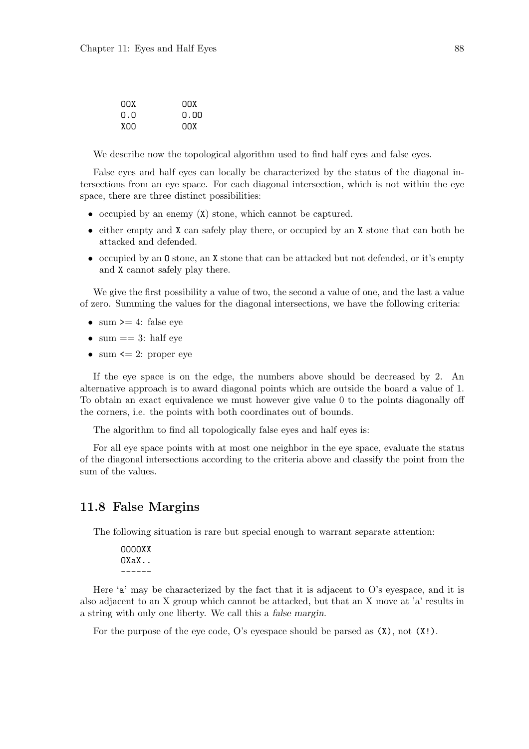| nnx | nnx  |
|-----|------|
| 0.0 | n.nn |
| xnn | nnx  |

We describe now the topological algorithm used to find half eyes and false eyes.

False eyes and half eyes can locally be characterized by the status of the diagonal intersections from an eye space. For each diagonal intersection, which is not within the eye space, there are three distinct possibilities:

- occupied by an enemy (X) stone, which cannot be captured.
- either empty and X can safely play there, or occupied by an X stone that can both be attacked and defended.
- occupied by an O stone, an X stone that can be attacked but not defended, or it's empty and X cannot safely play there.

We give the first possibility a value of two, the second a value of one, and the last a value of zero. Summing the values for the diagonal intersections, we have the following criteria:

- sum  $\geq 4$ : false eye
- sum  $== 3$ : half eye
- sum  $\leq$  2: proper eye

If the eye space is on the edge, the numbers above should be decreased by 2. An alternative approach is to award diagonal points which are outside the board a value of 1. To obtain an exact equivalence we must however give value 0 to the points diagonally off the corners, i.e. the points with both coordinates out of bounds.

The algorithm to find all topologically false eyes and half eyes is:

For all eye space points with at most one neighbor in the eye space, evaluate the status of the diagonal intersections according to the criteria above and classify the point from the sum of the values.

### 11.8 False Margins

The following situation is rare but special enough to warrant separate attention:

| 0000XX |
|--------|
| OXaX   |
|        |

Here 'a' may be characterized by the fact that it is adjacent to O's evespace, and it is also adjacent to an X group which cannot be attacked, but that an X move at 'a' results in a string with only one liberty. We call this a false margin.

For the purpose of the eye code, O's eyespace should be parsed as  $(X)$ , not  $(X!)$ .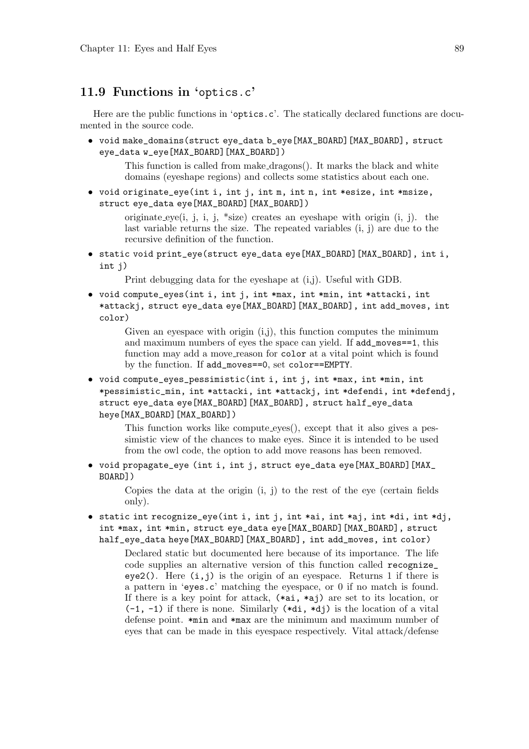# 11.9 Functions in 'optics.c'

Here are the public functions in 'optics.c'. The statically declared functions are documented in the source code.

• void make\_domains(struct eye\_data b\_eye[MAX\_BOARD][MAX\_BOARD], struct eye\_data w\_eye[MAX\_BOARD][MAX\_BOARD])

> This function is called from make dragons(). It marks the black and white domains (eyeshape regions) and collects some statistics about each one.

• void originate\_eye(int i, int j, int m, int n, int \*esize, int \*msize, struct eye\_data eye[MAX\_BOARD][MAX\_BOARD])

> originate eye(i, j, i, j, \*size) creates an eyeshape with origin  $(i, j)$ . the last variable returns the size. The repeated variables (i, j) are due to the recursive definition of the function.

• static void print\_eye(struct eye\_data eye[MAX\_BOARD][MAX\_BOARD], int i, int j)

Print debugging data for the eyeshape at (i,j). Useful with GDB.

• void compute\_eyes(int i, int j, int \*max, int \*min, int \*attacki, int \*attackj, struct eye\_data eye[MAX\_BOARD][MAX\_BOARD], int add\_moves, int color)

Given an eyespace with origin  $(i,j)$ , this function computes the minimum and maximum numbers of eyes the space can yield. If add\_moves==1, this function may add a move reason for color at a vital point which is found by the function. If add\_moves==0, set color==EMPTY.

• void compute\_eyes\_pessimistic(int i, int j, int \*max, int \*min, int \*pessimistic\_min, int \*attacki, int \*attackj, int \*defendi, int \*defendj, struct eye\_data eye[MAX\_BOARD][MAX\_BOARD], struct half\_eye\_data heye[MAX\_BOARD][MAX\_BOARD])

This function works like compute eyes(), except that it also gives a pessimistic view of the chances to make eyes. Since it is intended to be used from the owl code, the option to add move reasons has been removed.

• void propagate\_eye (int i, int j, struct eye\_data eye[MAX\_BOARD][MAX\_ BOARD])

> Copies the data at the origin (i, j) to the rest of the eye (certain fields only).

• static int recognize\_eye(int i, int j, int \*ai, int \*aj, int \*di, int \*dj, int \*max, int \*min, struct eye\_data eye[MAX\_BOARD][MAX\_BOARD], struct half\_eye\_data heye[MAX\_BOARD][MAX\_BOARD], int add\_moves, int color)

Declared static but documented here because of its importance. The life code supplies an alternative version of this function called recognize\_ eye2(). Here  $(i, j)$  is the origin of an eyespace. Returns 1 if there is a pattern in 'eyes.c' matching the eyespace, or 0 if no match is found. If there is a key point for attack, (\*ai, \*aj) are set to its location, or  $(-1, -1)$  if there is none. Similarly  $(*di, *dj)$  is the location of a vital defense point. \*min and \*max are the minimum and maximum number of eyes that can be made in this eyespace respectively. Vital attack/defense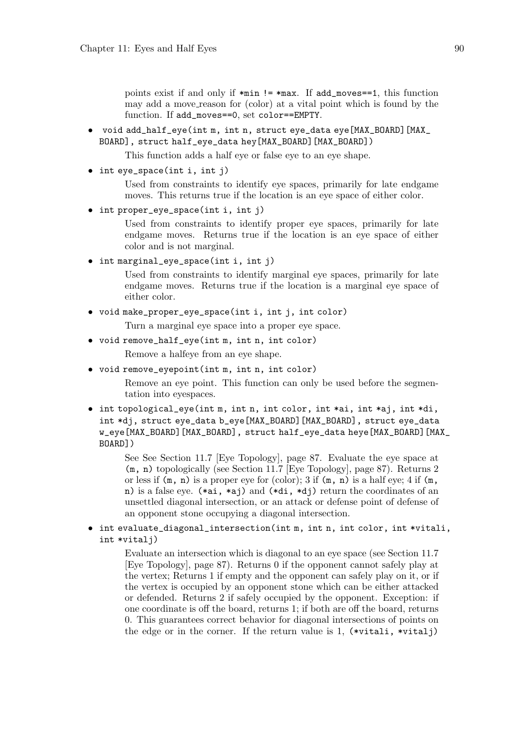points exist if and only if \*min != \*max. If add\_moves==1, this function may add a move reason for (color) at a vital point which is found by the function. If add\_moves==0, set color==EMPTY.

• void add\_half\_eye(int m, int n, struct eye\_data eye[MAX\_BOARD][MAX\_ BOARD], struct half\_eye\_data hey[MAX\_BOARD][MAX\_BOARD])

This function adds a half eye or false eye to an eye shape.

• int eye\_space(int i, int j)

Used from constraints to identify eye spaces, primarily for late endgame moves. This returns true if the location is an eye space of either color.

```
• int proper_eye_space(int i, int j)
```
Used from constraints to identify proper eye spaces, primarily for late endgame moves. Returns true if the location is an eye space of either color and is not marginal.

• int marginal\_eye\_space(int i, int j)

Used from constraints to identify marginal eye spaces, primarily for late endgame moves. Returns true if the location is a marginal eye space of either color.

- void make\_proper\_eye\_space(int i, int j, int color)
	- Turn a marginal eye space into a proper eye space.
- void remove\_half\_eye(int m, int n, int color) Remove a halfeye from an eye shape.
- void remove\_eyepoint(int m, int n, int color)

Remove an eye point. This function can only be used before the segmentation into eyespaces.

• int topological\_eye(int m, int n, int color, int \*ai, int \*aj, int \*di, int \*dj, struct eye\_data b\_eye[MAX\_BOARD][MAX\_BOARD], struct eye\_data w\_eye[MAX\_BOARD][MAX\_BOARD], struct half\_eye\_data heye[MAX\_BOARD][MAX\_ BOARD])

> See See Section 11.7 [Eye Topology], page 87. Evaluate the eye space at (m, n) topologically (see Section 11.7 [Eye Topology], page 87). Returns 2 or less if  $(m, n)$  is a proper eye for  $(color); 3$  if  $(m, n)$  is a half eye; 4 if  $(m, n)$ n) is a false eye. (\*ai, \*aj) and (\*di, \*dj) return the coordinates of an unsettled diagonal intersection, or an attack or defense point of defense of an opponent stone occupying a diagonal intersection.

• int evaluate\_diagonal\_intersection(int m, int n, int color, int \*vitali, int \*vitalj)

> Evaluate an intersection which is diagonal to an eye space (see Section 11.7 [Eye Topology], page 87). Returns 0 if the opponent cannot safely play at the vertex; Returns 1 if empty and the opponent can safely play on it, or if the vertex is occupied by an opponent stone which can be either attacked or defended. Returns 2 if safely occupied by the opponent. Exception: if one coordinate is off the board, returns 1; if both are off the board, returns 0. This guarantees correct behavior for diagonal intersections of points on the edge or in the corner. If the return value is 1, (\*vitali, \*vitalj)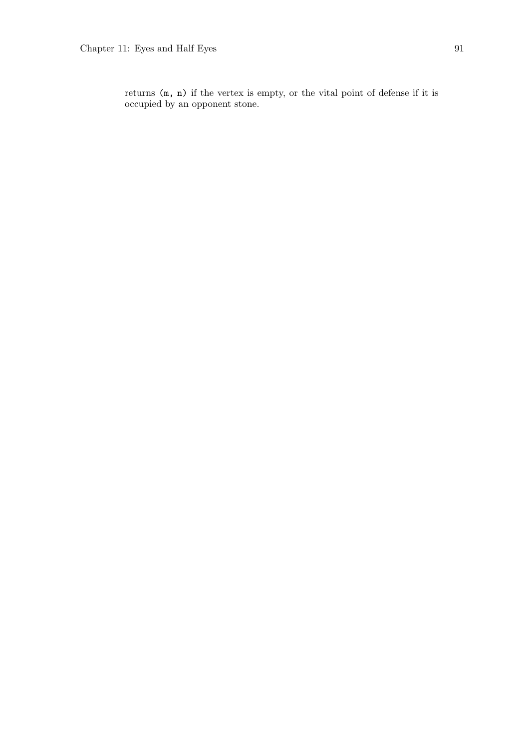returns (m, n) if the vertex is empty, or the vital point of defense if it is occupied by an opponent stone.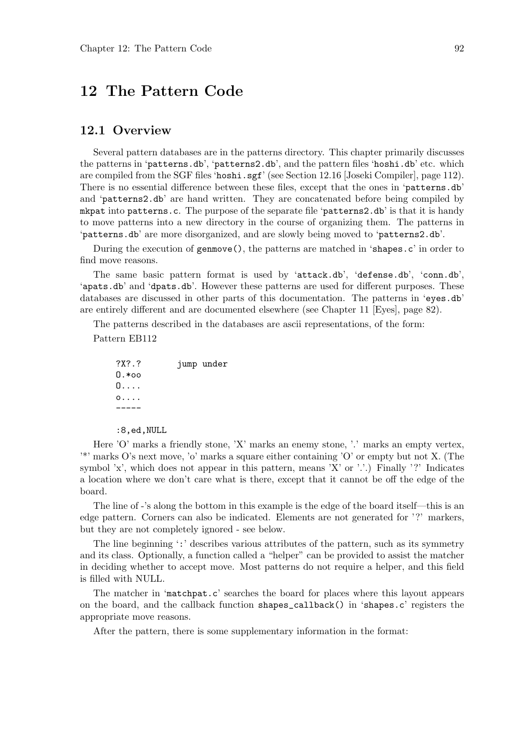# 12 The Pattern Code

### 12.1 Overview

Several pattern databases are in the patterns directory. This chapter primarily discusses the patterns in 'patterns.db', 'patterns2.db', and the pattern files 'hoshi.db' etc. which are compiled from the SGF files 'hoshi.sgf' (see Section 12.16 [Joseki Compiler], page 112). There is no essential difference between these files, except that the ones in 'patterns.db' and 'patterns2.db' are hand written. They are concatenated before being compiled by mkpat into patterns.c. The purpose of the separate file 'patterns2.db' is that it is handy to move patterns into a new directory in the course of organizing them. The patterns in 'patterns.db' are more disorganized, and are slowly being moved to 'patterns2.db'.

During the execution of genmove(), the patterns are matched in 'shapes.c' in order to find move reasons.

The same basic pattern format is used by 'attack.db', 'defense.db', 'conn.db', 'apats.db' and 'dpats.db'. However these patterns are used for different purposes. These databases are discussed in other parts of this documentation. The patterns in 'eyes.db' are entirely different and are documented elsewhere (see Chapter 11 [Eyes], page 82).

The patterns described in the databases are ascii representations, of the form:

Pattern EB112

?X?.? jump under  $0.*$ oo O.... o.... -----

:8,ed,NULL

Here 'O' marks a friendly stone, 'X' marks an enemy stone, '.' marks an empty vertex, '\*' marks O's next move, 'o' marks a square either containing 'O' or empty but not X. (The symbol 'x', which does not appear in this pattern, means 'X' or '.'.) Finally '?' Indicates a location where we don't care what is there, except that it cannot be off the edge of the board.

The line of -'s along the bottom in this example is the edge of the board itself—this is an edge pattern. Corners can also be indicated. Elements are not generated for '?' markers, but they are not completely ignored - see below.

The line beginning ':' describes various attributes of the pattern, such as its symmetry and its class. Optionally, a function called a "helper" can be provided to assist the matcher in deciding whether to accept move. Most patterns do not require a helper, and this field is filled with NULL.

The matcher in 'matchpat.c' searches the board for places where this layout appears on the board, and the callback function shapes\_callback() in 'shapes.c' registers the appropriate move reasons.

After the pattern, there is some supplementary information in the format: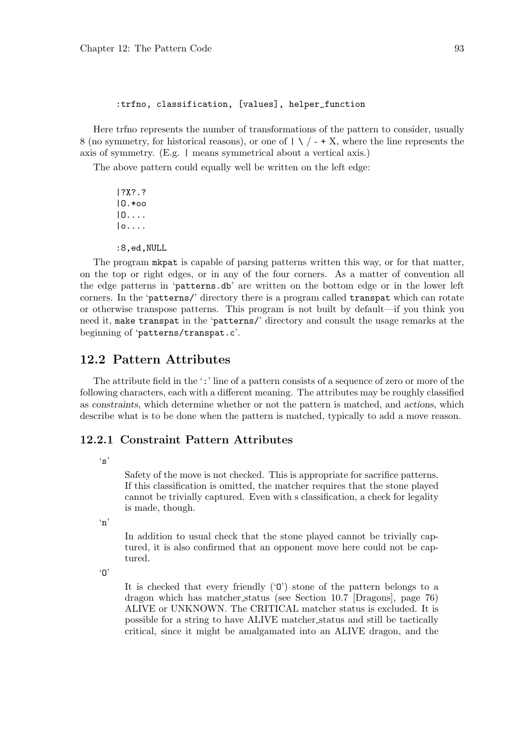#### :trfno, classification, [values], helper\_function

Here trfno represents the number of transformations of the pattern to consider, usually 8 (no symmetry, for historical reasons), or one of  $|\ \ \rangle$  / - + X, where the line represents the axis of symmetry. (E.g. | means symmetrical about a vertical axis.)

The above pattern could equally well be written on the left edge:

|?X?.? |O.\*oo |O.... |o.... :8,ed,NULL

The program mkpat is capable of parsing patterns written this way, or for that matter, on the top or right edges, or in any of the four corners. As a matter of convention all the edge patterns in 'patterns.db' are written on the bottom edge or in the lower left corners. In the 'patterns/' directory there is a program called transpat which can rotate or otherwise transpose patterns. This program is not built by default—if you think you need it, make transpat in the 'patterns/' directory and consult the usage remarks at the beginning of 'patterns/transpat.c'.

### 12.2 Pattern Attributes

The attribute field in the ':' line of a pattern consists of a sequence of zero or more of the following characters, each with a different meaning. The attributes may be roughly classified as constraints, which determine whether or not the pattern is matched, and actions, which describe what is to be done when the pattern is matched, typically to add a move reason.

#### 12.2.1 Constraint Pattern Attributes

 $\cdot$ s'

Safety of the move is not checked. This is appropriate for sacrifice patterns. If this classification is omitted, the matcher requires that the stone played cannot be trivially captured. Even with s classification, a check for legality is made, though.

 $(n)$ 

In addition to usual check that the stone played cannot be trivially captured, it is also confirmed that an opponent move here could not be captured.

 $n'$ 

It is checked that every friendly  $(0)$  stone of the pattern belongs to a dragon which has matcher status (see Section 10.7 [Dragons], page 76) ALIVE or UNKNOWN. The CRITICAL matcher status is excluded. It is possible for a string to have ALIVE matcher status and still be tactically critical, since it might be amalgamated into an ALIVE dragon, and the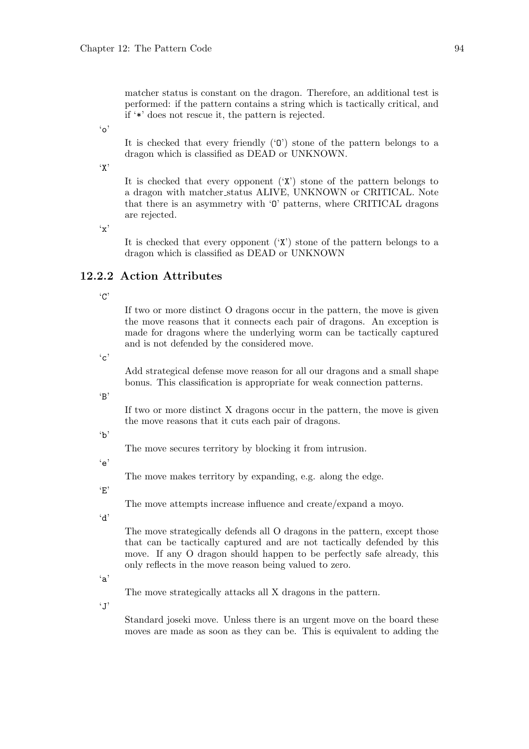matcher status is constant on the dragon. Therefore, an additional test is performed: if the pattern contains a string which is tactically critical, and if '\*' does not rescue it, the pattern is rejected.

 $\mathfrak{c}_0$ 

It is checked that every friendly ('O') stone of the pattern belongs to a dragon which is classified as DEAD or UNKNOWN.

 $\cdot$ <sub>x</sub>

It is checked that every opponent  $(X')$  stone of the pattern belongs to a dragon with matcher status ALIVE, UNKNOWN or CRITICAL. Note that there is an asymmetry with 'O' patterns, where CRITICAL dragons are rejected.

'x'

It is checked that every opponent  $(\mathbf{X})$  stone of the pattern belongs to a dragon which is classified as DEAD or UNKNOWN

# 12.2.2 Action Attributes

'C'

If two or more distinct O dragons occur in the pattern, the move is given the move reasons that it connects each pair of dragons. An exception is made for dragons where the underlying worm can be tactically captured and is not defended by the considered move.

 $\cdot$ <sup>'</sup>c'

Add strategical defense move reason for all our dragons and a small shape bonus. This classification is appropriate for weak connection patterns.

'B'

If two or more distinct X dragons occur in the pattern, the move is given the move reasons that it cuts each pair of dragons.

'b'

The move secures territory by blocking it from intrusion.

 $\epsilon$ 'e'

The move makes territory by expanding, e.g. along the edge.

'E'

The move attempts increase influence and create/expand a moyo.

'd'

The move strategically defends all O dragons in the pattern, except those that can be tactically captured and are not tactically defended by this move. If any O dragon should happen to be perfectly safe already, this only reflects in the move reason being valued to zero.

'a'

The move strategically attacks all X dragons in the pattern.

 $\cdot$  J'

Standard joseki move. Unless there is an urgent move on the board these moves are made as soon as they can be. This is equivalent to adding the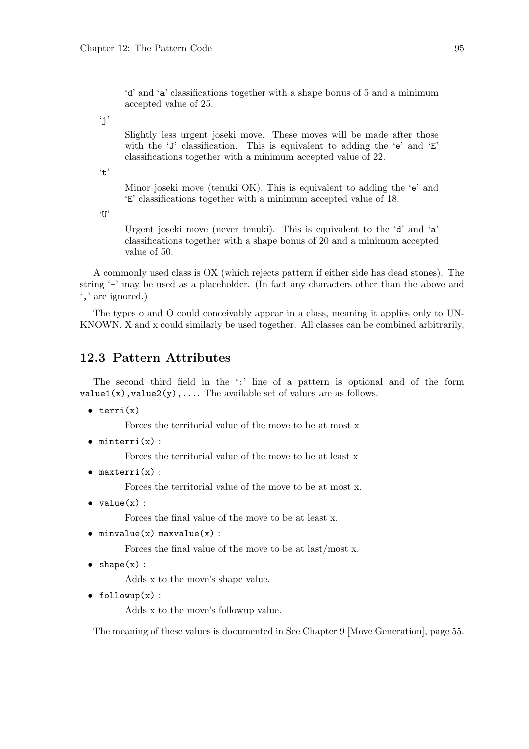'd' and 'a' classifications together with a shape bonus of 5 and a minimum accepted value of 25.

 $'$ j'

Slightly less urgent joseki move. These moves will be made after those with the 'J' classification. This is equivalent to adding the 'e' and 'E' classifications together with a minimum accepted value of 22.

't'

Minor joseki move (tenuki OK). This is equivalent to adding the 'e' and 'E' classifications together with a minimum accepted value of 18.

'U'

Urgent joseki move (never tenuki). This is equivalent to the 'd' and 'a' classifications together with a shape bonus of 20 and a minimum accepted value of 50.

A commonly used class is OX (which rejects pattern if either side has dead stones). The string '-' may be used as a placeholder. (In fact any characters other than the above and ',' are ignored.)

The types o and O could conceivably appear in a class, meaning it applies only to UN-KNOWN. X and x could similarly be used together. All classes can be combined arbitrarily.

# 12.3 Pattern Attributes

The second third field in the ':' line of a pattern is optional and of the form  $value1(x)$ ,  $value2(y)$ , .... The available set of values are as follows.

 $\bullet$  terri(x)

Forces the territorial value of the move to be at most x

 $\bullet$  minterri $(x)$ :

Forces the territorial value of the move to be at least x

 $\bullet$  maxterri $(x)$ :

Forces the territorial value of the move to be at most x.

 $\bullet$  value $(x)$ :

Forces the final value of the move to be at least x.

 $\bullet$  minvalue(x) maxvalue(x) :

Forces the final value of the move to be at last/most x.

 $\bullet$  shape $(x)$ :

Adds x to the move's shape value.

 $\bullet$  followup(x):

Adds x to the move's followup value.

The meaning of these values is documented in See Chapter 9 [Move Generation], page 55.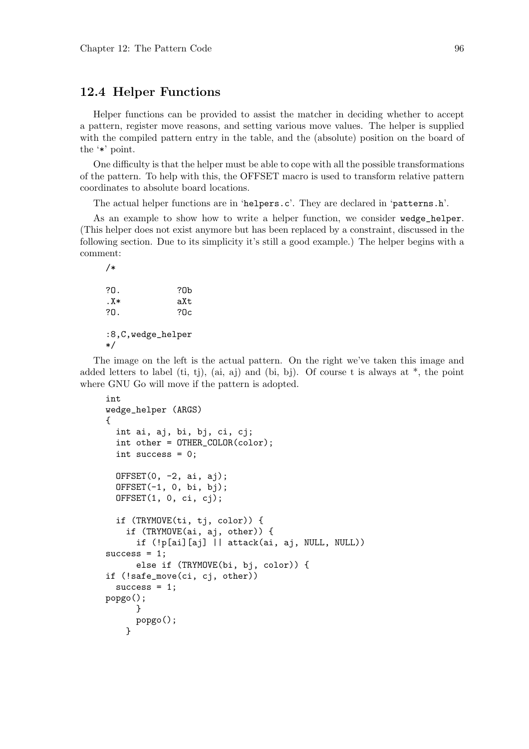### 12.4 Helper Functions

Helper functions can be provided to assist the matcher in deciding whether to accept a pattern, register move reasons, and setting various move values. The helper is supplied with the compiled pattern entry in the table, and the (absolute) position on the board of the '\*' point.

One difficulty is that the helper must be able to cope with all the possible transformations of the pattern. To help with this, the OFFSET macro is used to transform relative pattern coordinates to absolute board locations.

The actual helper functions are in 'helpers.c'. They are declared in 'patterns.h'.

As an example to show how to write a helper function, we consider wedge\_helper. (This helper does not exist anymore but has been replaced by a constraint, discussed in the following section. Due to its simplicity it's still a good example.) The helper begins with a comment:

```
/*
?O. ?Ob
.X* aXt
?O. ?Oc
:8,C,wedge_helper
*/
```
The image on the left is the actual pattern. On the right we've taken this image and added letters to label (ti, tj), (ai, aj) and (bi, bj). Of course t is always at  $*$ , the point where GNU Go will move if the pattern is adopted.

```
int
wedge_helper (ARGS)
{
  int ai, aj, bi, bj, ci, cj;
  int other = OTHER_COLOR(color);
  int success = 0;
  OFFSET(0, -2, ai, ai);
  OFFSET(-1, 0, bi, bj);
  OFFSET(1, 0, ci, cj);if (TRYMOVE(ti, tj, color)) {
    if (TRYMOVE(ai, aj, other)) {
      if (!p[ai][aj] || attack(ai, aj, NULL, NULL))
success = 1;else if (TRYMOVE(bi, bj, color)) {
if (!safe_move(ci, cj, other))
  success = 1;
popgo();
      }
      popgo();
    }
```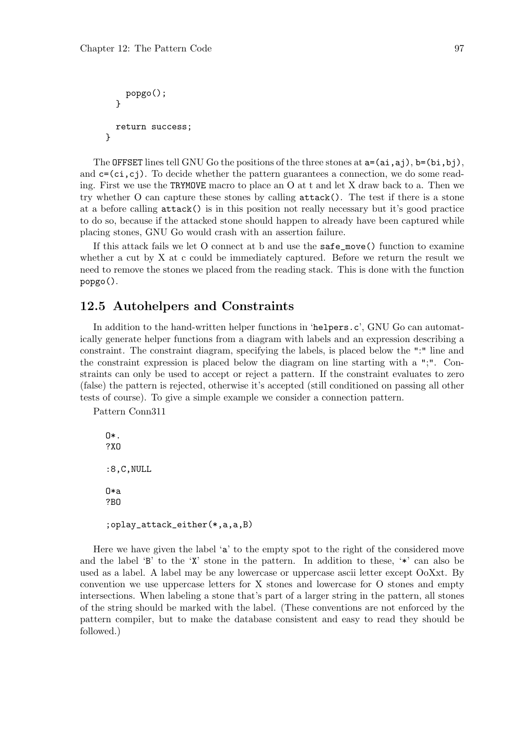```
popgo();
  }
  return success;
}
```
The OFFSET lines tell GNU Go the positions of the three stones at  $a=(ai,ai)$ ,  $b=(bi,bi)$ , and  $c=(ci,ci)$ . To decide whether the pattern guarantees a connection, we do some reading. First we use the TRYMOVE macro to place an O at t and let X draw back to a. Then we try whether O can capture these stones by calling attack(). The test if there is a stone at a before calling attack() is in this position not really necessary but it's good practice to do so, because if the attacked stone should happen to already have been captured while placing stones, GNU Go would crash with an assertion failure.

If this attack fails we let O connect at b and use the safe\_move() function to examine whether a cut by X at c could be immediately captured. Before we return the result we need to remove the stones we placed from the reading stack. This is done with the function popgo().

#### 12.5 Autohelpers and Constraints

In addition to the hand-written helper functions in 'helpers.c', GNU Go can automatically generate helper functions from a diagram with labels and an expression describing a constraint. The constraint diagram, specifying the labels, is placed below the ":" line and the constraint expression is placed below the diagram on line starting with a ";". Constraints can only be used to accept or reject a pattern. If the constraint evaluates to zero (false) the pattern is rejected, otherwise it's accepted (still conditioned on passing all other tests of course). To give a simple example we consider a connection pattern.

Pattern Conn311

```
O*.
?XO
:8,C,NULL
O*a
?BO
;oplay_attack_either(*,a,a,B)
```
Here we have given the label 'a' to the empty spot to the right of the considered move and the label 'B' to the 'X' stone in the pattern. In addition to these, '\*' can also be used as a label. A label may be any lowercase or uppercase ascii letter except OoXxt. By convention we use uppercase letters for X stones and lowercase for O stones and empty intersections. When labeling a stone that's part of a larger string in the pattern, all stones of the string should be marked with the label. (These conventions are not enforced by the pattern compiler, but to make the database consistent and easy to read they should be followed.)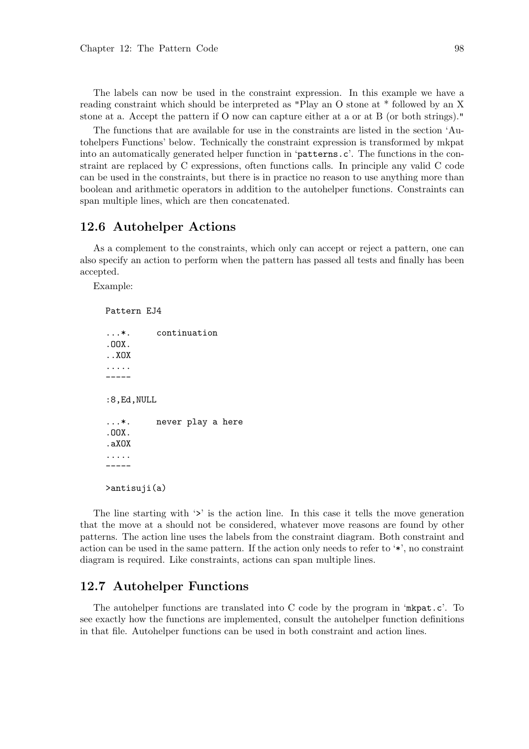The labels can now be used in the constraint expression. In this example we have a reading constraint which should be interpreted as "Play an O stone at \* followed by an X stone at a. Accept the pattern if O now can capture either at a or at B (or both strings)."

The functions that are available for use in the constraints are listed in the section 'Autohelpers Functions' below. Technically the constraint expression is transformed by mkpat into an automatically generated helper function in 'patterns.c'. The functions in the constraint are replaced by C expressions, often functions calls. In principle any valid C code can be used in the constraints, but there is in practice no reason to use anything more than boolean and arithmetic operators in addition to the autohelper functions. Constraints can span multiple lines, which are then concatenated.

### 12.6 Autohelper Actions

As a complement to the constraints, which only can accept or reject a pattern, one can also specify an action to perform when the pattern has passed all tests and finally has been accepted.

Example:

```
Pattern EJ4
...*. continuation
.OOX.
..XOX
.....
-----
:8,Ed,NULL
...*. never play a here
.OOX.
.aXOX
.....
-----
>antisuji(a)
```
The line starting with '>' is the action line. In this case it tells the move generation that the move at a should not be considered, whatever move reasons are found by other patterns. The action line uses the labels from the constraint diagram. Both constraint and action can be used in the same pattern. If the action only needs to refer to '\*', no constraint diagram is required. Like constraints, actions can span multiple lines.

#### 12.7 Autohelper Functions

The autohelper functions are translated into C code by the program in 'mkpat.c'. To see exactly how the functions are implemented, consult the autohelper function definitions in that file. Autohelper functions can be used in both constraint and action lines.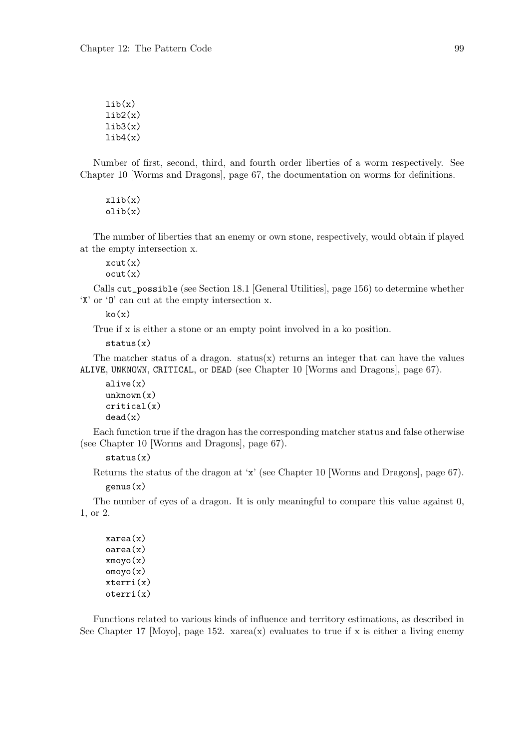$lib(x)$  $\text{lib2(x)}$  $lib3(x)$  $lib4(x)$ 

Number of first, second, third, and fourth order liberties of a worm respectively. See Chapter 10 [Worms and Dragons], page 67, the documentation on worms for definitions.

 $xlib(x)$ olib(x)

The number of liberties that an enemy or own stone, respectively, would obtain if played at the empty intersection x.

 $xcut(x)$ ocut(x)

Calls cut\_possible (see Section 18.1 [General Utilities], page 156) to determine whether 'X' or 'O' can cut at the empty intersection x.

 $ko(x)$ 

True if x is either a stone or an empty point involved in a ko position.

```
status(x)
```
The matcher status of a dragon. status $(x)$  returns an integer that can have the values ALIVE, UNKNOWN, CRITICAL, or DEAD (see Chapter 10 [Worms and Dragons], page 67).

```
alive(x)
unknown(x)critical(x)
dead(x)
```
Each function true if the dragon has the corresponding matcher status and false otherwise (see Chapter 10 [Worms and Dragons], page 67).

 $status(x)$ 

Returns the status of the dragon at 'x' (see Chapter 10 [Worms and Dragons], page 67). genus(x)

The number of eyes of a dragon. It is only meaningful to compare this value against  $0$ , 1, or 2.

xarea(x) oarea(x)  $xmovo(x)$ omoyo(x) xterri(x) oterri(x)

Functions related to various kinds of influence and territory estimations, as described in See Chapter 17 [Moyo], page 152.  $xarea(x)$  evaluates to true if x is either a living enemy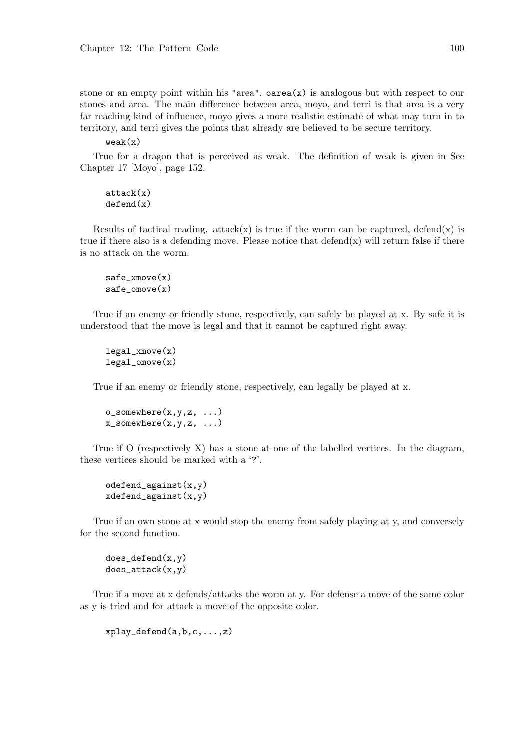stone or an empty point within his "area".  $oarea(x)$  is analogous but with respect to our stones and area. The main difference between area, moyo, and terri is that area is a very far reaching kind of influence, moyo gives a more realistic estimate of what may turn in to territory, and terri gives the points that already are believed to be secure territory.

 $weak(x)$ 

True for a dragon that is perceived as weak. The definition of weak is given in See Chapter 17 [Moyo], page 152.

attack(x) defend(x)

Results of tactical reading. attack(x) is true if the worm can be captured, defend(x) is true if there also is a defending move. Please notice that  $\text{defend}(x)$  will return false if there is no attack on the worm.

$$
safe\_xmove(x)
$$
  

$$
safe\_omove(x)
$$

True if an enemy or friendly stone, respectively, can safely be played at x. By safe it is understood that the move is legal and that it cannot be captured right away.

```
legal_xmove(x)
legal_omove(x)
```
True if an enemy or friendly stone, respectively, can legally be played at x.

 $o$ \_somewhere $(x,y,z, ...)$  $x$ \_somewhere $(x,y,z, ...)$ 

True if  $O$  (respectively  $X$ ) has a stone at one of the labelled vertices. In the diagram, these vertices should be marked with a '?'.

odefend\_against(x,y) xdefend\_against(x,y)

True if an own stone at x would stop the enemy from safely playing at y, and conversely for the second function.

 $does$ <sup>defend(x,y)</sup>  $does_attack(x,y)$ 

True if a move at x defends/attacks the worm at y. For defense a move of the same color as y is tried and for attack a move of the opposite color.

 $xplay_defend(a,b,c,...,z)$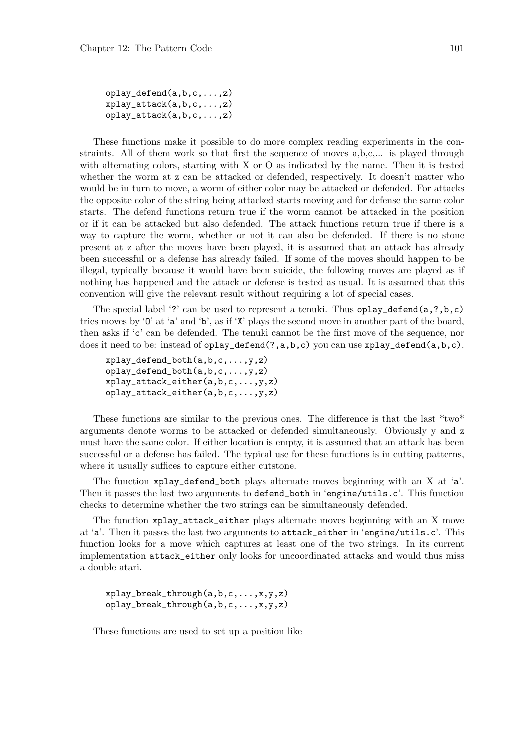oplay\_defend(a,b,c,...,z)  $x$ play\_attack $(a,b,c,...,z)$ oplay\_attack(a,b,c,...,z)

These functions make it possible to do more complex reading experiments in the constraints. All of them work so that first the sequence of moves a,b,c,... is played through with alternating colors, starting with X or O as indicated by the name. Then it is tested whether the worm at z can be attacked or defended, respectively. It doesn't matter who would be in turn to move, a worm of either color may be attacked or defended. For attacks the opposite color of the string being attacked starts moving and for defense the same color starts. The defend functions return true if the worm cannot be attacked in the position or if it can be attacked but also defended. The attack functions return true if there is a way to capture the worm, whether or not it can also be defended. If there is no stone present at z after the moves have been played, it is assumed that an attack has already been successful or a defense has already failed. If some of the moves should happen to be illegal, typically because it would have been suicide, the following moves are played as if nothing has happened and the attack or defense is tested as usual. It is assumed that this convention will give the relevant result without requiring a lot of special cases.

The special label '?' can be used to represent a tenuki. Thus  $\text{oplay\_defined}(a,?,b,c)$ tries moves by 'O' at 'a' and 'b', as if 'X' plays the second move in another part of the board, then asks if 'c' can be defended. The tenuki cannot be the first move of the sequence, nor does it need to be: instead of oplay\_defend(?,a,b,c) you can use xplay\_defend(a,b,c).

xplay\_defend\_both(a,b,c,...,y,z) oplay\_defend\_both(a,b,c,...,y,z) xplay\_attack\_either(a,b,c,...,y,z) oplay\_attack\_either(a,b,c,...,y,z)

These functions are similar to the previous ones. The difference is that the last \*two\* arguments denote worms to be attacked or defended simultaneously. Obviously y and z must have the same color. If either location is empty, it is assumed that an attack has been successful or a defense has failed. The typical use for these functions is in cutting patterns, where it usually suffices to capture either cutstone.

The function xplay\_defend\_both plays alternate moves beginning with an X at 'a'. Then it passes the last two arguments to defend\_both in 'engine/utils.c'. This function checks to determine whether the two strings can be simultaneously defended.

The function xplay\_attack\_either plays alternate moves beginning with an X move at 'a'. Then it passes the last two arguments to attack\_either in 'engine/utils.c'. This function looks for a move which captures at least one of the two strings. In its current implementation attack\_either only looks for uncoordinated attacks and would thus miss a double atari.

 $xplay_break_through(a,b,c,...,x,y,z)$ oplay\_break\_through(a,b,c,...,x,y,z)

These functions are used to set up a position like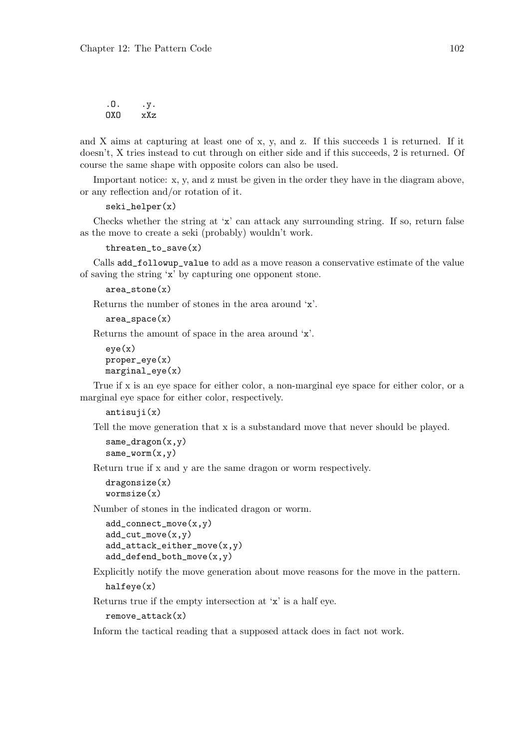.O. .y.  $DXO$   $xXz$ 

and X aims at capturing at least one of x, y, and z. If this succeeds 1 is returned. If it doesn't, X tries instead to cut through on either side and if this succeeds, 2 is returned. Of course the same shape with opposite colors can also be used.

Important notice: x, y, and z must be given in the order they have in the diagram above, or any reflection and/or rotation of it.

```
seki_helper(x)
```
Checks whether the string at 'x' can attack any surrounding string. If so, return false as the move to create a seki (probably) wouldn't work.

```
threaten_to_save(x)
```
Calls add\_followup\_value to add as a move reason a conservative estimate of the value of saving the string 'x' by capturing one opponent stone.

```
area stone(x)
```
Returns the number of stones in the area around 'x'.

```
area_space(x)
```
Returns the amount of space in the area around 'x'.

```
eye(x)
proper_eye(x)
marginal\_eye(x)
```
True if x is an eye space for either color, a non-marginal eye space for either color, or a marginal eye space for either color, respectively.

```
antisuji(x)
```
Tell the move generation that x is a substandard move that never should be played.

```
same\_dragon(x, y)same\_worm(x,y)
```
Return true if x and y are the same dragon or worm respectively.

```
dragonsize(x)
wormsize(x)
```
Number of stones in the indicated dragon or worm.

```
add_connect_move(x,y)
add\_cut\_move(x, y)add_attack_either_move(x,y)
add_defend_both_move(x,y)
```
Explicitly notify the move generation about move reasons for the move in the pattern.

```
halfeye(x)
```
Returns true if the empty intersection at 'x' is a half eye.

remove\_attack(x)

Inform the tactical reading that a supposed attack does in fact not work.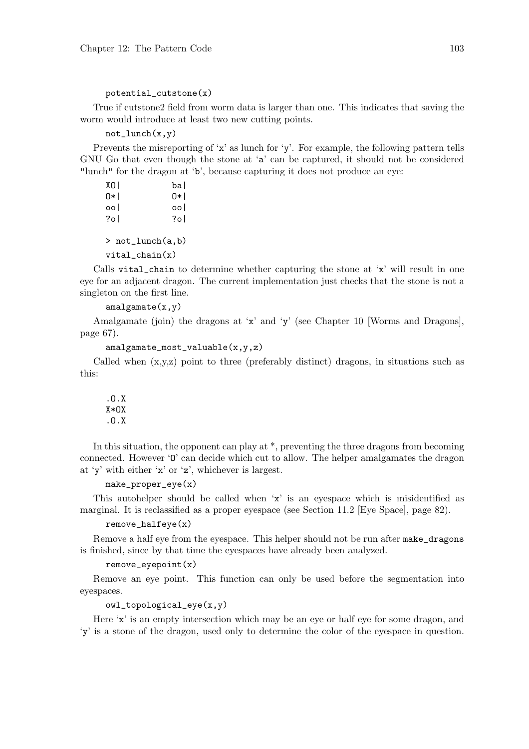#### potential\_cutstone(x)

True if cutstone2 field from worm data is larger than one. This indicates that saving the worm would introduce at least two new cutting points.

#### $not_l$ unch $(x,y)$

Prevents the misreporting of 'x' as lunch for 'y'. For example, the following pattern tells GNU Go that even though the stone at 'a' can be captured, it should not be considered "lunch" for the dragon at 'b', because capturing it does not produce an eye:

```
XO| ba|
O*| O*|
oo| oo|
?o| ?o|
> not_lunch(a,b)
vital_chain(x)
```
Calls vital\_chain to determine whether capturing the stone at 'x' will result in one eye for an adjacent dragon. The current implementation just checks that the stone is not a singleton on the first line.

#### $amalgamate(x,y)$

Amalgamate (join) the dragons at 'x' and 'y' (see Chapter 10 [Worms and Dragons], page 67).

```
amalgamate_most_valuable(x,y,z)
```
Called when  $(x,y,z)$  point to three (preferably distinct) dragons, in situations such as this:

.O.X X\*OX .O.X

In this situation, the opponent can play at \*, preventing the three dragons from becoming connected. However 'O' can decide which cut to allow. The helper amalgamates the dragon at 'y' with either 'x' or 'z', whichever is largest.

```
make_proper_eye(x)
```
This autohelper should be called when 'x' is an eyespace which is misidentified as marginal. It is reclassified as a proper eyespace (see Section 11.2 [Eye Space], page 82).

#### remove\_halfeye(x)

Remove a half eye from the eyespace. This helper should not be run after make\_dragons is finished, since by that time the eyespaces have already been analyzed.

#### remove\_eyepoint(x)

Remove an eye point. This function can only be used before the segmentation into eyespaces.

#### owl\_topological\_eye(x,y)

Here 'x' is an empty intersection which may be an eye or half eye for some dragon, and 'y' is a stone of the dragon, used only to determine the color of the eyespace in question.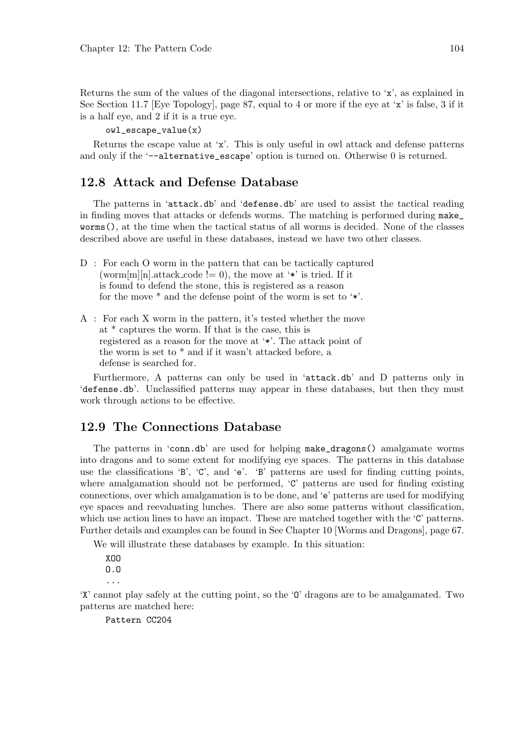Returns the sum of the values of the diagonal intersections, relative to 'x', as explained in See Section 11.7 [Eye Topology], page 87, equal to 4 or more if the eye at 'x' is false, 3 if it is a half eye, and 2 if it is a true eye.

#### owl\_escape\_value(x)

Returns the escape value at 'x'. This is only useful in owl attack and defense patterns and only if the '--alternative\_escape' option is turned on. Otherwise 0 is returned.

### 12.8 Attack and Defense Database

The patterns in 'attack.db' and 'defense.db' are used to assist the tactical reading in finding moves that attacks or defends worms. The matching is performed during make\_ worms(), at the time when the tactical status of all worms is decided. None of the classes described above are useful in these databases, instead we have two other classes.

- D : For each O worm in the pattern that can be tactically captured (worm[m][n].attack\_code != 0), the move at '\*' is tried. If it is found to defend the stone, this is registered as a reason for the move \* and the defense point of the worm is set to '\*'.
- A : For each X worm in the pattern, it's tested whether the move at \* captures the worm. If that is the case, this is registered as a reason for the move at '\*'. The attack point of the worm is set to \* and if it wasn't attacked before, a defense is searched for.

Furthermore, A patterns can only be used in 'attack.db' and D patterns only in 'defense.db'. Unclassified patterns may appear in these databases, but then they must work through actions to be effective.

## 12.9 The Connections Database

The patterns in 'conn.db' are used for helping make\_dragons() amalgamate worms into dragons and to some extent for modifying eye spaces. The patterns in this database use the classifications 'B', 'C', and 'e'. 'B' patterns are used for finding cutting points, where amalgamation should not be performed, 'C' patterns are used for finding existing connections, over which amalgamation is to be done, and 'e' patterns are used for modifying eye spaces and reevaluating lunches. There are also some patterns without classification, which use action lines to have an impact. These are matched together with the 'C' patterns. Further details and examples can be found in See Chapter 10 [Worms and Dragons], page 67.

We will illustrate these databases by example. In this situation:

XOO O.O ...

'X' cannot play safely at the cutting point, so the 'O' dragons are to be amalgamated. Two patterns are matched here:

Pattern CC204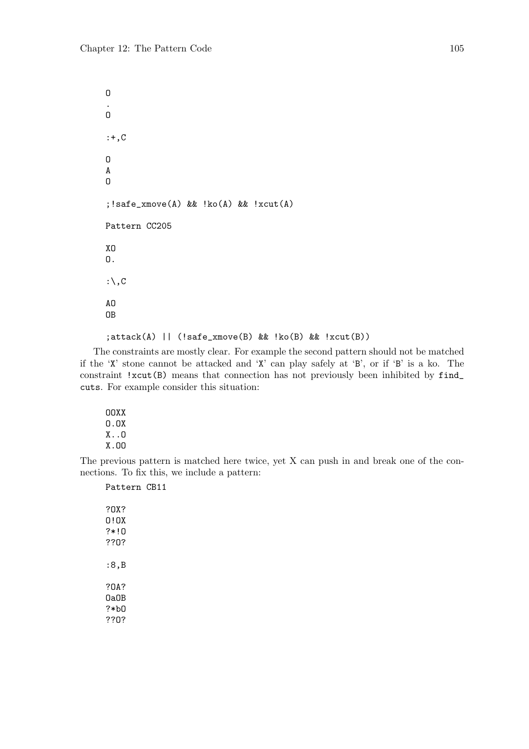O .  $\overline{O}$ :+,C O A O ;!safe\_xmove(A) && !ko(A) && !xcut(A) Pattern CC205 XO O. : $\setminus$ , C AO OB

;attack(A) || (!safe\_xmove(B) && !ko(B) && !xcut(B))

The constraints are mostly clear. For example the second pattern should not be matched if the 'X' stone cannot be attacked and 'X' can play safely at 'B', or if 'B' is a ko. The constraint !xcut(B) means that connection has not previously been inhibited by find\_ cuts. For example consider this situation:

OOXX O.OX X..O X.OO

The previous pattern is matched here twice, yet X can push in and break one of the connections. To fix this, we include a pattern:

Pattern CB11

| ?OX?<br>0 ! OX<br>?∗!O<br>??0? |  |
|--------------------------------|--|
| :8.B                           |  |
| ?0A?<br>NaNB                   |  |
| ?∗b∩<br>??0?                   |  |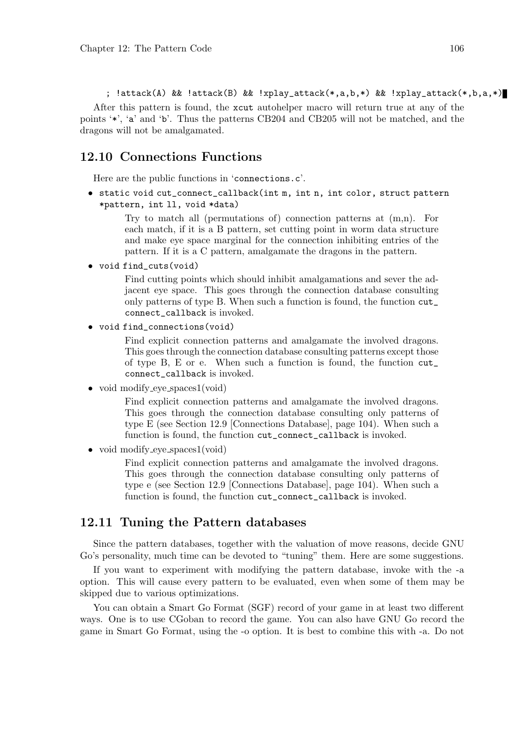; !attack(A) && !attack(B) && !xplay\_attack(\*,a,b,\*) && !xplay\_attack(\*,b,a,\*)

After this pattern is found, the xcut autohelper macro will return true at any of the points '\*', 'a' and 'b'. Thus the patterns CB204 and CB205 will not be matched, and the dragons will not be amalgamated.

#### 12.10 Connections Functions

Here are the public functions in 'connections.c'.

• static void cut\_connect\_callback(int m, int n, int color, struct pattern \*pattern, int ll, void \*data)

> Try to match all (permutations of) connection patterns at  $(m,n)$ . For each match, if it is a B pattern, set cutting point in worm data structure and make eye space marginal for the connection inhibiting entries of the pattern. If it is a C pattern, amalgamate the dragons in the pattern.

• void find\_cuts(void)

Find cutting points which should inhibit amalgamations and sever the adjacent eye space. This goes through the connection database consulting only patterns of type B. When such a function is found, the function  $\text{cut}_$ connect\_callback is invoked.

• void find connections(void)

Find explicit connection patterns and amalgamate the involved dragons. This goes through the connection database consulting patterns except those of type B, E or e. When such a function is found, the function cut\_ connect\_callback is invoked.

• void modify eye\_spaces1(void)

Find explicit connection patterns and amalgamate the involved dragons. This goes through the connection database consulting only patterns of type E (see Section 12.9 [Connections Database], page 104). When such a function is found, the function cut\_connect\_callback is invoked.

• void modify eye spaces  $1(\text{void})$ 

Find explicit connection patterns and amalgamate the involved dragons. This goes through the connection database consulting only patterns of type e (see Section 12.9 [Connections Database], page 104). When such a function is found, the function  $cut\_connect\_callback$  is invoked.

#### 12.11 Tuning the Pattern databases

Since the pattern databases, together with the valuation of move reasons, decide GNU Go's personality, much time can be devoted to "tuning" them. Here are some suggestions.

If you want to experiment with modifying the pattern database, invoke with the -a option. This will cause every pattern to be evaluated, even when some of them may be skipped due to various optimizations.

You can obtain a Smart Go Format (SGF) record of your game in at least two different ways. One is to use CGoban to record the game. You can also have GNU Go record the game in Smart Go Format, using the -o option. It is best to combine this with -a. Do not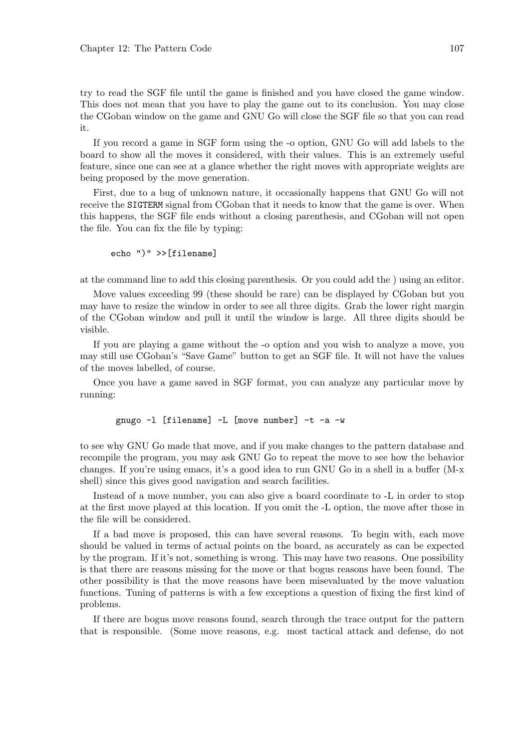try to read the SGF file until the game is finished and you have closed the game window. This does not mean that you have to play the game out to its conclusion. You may close the CGoban window on the game and GNU Go will close the SGF file so that you can read it.

If you record a game in SGF form using the -o option, GNU Go will add labels to the board to show all the moves it considered, with their values. This is an extremely useful feature, since one can see at a glance whether the right moves with appropriate weights are being proposed by the move generation.

First, due to a bug of unknown nature, it occasionally happens that GNU Go will not receive the SIGTERM signal from CGoban that it needs to know that the game is over. When this happens, the SGF file ends without a closing parenthesis, and CGoban will not open the file. You can fix the file by typing:

```
echo ")" >>[filename]
```
at the command line to add this closing parenthesis. Or you could add the ) using an editor.

Move values exceeding 99 (these should be rare) can be displayed by CGoban but you may have to resize the window in order to see all three digits. Grab the lower right margin of the CGoban window and pull it until the window is large. All three digits should be visible.

If you are playing a game without the -o option and you wish to analyze a move, you may still use CGoban's "Save Game" button to get an SGF file. It will not have the values of the moves labelled, of course.

Once you have a game saved in SGF format, you can analyze any particular move by running:

```
gnugo -l [filename] -L [move number] -t -a -w
```
to see why GNU Go made that move, and if you make changes to the pattern database and recompile the program, you may ask GNU Go to repeat the move to see how the behavior changes. If you're using emacs, it's a good idea to run GNU Go in a shell in a buffer (M-x shell) since this gives good navigation and search facilities.

Instead of a move number, you can also give a board coordinate to -L in order to stop at the first move played at this location. If you omit the -L option, the move after those in the file will be considered.

If a bad move is proposed, this can have several reasons. To begin with, each move should be valued in terms of actual points on the board, as accurately as can be expected by the program. If it's not, something is wrong. This may have two reasons. One possibility is that there are reasons missing for the move or that bogus reasons have been found. The other possibility is that the move reasons have been misevaluated by the move valuation functions. Tuning of patterns is with a few exceptions a question of fixing the first kind of problems.

If there are bogus move reasons found, search through the trace output for the pattern that is responsible. (Some move reasons, e.g. most tactical attack and defense, do not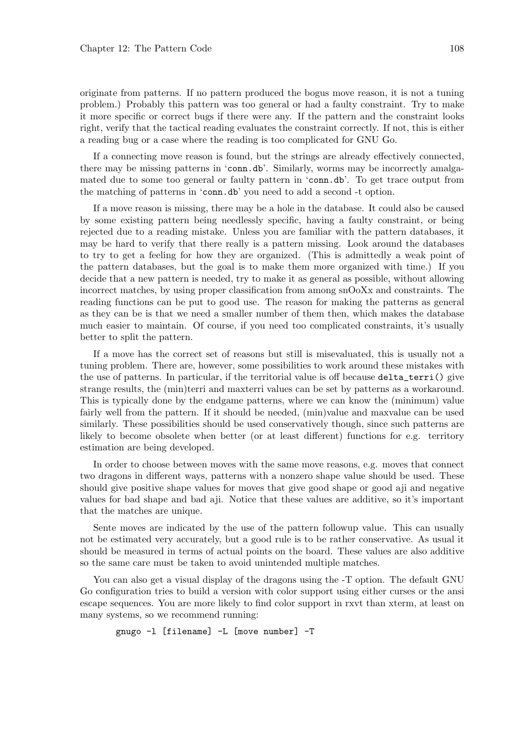originate from patterns. If no pattern produced the bogus move reason, it is not a tuning problem.) Probably this pattern was too general or had a faulty constraint. Try to make it more specific or correct bugs if there were any. If the pattern and the constraint looks right, verify that the tactical reading evaluates the constraint correctly. If not, this is either a reading bug or a case where the reading is too complicated for GNU Go.

If a connecting move reason is found, but the strings are already effectively connected, there may be missing patterns in 'conn.db'. Similarly, worms may be incorrectly amalgamated due to some too general or faulty pattern in 'conn.db'. To get trace output from the matching of patterns in 'conn.db' you need to add a second -t option.

If a move reason is missing, there may be a hole in the database. It could also be caused by some existing pattern being needlessly specific, having a faulty constraint, or being rejected due to a reading mistake. Unless you are familiar with the pattern databases, it may be hard to verify that there really is a pattern missing. Look around the databases to try to get a feeling for how they are organized. (This is admittedly a weak point of the pattern databases, but the goal is to make them more organized with time.) If you decide that a new pattern is needed, try to make it as general as possible, without allowing incorrect matches, by using proper classification from among snOoXx and constraints. The reading functions can be put to good use. The reason for making the patterns as general as they can be is that we need a smaller number of them then, which makes the database much easier to maintain. Of course, if you need too complicated constraints, it's usually better to split the pattern.

If a move has the correct set of reasons but still is misevaluated, this is usually not a tuning problem. There are, however, some possibilities to work around these mistakes with the use of patterns. In particular, if the territorial value is off because delta\_terri() give strange results, the (min)terri and maxterri values can be set by patterns as a workaround. This is typically done by the endgame patterns, where we can know the (minimum) value fairly well from the pattern. If it should be needed, (min)value and maxvalue can be used similarly. These possibilities should be used conservatively though, since such patterns are likely to become obsolete when better (or at least different) functions for e.g. territory estimation are being developed.

In order to choose between moves with the same move reasons, e.g. moves that connect two dragons in different ways, patterns with a nonzero shape value should be used. These should give positive shape values for moves that give good shape or good aji and negative values for bad shape and bad aji. Notice that these values are additive, so it's important that the matches are unique.

Sente moves are indicated by the use of the pattern followup value. This can usually not be estimated very accurately, but a good rule is to be rather conservative. As usual it should be measured in terms of actual points on the board. These values are also additive so the same care must be taken to avoid unintended multiple matches.

You can also get a visual display of the dragons using the -T option. The default GNU Go configuration tries to build a version with color support using either curses or the ansi escape sequences. You are more likely to find color support in rxvt than xterm, at least on many systems, so we recommend running:

```
gnugo -l [filename] -L [move number] -T
```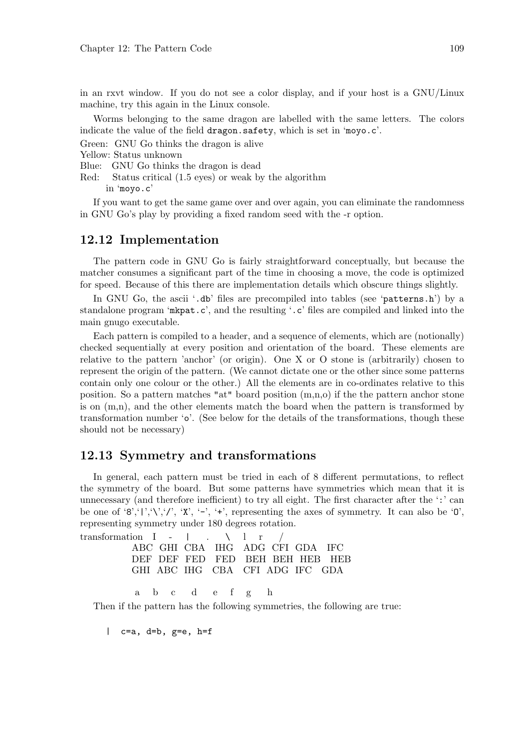in an rxvt window. If you do not see a color display, and if your host is a GNU/Linux machine, try this again in the Linux console.

Worms belonging to the same dragon are labelled with the same letters. The colors indicate the value of the field dragon.safety, which is set in 'moyo.c'.

Green: GNU Go thinks the dragon is alive

Yellow: Status unknown

Blue: GNU Go thinks the dragon is dead

Red: Status critical (1.5 eyes) or weak by the algorithm

in 'moyo.c'

If you want to get the same game over and over again, you can eliminate the randomness in GNU Go's play by providing a fixed random seed with the -r option.

### 12.12 Implementation

The pattern code in GNU Go is fairly straightforward conceptually, but because the matcher consumes a significant part of the time in choosing a move, the code is optimized for speed. Because of this there are implementation details which obscure things slightly.

In GNU Go, the ascii '.db' files are precompiled into tables (see 'patterns.h') by a standalone program 'mkpat.c', and the resulting '.c' files are compiled and linked into the main gnugo executable.

Each pattern is compiled to a header, and a sequence of elements, which are (notionally) checked sequentially at every position and orientation of the board. These elements are relative to the pattern 'anchor' (or origin). One X or O stone is (arbitrarily) chosen to represent the origin of the pattern. (We cannot dictate one or the other since some patterns contain only one colour or the other.) All the elements are in co-ordinates relative to this position. So a pattern matches "at" board position (m,n,o) if the the pattern anchor stone is on (m,n), and the other elements match the board when the pattern is transformed by transformation number 'o'. (See below for the details of the transformations, though these should not be necessary)

#### 12.13 Symmetry and transformations

In general, each pattern must be tried in each of 8 different permutations, to reflect the symmetry of the board. But some patterns have symmetries which mean that it is unnecessary (and therefore inefficient) to try all eight. The first character after the ':' can be one of '8','|','\','','', 'X', '-', '+', representing the axes of symmetry. It can also be '0', representing symmetry under 180 degrees rotation.

| transformation $I - \vert$ . \ $\vert$ r / |  |                                 |  |                                 |
|--------------------------------------------|--|---------------------------------|--|---------------------------------|
|                                            |  | ABC GHI CBA IHG ADG CFI GDA IFC |  |                                 |
|                                            |  |                                 |  | DEF DEF FED FED BEH BEH HEB HEB |
|                                            |  | GHI ABC IHG CBA CFI ADG IFC GDA |  |                                 |
|                                            |  |                                 |  |                                 |
|                                            |  | abc defg h                      |  |                                 |

Then if the pattern has the following symmetries, the following are true:

 $|$  c=a, d=b, g=e, h=f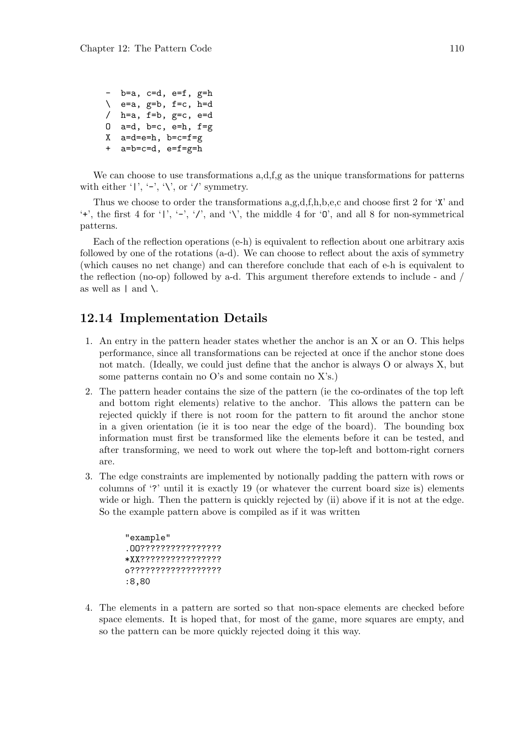```
- b=a, c=d, e=f, g=h
\setminus e=a, g=b, f=c, h=d
/h=a, f=b, g=c, e=dO a=d, b=c, e=h, f=g
X a=d=e=h, b=c=f=g
+ a=b=c=d, e=f=g=h
```
We can choose to use transformations a,d, f,g as the unique transformations for patterns with either '|', '-', '\', or '/' symmetry.

Thus we choose to order the transformations a,g,d,f,h,b,e,c and choose first 2 for 'X' and '+', the first 4 for '|', '-', '/', and '\', the middle 4 for '0', and all 8 for non-symmetrical patterns.

Each of the reflection operations (e-h) is equivalent to reflection about one arbitrary axis followed by one of the rotations (a-d). We can choose to reflect about the axis of symmetry (which causes no net change) and can therefore conclude that each of e-h is equivalent to the reflection (no-op) followed by a-d. This argument therefore extends to include - and / as well as  $|$  and  $\lambda$ .

## 12.14 Implementation Details

- 1. An entry in the pattern header states whether the anchor is an X or an O. This helps performance, since all transformations can be rejected at once if the anchor stone does not match. (Ideally, we could just define that the anchor is always O or always X, but some patterns contain no O's and some contain no X's.)
- 2. The pattern header contains the size of the pattern (ie the co-ordinates of the top left and bottom right elements) relative to the anchor. This allows the pattern can be rejected quickly if there is not room for the pattern to fit around the anchor stone in a given orientation (ie it is too near the edge of the board). The bounding box information must first be transformed like the elements before it can be tested, and after transforming, we need to work out where the top-left and bottom-right corners are.
- 3. The edge constraints are implemented by notionally padding the pattern with rows or columns of '?' until it is exactly 19 (or whatever the current board size is) elements wide or high. Then the pattern is quickly rejected by (ii) above if it is not at the edge. So the example pattern above is compiled as if it was written

```
"example"
.OO????????????????
*XX????????????????
o??????????????????
:8,80
```
4. The elements in a pattern are sorted so that non-space elements are checked before space elements. It is hoped that, for most of the game, more squares are empty, and so the pattern can be more quickly rejected doing it this way.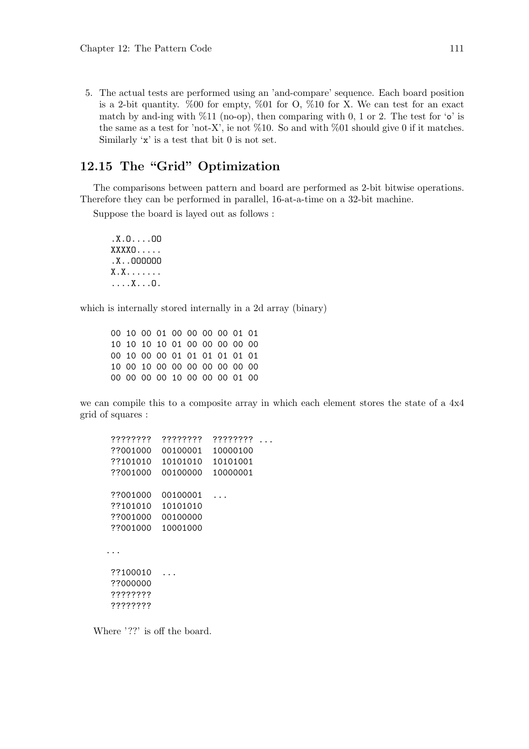5. The actual tests are performed using an 'and-compare' sequence. Each board position is a 2-bit quantity.  $\%00$  for empty,  $\%01$  for O,  $\%10$  for X. We can test for an exact match by and-ing with  $\%11$  (no-op), then comparing with 0, 1 or 2. The test for 'o' is the same as a test for 'not-X', ie not  $\%10$ . So and with  $\%01$  should give 0 if it matches. Similarly 'x' is a test that bit 0 is not set.

## 12.15 The "Grid" Optimization

The comparisons between pattern and board are performed as 2-bit bitwise operations. Therefore they can be performed in parallel, 16-at-a-time on a 32-bit machine.

Suppose the board is layed out as follows :

```
.X.O....OO
XXXXO.....
.X..OOOOOO
X.X.......
....X...O.
```
which is internally stored internally in a 2d array (binary)

00 10 00 01 00 00 00 00 01 01 10 10 10 10 01 00 00 00 00 00 00 10 00 00 01 01 01 01 01 01 10 00 10 00 00 00 00 00 00 00 00 00 00 00 10 00 00 00 01 00

we can compile this to a composite array in which each element stores the state of a 4x4 grid of squares :

```
???????? ???????? ???????? ...
??001000 00100001 10000100
??101010 10101010 10101001
??001000 00100000 10000001
??001000 00100001 ...
??101010 10101010
??001000 00100000
??001000 10001000
...
??100010 ...
??000000
????????
????????
```
Where '??' is off the board.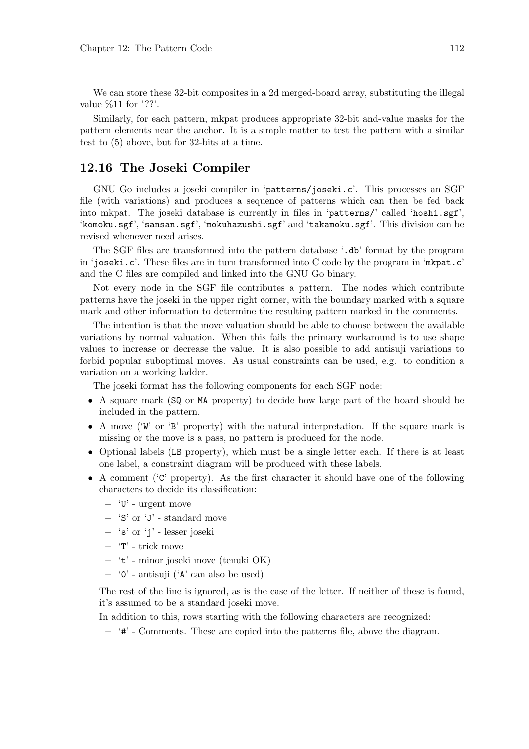We can store these 32-bit composites in a 2d merged-board array, substituting the illegal value  $\%11$  for '??'.

Similarly, for each pattern, mkpat produces appropriate 32-bit and-value masks for the pattern elements near the anchor. It is a simple matter to test the pattern with a similar test to (5) above, but for 32-bits at a time.

## 12.16 The Joseki Compiler

GNU Go includes a joseki compiler in 'patterns/joseki.c'. This processes an SGF file (with variations) and produces a sequence of patterns which can then be fed back into mkpat. The joseki database is currently in files in 'patterns/' called 'hoshi.sgf', 'komoku.sgf', 'sansan.sgf', 'mokuhazushi.sgf' and 'takamoku.sgf'. This division can be revised whenever need arises.

The SGF files are transformed into the pattern database '.db' format by the program in 'joseki.c'. These files are in turn transformed into C code by the program in 'mkpat.c' and the C files are compiled and linked into the GNU Go binary.

Not every node in the SGF file contributes a pattern. The nodes which contribute patterns have the joseki in the upper right corner, with the boundary marked with a square mark and other information to determine the resulting pattern marked in the comments.

The intention is that the move valuation should be able to choose between the available variations by normal valuation. When this fails the primary workaround is to use shape values to increase or decrease the value. It is also possible to add antisuji variations to forbid popular suboptimal moves. As usual constraints can be used, e.g. to condition a variation on a working ladder.

The joseki format has the following components for each SGF node:

- A square mark (SQ or MA property) to decide how large part of the board should be included in the pattern.
- A move ('W' or 'B' property) with the natural interpretation. If the square mark is missing or the move is a pass, no pattern is produced for the node.
- Optional labels (LB property), which must be a single letter each. If there is at least one label, a constraint diagram will be produced with these labels.
- A comment ( $C$  property). As the first character it should have one of the following characters to decide its classification:
	- − 'U' urgent move
	- − 'S' or 'J' standard move
	- − 's' or 'j' lesser joseki
	- − 'T' trick move
	- − 't' minor joseki move (tenuki OK)
	- − '0' antisuji ('A' can also be used)

The rest of the line is ignored, as is the case of the letter. If neither of these is found, it's assumed to be a standard joseki move.

In addition to this, rows starting with the following characters are recognized:

− '#' - Comments. These are copied into the patterns file, above the diagram.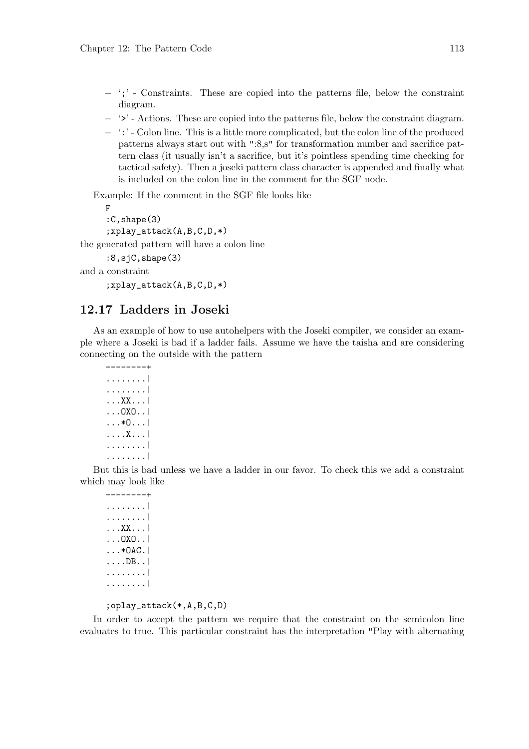- − ';' Constraints. These are copied into the patterns file, below the constraint diagram.
- − '>' Actions. These are copied into the patterns file, below the constraint diagram.
- − ':' Colon line. This is a little more complicated, but the colon line of the produced patterns always start out with ":8,s" for transformation number and sacrifice pattern class (it usually isn't a sacrifice, but it's pointless spending time checking for tactical safety). Then a joseki pattern class character is appended and finally what is included on the colon line in the comment for the SGF node.

Example: If the comment in the SGF file looks like

F :C,shape(3) ;xplay\_attack(A,B,C,D,\*)

the generated pattern will have a colon line

:8,sjC,shape(3)

```
and a constraint
```
;xplay\_attack(A,B,C,D,\*)

## 12.17 Ladders in Joseki

As an example of how to use autohelpers with the Joseki compiler, we consider an example where a Joseki is bad if a ladder fails. Assume we have the taisha and are considering connecting on the outside with the pattern

```
--------+
........|
........|
...XX...|
...OXO..|
...*O...|
....X...|
........|
........|
```
But this is bad unless we have a ladder in our favor. To check this we add a constraint which may look like

--------+ ........| ........| ...XX...| ...OXO..|  $\dots *$ OAC. ....DB..| ........| ........|

;oplay\_attack(\*,A,B,C,D)

In order to accept the pattern we require that the constraint on the semicolon line evaluates to true. This particular constraint has the interpretation "Play with alternating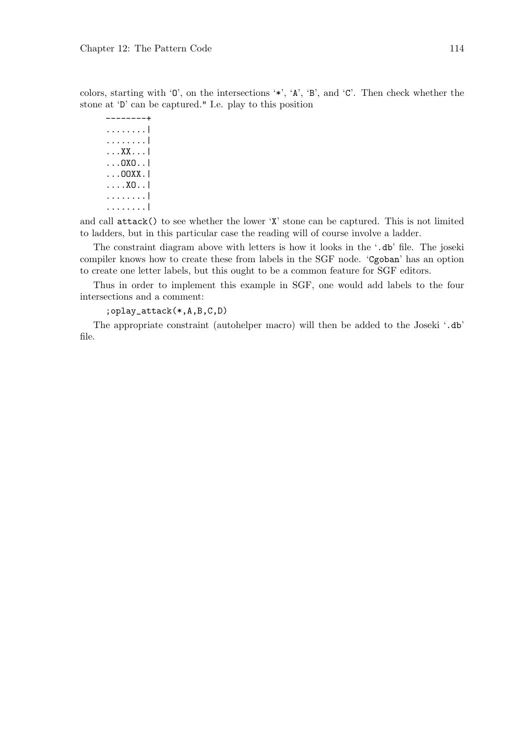colors, starting with 'O', on the intersections '\*', 'A', 'B', and 'C'. Then check whether the stone at 'D' can be captured." I.e. play to this position

--------+ ........| ........| ...XX...| ...OXO..| ...OOXX.| ....XO..| ........| ........|

and call attack() to see whether the lower 'X' stone can be captured. This is not limited to ladders, but in this particular case the reading will of course involve a ladder.

The constraint diagram above with letters is how it looks in the '.db' file. The joseki compiler knows how to create these from labels in the SGF node. 'Cgoban' has an option to create one letter labels, but this ought to be a common feature for SGF editors.

Thus in order to implement this example in SGF, one would add labels to the four intersections and a comment:

;oplay\_attack(\*,A,B,C,D)

The appropriate constraint (autohelper macro) will then be added to the Joseki '.db' file.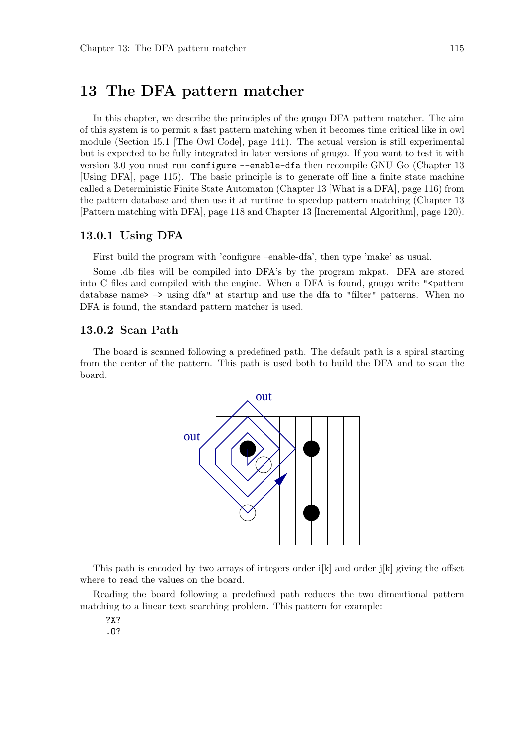# 13 The DFA pattern matcher

In this chapter, we describe the principles of the gnugo DFA pattern matcher. The aim of this system is to permit a fast pattern matching when it becomes time critical like in owl module (Section 15.1 [The Owl Code], page 141). The actual version is still experimental but is expected to be fully integrated in later versions of gnugo. If you want to test it with version 3.0 you must run configure --enable-dfa then recompile GNU Go (Chapter 13 [Using DFA], page 115). The basic principle is to generate off line a finite state machine called a Deterministic Finite State Automaton (Chapter 13 [What is a DFA], page 116) from the pattern database and then use it at runtime to speedup pattern matching (Chapter 13 [Pattern matching with DFA], page 118 and Chapter 13 [Incremental Algorithm], page 120).

#### 13.0.1 Using DFA

First build the program with 'configure –enable-dfa', then type 'make' as usual.

Some .db files will be compiled into DFA's by the program mkpat. DFA are stored into C files and compiled with the engine. When a DFA is found, gnugo write " $\epsilon$  pattern database name  $\geq$  –  $\geq$  using dfa" at startup and use the dfa to "filter" patterns. When no DFA is found, the standard pattern matcher is used.

#### 13.0.2 Scan Path

The board is scanned following a predefined path. The default path is a spiral starting from the center of the pattern. This path is used both to build the DFA and to scan the board.



This path is encoded by two arrays of integers order  $\mathbf{i}[k]$  and order  $\mathbf{j}[k]$  giving the offset where to read the values on the board.

Reading the board following a predefined path reduces the two dimentional pattern matching to a linear text searching problem. This pattern for example:

?X?

.O?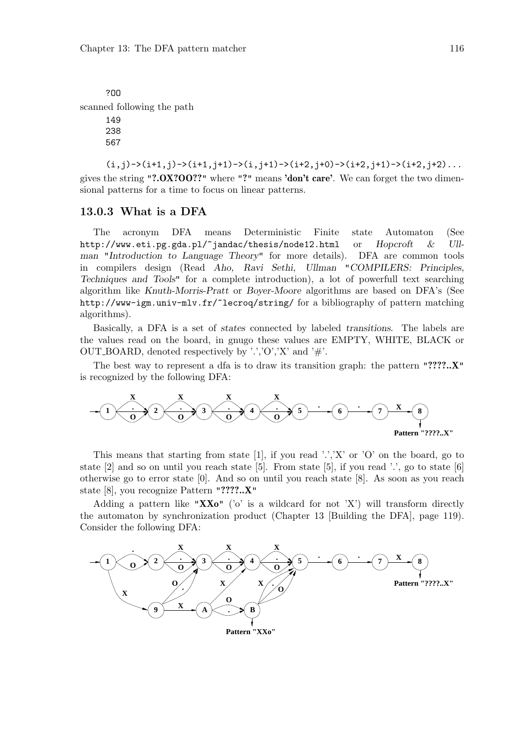?OO scanned following the path 149 238

567

 $(i,j)$ ->(i+1,j)->(i+1,j+1)->(i,j+1)->(i+2,j+0)->(i+2,j+1)->(i+2,j+2)... gives the string "?.OX?OO??" where "?" means 'don't care'. We can forget the two dimensional patterns for a time to focus on linear patterns.

#### 13.0.3 What is a DFA

The acronym DFA means Deterministic Finite state Automaton (See http://www.eti.pg.gda.pl/~jandac/thesis/node12.html or Hopcroft & Ullman "Introduction to Language Theory" for more details). DFA are common tools in compilers design (Read Aho, Ravi Sethi, Ullman "COMPILERS: Principles, Techniques and Tools" for a complete introduction), a lot of powerfull text searching algorithm like Knuth-Morris-Pratt or Boyer-Moore algorithms are based on DFA's (See http://www-igm.univ-mlv.fr/~lecroq/string/ for a bibliography of pattern matching algorithms).

Basically, a DFA is a set of states connected by labeled transitions. The labels are the values read on the board, in gnugo these values are EMPTY, WHITE, BLACK or OUT\_BOARD, denoted respectively by '.','O','X' and '#'.

The best way to represent a dfa is to draw its transition graph: the pattern "????.. $X''$ " is recognized by the following DFA:



This means that starting from state [1], if you read '.','X' or 'O' on the board, go to state  $[2]$  and so on until you reach state  $[5]$ . From state  $[5]$ , if you read '.', go to state  $[6]$ otherwise go to error state [0]. And so on until you reach state [8]. As soon as you reach state [8], you recognize Pattern "????..X"

Adding a pattern like "XX $\mathbf{X}$ <sup>"</sup> ('o' is a wildcard for not 'X') will transform directly the automaton by synchronization product (Chapter 13 [Building the DFA], page 119). Consider the following DFA:

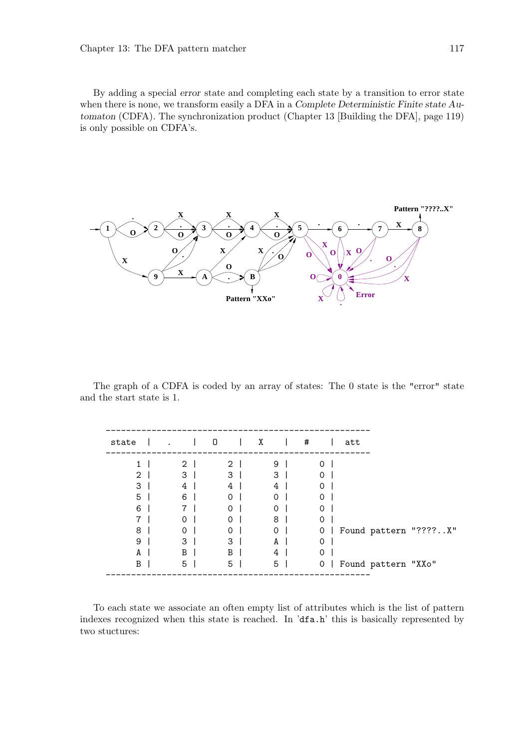By adding a special error state and completing each state by a transition to error state when there is none, we transform easily a DFA in a Complete Deterministic Finite state Automaton (CDFA). The synchronization product (Chapter 13 [Building the DFA], page 119) is only possible on CDFA's.



The graph of a CDFA is coded by an array of states: The 0 state is the "error" state and the start state is 1.

| X<br>#<br>0<br>state<br>att<br>$2-1$<br>$\overline{2}$<br>9<br>$\Omega$<br>1 |
|------------------------------------------------------------------------------|
|                                                                              |
|                                                                              |
| 3<br>$\overline{2}$<br>3<br>3<br>0                                           |
| 3<br>4<br>4<br>$\Omega$<br>4                                                 |
| 5<br>6<br>$\Omega$<br>0<br>0                                                 |
| 6<br>$\Omega$<br>0<br>$\Omega$                                               |
| 8<br>0<br>0<br>0                                                             |
| 8<br>$\Omega$<br>Found pattern "????X"<br>$\Omega$<br>$\Omega$<br>0          |
| 3<br>3<br>9<br>$\Omega$<br>A                                                 |
| B<br>B<br>0<br>A<br>4                                                        |
| 5<br>5<br>Found pattern "XXo"<br>B<br>5<br>0                                 |

To each state we associate an often empty list of attributes which is the list of pattern indexes recognized when this state is reached. In 'dfa.h' this is basically represented by two stuctures: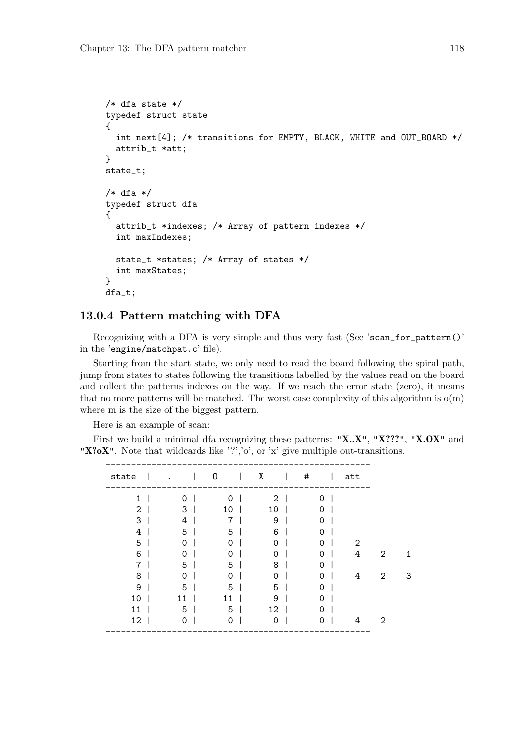```
/* dfa state */typedef struct state
{
  int next[4]; /* transitions for EMPTY, BLACK, WHITE and OUT_BOARD */
  attrib_t *att;
}
state_t;
/* dfa */typedef struct dfa
{
  attrib_t *indexes; /* Array of pattern indexes */
  int maxIndexes;
  state_t *states; /* Array of states */
  int maxStates;
}
dfa_t;
```
#### 13.0.4 Pattern matching with DFA

Recognizing with a DFA is very simple and thus very fast (See 'scan\_for\_pattern()' in the 'engine/matchpat.c' file).

Starting from the start state, we only need to read the board following the spiral path, jump from states to states following the transitions labelled by the values read on the board and collect the patterns indexes on the way. If we reach the error state (zero), it means that no more patterns will be matched. The worst case complexity of this algorithm is  $o(m)$ where m is the size of the biggest pattern.

Here is an example of scan:

First we build a minimal dfa recognizing these patterns: "X.X", "X???", "X.OX" and "X?oX". Note that wildcards like '?','o', or 'x' give multiple out-transitions.

| state |          | 0        | Χ              | # | att |  |
|-------|----------|----------|----------------|---|-----|--|
| 1     | 0        | $\Omega$ | $\overline{2}$ | 0 |     |  |
| 2     | 3        | 10       | 10             | 0 |     |  |
| 3     | 4        | 7        | 9              | 0 |     |  |
| 4     | 5        | 5        | 6              | 0 |     |  |
| 5     | 0        | 0        | 0              | 0 | 2   |  |
| 6     | 0        | 0        | 0              | 0 | 4   |  |
| 7     | 5        | 5        | 8              | Ω |     |  |
| 8     | $\Omega$ | 0        | $\Omega$       | 0 | 4   |  |
| 9     | 5        | 5        | 5              | 0 |     |  |
| 10    | 11       | 11       | 9              | 0 |     |  |
| 11    | 5        | 5        | 12             | 0 |     |  |
| 12    | 0        | 0        | $\Omega$       | 0 | 4   |  |
|       |          |          |                |   |     |  |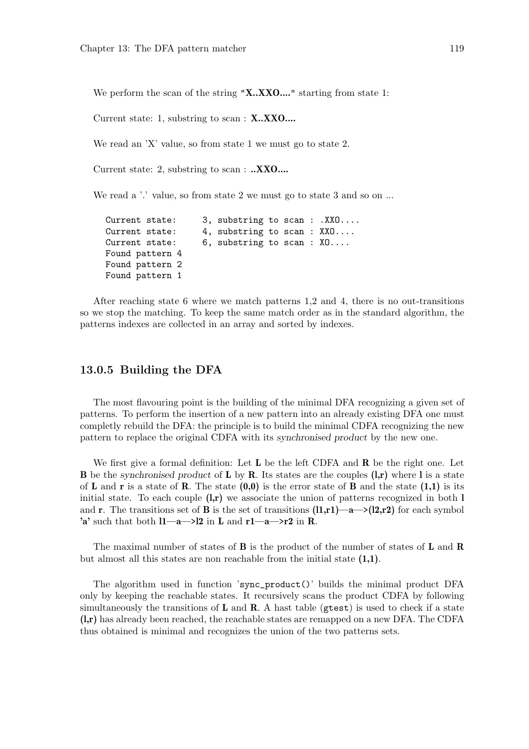We perform the scan of the string "X..XXO...." starting from state 1:

Current state: 1, substring to scan : X..XXO....

We read an 'X' value, so from state 1 we must go to state 2.

Current state: 2, substring to scan : ..XXO....

We read a '.' value, so from state 2 we must go to state 3 and so on ...

```
Current state: 3, substring to scan : .XXO....
Current state: 4, substring to scan : XXO....
Current state: 6, substring to scan : XO....
Found pattern 4
Found pattern 2
Found pattern 1
```
After reaching state 6 where we match patterns 1,2 and 4, there is no out-transitions so we stop the matching. To keep the same match order as in the standard algorithm, the patterns indexes are collected in an array and sorted by indexes.

#### 13.0.5 Building the DFA

The most flavouring point is the building of the minimal DFA recognizing a given set of patterns. To perform the insertion of a new pattern into an already existing DFA one must completly rebuild the DFA: the principle is to build the minimal CDFA recognizing the new pattern to replace the original CDFA with its synchronised product by the new one.

We first give a formal definition: Let  $L$  be the left CDFA and  $R$  be the right one. Let **B** be the synchronised product of **L** by **R**. Its states are the couples  $(l,r)$  where l is a state of L and r is a state of R. The state  $(0,0)$  is the error state of B and the state  $(1,1)$  is its initial state. To each couple  $(l,r)$  we associate the union of patterns recognized in both l and **r**. The transitions set of **B** is the set of transitions  $(11,r1)$ —a—> $(12,r2)$  for each symbol 'a' such that both  $1-\alpha \rightarrow 2$  in L and  $r1-\alpha \rightarrow r2$  in R.

The maximal number of states of **B** is the product of the number of states of **L** and **R** but almost all this states are non reachable from the initial state (1,1).

The algorithm used in function 'sync\_product()' builds the minimal product DFA only by keeping the reachable states. It recursively scans the product CDFA by following simultaneously the transitions of  $L$  and  $R$ . A hast table (gtest) is used to check if a state (l,r) has already been reached, the reachable states are remapped on a new DFA. The CDFA thus obtained is minimal and recognizes the union of the two patterns sets.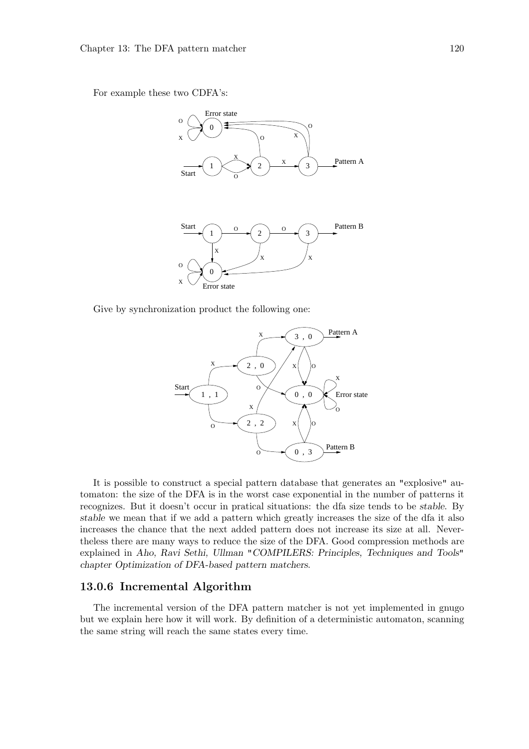For example these two CDFA's:



Give by synchronization product the following one:



It is possible to construct a special pattern database that generates an "explosive" automaton: the size of the DFA is in the worst case exponential in the number of patterns it recognizes. But it doesn't occur in pratical situations: the dfa size tends to be stable. By stable we mean that if we add a pattern which greatly increases the size of the dfa it also increases the chance that the next added pattern does not increase its size at all. Nevertheless there are many ways to reduce the size of the DFA. Good compression methods are explained in Aho, Ravi Sethi, Ullman "COMPILERS: Principles, Techniques and Tools" chapter Optimization of DFA-based pattern matchers.

#### 13.0.6 Incremental Algorithm

The incremental version of the DFA pattern matcher is not yet implemented in gnugo but we explain here how it will work. By definition of a deterministic automaton, scanning the same string will reach the same states every time.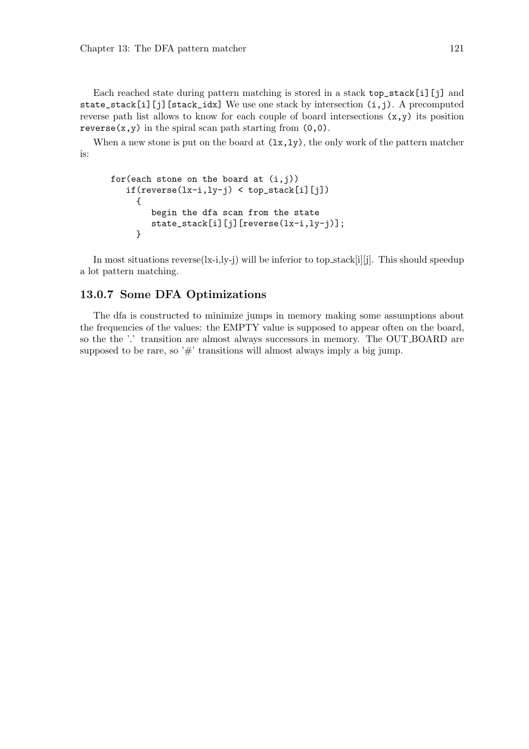Each reached state during pattern matching is stored in a stack top\_stack[i][j] and state\_stack[i][j][stack\_idx] We use one stack by intersection  $(i,j)$ . A precomputed reverse path list allows to know for each couple of board intersections  $(x, y)$  its position reverse $(x, y)$  in the spiral scan path starting from  $(0, 0)$ .

When a new stone is put on the board at  $(lx,ly)$ , the only work of the pattern matcher is:

```
for(each stone on the board at (i,j))
   if(reverse(lx-i,ly-j) < top\_stack[i][j]){
        begin the dfa scan from the state
        state_stack[i][j][reverse(lx-i,ly-j)];
     }
```
In most situations reverse $(lx-i, ly-j)$  will be inferior to top stack[i][j]. This should speedup a lot pattern matching.

#### 13.0.7 Some DFA Optimizations

The dfa is constructed to minimize jumps in memory making some assumptions about the frequencies of the values: the EMPTY value is supposed to appear often on the board, so the the '.' transition are almost always successors in memory. The OUT BOARD are supposed to be rare, so ' $\#$ ' transitions will almost always imply a big jump.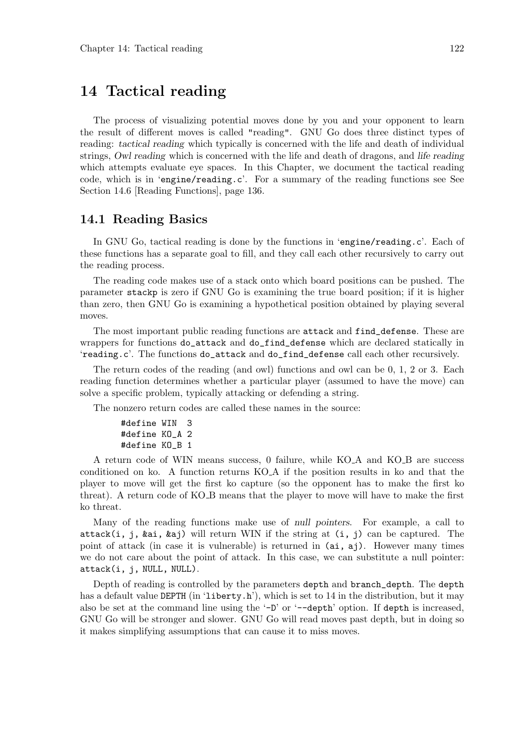# 14 Tactical reading

The process of visualizing potential moves done by you and your opponent to learn the result of different moves is called "reading". GNU Go does three distinct types of reading: tactical reading which typically is concerned with the life and death of individual strings, Owl reading which is concerned with the life and death of dragons, and life reading which attempts evaluate eye spaces. In this Chapter, we document the tactical reading code, which is in 'engine/reading.c'. For a summary of the reading functions see See Section 14.6 [Reading Functions], page 136.

### 14.1 Reading Basics

In GNU Go, tactical reading is done by the functions in 'engine/reading.c'. Each of these functions has a separate goal to fill, and they call each other recursively to carry out the reading process.

The reading code makes use of a stack onto which board positions can be pushed. The parameter stackp is zero if GNU Go is examining the true board position; if it is higher than zero, then GNU Go is examining a hypothetical position obtained by playing several moves.

The most important public reading functions are attack and find\_defense. These are wrappers for functions do\_attack and do\_find\_defense which are declared statically in 'reading.c'. The functions do\_attack and do\_find\_defense call each other recursively.

The return codes of the reading (and owl) functions and owl can be 0, 1, 2 or 3. Each reading function determines whether a particular player (assumed to have the move) can solve a specific problem, typically attacking or defending a string.

The nonzero return codes are called these names in the source:

```
#define WIN 3
#define KO_A 2
#define KO_B 1
```
A return code of WIN means success, 0 failure, while KO A and KO B are success conditioned on ko. A function returns KO A if the position results in ko and that the player to move will get the first ko capture (so the opponent has to make the first ko threat). A return code of KO B means that the player to move will have to make the first ko threat.

Many of the reading functions make use of null pointers. For example, a call to attack(i, j, &ai, &aj) will return WIN if the string at (i, j) can be captured. The point of attack (in case it is vulnerable) is returned in (ai, aj). However many times we do not care about the point of attack. In this case, we can substitute a null pointer: attack(i, j, NULL, NULL).

Depth of reading is controlled by the parameters depth and branch\_depth. The depth has a default value DEPTH (in 'liberty.h'), which is set to 14 in the distribution, but it may also be set at the command line using the '-D' or '--depth' option. If depth is increased, GNU Go will be stronger and slower. GNU Go will read moves past depth, but in doing so it makes simplifying assumptions that can cause it to miss moves.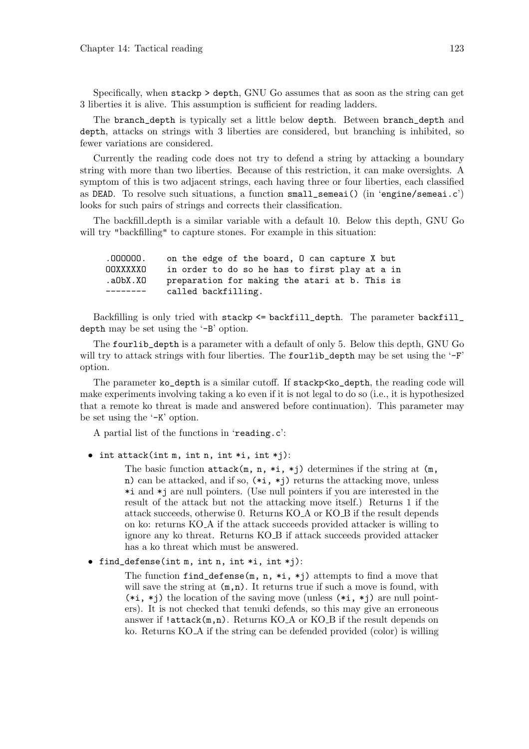Specifically, when stackp > depth, GNU Go assumes that as soon as the string can get 3 liberties it is alive. This assumption is sufficient for reading ladders.

The branch\_depth is typically set a little below depth. Between branch\_depth and depth, attacks on strings with 3 liberties are considered, but branching is inhibited, so fewer variations are considered.

Currently the reading code does not try to defend a string by attacking a boundary string with more than two liberties. Because of this restriction, it can make oversights. A symptom of this is two adjacent strings, each having three or four liberties, each classified as DEAD. To resolve such situations, a function small\_semeai() (in 'engine/semeai.c') looks for such pairs of strings and corrects their classification.

The backfill depth is a similar variable with a default 10. Below this depth, GNU Go will try "backfilling" to capture stones. For example in this situation:

.OOOOOO. on the edge of the board, O can capture X but OOXXXXXO in order to do so he has to first play at a in .aObX.XO preparation for making the atari at b. This is -------- called backfilling.

Backfilling is only tried with stackp <= backfill\_depth. The parameter backfill\_ depth may be set using the '-B' option.

The fourlib\_depth is a parameter with a default of only 5. Below this depth, GNU Go will try to attack strings with four liberties. The fourlib\_depth may be set using the '-F' option.

The parameter ko\_depth is a similar cutoff. If stackp<ko\_depth, the reading code will make experiments involving taking a ko even if it is not legal to do so (i.e., it is hypothesized that a remote ko threat is made and answered before continuation). This parameter may be set using the '-K' option.

A partial list of the functions in 'reading.c':

 $\bullet$  int attack(int m, int n, int \*i, int \*j):

The basic function  ${\tt attack(m, n, *i, *j)}$  determines if the string at  $(m,$ n) can be attacked, and if so,  $(*i, *j)$  returns the attacking move, unless \*i and \*j are null pointers. (Use null pointers if you are interested in the result of the attack but not the attacking move itself.) Returns 1 if the attack succeeds, otherwise 0. Returns KO A or KO B if the result depends on ko: returns KO A if the attack succeeds provided attacker is willing to ignore any ko threat. Returns KO B if attack succeeds provided attacker has a ko threat which must be answered.

• find\_defense(int m, int n, int \*i, int \*j):

The function find defense(m, n,  $*$ i,  $*$ j) attempts to find a move that will save the string at  $(m,n)$ . It returns true if such a move is found, with  $(*i, *j)$  the location of the saving move (unless  $(*i, *j)$  are null pointers). It is not checked that tenuki defends, so this may give an erroneous answer if  $l$ attack $(m,n)$ . Returns KO $A$  or KO $B$  if the result depends on ko. Returns KO A if the string can be defended provided (color) is willing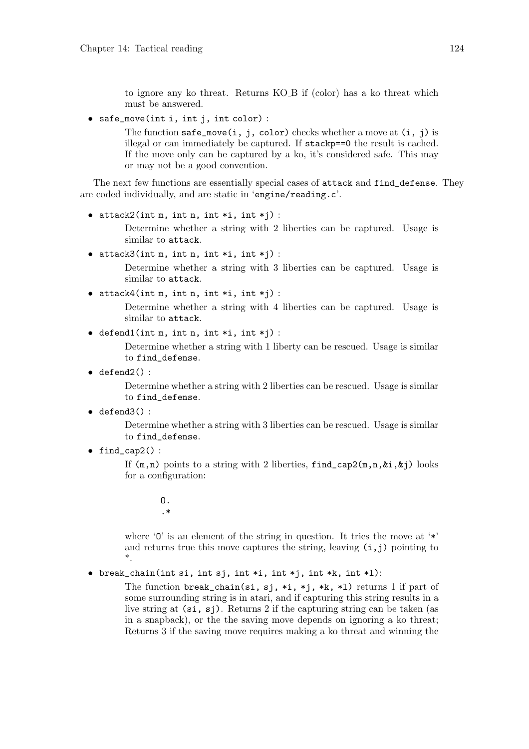to ignore any ko threat. Returns KO B if (color) has a ko threat which must be answered.

• safe\_move(int i, int j, int color) :

The function safe\_move(i, j, color) checks whether a move at  $(i, j)$  is illegal or can immediately be captured. If stackp==0 the result is cached. If the move only can be captured by a ko, it's considered safe. This may or may not be a good convention.

The next few functions are essentially special cases of attack and find\_defense. They are coded individually, and are static in 'engine/reading.c'.

```
\bullet attack2(int m, int n, int *i, int *j) :
```
Determine whether a string with 2 liberties can be captured. Usage is similar to attack.

 $\bullet$  attack3(int m, int n, int \*i, int \*j) :

Determine whether a string with 3 liberties can be captured. Usage is similar to attack.

• attack $4(int m, int n, int *i, int *j)$ :

Determine whether a string with 4 liberties can be captured. Usage is similar to attack.

• defend1(int m, int n, int \*i, int \*j) :

Determine whether a string with 1 liberty can be rescued. Usage is similar to find\_defense.

 $\bullet$  defend2():

Determine whether a string with 2 liberties can be rescued. Usage is similar to find\_defense.

 $\bullet$  defend3():

Determine whether a string with 3 liberties can be rescued. Usage is similar to find\_defense.

• find\_cap2 $()$  :

If  $(m,n)$  points to a string with 2 liberties, find  $cap2(m,n,\&i,\&j)$  looks for a configuration:

> O. .\*

where  $\mathcal{O}'$  is an element of the string in question. It tries the move at  $\dot{\ast}$ and returns true this move captures the string, leaving  $(i, j)$  pointing to \*.

• break\_chain(int si, int sj, int \*i, int \*j, int \*k, int \*l):

The function break\_chain(si, sj, \*i, \*j, \*k, \*l) returns 1 if part of some surrounding string is in atari, and if capturing this string results in a live string at  $(\text{si}, \text{si})$ . Returns 2 if the capturing string can be taken (as in a snapback), or the the saving move depends on ignoring a ko threat; Returns 3 if the saving move requires making a ko threat and winning the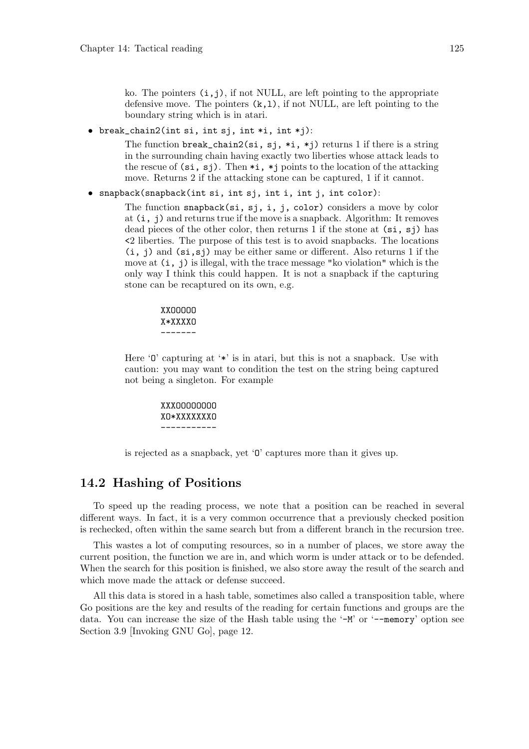ko. The pointers  $(i, j)$ , if not NULL, are left pointing to the appropriate defensive move. The pointers  $(k,1)$ , if not NULL, are left pointing to the boundary string which is in atari.

• break\_chain2(int si, int sj, int \*i, int \*j):

The function break\_chain2(si, sj, \*i, \*j) returns 1 if there is a string in the surrounding chain having exactly two liberties whose attack leads to the rescue of  $(\text{si}, \text{si})$ . Then  $\ast i$ ,  $\ast j$  points to the location of the attacking move. Returns 2 if the attacking stone can be captured, 1 if it cannot.

• snapback(snapback(int si, int sj, int i, int j, int color):

The function snapback(si, sj, i, j, color) considers a move by color at (i, j) and returns true if the move is a snapback. Algorithm: It removes dead pieces of the other color, then returns 1 if the stone at  $(\mathbf{si}, \mathbf{si})$  has <2 liberties. The purpose of this test is to avoid snapbacks. The locations  $(i, j)$  and  $(s_i, s_j)$  may be either same or different. Also returns 1 if the move at (i, j) is illegal, with the trace message "ko violation" which is the only way I think this could happen. It is not a snapback if the capturing stone can be recaptured on its own, e.g.

> XXOOOOO X\*XXXXO -------

Here  $\theta$  capturing at  $\ast \ast$  is in atari, but this is not a snapback. Use with caution: you may want to condition the test on the string being captured not being a singleton. For example

> XXXOOOOOOOO XO\*XXXXXXXO -----------

is rejected as a snapback, yet 'O' captures more than it gives up.

## 14.2 Hashing of Positions

To speed up the reading process, we note that a position can be reached in several different ways. In fact, it is a very common occurrence that a previously checked position is rechecked, often within the same search but from a different branch in the recursion tree.

This wastes a lot of computing resources, so in a number of places, we store away the current position, the function we are in, and which worm is under attack or to be defended. When the search for this position is finished, we also store away the result of the search and which move made the attack or defense succeed.

All this data is stored in a hash table, sometimes also called a transposition table, where Go positions are the key and results of the reading for certain functions and groups are the data. You can increase the size of the Hash table using the '-M' or '--memory' option see Section 3.9 [Invoking GNU Go], page 12.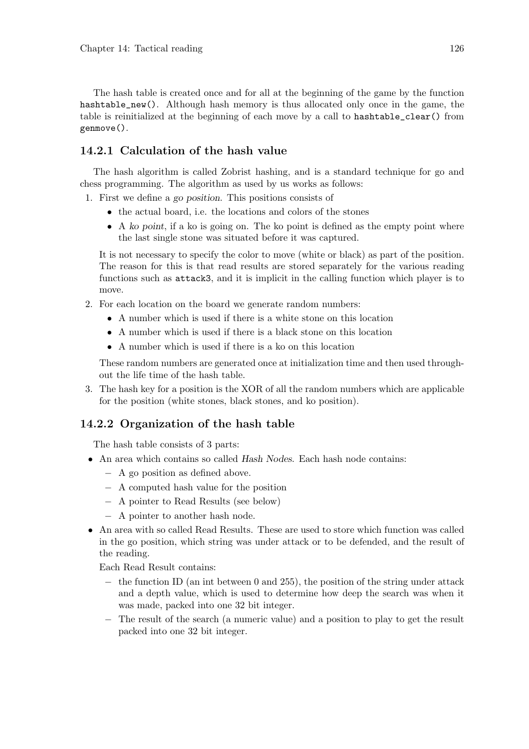The hash table is created once and for all at the beginning of the game by the function hashtable\_new(). Although hash memory is thus allocated only once in the game, the table is reinitialized at the beginning of each move by a call to hashtable\_clear() from genmove().

## 14.2.1 Calculation of the hash value

The hash algorithm is called Zobrist hashing, and is a standard technique for go and chess programming. The algorithm as used by us works as follows:

1. First we define a go position. This positions consists of

- the actual board, i.e. the locations and colors of the stones
- A ko point, if a ko is going on. The ko point is defined as the empty point where the last single stone was situated before it was captured.

It is not necessary to specify the color to move (white or black) as part of the position. The reason for this is that read results are stored separately for the various reading functions such as attack3, and it is implicit in the calling function which player is to move.

- 2. For each location on the board we generate random numbers:
	- A number which is used if there is a white stone on this location
	- A number which is used if there is a black stone on this location
	- A number which is used if there is a ko on this location

These random numbers are generated once at initialization time and then used throughout the life time of the hash table.

3. The hash key for a position is the XOR of all the random numbers which are applicable for the position (white stones, black stones, and ko position).

### 14.2.2 Organization of the hash table

The hash table consists of 3 parts:

- An area which contains so called Hash Nodes. Each hash node contains:
	- − A go position as defined above.
	- − A computed hash value for the position
	- − A pointer to Read Results (see below)
	- − A pointer to another hash node.
- An area with so called Read Results. These are used to store which function was called in the go position, which string was under attack or to be defended, and the result of the reading.

Each Read Result contains:

- − the function ID (an int between 0 and 255), the position of the string under attack and a depth value, which is used to determine how deep the search was when it was made, packed into one 32 bit integer.
- − The result of the search (a numeric value) and a position to play to get the result packed into one 32 bit integer.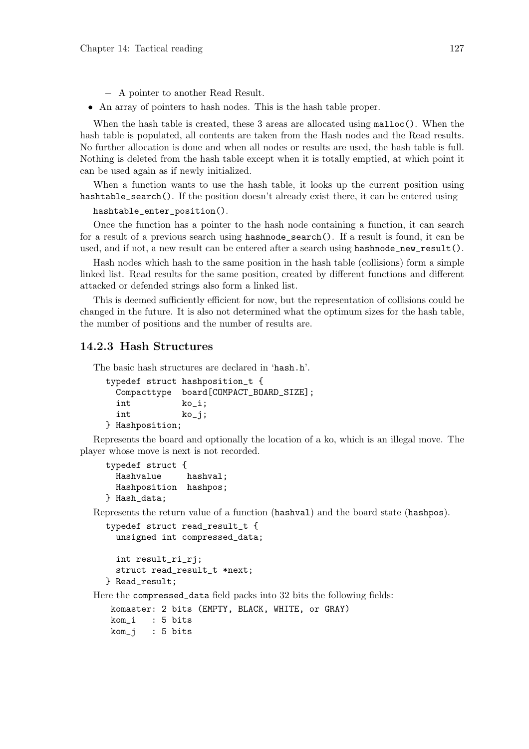- − A pointer to another Read Result.
- An array of pointers to hash nodes. This is the hash table proper.

When the hash table is created, these 3 areas are allocated using  $\text{malloc}()$ . When the hash table is populated, all contents are taken from the Hash nodes and the Read results. No further allocation is done and when all nodes or results are used, the hash table is full. Nothing is deleted from the hash table except when it is totally emptied, at which point it can be used again as if newly initialized.

When a function wants to use the hash table, it looks up the current position using hashtable\_search(). If the position doesn't already exist there, it can be entered using

```
hashtable_enter_position().
```
Once the function has a pointer to the hash node containing a function, it can search for a result of a previous search using hashnode\_search(). If a result is found, it can be used, and if not, a new result can be entered after a search using hashnode\_new\_result().

Hash nodes which hash to the same position in the hash table (collisions) form a simple linked list. Read results for the same position, created by different functions and different attacked or defended strings also form a linked list.

This is deemed sufficiently efficient for now, but the representation of collisions could be changed in the future. It is also not determined what the optimum sizes for the hash table, the number of positions and the number of results are.

#### 14.2.3 Hash Structures

The basic hash structures are declared in 'hash.h'.

```
typedef struct hashposition_t {
 Compacttype board[COMPACT_BOARD_SIZE];
 int ko_i;
 int ko_j;
} Hashposition;
```
Represents the board and optionally the location of a ko, which is an illegal move. The player whose move is next is not recorded.

```
typedef struct {
 Hashvalue hashval;
 Hashposition hashpos;
} Hash_data;
```
Represents the return value of a function (hashval) and the board state (hashpos).

```
typedef struct read_result_t {
  unsigned int compressed_data;
```
int result\_ri\_rj; struct read\_result\_t \*next; } Read\_result;

Here the compressed\_data field packs into 32 bits the following fields:

```
komaster: 2 bits (EMPTY, BLACK, WHITE, or GRAY)
kom_i : 5 bits
kom_j : 5 bits
```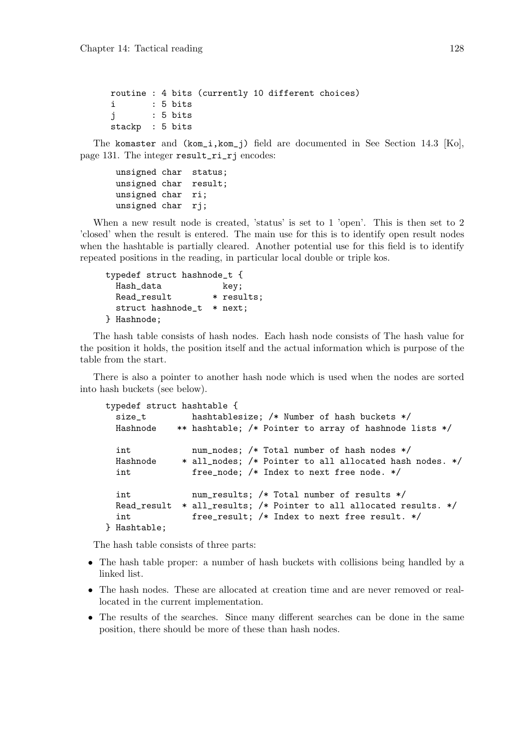```
routine : 4 bits (currently 10 different choices)
i : 5 bits
j : 5 bits
stackp : 5 bits
```
The komaster and (kom\_i,kom\_j) field are documented in See Section 14.3 [Ko], page 131. The integer result\_ri\_rj encodes:

unsigned char status; unsigned char result; unsigned char ri; unsigned char rj;

When a new result node is created, 'status' is set to 1 'open'. This is then set to 2 'closed' when the result is entered. The main use for this is to identify open result nodes when the hashtable is partially cleared. Another potential use for this field is to identify repeated positions in the reading, in particular local double or triple kos.

|             |                   | typedef struct hashnode_t { |            |
|-------------|-------------------|-----------------------------|------------|
| Hash_data   |                   |                             | key;       |
| Read_result |                   |                             | * results; |
|             | struct hashnode_t |                             | $*$ next:  |
| } Hashnode; |                   |                             |            |

The hash table consists of hash nodes. Each hash node consists of The hash value for the position it holds, the position itself and the actual information which is purpose of the table from the start.

There is also a pointer to another hash node which is used when the nodes are sorted into hash buckets (see below).

| typedef struct hashtable {                |                                                                                                                                                       |
|-------------------------------------------|-------------------------------------------------------------------------------------------------------------------------------------------------------|
| size_t                                    | hashtablesize; $/*$ Number of hash buckets $*/$                                                                                                       |
| Hashnode                                  | ** hashtable; /* Pointer to array of hashnode lists */                                                                                                |
| int<br>Hashnode<br>int                    | num_nodes; /* Total number of hash nodes */<br>* all_nodes; /* Pointer to all allocated hash nodes. */<br>free_node; /* Index to next free node. */   |
| int<br>Read_result<br>int<br>} Hashtable; | num_results; /* Total number of results */<br>* all_results; /* Pointer to all allocated results. */<br>free_result; /* Index to next free result. */ |

The hash table consists of three parts:

- The hash table proper: a number of hash buckets with collisions being handled by a linked list.
- The hash nodes. These are allocated at creation time and are never removed or reallocated in the current implementation.
- The results of the searches. Since many different searches can be done in the same position, there should be more of these than hash nodes.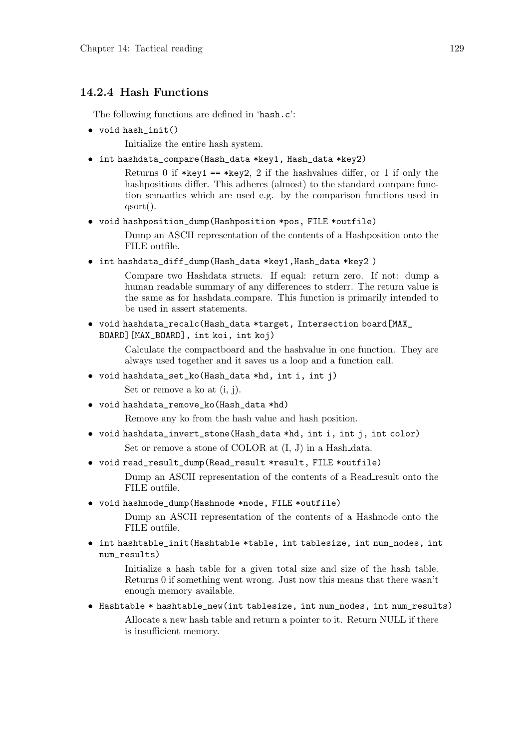## 14.2.4 Hash Functions

The following functions are defined in 'hash.c':

• void hash\_init()

Initialize the entire hash system.

• int hashdata\_compare(Hash\_data \*key1, Hash\_data \*key2)

Returns 0 if \*key1 == \*key2, 2 if the hashvalues differ, or 1 if only the hashpositions differ. This adheres (almost) to the standard compare function semantics which are used e.g. by the comparison functions used in qsort().

• void hashposition\_dump(Hashposition \*pos, FILE \*outfile)

Dump an ASCII representation of the contents of a Hashposition onto the FILE outfile.

• int hashdata\_diff\_dump(Hash\_data \*key1,Hash\_data \*key2 )

Compare two Hashdata structs. If equal: return zero. If not: dump a human readable summary of any differences to stderr. The return value is the same as for hashdata compare. This function is primarily intended to be used in assert statements.

• void hashdata\_recalc(Hash\_data \*target, Intersection board[MAX\_ BOARD][MAX\_BOARD], int koi, int koj)

> Calculate the compactboard and the hashvalue in one function. They are always used together and it saves us a loop and a function call.

- void hashdata\_set\_ko(Hash\_data \*hd, int i, int j) Set or remove a ko at (i, j).
- void hashdata\_remove\_ko(Hash\_data \*hd)

Remove any ko from the hash value and hash position.

- void hashdata\_invert\_stone(Hash\_data \*hd, int i, int j, int color) Set or remove a stone of COLOR at  $(I, J)$  in a Hash-data.
- void read\_result\_dump(Read\_result \*result, FILE \*outfile)

Dump an ASCII representation of the contents of a Read result onto the FILE outfile.

• void hashnode\_dump(Hashnode \*node, FILE \*outfile)

Dump an ASCII representation of the contents of a Hashnode onto the FILE outfile.

• int hashtable\_init(Hashtable \*table, int tablesize, int num\_nodes, int num\_results)

> Initialize a hash table for a given total size and size of the hash table. Returns 0 if something went wrong. Just now this means that there wasn't enough memory available.

• Hashtable \* hashtable\_new(int tablesize, int num\_nodes, int num\_results) Allocate a new hash table and return a pointer to it. Return NULL if there is insufficient memory.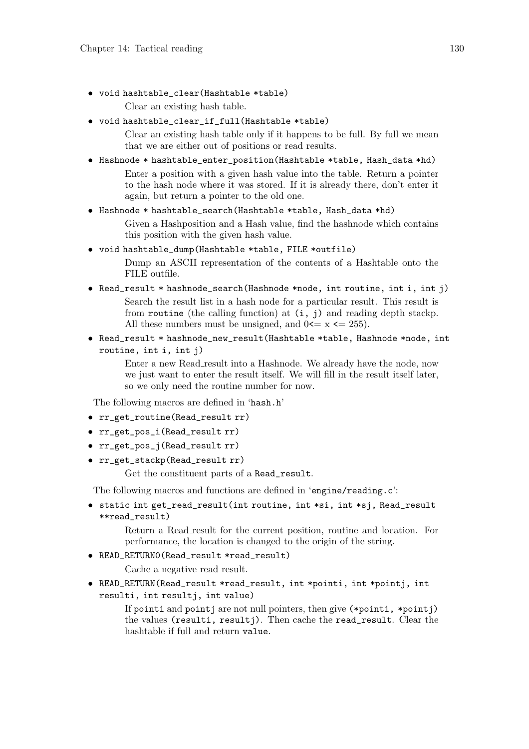• void hashtable\_clear(Hashtable \*table)

Clear an existing hash table.

• void hashtable\_clear\_if\_full(Hashtable \*table)

Clear an existing hash table only if it happens to be full. By full we mean that we are either out of positions or read results.

• Hashnode \* hashtable\_enter\_position(Hashtable \*table, Hash\_data \*hd) Enter a position with a given hash value into the table. Return a pointer to the hash node where it was stored. If it is already there, don't enter it again, but return a pointer to the old one.

#### • Hashnode \* hashtable\_search(Hashtable \*table, Hash\_data \*hd)

Given a Hashposition and a Hash value, find the hashnode which contains this position with the given hash value.

• void hashtable dump(Hashtable \*table, FILE \*outfile)

Dump an ASCII representation of the contents of a Hashtable onto the FILE outfile.

- Read\_result \* hashnode\_search(Hashnode \*node, int routine, int i, int j) Search the result list in a hash node for a particular result. This result is from routine (the calling function) at  $(i, j)$  and reading depth stackp. All these numbers must be unsigned, and  $0 \le x \le 255$ .
- Read\_result \* hashnode\_new\_result(Hashtable \*table, Hashnode \*node, int routine, int i, int j)

Enter a new Read\_result into a Hashnode. We already have the node, now we just want to enter the result itself. We will fill in the result itself later, so we only need the routine number for now.

The following macros are defined in 'hash.h'

- rr\_get\_routine(Read\_result rr)
- rr\_get\_pos\_i(Read\_result rr)
- rr\_get\_pos\_j(Read\_result rr)
- rr\_get\_stackp(Read\_result rr)

Get the constituent parts of a Read\_result.

The following macros and functions are defined in 'engine/reading.c':

• static int get\_read\_result(int routine, int \*si, int \*sj, Read\_result \*\*read\_result)

> Return a Read\_result for the current position, routine and location. For performance, the location is changed to the origin of the string.

• READ\_RETURN0(Read\_result \*read\_result)

Cache a negative read result.

• READ\_RETURN(Read\_result \*read\_result, int \*pointi, int \*pointj, int resulti, int resultj, int value)

> If pointi and pointj are not null pointers, then give (\*pointi, \*pointj) the values (resulti, resultj). Then cache the read\_result. Clear the hashtable if full and return value.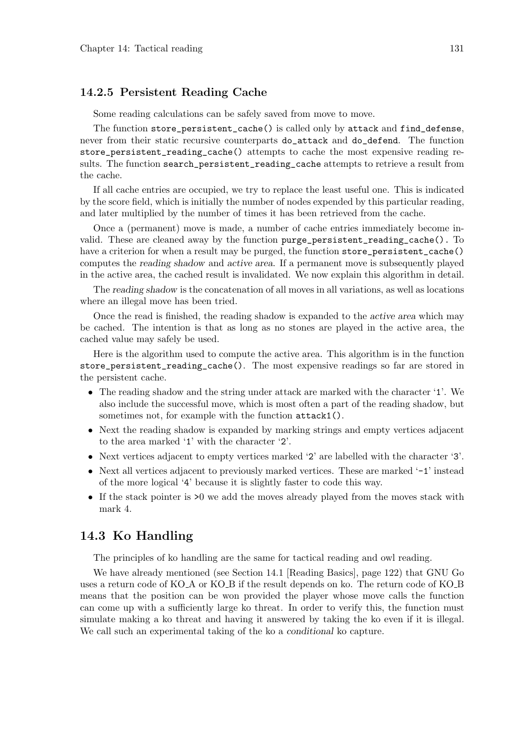#### 14.2.5 Persistent Reading Cache

Some reading calculations can be safely saved from move to move.

The function store\_persistent\_cache() is called only by attack and find\_defense, never from their static recursive counterparts do\_attack and do\_defend. The function store\_persistent\_reading\_cache() attempts to cache the most expensive reading results. The function search\_persistent\_reading\_cache attempts to retrieve a result from the cache.

If all cache entries are occupied, we try to replace the least useful one. This is indicated by the score field, which is initially the number of nodes expended by this particular reading, and later multiplied by the number of times it has been retrieved from the cache.

Once a (permanent) move is made, a number of cache entries immediately become invalid. These are cleaned away by the function purge\_persistent\_reading\_cache(). To have a criterion for when a result may be purged, the function store\_persistent\_cache() computes the reading shadow and active area. If a permanent move is subsequently played in the active area, the cached result is invalidated. We now explain this algorithm in detail.

The reading shadow is the concatenation of all moves in all variations, as well as locations where an illegal move has been tried.

Once the read is finished, the reading shadow is expanded to the active area which may be cached. The intention is that as long as no stones are played in the active area, the cached value may safely be used.

Here is the algorithm used to compute the active area. This algorithm is in the function store\_persistent\_reading\_cache(). The most expensive readings so far are stored in the persistent cache.

- The reading shadow and the string under attack are marked with the character '1'. We also include the successful move, which is most often a part of the reading shadow, but sometimes not, for example with the function attack1().
- Next the reading shadow is expanded by marking strings and empty vertices adjacent to the area marked '1' with the character '2'.
- Next vertices adjacent to empty vertices marked '2' are labelled with the character '3'.
- Next all vertices adjacent to previously marked vertices. These are marked '-1' instead of the more logical '4' because it is slightly faster to code this way.
- If the stack pointer is  $>0$  we add the moves already played from the moves stack with mark 4.

## 14.3 Ko Handling

The principles of ko handling are the same for tactical reading and owl reading.

We have already mentioned (see Section 14.1 [Reading Basics], page 122) that GNU Go uses a return code of KO\_A or KO\_B if the result depends on ko. The return code of KO\_B means that the position can be won provided the player whose move calls the function can come up with a sufficiently large ko threat. In order to verify this, the function must simulate making a ko threat and having it answered by taking the ko even if it is illegal. We call such an experimental taking of the ko a conditional ko capture.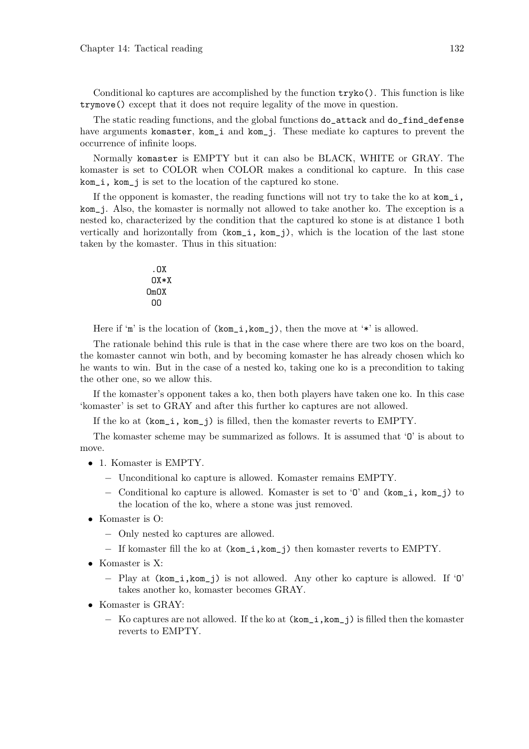Conditional ko captures are accomplished by the function  $\text{tryko}($ ). This function is like trymove() except that it does not require legality of the move in question.

The static reading functions, and the global functions do\_attack and do\_find\_defense have arguments komaster, kom\_i and kom\_j. These mediate ko captures to prevent the occurrence of infinite loops.

Normally komaster is EMPTY but it can also be BLACK, WHITE or GRAY. The komaster is set to COLOR when COLOR makes a conditional ko capture. In this case kom\_i, kom\_j is set to the location of the captured ko stone.

If the opponent is komaster, the reading functions will not try to take the ko at  $kom_i$ , kom\_j. Also, the komaster is normally not allowed to take another ko. The exception is a nested ko, characterized by the condition that the captured ko stone is at distance 1 both vertically and horizontally from (kom\_i, kom\_j), which is the location of the last stone taken by the komaster. Thus in this situation:

$$
.0X\n0X*X\n0m0X\n00
$$

Here if 'm' is the location of  $(kom_i, kom_j)$ , then the move at '\*' is allowed.

The rationale behind this rule is that in the case where there are two kos on the board, the komaster cannot win both, and by becoming komaster he has already chosen which ko he wants to win. But in the case of a nested ko, taking one ko is a precondition to taking the other one, so we allow this.

If the komaster's opponent takes a ko, then both players have taken one ko. In this case 'komaster' is set to GRAY and after this further ko captures are not allowed.

If the ko at (kom\_i, kom\_j) is filled, then the komaster reverts to EMPTY.

The komaster scheme may be summarized as follows. It is assumed that 'O' is about to move.

- 1. Komaster is EMPTY.
	- − Unconditional ko capture is allowed. Komaster remains EMPTY.
	- − Conditional ko capture is allowed. Komaster is set to 'O' and (kom\_i, kom\_j) to the location of the ko, where a stone was just removed.
- Komaster is O:
	- − Only nested ko captures are allowed.
	- − If komaster fill the ko at (kom\_i,kom\_j) then komaster reverts to EMPTY.
- Komaster is X:
	- − Play at (kom\_i,kom\_j) is not allowed. Any other ko capture is allowed. If 'O' takes another ko, komaster becomes GRAY.
- Komaster is GRAY:
	- − Ko captures are not allowed. If the ko at (kom\_i,kom\_j) is filled then the komaster reverts to EMPTY.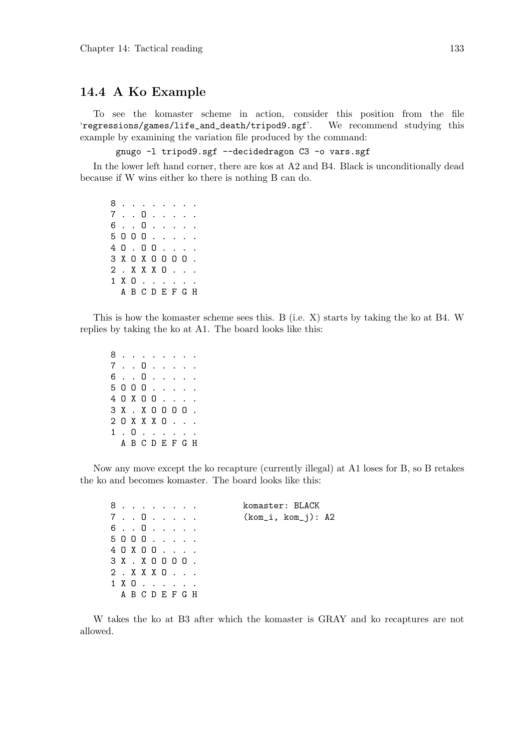### 14.4 A Ko Example

To see the komaster scheme in action, consider this position from the file 'regressions/games/life\_and\_death/tripod9.sgf'. We recommend studying this example by examining the variation file produced by the command:

gnugo -l tripod9.sgf --decidedragon C3 -o vars.sgf

In the lower left hand corner, there are kos at A2 and B4. Black is unconditionally dead because if W wins either ko there is nothing B can do.

8 . . . . . . . . 7 . . O . . . . . 6 . . O . . . . . 5 O O O . . . . . 4 O . O O . . . . 3 X O X O O O O . 2 . X X X O . . . 1 X O . . . . . . A B C D E F G H

This is how the komaster scheme sees this. B (i.e. X) starts by taking the ko at B4. W replies by taking the ko at A1. The board looks like this:

8 . . . . . . . . 7 . . O . . . . . 6 . . O . . . . . 5 O O O . . . . . 4 O X O O . . . . 3 X . X O O O O . 2 O X X X O . . . 1 . O . . . . . . A B C D E F G H

Now any move except the ko recapture (currently illegal) at A1 loses for B, so B retakes the ko and becomes komaster. The board looks like this:

| 8.               |                 |  |  |  | komaster: BLACK      |
|------------------|-----------------|--|--|--|----------------------|
| 7. . 0.          |                 |  |  |  | $(kom_i, kom_j): A2$ |
| 6. . 0.          |                 |  |  |  |                      |
| 5000             |                 |  |  |  |                      |
| 40X00            |                 |  |  |  |                      |
| $3X$ . $X$ 0000. |                 |  |  |  |                      |
| 2 . X X X 0      |                 |  |  |  |                      |
| 1 X 0            |                 |  |  |  |                      |
|                  | A B C D E F G H |  |  |  |                      |

W takes the ko at B3 after which the komaster is GRAY and ko recaptures are not allowed.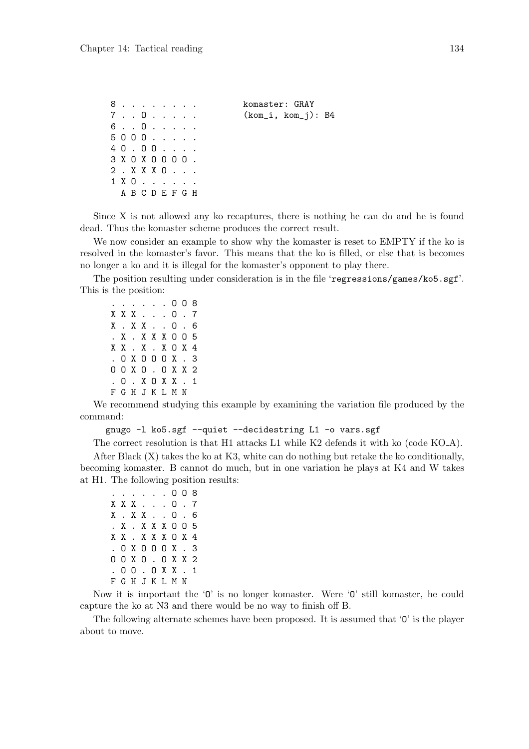8 . . . . . . . . komaster: GRAY 7 . . O . . . . . (kom\_i, kom\_j): B4 6 . . O . . . . . 5 O O O . . . . . 4 O . O O . . . . 3 X O X O O O O . 2 . X X X O . . . 1 X O . . . . . . A B C D E F G H

Since X is not allowed any ko recaptures, there is nothing he can do and he is found dead. Thus the komaster scheme produces the correct result.

We now consider an example to show why the komaster is reset to EMPTY if the ko is resolved in the komaster's favor. This means that the ko is filled, or else that is becomes no longer a ko and it is illegal for the komaster's opponent to play there.

The position resulting under consideration is in the file 'regressions/games/ko5.sgf'. This is the position:

. . . . . . O O 8 X X X . . . O . 7 X . X X . . O . 6 . X . X X X O O 5 X X . X . X O X 4 . O X O O O X . 3 O O X O . O X X 2 . O . X O X X . 1 F G H J K L M N

We recommend studying this example by examining the variation file produced by the command:

gnugo -l ko5.sgf --quiet --decidestring L1 -o vars.sgf

The correct resolution is that H1 attacks L1 while K2 defends it with ko (code KO A).

After Black  $(X)$  takes the ko at K3, white can do nothing but retake the ko conditionally. becoming komaster. B cannot do much, but in one variation he plays at K4 and W takes at H1. The following position results:

```
. . . . . . O O 8
X X X . . . O . 7
X . X X . . O . 6
. X . X X X O O 5
X X . X X X O X 4
. O X O O O X . 3
O O X O . O X X 2
. O O . O X X . 1
F G H J K L M N
```
Now it is important the '0' is no longer komaster. Were '0' still komaster, he could capture the ko at N3 and there would be no way to finish off B.

The following alternate schemes have been proposed. It is assumed that 'O' is the player about to move.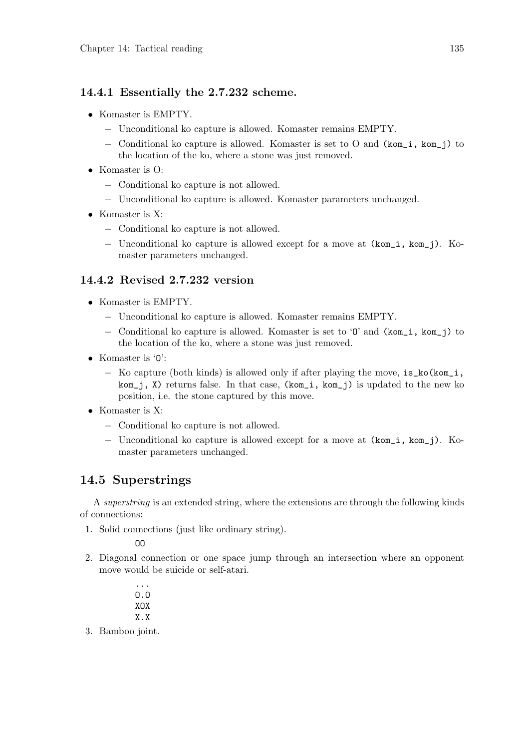# 14.4.1 Essentially the 2.7.232 scheme.

- Komaster is EMPTY.
	- − Unconditional ko capture is allowed. Komaster remains EMPTY.
	- − Conditional ko capture is allowed. Komaster is set to O and (kom\_i, kom\_j) to the location of the ko, where a stone was just removed.
- Komaster is O:
	- − Conditional ko capture is not allowed.
	- − Unconditional ko capture is allowed. Komaster parameters unchanged.
- Komaster is X:
	- − Conditional ko capture is not allowed.
	- − Unconditional ko capture is allowed except for a move at (kom\_i, kom\_j). Komaster parameters unchanged.

# 14.4.2 Revised 2.7.232 version

- Komaster is EMPTY.
	- − Unconditional ko capture is allowed. Komaster remains EMPTY.
	- − Conditional ko capture is allowed. Komaster is set to 'O' and (kom\_i, kom\_j) to the location of the ko, where a stone was just removed.
- Komaster is 'O':
	- − Ko capture (both kinds) is allowed only if after playing the move, is\_ko(kom\_i, kom\_j, X) returns false. In that case, (kom\_i, kom\_j) is updated to the new ko position, i.e. the stone captured by this move.
- Komaster is X:
	- − Conditional ko capture is not allowed.
	- − Unconditional ko capture is allowed except for a move at (kom\_i, kom\_j). Komaster parameters unchanged.

# 14.5 Superstrings

A superstring is an extended string, where the extensions are through the following kinds of connections:

1. Solid connections (just like ordinary string).

OO

- 2. Diagonal connection or one space jump through an intersection where an opponent move would be suicide or self-atari.
	- ... O.O XOX X.X
- 3. Bamboo joint.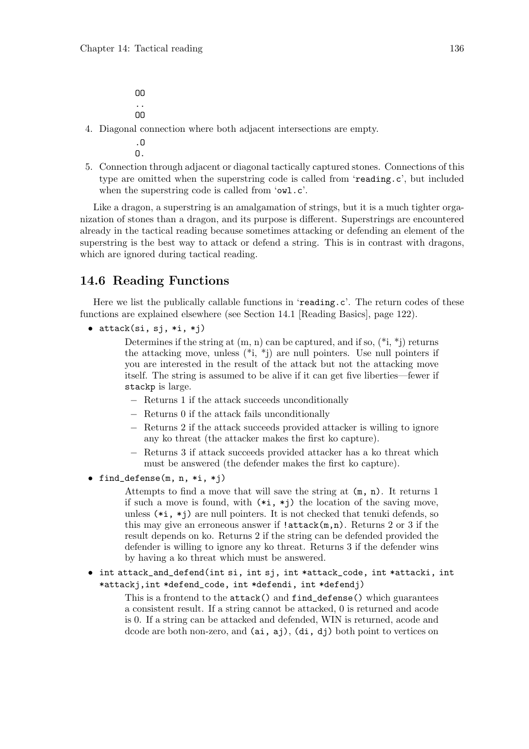OO .. OO

4. Diagonal connection where both adjacent intersections are empty.

.O  $\mathbf{0}$ .

5. Connection through adjacent or diagonal tactically captured stones. Connections of this type are omitted when the superstring code is called from 'reading.c', but included when the superstring code is called from 'owl.c'.

Like a dragon, a superstring is an amalgamation of strings, but it is a much tighter organization of stones than a dragon, and its purpose is different. Superstrings are encountered already in the tactical reading because sometimes attacking or defending an element of the superstring is the best way to attack or defend a string. This is in contrast with dragons, which are ignored during tactical reading.

# 14.6 Reading Functions

Here we list the publically callable functions in 'reading.c'. The return codes of these functions are explained elsewhere (see Section 14.1 [Reading Basics], page 122).

 $\bullet$  attack(si, sj, \*i, \*j)

Determines if the string at  $(m, n)$  can be captured, and if so,  $(*i, *j)$  returns the attacking move, unless  $(*i, *j)$  are null pointers. Use null pointers if you are interested in the result of the attack but not the attacking move itself. The string is assumed to be alive if it can get five liberties—fewer if stackp is large.

- − Returns 1 if the attack succeeds unconditionally
- − Returns 0 if the attack fails unconditionally
- − Returns 2 if the attack succeeds provided attacker is willing to ignore any ko threat (the attacker makes the first ko capture).
- − Returns 3 if attack succeeds provided attacker has a ko threat which must be answered (the defender makes the first ko capture).
- find\_defense(m, n, \*i, \*j)

Attempts to find a move that will save the string at (m, n). It returns 1 if such a move is found, with  $(*i, *j)$  the location of the saving move, unless  $(*i, *j)$  are null pointers. It is not checked that tenuki defends, so this may give an erroneous answer if  $l$  attack $(m,n)$ . Returns 2 or 3 if the result depends on ko. Returns 2 if the string can be defended provided the defender is willing to ignore any ko threat. Returns 3 if the defender wins by having a ko threat which must be answered.

• int attack\_and\_defend(int si, int sj, int \*attack\_code, int \*attacki, int \*attackj,int \*defend\_code, int \*defendi, int \*defendj)

This is a frontend to the attack() and find\_defense() which guarantees a consistent result. If a string cannot be attacked, 0 is returned and acode is 0. If a string can be attacked and defended, WIN is returned, acode and dcode are both non-zero, and (ai, aj), (di, dj) both point to vertices on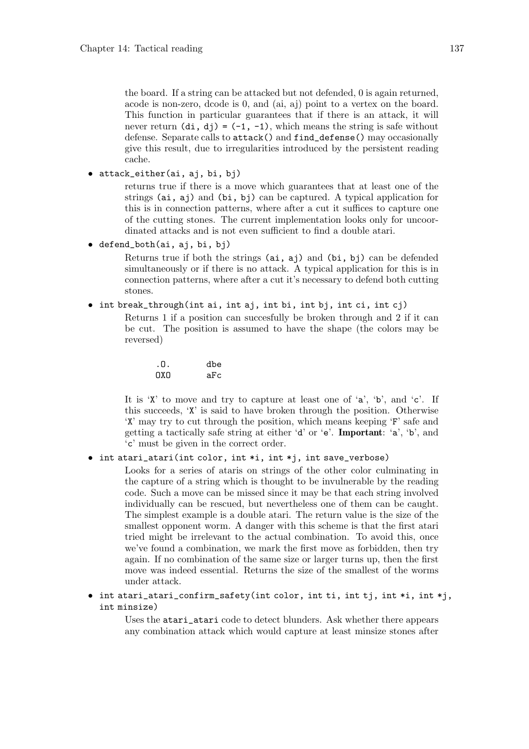the board. If a string can be attacked but not defended, 0 is again returned, acode is non-zero, dcode is 0, and (ai, aj) point to a vertex on the board. This function in particular guarantees that if there is an attack, it will never return  $(d_i, d_j) = (-1, -1)$ , which means the string is safe without defense. Separate calls to attack() and find\_defense() may occasionally give this result, due to irregularities introduced by the persistent reading cache.

• attack\_either(ai, aj, bi, bj)

returns true if there is a move which guarantees that at least one of the strings (ai, aj) and (bi, bj) can be captured. A typical application for this is in connection patterns, where after a cut it suffices to capture one of the cutting stones. The current implementation looks only for uncoordinated attacks and is not even sufficient to find a double atari.

• defend\_both(ai, aj, bi, bj)

Returns true if both the strings (ai, aj) and (bi, bj) can be defended simultaneously or if there is no attack. A typical application for this is in connection patterns, where after a cut it's necessary to defend both cutting stones.

• int break\_through(int ai, int aj, int bi, int bj, int ci, int cj)

Returns 1 if a position can succesfully be broken through and 2 if it can be cut. The position is assumed to have the shape (the colors may be reversed)

.O. dbe OXO aFc

It is 'X' to move and try to capture at least one of 'a', 'b', and 'c'. If this succeeds, 'X' is said to have broken through the position. Otherwise 'X' may try to cut through the position, which means keeping 'F' safe and getting a tactically safe string at either 'd' or 'e'. Important: 'a', 'b', and 'c' must be given in the correct order.

• int atari\_atari(int color, int \*i, int \*j, int save\_verbose)

Looks for a series of ataris on strings of the other color culminating in the capture of a string which is thought to be invulnerable by the reading code. Such a move can be missed since it may be that each string involved individually can be rescued, but nevertheless one of them can be caught. The simplest example is a double atari. The return value is the size of the smallest opponent worm. A danger with this scheme is that the first atari tried might be irrelevant to the actual combination. To avoid this, once we've found a combination, we mark the first move as forbidden, then try again. If no combination of the same size or larger turns up, then the first move was indeed essential. Returns the size of the smallest of the worms under attack.

• int atari\_atari\_confirm\_safety(int color, int ti, int tj, int \*i, int \*j, int minsize)

> Uses the atari\_atari code to detect blunders. Ask whether there appears any combination attack which would capture at least minsize stones after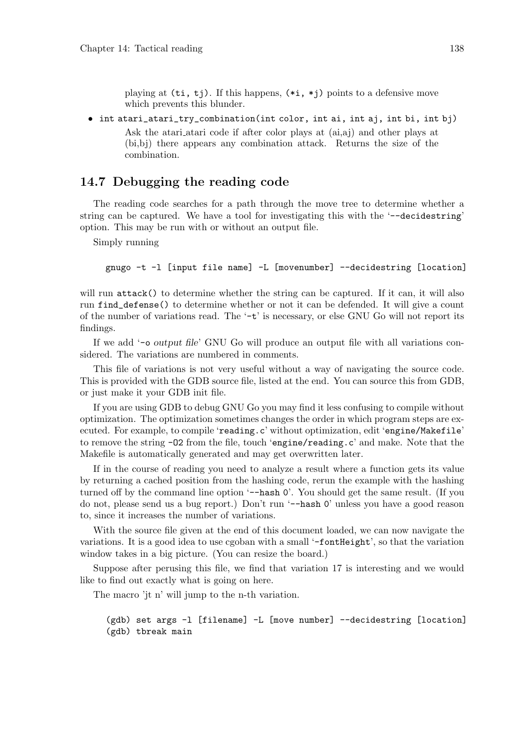playing at  $(\pm i, \pm j)$ . If this happens,  $(*i, *j)$  points to a defensive move which prevents this blunder.

• int atari\_atari\_try\_combination(int color, int ai, int aj, int bi, int bj) Ask the atari atari code if after color plays at (ai,aj) and other plays at (bi,bj) there appears any combination attack. Returns the size of the combination.

## 14.7 Debugging the reading code

The reading code searches for a path through the move tree to determine whether a string can be captured. We have a tool for investigating this with the '--decidestring' option. This may be run with or without an output file.

Simply running

gnugo -t -l [input file name] -L [movenumber] --decidestring [location]

will run attack() to determine whether the string can be captured. If it can, it will also run find\_defense() to determine whether or not it can be defended. It will give a count of the number of variations read. The  $\div t$  is necessary, or else GNU Go will not report its findings.

If we add '-o output file' GNU Go will produce an output file with all variations considered. The variations are numbered in comments.

This file of variations is not very useful without a way of navigating the source code. This is provided with the GDB source file, listed at the end. You can source this from GDB, or just make it your GDB init file.

If you are using GDB to debug GNU Go you may find it less confusing to compile without optimization. The optimization sometimes changes the order in which program steps are executed. For example, to compile 'reading.c' without optimization, edit 'engine/Makefile' to remove the string -O2 from the file, touch 'engine/reading.c' and make. Note that the Makefile is automatically generated and may get overwritten later.

If in the course of reading you need to analyze a result where a function gets its value by returning a cached position from the hashing code, rerun the example with the hashing turned off by the command line option '--hash 0'. You should get the same result. (If you do not, please send us a bug report.) Don't run '--hash 0' unless you have a good reason to, since it increases the number of variations.

With the source file given at the end of this document loaded, we can now navigate the variations. It is a good idea to use cgoban with a small '-fontHeight', so that the variation window takes in a big picture. (You can resize the board.)

Suppose after perusing this file, we find that variation 17 is interesting and we would like to find out exactly what is going on here.

The macro 'jt n' will jump to the n-th variation.

```
(gdb) set args -l [filename] -L [move number] --decidestring [location]
(gdb) tbreak main
```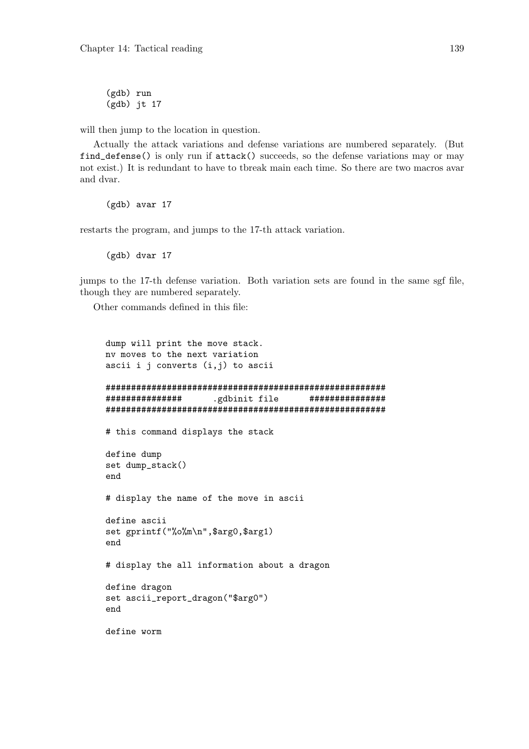(gdb) run (gdb) jt 17

will then jump to the location in question.

Actually the attack variations and defense variations are numbered separately. (But find\_defense() is only run if attack() succeeds, so the defense variations may or may not exist.) It is redundant to have to tbreak main each time. So there are two macros avar and dvar.

(gdb) avar 17

restarts the program, and jumps to the 17-th attack variation.

(gdb) dvar 17

jumps to the 17-th defense variation. Both variation sets are found in the same sgf file, though they are numbered separately.

Other commands defined in this file:

```
dump will print the move stack.
nv moves to the next variation
ascii i j converts (i, j) to ascii
#######################################################
############### .gdbinit file ###############
#######################################################
# this command displays the stack
define dump
set dump_stack()
end
# display the name of the move in ascii
define ascii
set gprintf("%o%m\n",$arg0,$arg1)
end
# display the all information about a dragon
define dragon
set ascii_report_dragon("$arg0")
end
define worm
```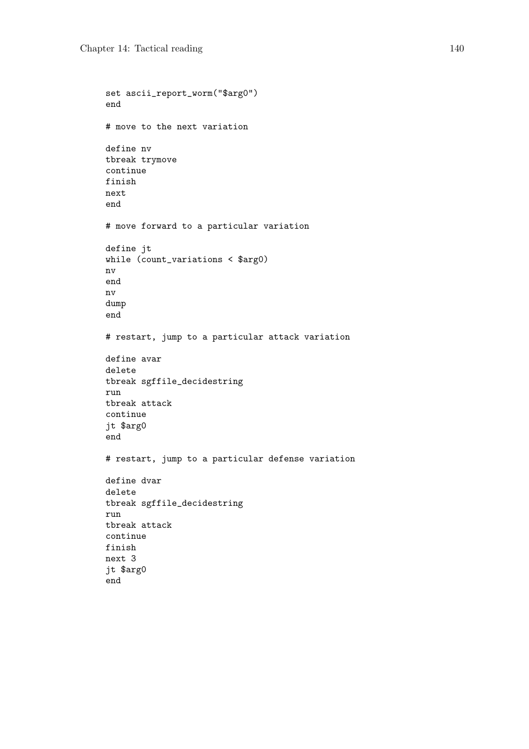```
set ascii_report_worm("$arg0")
end
# move to the next variation
define nv
tbreak trymove
continue
finish
next
end
# move forward to a particular variation
define jt
while (count_variations < $arg0)
nv
end
nv
dump
end
# restart, jump to a particular attack variation
define avar
delete
tbreak sgffile_decidestring
run
tbreak attack
continue
jt $arg0
end
# restart, jump to a particular defense variation
define dvar
delete
tbreak sgffile_decidestring
run
tbreak attack
continue
finish
next 3
jt $arg0
end
```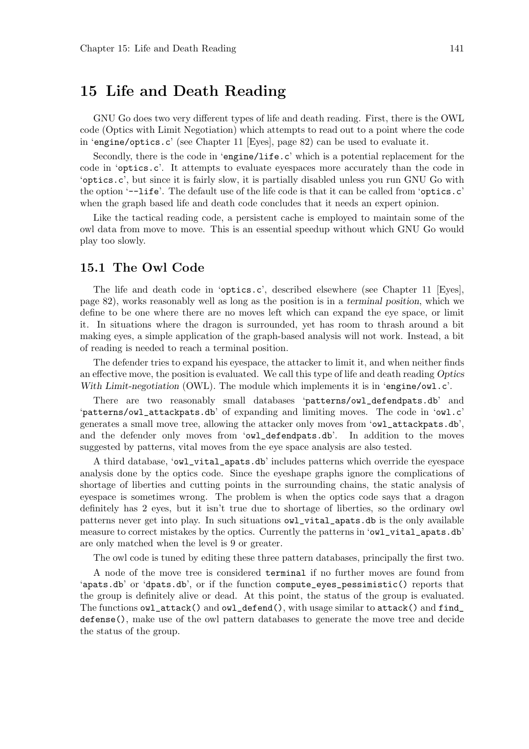# 15 Life and Death Reading

GNU Go does two very different types of life and death reading. First, there is the OWL code (Optics with Limit Negotiation) which attempts to read out to a point where the code in 'engine/optics.c' (see Chapter 11 [Eyes], page 82) can be used to evaluate it.

Secondly, there is the code in 'engine/life.c' which is a potential replacement for the code in 'optics.c'. It attempts to evaluate eyespaces more accurately than the code in 'optics.c', but since it is fairly slow, it is partially disabled unless you run GNU Go with the option '--life'. The default use of the life code is that it can be called from 'optics.c' when the graph based life and death code concludes that it needs an expert opinion.

Like the tactical reading code, a persistent cache is employed to maintain some of the owl data from move to move. This is an essential speedup without which GNU Go would play too slowly.

## 15.1 The Owl Code

The life and death code in 'optics.c', described elsewhere (see Chapter 11 [Eyes], page 82), works reasonably well as long as the position is in a terminal position, which we define to be one where there are no moves left which can expand the eye space, or limit it. In situations where the dragon is surrounded, yet has room to thrash around a bit making eyes, a simple application of the graph-based analysis will not work. Instead, a bit of reading is needed to reach a terminal position.

The defender tries to expand his eyespace, the attacker to limit it, and when neither finds an effective move, the position is evaluated. We call this type of life and death reading Optics With Limit-negotiation (OWL). The module which implements it is in 'engine/owl.c'.

There are two reasonably small databases 'patterns/owl\_defendpats.db' and 'patterns/owl\_attackpats.db' of expanding and limiting moves. The code in 'owl.c' generates a small move tree, allowing the attacker only moves from 'owl\_attackpats.db', and the defender only moves from 'owl\_defendpats.db'. In addition to the moves suggested by patterns, vital moves from the eye space analysis are also tested.

A third database, 'owl\_vital\_apats.db' includes patterns which override the eyespace analysis done by the optics code. Since the eyeshape graphs ignore the complications of shortage of liberties and cutting points in the surrounding chains, the static analysis of eyespace is sometimes wrong. The problem is when the optics code says that a dragon definitely has 2 eyes, but it isn't true due to shortage of liberties, so the ordinary owl patterns never get into play. In such situations owl\_vital\_apats.db is the only available measure to correct mistakes by the optics. Currently the patterns in 'owl\_vital\_apats.db' are only matched when the level is 9 or greater.

The owl code is tuned by editing these three pattern databases, principally the first two.

A node of the move tree is considered terminal if no further moves are found from 'apats.db' or 'dpats.db', or if the function compute\_eyes\_pessimistic() reports that the group is definitely alive or dead. At this point, the status of the group is evaluated. The functions  $\texttt{owl}\_\texttt{attack}()$  and  $\texttt{owl}\_\texttt{default}()$ , with usage similar to attack() and find defense(), make use of the owl pattern databases to generate the move tree and decide the status of the group.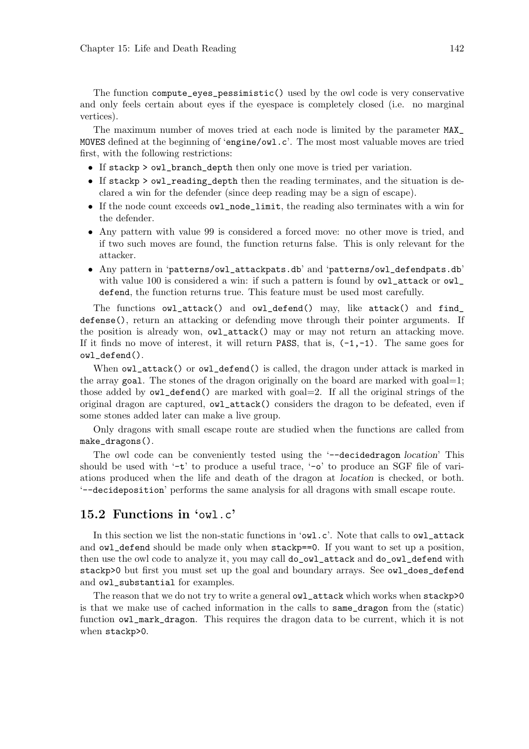The function compute\_eyes\_pessimistic() used by the owl code is very conservative and only feels certain about eyes if the eyespace is completely closed (i.e. no marginal vertices).

The maximum number of moves tried at each node is limited by the parameter MAX\_ MOVES defined at the beginning of 'engine/owl.c'. The most most valuable moves are tried first, with the following restrictions:

- If stackp > owl\_branch\_depth then only one move is tried per variation.
- If stackp > owl\_reading\_depth then the reading terminates, and the situation is declared a win for the defender (since deep reading may be a sign of escape).
- If the node count exceeds owl\_node\_limit, the reading also terminates with a win for the defender.
- Any pattern with value 99 is considered a forced move: no other move is tried, and if two such moves are found, the function returns false. This is only relevant for the attacker.
- Any pattern in 'patterns/owl\_attackpats.db' and 'patterns/owl\_defendpats.db' with value 100 is considered a win: if such a pattern is found by  $\texttt{owl}\_attack}$  or  $\texttt{owl}\_$ defend, the function returns true. This feature must be used most carefully.

The functions owl\_attack() and owl\_defend() may, like attack() and find\_ defense(), return an attacking or defending move through their pointer arguments. If the position is already won, owl\_attack() may or may not return an attacking move. If it finds no move of interest, it will return PASS, that is,  $(-1, -1)$ . The same goes for owl\_defend().

When  $\text{owl}\_\text{attack}()$  or  $\text{owl}\_\text{defend}()$  is called, the dragon under attack is marked in the array goal. The stones of the dragon originally on the board are marked with goal=1; those added by  $\text{owl\_defined}()$  are marked with  $\text{goal}=2$ . If all the original strings of the original dragon are captured, owl\_attack() considers the dragon to be defeated, even if some stones added later can make a live group.

Only dragons with small escape route are studied when the functions are called from make\_dragons().

The owl code can be conveniently tested using the '--decidedragon location' This should be used with  $-t$  to produce a useful trace,  $\sim$  to produce an SGF file of variations produced when the life and death of the dragon at location is checked, or both. '--decideposition' performs the same analysis for all dragons with small escape route.

#### 15.2 Functions in 'owl.c'

In this section we list the non-static functions in 'owl.c'. Note that calls to owl\_attack and owl\_defend should be made only when stackp==0. If you want to set up a position, then use the owl code to analyze it, you may call do\_owl\_attack and do\_owl\_defend with stackp>0 but first you must set up the goal and boundary arrays. See owl\_does\_defend and owl\_substantial for examples.

The reason that we do not try to write a general owl\_attack which works when stackp>0 is that we make use of cached information in the calls to same\_dragon from the (static) function owl\_mark\_dragon. This requires the dragon data to be current, which it is not when stackp>0.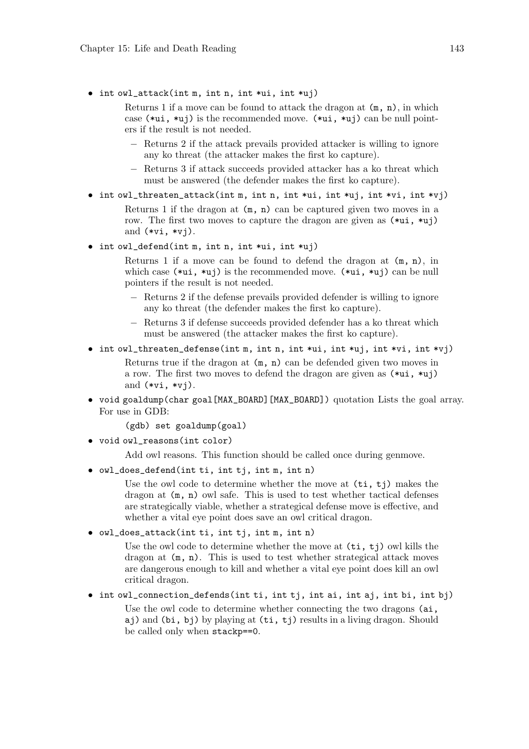• int owl\_attack(int m, int n, int \*ui, int \*uj)

Returns 1 if a move can be found to attack the dragon at  $(m, n)$ , in which case  $(*ui, *uj)$  is the recommended move.  $(*ui, *uj)$  can be null pointers if the result is not needed.

- − Returns 2 if the attack prevails provided attacker is willing to ignore any ko threat (the attacker makes the first ko capture).
- − Returns 3 if attack succeeds provided attacker has a ko threat which must be answered (the defender makes the first ko capture).
- int owl\_threaten\_attack(int m, int n, int \*ui, int \*uj, int \*vi, int \*vj)

Returns 1 if the dragon at  $(m, n)$  can be captured given two moves in a row. The first two moves to capture the dragon are given as (\*ui, \*uj) and  $(*vi, *vi)$ .

 $\bullet$  int owl\_defend(int m, int n, int \*ui, int \*uj)

Returns 1 if a move can be found to defend the dragon at  $(m, n)$ , in which case  $(*ui, *ui)$  is the recommended move.  $(*ui, *ui)$  can be null pointers if the result is not needed.

- − Returns 2 if the defense prevails provided defender is willing to ignore any ko threat (the defender makes the first ko capture).
- − Returns 3 if defense succeeds provided defender has a ko threat which must be answered (the attacker makes the first ko capture).
- int owl\_threaten\_defense(int m, int n, int \*ui, int \*uj, int \*vi, int \*vj)

Returns true if the dragon at (m, n) can be defended given two moves in a row. The first two moves to defend the dragon are given as (\*ui, \*uj) and  $(*vi, *vi)$ .

• void goaldump(char goal[MAX\_BOARD][MAX\_BOARD]) quotation Lists the goal array. For use in GDB:

(gdb) set goaldump(goal)

• void owl\_reasons(int color)

Add owl reasons. This function should be called once during genmove.

• owl\_does\_defend(int ti, int tj, int m, int n)

Use the owl code to determine whether the move at  $(\text{ti}, \text{ti})$  makes the dragon at (m, n) owl safe. This is used to test whether tactical defenses are strategically viable, whether a strategical defense move is effective, and whether a vital eye point does save an owl critical dragon.

• owl\_does\_attack(int ti, int tj, int m, int n)

Use the owl code to determine whether the move at  $(\text{ti}, \text{ti})$  owl kills the dragon at (m, n). This is used to test whether strategical attack moves are dangerous enough to kill and whether a vital eye point does kill an owl critical dragon.

• int owl\_connection\_defends(int ti, int tj, int ai, int aj, int bi, int bj)

Use the owl code to determine whether connecting the two dragons  $(ai, f)$ aj) and (bi, bj) by playing at (ti, tj) results in a living dragon. Should be called only when stackp==0.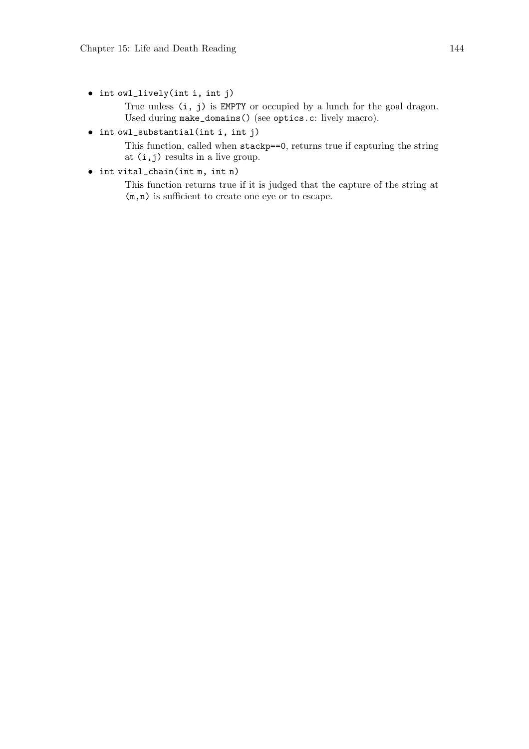• int owl\_lively(int i, int j)

True unless (i, j) is EMPTY or occupied by a lunch for the goal dragon. Used during make\_domains() (see optics.c: lively macro).

• int owl\_substantial(int i, int j)

This function, called when stackp==0, returns true if capturing the string at (i,j) results in a live group.

• int vital\_chain(int m, int n)

This function returns true if it is judged that the capture of the string at (m,n) is sufficient to create one eye or to escape.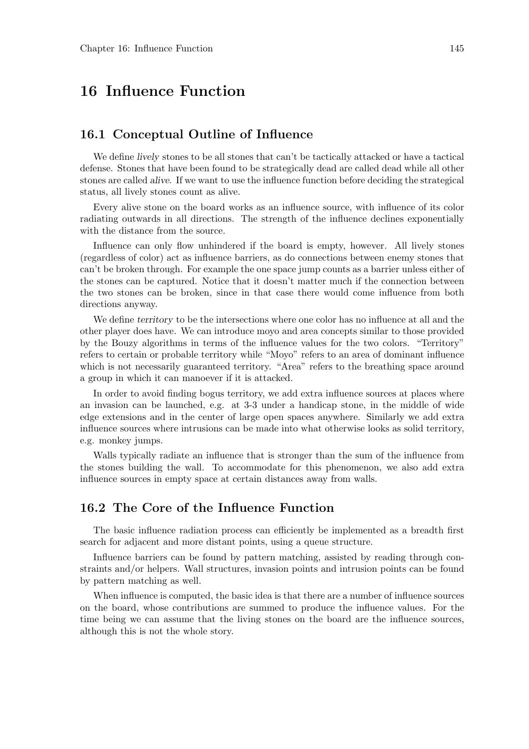## 16 Influence Function

#### 16.1 Conceptual Outline of Influence

We define *lively* stones to be all stones that can't be tactically attacked or have a tactical defense. Stones that have been found to be strategically dead are called dead while all other stones are called alive. If we want to use the influence function before deciding the strategical status, all lively stones count as alive.

Every alive stone on the board works as an influence source, with influence of its color radiating outwards in all directions. The strength of the influence declines exponentially with the distance from the source.

Influence can only flow unhindered if the board is empty, however. All lively stones (regardless of color) act as influence barriers, as do connections between enemy stones that can't be broken through. For example the one space jump counts as a barrier unless either of the stones can be captured. Notice that it doesn't matter much if the connection between the two stones can be broken, since in that case there would come influence from both directions anyway.

We define territory to be the intersections where one color has no influence at all and the other player does have. We can introduce moyo and area concepts similar to those provided by the Bouzy algorithms in terms of the influence values for the two colors. "Territory" refers to certain or probable territory while "Moyo" refers to an area of dominant influence which is not necessarily guaranteed territory. "Area" refers to the breathing space around a group in which it can manoever if it is attacked.

In order to avoid finding bogus territory, we add extra influence sources at places where an invasion can be launched, e.g. at 3-3 under a handicap stone, in the middle of wide edge extensions and in the center of large open spaces anywhere. Similarly we add extra influence sources where intrusions can be made into what otherwise looks as solid territory, e.g. monkey jumps.

Walls typically radiate an influence that is stronger than the sum of the influence from the stones building the wall. To accommodate for this phenomenon, we also add extra influence sources in empty space at certain distances away from walls.

### 16.2 The Core of the Influence Function

The basic influence radiation process can efficiently be implemented as a breadth first search for adjacent and more distant points, using a queue structure.

Influence barriers can be found by pattern matching, assisted by reading through constraints and/or helpers. Wall structures, invasion points and intrusion points can be found by pattern matching as well.

When influence is computed, the basic idea is that there are a number of influence sources on the board, whose contributions are summed to produce the influence values. For the time being we can assume that the living stones on the board are the influence sources, although this is not the whole story.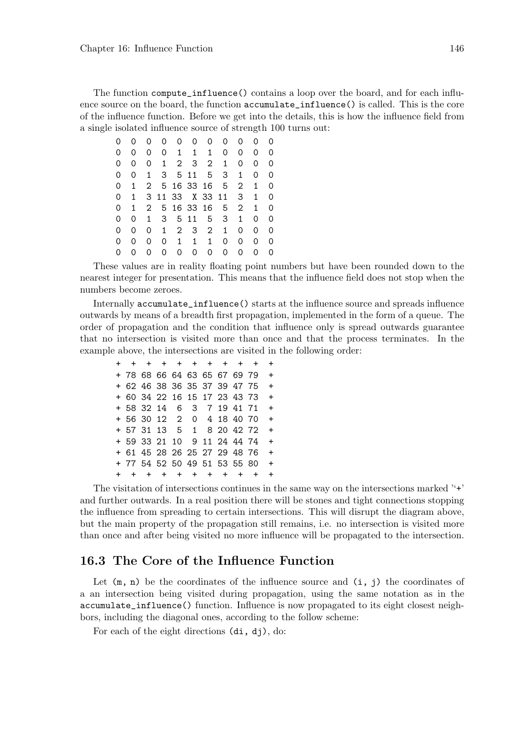The function compute\_influence() contains a loop over the board, and for each influence source on the board, the function accumulate\_influence() is called. This is the core of the influence function. Before we get into the details, this is how the influence field from a single isolated influence source of strength 100 turns out:

|   |   | 0            | Ω        | 0            | 0            | 0                     | Ω | Ω              |   |   |
|---|---|--------------|----------|--------------|--------------|-----------------------|---|----------------|---|---|
| 0 | Ω | 0            | $\Omega$ | $\mathbf{1}$ | 1            | $\mathbf{1}$          | 0 | 0              | 0 | 0 |
| 0 | 0 | 0            | 1        | $2^{\circ}$  | 3            | $\mathbf{2}^{\prime}$ | 1 | Ω              | Ω | 0 |
| 0 | 0 | 1            | 3        |              | 5 11         | 5                     | 3 | 1              | 0 | 0 |
| 0 | 1 |              |          |              |              | 2 5 16 33 16          | 5 | 2              | 1 | 0 |
| 0 | 1 |              |          |              |              | 3 11 33 X 33 11       |   | 3              | 1 | 0 |
| 0 | 1 | $\mathbf{2}$ |          |              |              | 5 16 33 16            | 5 | $\overline{2}$ | 1 | 0 |
| 0 | 0 | 1            | 3        |              | 5 11         | 5                     | 3 | 1              | 0 | 0 |
| 0 | 0 | 0            | 1        | $\mathbf{2}$ | 3            | $2^{\circ}$           | 1 | 0              | 0 | 0 |
| 0 | O | 0            | 0        | $\mathbf{1}$ | $\mathbf{1}$ | $\mathbf{1}$          | 0 | 0              | 0 | 0 |
| 0 | Ω | Ω            | Ω        | 0            | 0            | 0                     | Ω | 0              | 0 | 0 |

These values are in reality floating point numbers but have been rounded down to the nearest integer for presentation. This means that the influence field does not stop when the numbers become zeroes.

Internally accumulate\_influence() starts at the influence source and spreads influence outwards by means of a breadth first propagation, implemented in the form of a queue. The order of propagation and the condition that influence only is spread outwards guarantee that no intersection is visited more than once and that the process terminates. In the example above, the intersections are visited in the following order:

|  |  |                              |  |  | + + + + + + + + + + + |     |
|--|--|------------------------------|--|--|-----------------------|-----|
|  |  | + 78 68 66 64 63 65 67 69 79 |  |  |                       | $+$ |
|  |  | + 62 46 38 36 35 37 39 47 75 |  |  |                       | $+$ |
|  |  | + 60 34 22 16 15 17 23 43 73 |  |  |                       | $+$ |
|  |  | + 58 32 14 6 3 7 19 41 71    |  |  |                       | $+$ |
|  |  | + 56 30 12 2 0 4 18 40 70    |  |  |                       | $+$ |
|  |  | + 57 31 13 5 1 8 20 42 72    |  |  |                       | $+$ |
|  |  | + 59 33 21 10 9 11 24 44 74  |  |  |                       | $+$ |
|  |  | + 61 45 28 26 25 27 29 48 76 |  |  |                       | $+$ |
|  |  | + 77 54 52 50 49 51 53 55 80 |  |  |                       | $+$ |
|  |  | + + + + + + + + +            |  |  | $+$                   | $+$ |

The visitation of intersections continues in the same way on the intersections marked  $4+1$ and further outwards. In a real position there will be stones and tight connections stopping the influence from spreading to certain intersections. This will disrupt the diagram above, but the main property of the propagation still remains, i.e. no intersection is visited more than once and after being visited no more influence will be propagated to the intersection.

#### 16.3 The Core of the Influence Function

Let  $(m, n)$  be the coordinates of the influence source and  $(i, j)$  the coordinates of a an intersection being visited during propagation, using the same notation as in the accumulate\_influence() function. Influence is now propagated to its eight closest neighbors, including the diagonal ones, according to the follow scheme:

For each of the eight directions (di, dj), do: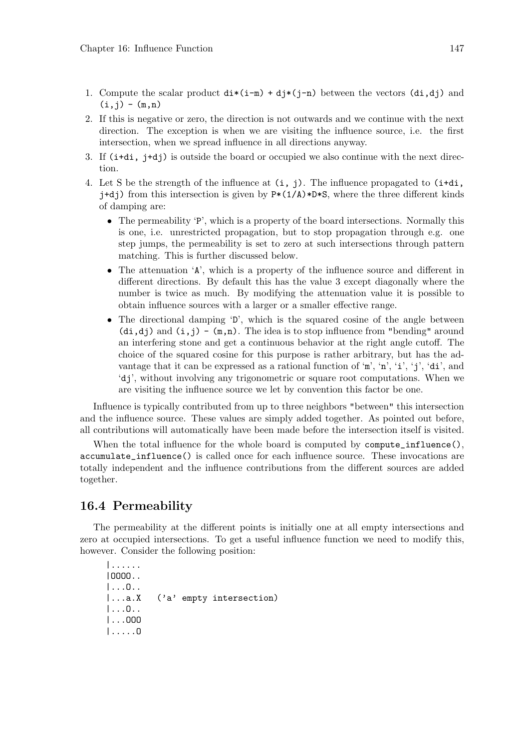- 1. Compute the scalar product  $\text{di}*(\text{i}-m) + \text{di}*(\text{j}-n)$  between the vectors  $(\text{di},\text{d}i)$  and  $(i, j) - (m, n)$
- 2. If this is negative or zero, the direction is not outwards and we continue with the next direction. The exception is when we are visiting the influence source, i.e. the first intersection, when we spread influence in all directions anyway.
- 3. If (i+di, j+dj) is outside the board or occupied we also continue with the next direction.
- 4. Let S be the strength of the influence at  $(i, j)$ . The influence propagated to  $(i+d_i)$ ,  $j+d$ j) from this intersection is given by  $P*(1/A)*D*S$ , where the three different kinds of damping are:
	- The permeability 'P', which is a property of the board intersections. Normally this is one, i.e. unrestricted propagation, but to stop propagation through e.g. one step jumps, the permeability is set to zero at such intersections through pattern matching. This is further discussed below.
	- The attenuation 'A', which is a property of the influence source and different in different directions. By default this has the value 3 except diagonally where the number is twice as much. By modifying the attenuation value it is possible to obtain influence sources with a larger or a smaller effective range.
	- The directional damping 'D', which is the squared cosine of the angle between  $(\text{di},\text{di})$  and  $(i,j) - (m,n)$ . The idea is to stop influence from "bending" around an interfering stone and get a continuous behavior at the right angle cutoff. The choice of the squared cosine for this purpose is rather arbitrary, but has the advantage that it can be expressed as a rational function of 'm', 'n', 'i', 'i', 'di', and 'dj', without involving any trigonometric or square root computations. When we are visiting the influence source we let by convention this factor be one.

Influence is typically contributed from up to three neighbors "between" this intersection and the influence source. These values are simply added together. As pointed out before, all contributions will automatically have been made before the intersection itself is visited.

When the total influence for the whole board is computed by  $\text{compute\_influence}()$ , accumulate\_influence() is called once for each influence source. These invocations are totally independent and the influence contributions from the different sources are added together.

### 16.4 Permeability

The permeability at the different points is initially one at all empty intersections and zero at occupied intersections. To get a useful influence function we need to modify this, however. Consider the following position:

|...... |OOOO.. |...O.. |...a.X ('a' empty intersection) |...O.. |...OOO |.....O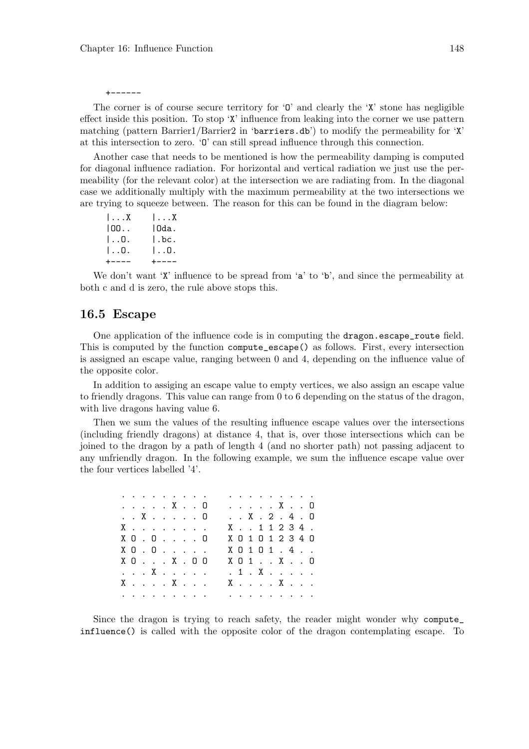+------

The corner is of course secure territory for  $\mathcal{O}'$  and clearly the  $\mathcal{X}'$  stone has negligible effect inside this position. To stop 'X' influence from leaking into the corner we use pattern matching (pattern Barrier1/Barrier2 in 'barriers.db') to modify the permeability for 'X' at this intersection to zero. 'O' can still spread influence through this connection.

Another case that needs to be mentioned is how the permeability damping is computed for diagonal influence radiation. For horizontal and vertical radiation we just use the permeability (for the relevant color) at the intersection we are radiating from. In the diagonal case we additionally multiply with the maximum permeability at the two intersections we are trying to squeeze between. The reason for this can be found in the diagram below:

| $1 \ldots X$       | $ \ldots X$ |
|--------------------|-------------|
| 100                | IOda.       |
| $\vert \ldots 0$ . | l.bc.       |
| $\vert \ldots 0$ . | IO.         |
| +----              | $+ - - - -$ |

We don't want 'X' influence to be spread from  $a$ ' to 'b', and since the permeability at both c and d is zero, the rule above stops this.

#### 16.5 Escape

One application of the influence code is in computing the dragon.escape\_route field. This is computed by the function compute\_escape() as follows. First, every intersection is assigned an escape value, ranging between 0 and 4, depending on the influence value of the opposite color.

In addition to assiging an escape value to empty vertices, we also assign an escape value to friendly dragons. This value can range from 0 to 6 depending on the status of the dragon, with live dragons having value 6.

Then we sum the values of the resulting influence escape values over the intersections (including friendly dragons) at distance 4, that is, over those intersections which can be joined to the dragon by a path of length 4 (and no shorter path) not passing adjacent to any unfriendly dragon. In the following example, we sum the influence escape value over the four vertices labelled '4'.

|  |  | .                                     |  |  |  |  |  | .                               |  |
|--|--|---------------------------------------|--|--|--|--|--|---------------------------------|--|
|  |  | . X 0                                 |  |  |  |  |  | . X 0                           |  |
|  |  | . . X 0                               |  |  |  |  |  | . . X. 2. 4. 0                  |  |
|  |  | X                                     |  |  |  |  |  | $X \t . \t 1 1 2 3 4$ .         |  |
|  |  | $X$ $0$ $\ldots$ $0$ $\ldots$ $0$     |  |  |  |  |  | X 0 1 0 1 2 3 4 0               |  |
|  |  | $X$ $0$ $\ldots$ $\ldots$ $\ldots$    |  |  |  |  |  | $X$ 0 1 0 1 $\ldots$ 4 $\ldots$ |  |
|  |  | $X$ $0$ $\ldots$ $X$ $\ldots$ $0$ $0$ |  |  |  |  |  | $X$ 0 1 $\ldots$ $X$ $\ldots$ 0 |  |
|  |  | . X                                   |  |  |  |  |  | . 1 . X                         |  |
|  |  | X. X.                                 |  |  |  |  |  | X. X.                           |  |
|  |  | .                                     |  |  |  |  |  | a na karamatan a sa             |  |
|  |  |                                       |  |  |  |  |  |                                 |  |

Since the dragon is trying to reach safety, the reader might wonder why compute\_ influence() is called with the opposite color of the dragon contemplating escape. To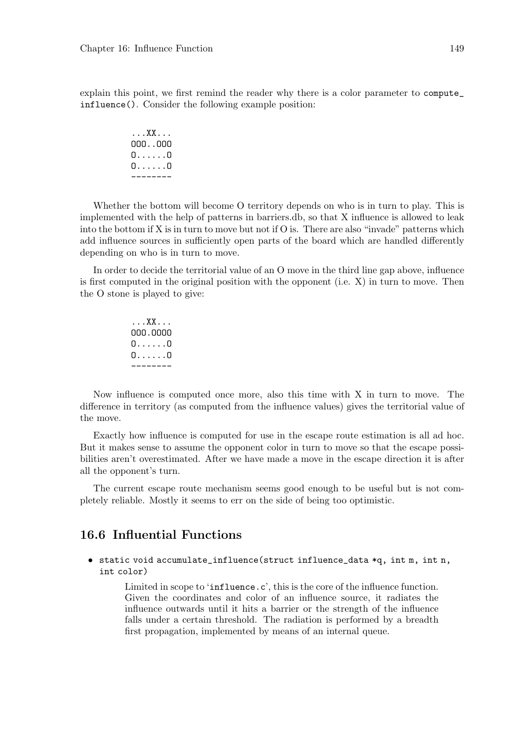explain this point, we first remind the reader why there is a color parameter to compute\_ influence(). Consider the following example position:

> ...XX... OOO..OOO O......O O......O --------

Whether the bottom will become O territory depends on who is in turn to play. This is implemented with the help of patterns in barriers.db, so that X influence is allowed to leak into the bottom if  $X$  is in turn to move but not if  $O$  is. There are also "invade" patterns which add influence sources in sufficiently open parts of the board which are handled differently depending on who is in turn to move.

In order to decide the territorial value of an O move in the third line gap above, influence is first computed in the original position with the opponent (i.e. X) in turn to move. Then the O stone is played to give:

> ...XX... OOO.OOOO O......O O......O --------

Now influence is computed once more, also this time with X in turn to move. The difference in territory (as computed from the influence values) gives the territorial value of the move.

Exactly how influence is computed for use in the escape route estimation is all ad hoc. But it makes sense to assume the opponent color in turn to move so that the escape possibilities aren't overestimated. After we have made a move in the escape direction it is after all the opponent's turn.

The current escape route mechanism seems good enough to be useful but is not completely reliable. Mostly it seems to err on the side of being too optimistic.

### 16.6 Influential Functions

• static void accumulate\_influence(struct influence\_data \*q, int m, int n, int color)

> Limited in scope to 'influence.c', this is the core of the influence function. Given the coordinates and color of an influence source, it radiates the influence outwards until it hits a barrier or the strength of the influence falls under a certain threshold. The radiation is performed by a breadth first propagation, implemented by means of an internal queue.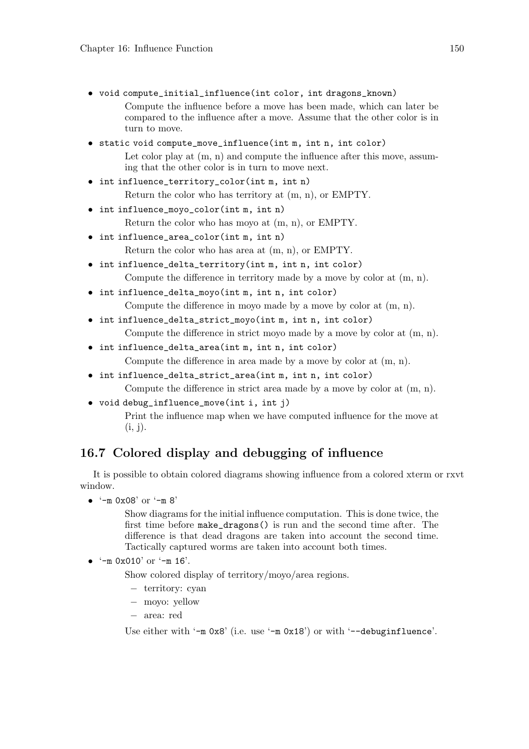- void compute\_initial\_influence(int color, int dragons\_known) Compute the influence before a move has been made, which can later be compared to the influence after a move. Assume that the other color is in turn to move.
- static void compute\_move\_influence(int m, int n, int color) Let color play at  $(m, n)$  and compute the influence after this move, assuming that the other color is in turn to move next.
- int influence\_territory\_color(int m, int n) Return the color who has territory at (m, n), or EMPTY.
- int influence\_moyo\_color(int m, int n)

Return the color who has moyo at (m, n), or EMPTY.

- int influence\_area\_color(int m, int n) Return the color who has area at (m, n), or EMPTY.
- int influence\_delta\_territory(int m, int n, int color) Compute the difference in territory made by a move by color at (m, n).
- int influence\_delta\_moyo(int m, int n, int color) Compute the difference in moyo made by a move by color at (m, n).
- int influence\_delta\_strict\_moyo(int m, int n, int color) Compute the difference in strict moyo made by a move by color at (m, n).
- int influence\_delta\_area(int m, int n, int color) Compute the difference in area made by a move by color at (m, n).
- int influence\_delta\_strict\_area(int m, int n, int color) Compute the difference in strict area made by a move by color at (m, n).
- void debug\_influence\_move(int i, int j)

Print the influence map when we have computed influence for the move at  $(i, j).$ 

## 16.7 Colored display and debugging of influence

It is possible to obtain colored diagrams showing influence from a colored xterm or rxvt window.

• '-m 0x08' or '-m 8'

Show diagrams for the initial influence computation. This is done twice, the first time before make\_dragons() is run and the second time after. The difference is that dead dragons are taken into account the second time. Tactically captured worms are taken into account both times.

•  $-$ m 0x010' or  $-$ m 16'.

Show colored display of territory/moyo/area regions.

- − territory: cyan
- − moyo: yellow
- − area: red

Use either with  $-$ m 0x8' (i.e. use  $-$ m 0x18') or with  $-$ -debuginfluence'.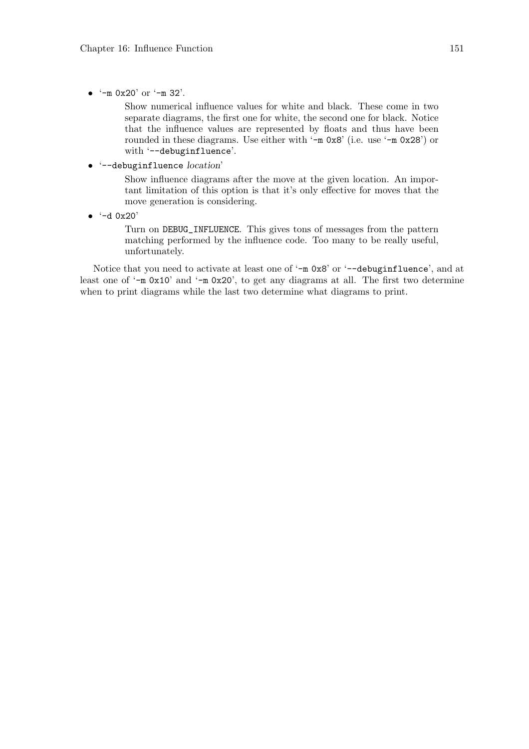•  $(-m \ 0x20' \ 0r \ (-m \ 32').$ 

Show numerical influence values for white and black. These come in two separate diagrams, the first one for white, the second one for black. Notice that the influence values are represented by floats and thus have been rounded in these diagrams. Use either with '-m 0x8' (i.e. use '-m 0x28') or with '--debuginfluence'.

• '--debuginfluence location'

Show influence diagrams after the move at the given location. An important limitation of this option is that it's only effective for moves that the move generation is considering.

 $\bullet$   $\cdot$  -d 0x20'

Turn on DEBUG\_INFLUENCE. This gives tons of messages from the pattern matching performed by the influence code. Too many to be really useful, unfortunately.

Notice that you need to activate at least one of '-m  $0x8$ ' or '--debuginfluence', and at least one of '-m 0x10' and '-m 0x20', to get any diagrams at all. The first two determine when to print diagrams while the last two determine what diagrams to print.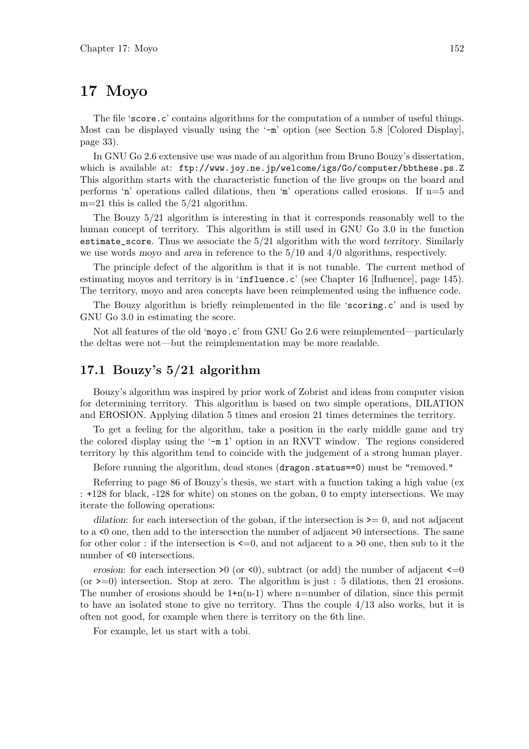## 17 Moyo

The file 'score.c' contains algorithms for the computation of a number of useful things. Most can be displayed visually using the '-m' option (see Section 5.8 [Colored Display], page 33).

In GNU Go 2.6 extensive use was made of an algorithm from Bruno Bouzy's dissertation, which is available at: ftp://www.joy.ne.jp/welcome/igs/Go/computer/bbthese.ps.Z This algorithm starts with the characteristic function of the live groups on the board and performs 'n' operations called dilations, then 'm' operations called erosions. If  $n=5$  and  $m=21$  this is called the  $5/21$  algorithm.

The Bouzy 5/21 algorithm is interesting in that it corresponds reasonably well to the human concept of territory. This algorithm is still used in GNU Go 3.0 in the function estimate\_score. Thus we associate the 5/21 algorithm with the word territory. Similarly we use words moyo and area in reference to the 5/10 and 4/0 algorithms, respectively.

The principle defect of the algorithm is that it is not tunable. The current method of estimating moyos and territory is in 'influence.c' (see Chapter 16 [Influence], page 145). The territory, moyo and area concepts have been reimplemented using the influence code.

The Bouzy algorithm is briefly reimplemented in the file 'scoring.c' and is used by GNU Go 3.0 in estimating the score.

Not all features of the old 'moyo.c' from GNU Go 2.6 were reimplemented—particularly the deltas were not—but the reimplementation may be more readable.

### 17.1 Bouzy's 5/21 algorithm

Bouzy's algorithm was inspired by prior work of Zobrist and ideas from computer vision for determining territory. This algorithm is based on two simple operations, DILATION and EROSION. Applying dilation 5 times and erosion 21 times determines the territory.

To get a feeling for the algorithm, take a position in the early middle game and try the colored display using the '-m 1' option in an RXVT window. The regions considered territory by this algorithm tend to coincide with the judgement of a strong human player.

Before running the algorithm, dead stones (dragon.status==0) must be "removed."

Referring to page 86 of Bouzy's thesis, we start with a function taking a high value (ex : +128 for black, -128 for white) on stones on the goban, 0 to empty intersections. We may iterate the following operations:

dilation: for each intersection of the goban, if the intersection is  $\geq 0$ , and not adjacent to a <0 one, then add to the intersection the number of adjacent >0 intersections. The same for other color : if the intersection is  $\leq=0$ , and not adjacent to a  $\geq 0$  one, then sub to it the number of <0 intersections.

erosion: for each intersection  $\geq 0$  (or  $\leq 0$ ), subtract (or add) the number of adjacent  $\leq =0$ (or  $\geq=0$ ) intersection. Stop at zero. The algorithm is just : 5 dilations, then 21 erosions. The number of erosions should be  $1+n(n-1)$  where n=number of dilation, since this permit to have an isolated stone to give no territory. Thus the couple 4/13 also works, but it is often not good, for example when there is territory on the 6th line.

For example, let us start with a tobi.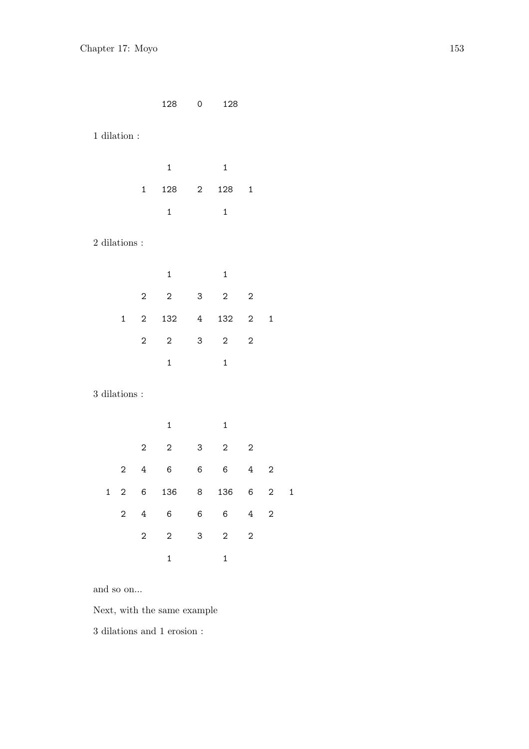|                       |                  |                  | 128                      | 0              | 128             |                         |                |              |  |
|-----------------------|------------------|------------------|--------------------------|----------------|-----------------|-------------------------|----------------|--------------|--|
| $1$ dilation $\colon$ |                  |                  |                          |                |                 |                         |                |              |  |
|                       |                  |                  | $\mathbf{1}$             |                | $\mathbf{1}$    |                         |                |              |  |
|                       |                  | $\mathbf{1}$     | 128                      | $\mathbf 2$    | 128             | $\mathbf 1$             |                |              |  |
|                       |                  |                  | $\mathbf 1$              |                | $\mathbf{1}$    |                         |                |              |  |
| $2$ dilations :       |                  |                  |                          |                |                 |                         |                |              |  |
|                       |                  |                  | $\mathbf 1$              |                | $\mathbf{1}$    |                         |                |              |  |
|                       |                  | $\overline{c}$   | $\overline{c}$           | 3              | $\sqrt{2}$      | $\overline{c}$          |                |              |  |
|                       | $\mathbf{1}$     | $\overline{2}$   | 132                      | 4              | 132             | $\overline{2}$          | $\mathbf 1$    |              |  |
|                       |                  | $\overline{2}$   | $\overline{2}$           | 3              | $\overline{2}$  | $\overline{c}$          |                |              |  |
|                       |                  |                  | $\mathbf{1}$             |                | $\mathbf{1}$    |                         |                |              |  |
| $3$ dilations :       |                  |                  |                          |                |                 |                         |                |              |  |
|                       |                  |                  | $\mathbf{1}$             |                | $\mathbf 1$     |                         |                |              |  |
|                       |                  | $\overline{c}$   | $\overline{2}$           | 3              | 2               | $\overline{c}$          |                |              |  |
|                       | 2                | $\ensuremath{4}$ | 6                        | 6              | 6               | $\ensuremath{4}$        | $\mathbf{2}$   |              |  |
| $\mathbf{1}$          | $\boldsymbol{2}$ | 6                | 136                      | 8              | 136             | 6                       | $\overline{c}$ | $\mathbf{1}$ |  |
|                       | 2                | $\overline{4}$   | $6\overline{6}$          | 6 <sup>1</sup> | $6\overline{6}$ | $4\quad 2$              |                |              |  |
|                       |                  | $\overline{2}$   | $\overline{\phantom{a}}$ | 3              | $2^{\circ}$     | $\overline{\mathbf{c}}$ |                |              |  |
|                       |                  |                  | $\mathbf{1}$             |                | $\mathbf{1}$    |                         |                |              |  |
|                       |                  |                  |                          |                |                 |                         |                |              |  |

and so on...

Next, with the same example

3 dilations and 1 erosion :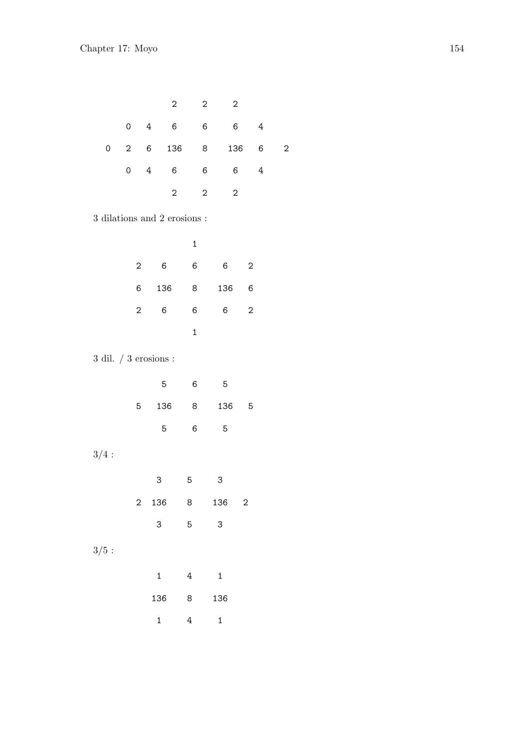|                             |                |                         | 2                                |              | $\overline{\mathbf{c}}$<br>$\overline{\mathbf{c}}$ |                         |                  |                         |
|-----------------------------|----------------|-------------------------|----------------------------------|--------------|----------------------------------------------------|-------------------------|------------------|-------------------------|
|                             | 0              | $4\overline{ }$         | 6                                |              | $\,6$                                              | 6 <sup>1</sup>          | $\ensuremath{4}$ |                         |
| $\overline{0}$              | $\overline{2}$ | $6\overline{6}$         | 136                              |              | 8                                                  | 136                     | 6                | $\overline{\mathbf{c}}$ |
|                             | 0              | $\overline{4}$          | 6                                |              | 6<br>6                                             |                         | $\overline{4}$   |                         |
|                             |                |                         | $\overline{c}$                   |              | $\sqrt{2}$<br>$\sqrt{2}$                           |                         |                  |                         |
|                             |                |                         | $3$ dilations and $2$ erosions : |              |                                                    |                         |                  |                         |
|                             |                |                         |                                  | $\mathbf 1$  |                                                    |                         |                  |                         |
|                             |                | $\overline{\mathbf{c}}$ | $6\phantom{.}6$                  | 6            | $6\phantom{.}6$                                    | $\boldsymbol{2}$        |                  |                         |
|                             |                | 6 <sup>1</sup>          | 136                              | 8            | 136                                                | 6                       |                  |                         |
|                             |                | $\overline{2}$          | 6                                | 6            | 6 <sup>1</sup>                                     | $\sqrt{2}$              |                  |                         |
|                             |                |                         |                                  | $\mathbf{1}$ |                                                    |                         |                  |                         |
| $3$ dil. $/$ $3$ erosions : |                |                         |                                  |              |                                                    |                         |                  |                         |
|                             |                |                         | 5                                | 6            | 5                                                  |                         |                  |                         |
|                             |                | 5                       | 136                              | 8            | 136                                                | 5                       |                  |                         |
|                             |                |                         | 5                                | 6            | 5                                                  |                         |                  |                         |
| 3/4:                        |                |                         |                                  |              |                                                    |                         |                  |                         |
|                             |                |                         | 3                                | 5            | 3                                                  |                         |                  |                         |
|                             |                | $\overline{c}$          | 136                              | 8            | 136                                                | $\overline{\mathbf{c}}$ |                  |                         |
|                             |                |                         | 3                                | 5            | 3                                                  |                         |                  |                         |
|                             |                |                         |                                  |              |                                                    |                         |                  |                         |
| 3/5:                        |                |                         |                                  |              |                                                    |                         |                  |                         |
|                             |                |                         | $\mathbf{1}$                     | 4            | $\mathbf{1}$                                       |                         |                  |                         |
|                             |                |                         | 136                              | 8            | 136                                                |                         |                  |                         |
|                             |                |                         | $\mathbf{1}$                     | 4            | $\mathbf{1}$                                       |                         |                  |                         |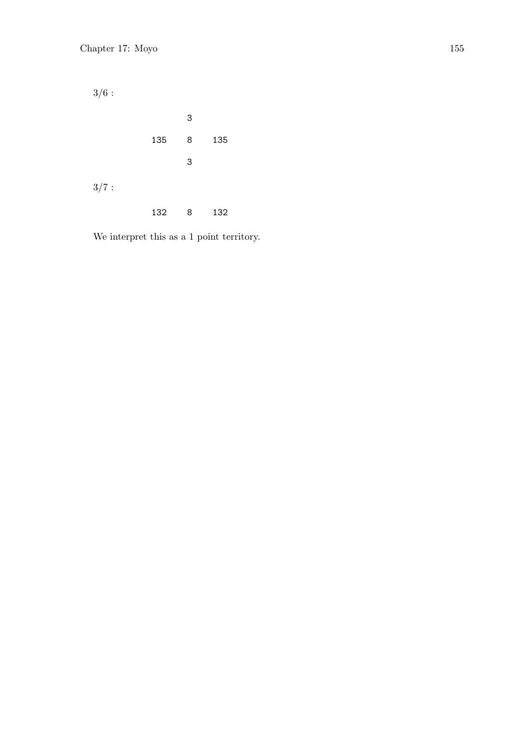$3/6:$ 3 135 8 135 3  $3/7:$ 132 8 132

We interpret this as a 1 point territory.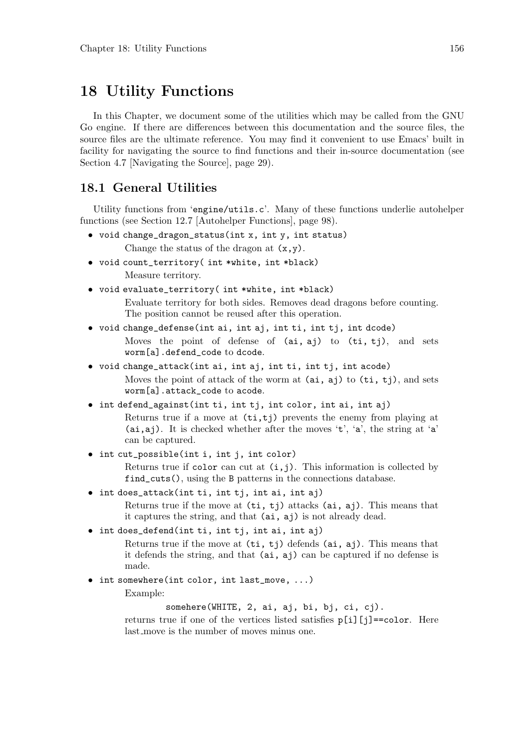## 18 Utility Functions

In this Chapter, we document some of the utilities which may be called from the GNU Go engine. If there are differences between this documentation and the source files, the source files are the ultimate reference. You may find it convenient to use Emacs' built in facility for navigating the source to find functions and their in-source documentation (see Section 4.7 [Navigating the Source], page 29).

### 18.1 General Utilities

Utility functions from 'engine/utils.c'. Many of these functions underlie autohelper functions (see Section 12.7 [Autohelper Functions], page 98).

- void change\_dragon\_status(int x, int y, int status) Change the status of the dragon at  $(x, y)$ .
- void count\_territory( int \*white, int \*black) Measure territory.
- void evaluate\_territory( int \*white, int \*black) Evaluate territory for both sides. Removes dead dragons before counting. The position cannot be reused after this operation.
- void change\_defense(int ai, int aj, int ti, int tj, int dcode) Moves the point of defense of (ai, aj) to (ti, tj), and sets worm[a].defend\_code to dcode.
- void change\_attack(int ai, int aj, int ti, int tj, int acode) Moves the point of attack of the worm at  $(ai, aj)$  to  $(ti, tj)$ , and sets worm[a].attack\_code to acode.
- int defend\_against(int ti, int tj, int color, int ai, int aj) Returns true if a move at  $(\text{ti},\text{ti})$  prevents the enemy from playing at (ai,aj). It is checked whether after the moves 't', 'a', the string at 'a' can be captured.
- int cut\_possible(int i, int j, int color)

Returns true if color can cut at  $(i, j)$ . This information is collected by find\_cuts(), using the B patterns in the connections database.

• int does\_attack(int ti, int tj, int ai, int aj)

Returns true if the move at  $(ti, tj)$  attacks  $(ai, aj)$ . This means that it captures the string, and that (ai, aj) is not already dead.

• int does\_defend(int ti, int tj, int ai, int aj)

Returns true if the move at  $(ti, tj)$  defends  $(ai, aj)$ . This means that it defends the string, and that (ai, aj) can be captured if no defense is made.

• int somewhere(int color, int last\_move, ...)

Example:

somehere(WHITE, 2, ai, aj, bi, bj, ci, cj).

returns true if one of the vertices listed satisfies  $p[i][i] == color$ . Here last move is the number of moves minus one.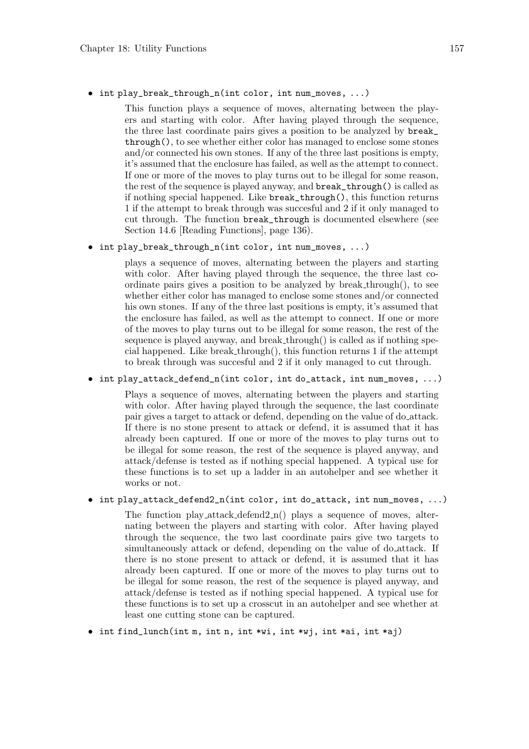• int play\_break\_through\_n(int color, int num\_moves, ...)

This function plays a sequence of moves, alternating between the players and starting with color. After having played through the sequence, the three last coordinate pairs gives a position to be analyzed by break\_ through(), to see whether either color has managed to enclose some stones and/or connected his own stones. If any of the three last positions is empty, it's assumed that the enclosure has failed, as well as the attempt to connect. If one or more of the moves to play turns out to be illegal for some reason, the rest of the sequence is played anyway, and break\_through() is called as if nothing special happened. Like break\_through(), this function returns 1 if the attempt to break through was succesful and 2 if it only managed to cut through. The function break\_through is documented elsewhere (see Section 14.6 [Reading Functions], page 136).

• int play\_break\_through\_n(int color, int num\_moves, ...)

plays a sequence of moves, alternating between the players and starting with color. After having played through the sequence, the three last coordinate pairs gives a position to be analyzed by break through(), to see whether either color has managed to enclose some stones and/or connected his own stones. If any of the three last positions is empty, it's assumed that the enclosure has failed, as well as the attempt to connect. If one or more of the moves to play turns out to be illegal for some reason, the rest of the sequence is played anyway, and break through() is called as if nothing special happened. Like break through(), this function returns 1 if the attempt to break through was succesful and 2 if it only managed to cut through.

• int play\_attack\_defend\_n(int color, int do\_attack, int num\_moves, ...)

Plays a sequence of moves, alternating between the players and starting with color. After having played through the sequence, the last coordinate pair gives a target to attack or defend, depending on the value of do attack. If there is no stone present to attack or defend, it is assumed that it has already been captured. If one or more of the moves to play turns out to be illegal for some reason, the rest of the sequence is played anyway, and attack/defense is tested as if nothing special happened. A typical use for these functions is to set up a ladder in an autohelper and see whether it works or not.

#### • int play\_attack\_defend2\_n(int color, int do\_attack, int num\_moves, ...)

The function play attack defend 2 n() plays a sequence of moves, alternating between the players and starting with color. After having played through the sequence, the two last coordinate pairs give two targets to simultaneously attack or defend, depending on the value of do<sub>-</sub>attack. If there is no stone present to attack or defend, it is assumed that it has already been captured. If one or more of the moves to play turns out to be illegal for some reason, the rest of the sequence is played anyway, and attack/defense is tested as if nothing special happened. A typical use for these functions is to set up a crosscut in an autohelper and see whether at least one cutting stone can be captured.

 $\bullet$  int find\_lunch(int m, int n, int \*wi, int \*wj, int \*ai, int \*aj)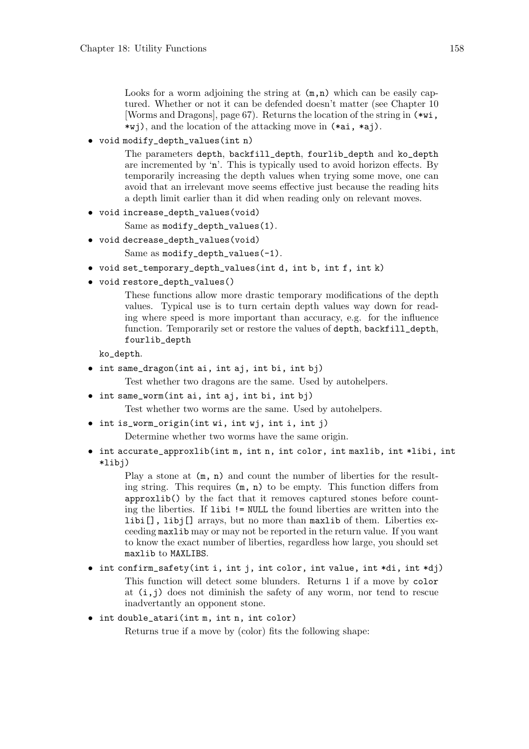Looks for a worm adjoining the string at  $(m,n)$  which can be easily captured. Whether or not it can be defended doesn't matter (see Chapter 10 [Worms and Dragons], page 67). Returns the location of the string in (\*wi, \*wj), and the location of the attacking move in (\*ai, \*aj).

• void modify\_depth\_values(int n)

The parameters depth, backfill\_depth, fourlib\_depth and ko\_depth are incremented by 'n'. This is typically used to avoid horizon effects. By temporarily increasing the depth values when trying some move, one can avoid that an irrelevant move seems effective just because the reading hits a depth limit earlier than it did when reading only on relevant moves.

```
• void increase_depth_values(void)
```
Same as modify\_depth\_values(1).

• void decrease\_depth\_values(void)

Same as modify\_depth\_values(-1).

- void set\_temporary\_depth\_values(int d, int b, int f, int k)
- void restore\_depth\_values()

These functions allow more drastic temporary modifications of the depth values. Typical use is to turn certain depth values way down for reading where speed is more important than accuracy, e.g. for the influence function. Temporarily set or restore the values of depth, backfill\_depth, fourlib\_depth

ko\_depth.

• int same\_dragon(int ai, int aj, int bi, int bj)

Test whether two dragons are the same. Used by autohelpers.

• int same\_worm(int ai, int aj, int bi, int bj)

Test whether two worms are the same. Used by autohelpers.

• int is\_worm\_origin(int wi, int wj, int i, int j)

Determine whether two worms have the same origin.

• int accurate\_approxlib(int m, int n, int color, int maxlib, int \*libi, int \*libj)

Play a stone at  $(m, n)$  and count the number of liberties for the resulting string. This requires (m, n) to be empty. This function differs from approxlib() by the fact that it removes captured stones before counting the liberties. If libi != NULL the found liberties are written into the libi[], libj[] arrays, but no more than maxlib of them. Liberties exceeding maxlib may or may not be reported in the return value. If you want to know the exact number of liberties, regardless how large, you should set maxlib to MAXLIBS.

- int confirm\_safety(int i, int j, int color, int value, int \*di, int \*dj) This function will detect some blunders. Returns 1 if a move by color at  $(i, j)$  does not diminish the safety of any worm, nor tend to rescue inadvertantly an opponent stone.
- int double\_atari(int m, int n, int color)

Returns true if a move by (color) fits the following shape: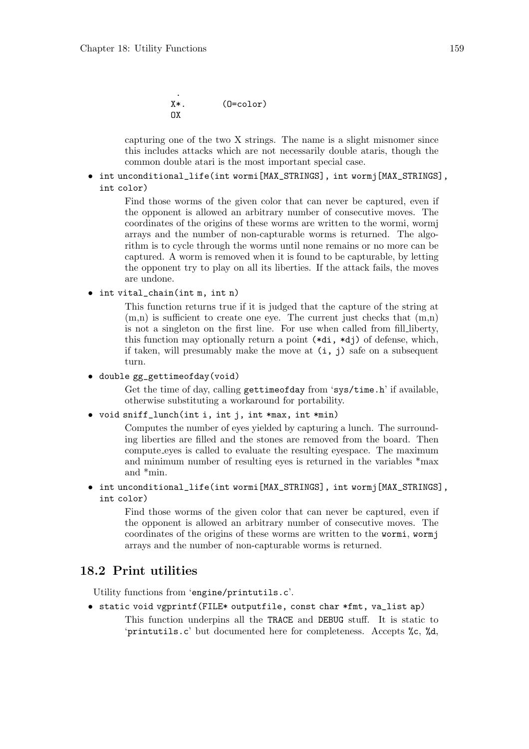```
.
X^*. (0=color)\cap x
```
capturing one of the two X strings. The name is a slight misnomer since this includes attacks which are not necessarily double ataris, though the common double atari is the most important special case.

• int unconditional\_life(int wormi[MAX\_STRINGS], int wormj[MAX\_STRINGS], int color)

> Find those worms of the given color that can never be captured, even if the opponent is allowed an arbitrary number of consecutive moves. The coordinates of the origins of these worms are written to the wormi, wormj arrays and the number of non-capturable worms is returned. The algorithm is to cycle through the worms until none remains or no more can be captured. A worm is removed when it is found to be capturable, by letting the opponent try to play on all its liberties. If the attack fails, the moves are undone.

• int vital\_chain(int m, int n)

This function returns true if it is judged that the capture of the string at  $(m,n)$  is sufficient to create one eye. The current just checks that  $(m,n)$ is not a singleton on the first line. For use when called from fill liberty, this function may optionally return a point (\*di, \*dj) of defense, which, if taken, will presumably make the move at  $(i, j)$  safe on a subsequent turn.

• double gg\_gettimeofday(void)

Get the time of day, calling gettimeofday from 'sys/time.h' if available, otherwise substituting a workaround for portability.

• void sniff\_lunch(int i, int j, int \*max, int \*min)

Computes the number of eyes yielded by capturing a lunch. The surrounding liberties are filled and the stones are removed from the board. Then compute eyes is called to evaluate the resulting eyespace. The maximum and minimum number of resulting eyes is returned in the variables \*max and \*min.

• int unconditional\_life(int wormi[MAX\_STRINGS], int wormj[MAX\_STRINGS], int color)

> Find those worms of the given color that can never be captured, even if the opponent is allowed an arbitrary number of consecutive moves. The coordinates of the origins of these worms are written to the wormi, wormj arrays and the number of non-capturable worms is returned.

### 18.2 Print utilities

Utility functions from 'engine/printutils.c'.

• static void vgprintf(FILE\* outputfile, const char \*fmt, va\_list ap) This function underpins all the TRACE and DEBUG stuff. It is static to 'printutils.c' but documented here for completeness. Accepts %c, %d,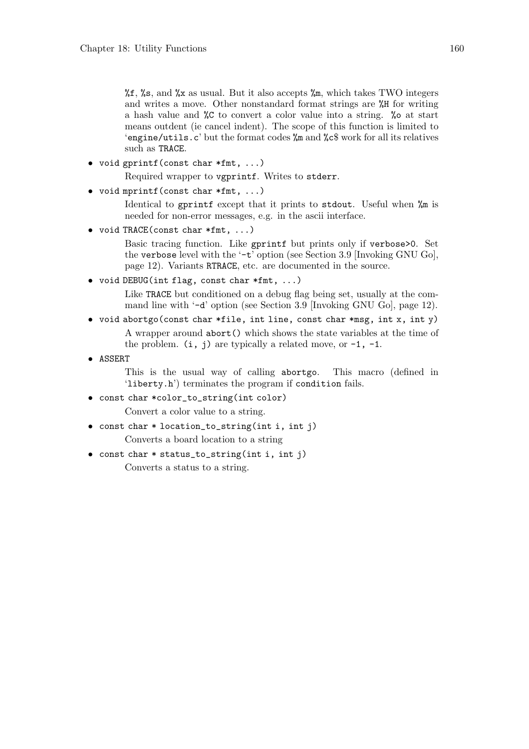$\frac{1}{6}$ ,  $\frac{1}{5}$ ,  $\frac{1}{5}$ , and  $\frac{1}{5}$  as usual. But it also accepts  $\frac{1}{5}$ , which takes TWO integers and writes a move. Other nonstandard format strings are %H for writing a hash value and %C to convert a color value into a string. %o at start means outdent (ie cancel indent). The scope of this function is limited to 'engine/utils.c' but the format codes %m and %c\$ work for all its relatives such as TRACE.

• void gprintf(const char \*fmt, ...)

Required wrapper to vgprintf. Writes to stderr.

• void mprintf(const char \*fmt, ...)

Identical to gprintf except that it prints to stdout. Useful when %m is needed for non-error messages, e.g. in the ascii interface.

• void TRACE(const char \*fmt, ...)

Basic tracing function. Like gprintf but prints only if verbose>0. Set the verbose level with the  $\cdot$ -t' option (see Section 3.9 [Invoking GNU Go], page 12). Variants RTRACE, etc. are documented in the source.

• void DEBUG(int flag, const char \*fmt, ...)

Like TRACE but conditioned on a debug flag being set, usually at the command line with '-d' option (see Section 3.9 [Invoking GNU Go], page 12).

- void abortgo(const char \*file, int line, const char \*msg, int x, int y) A wrapper around abort() which shows the state variables at the time of the problem.  $(i, j)$  are typically a related move, or  $-1$ ,  $-1$ .
- ASSERT

This is the usual way of calling abortgo. This macro (defined in 'liberty.h') terminates the program if condition fails.

• const char \*color\_to\_string(int color)

Convert a color value to a string.

• const char \* location\_to\_string(int i, int j)

Converts a board location to a string

• const char \* status\_to\_string(int i, int j)

Converts a status to a string.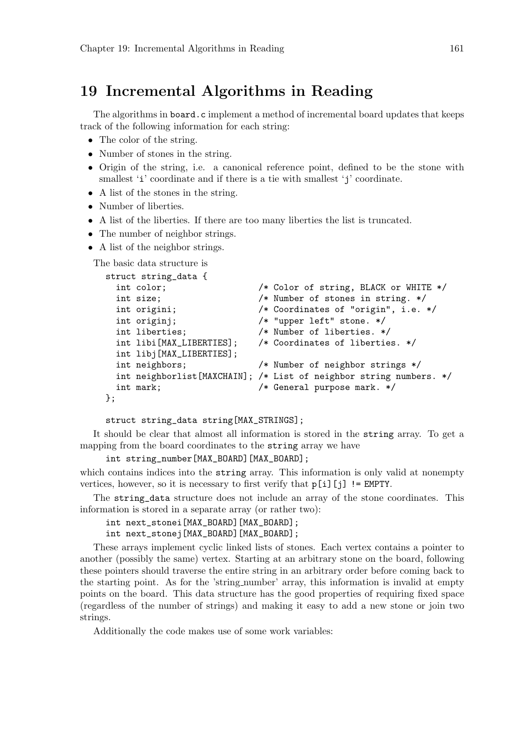## 19 Incremental Algorithms in Reading

The algorithms in board.c implement a method of incremental board updates that keeps track of the following information for each string:

- The color of the string.
- Number of stones in the string.
- Origin of the string, i.e. a canonical reference point, defined to be the stone with smallest 'i' coordinate and if there is a tie with smallest 'j' coordinate.
- A list of the stones in the string.
- Number of liberties.
- A list of the liberties. If there are too many liberties the list is truncated.
- The number of neighbor strings.
- A list of the neighbor strings.

The basic data structure is

```
struct string_data {
 int color; /* Color of string, BLACK or WHITE */
 int size; /* Number of stones in string. */
 int origini; /* Coordinates of "origin", i.e. */
 int originj; /* "upper left" stone. */int liberties; /* Number of liberties. */
 int libi[MAX_LIBERTIES]; /* Coordinates of liberties. */
 int libj[MAX_LIBERTIES];
 int neighbors; /* Number of neighbor strings */
 int neighborlist[MAXCHAIN]; /* List of neighbor string numbers. */
 int mark; \frac{1}{100} /* General purpose mark. */
};
```
struct string\_data string[MAX\_STRINGS];

It should be clear that almost all information is stored in the string array. To get a mapping from the board coordinates to the string array we have

```
int string_number[MAX_BOARD][MAX_BOARD];
```
which contains indices into the string array. This information is only valid at nonempty vertices, however, so it is necessary to first verify that  $p[i][j]$  != EMPTY.

The string\_data structure does not include an array of the stone coordinates. This information is stored in a separate array (or rather two):

int next\_stonei[MAX\_BOARD][MAX\_BOARD];

int next\_stonej[MAX\_BOARD][MAX\_BOARD];

These arrays implement cyclic linked lists of stones. Each vertex contains a pointer to another (possibly the same) vertex. Starting at an arbitrary stone on the board, following these pointers should traverse the entire string in an arbitrary order before coming back to the starting point. As for the 'string number' array, this information is invalid at empty points on the board. This data structure has the good properties of requiring fixed space (regardless of the number of strings) and making it easy to add a new stone or join two strings.

Additionally the code makes use of some work variables: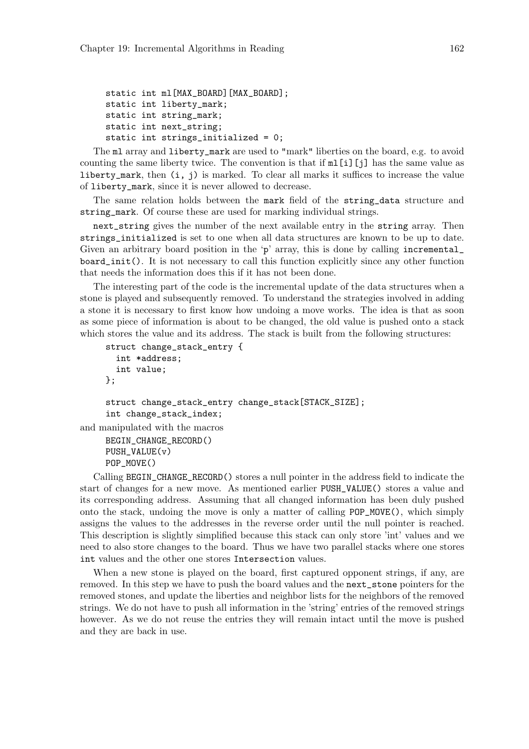```
static int ml[MAX_BOARD][MAX_BOARD];
static int liberty_mark;
static int string_mark;
static int next_string;
static int strings_initialized = 0;
```
The ml array and liberty\_mark are used to "mark" liberties on the board, e.g. to avoid counting the same liberty twice. The convention is that if  $m[\iota]$ [j] has the same value as liberty\_mark, then (i, j) is marked. To clear all marks it suffices to increase the value of liberty\_mark, since it is never allowed to decrease.

The same relation holds between the mark field of the string\_data structure and string\_mark. Of course these are used for marking individual strings.

next\_string gives the number of the next available entry in the string array. Then strings\_initialized is set to one when all data structures are known to be up to date. Given an arbitrary board position in the 'p' array, this is done by calling incremental board\_init(). It is not necessary to call this function explicitly since any other function that needs the information does this if it has not been done.

The interesting part of the code is the incremental update of the data structures when a stone is played and subsequently removed. To understand the strategies involved in adding a stone it is necessary to first know how undoing a move works. The idea is that as soon as some piece of information is about to be changed, the old value is pushed onto a stack which stores the value and its address. The stack is built from the following structures:

```
struct change_stack_entry {
       int *address;
       int value;
     };
     struct change_stack_entry change_stack[STACK_SIZE];
     int change_stack_index;
and manipulated with the macros
     BEGIN_CHANGE_RECORD()
```
PUSH\_VALUE(v) POP\_MOVE()

Calling BEGIN\_CHANGE\_RECORD() stores a null pointer in the address field to indicate the start of changes for a new move. As mentioned earlier PUSH\_VALUE() stores a value and its corresponding address. Assuming that all changed information has been duly pushed onto the stack, undoing the move is only a matter of calling POP\_MOVE(), which simply assigns the values to the addresses in the reverse order until the null pointer is reached. This description is slightly simplified because this stack can only store 'int' values and we need to also store changes to the board. Thus we have two parallel stacks where one stores int values and the other one stores Intersection values.

When a new stone is played on the board, first captured opponent strings, if any, are removed. In this step we have to push the board values and the next\_stone pointers for the removed stones, and update the liberties and neighbor lists for the neighbors of the removed strings. We do not have to push all information in the 'string' entries of the removed strings however. As we do not reuse the entries they will remain intact until the move is pushed and they are back in use.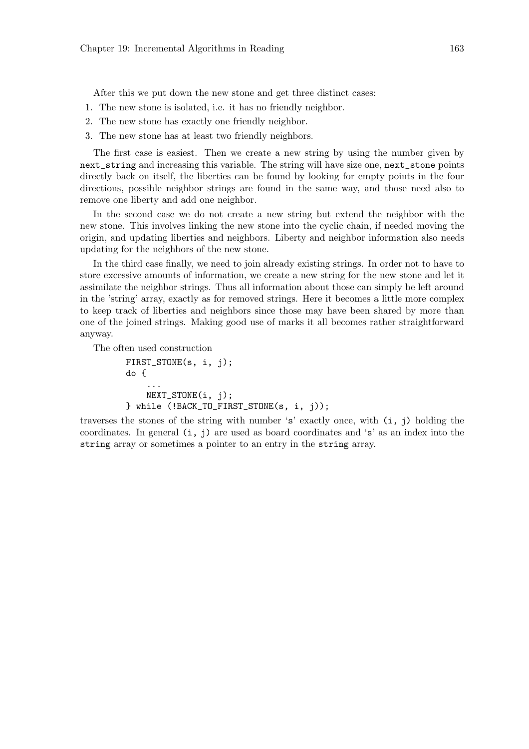After this we put down the new stone and get three distinct cases:

- 1. The new stone is isolated, i.e. it has no friendly neighbor.
- 2. The new stone has exactly one friendly neighbor.
- 3. The new stone has at least two friendly neighbors.

The first case is easiest. Then we create a new string by using the number given by next\_string and increasing this variable. The string will have size one, next\_stone points directly back on itself, the liberties can be found by looking for empty points in the four directions, possible neighbor strings are found in the same way, and those need also to remove one liberty and add one neighbor.

In the second case we do not create a new string but extend the neighbor with the new stone. This involves linking the new stone into the cyclic chain, if needed moving the origin, and updating liberties and neighbors. Liberty and neighbor information also needs updating for the neighbors of the new stone.

In the third case finally, we need to join already existing strings. In order not to have to store excessive amounts of information, we create a new string for the new stone and let it assimilate the neighbor strings. Thus all information about those can simply be left around in the 'string' array, exactly as for removed strings. Here it becomes a little more complex to keep track of liberties and neighbors since those may have been shared by more than one of the joined strings. Making good use of marks it all becomes rather straightforward anyway.

The often used construction

```
FIRST_STONE(s, i, j);
do {
    ...
    NEXT_STONE(i, j);
} while (!BACK_TO_FIRST_STONE(s, i, j));
```
traverses the stones of the string with number 's' exactly once, with (i, j) holding the coordinates. In general (i, j) are used as board coordinates and 's' as an index into the string array or sometimes a pointer to an entry in the string array.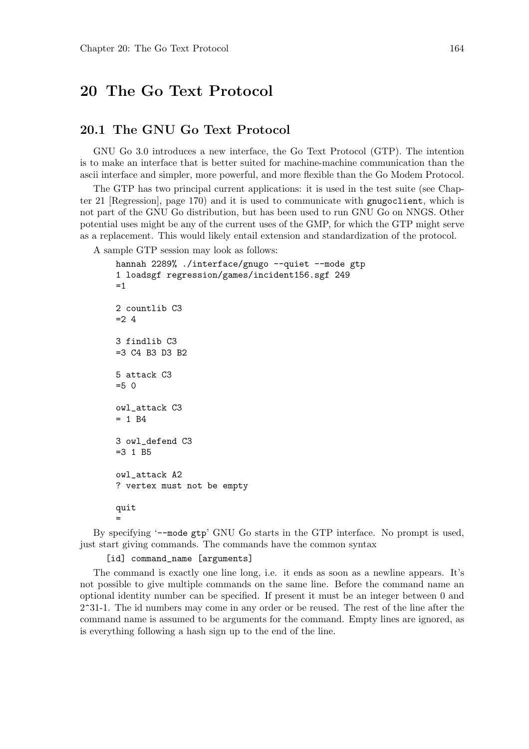## 20 The Go Text Protocol

#### 20.1 The GNU Go Text Protocol

GNU Go 3.0 introduces a new interface, the Go Text Protocol (GTP). The intention is to make an interface that is better suited for machine-machine communication than the ascii interface and simpler, more powerful, and more flexible than the Go Modem Protocol.

The GTP has two principal current applications: it is used in the test suite (see Chapter 21 [Regression], page 170) and it is used to communicate with gnugoclient, which is not part of the GNU Go distribution, but has been used to run GNU Go on NNGS. Other potential uses might be any of the current uses of the GMP, for which the GTP might serve as a replacement. This would likely entail extension and standardization of the protocol.

A sample GTP session may look as follows:

```
hannah 2289% ./interface/gnugo --quiet --mode gtp
1 loadsgf regression/games/incident156.sgf 249
=12 countlib C3
= 2.43 findlib C3
=3 C4 B3 D3 B2
5 attack C3
=5.0owl_attack C3
= 1 B4
3 owl_defend C3
=3 1 B5
owl_attack A2
? vertex must not be empty
quit
=
```
By specifying '--mode gtp' GNU Go starts in the GTP interface. No prompt is used, just start giving commands. The commands have the common syntax

[id] command\_name [arguments]

The command is exactly one line long, i.e. it ends as soon as a newline appears. It's not possible to give multiple commands on the same line. Before the command name an optional identity number can be specified. If present it must be an integer between 0 and 2<sup>-</sup>31-1. The id numbers may come in any order or be reused. The rest of the line after the command name is assumed to be arguments for the command. Empty lines are ignored, as is everything following a hash sign up to the end of the line.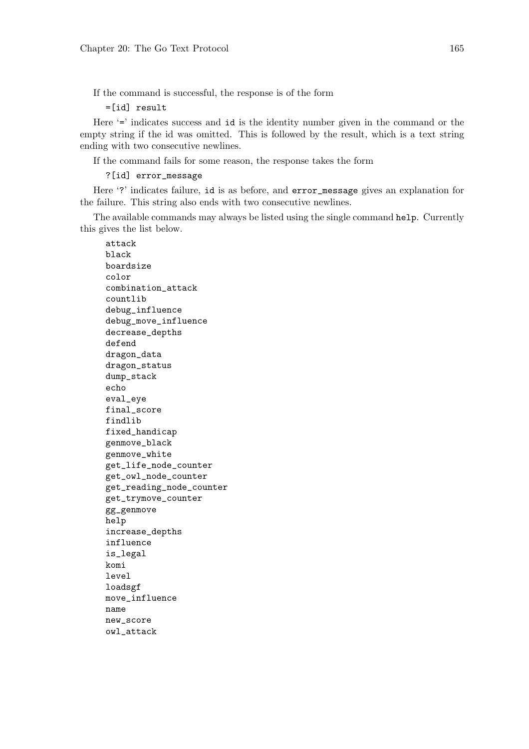If the command is successful, the response is of the form

=[id] result

Here '=' indicates success and id is the identity number given in the command or the empty string if the id was omitted. This is followed by the result, which is a text string ending with two consecutive newlines.

If the command fails for some reason, the response takes the form

?[id] error\_message

Here '?' indicates failure, id is as before, and error\_message gives an explanation for the failure. This string also ends with two consecutive newlines.

The available commands may always be listed using the single command help. Currently this gives the list below.

attack black boardsize color combination\_attack countlib debug\_influence debug\_move\_influence decrease\_depths defend dragon\_data dragon\_status dump\_stack echo eval\_eye final\_score findlib fixed\_handicap genmove\_black genmove\_white get\_life\_node\_counter get\_owl\_node\_counter get\_reading\_node\_counter get\_trymove\_counter gg\_genmove help increase\_depths influence is\_legal komi level loadsgf move\_influence name new\_score owl\_attack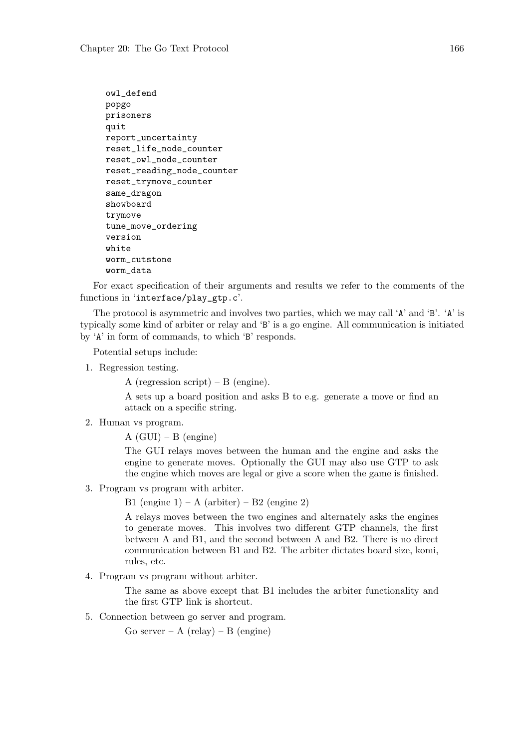```
owl_defend
popgo
prisoners
quit
report_uncertainty
reset_life_node_counter
reset_owl_node_counter
reset_reading_node_counter
reset_trymove_counter
same_dragon
showboard
trymove
tune_move_ordering
version
white
worm_cutstone
worm_data
```
For exact specification of their arguments and results we refer to the comments of the functions in 'interface/play\_gtp.c'.

The protocol is asymmetric and involves two parties, which we may call 'A' and 'B'. 'A' is typically some kind of arbiter or relay and 'B' is a go engine. All communication is initiated by 'A' in form of commands, to which 'B' responds.

Potential setups include:

1. Regression testing.

A (regression script) – B (engine).

A sets up a board position and asks B to e.g. generate a move or find an attack on a specific string.

2. Human vs program.

 $A (GUI) – B (engine)$ 

The GUI relays moves between the human and the engine and asks the engine to generate moves. Optionally the GUI may also use GTP to ask the engine which moves are legal or give a score when the game is finished.

3. Program vs program with arbiter.

B1 (engine  $1$ ) – A (arbiter) – B2 (engine 2)

A relays moves between the two engines and alternately asks the engines to generate moves. This involves two different GTP channels, the first between A and B1, and the second between A and B2. There is no direct communication between B1 and B2. The arbiter dictates board size, komi, rules, etc.

4. Program vs program without arbiter.

The same as above except that B1 includes the arbiter functionality and the first GTP link is shortcut.

5. Connection between go server and program.

Go server – A (relay) – B (engine)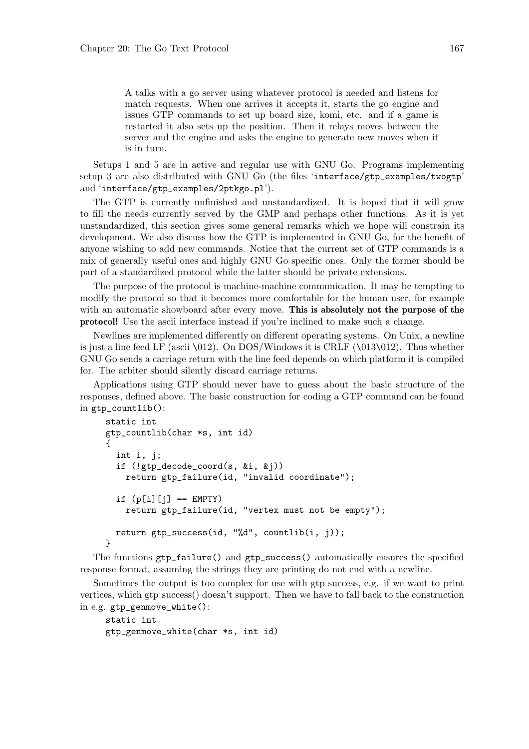A talks with a go server using whatever protocol is needed and listens for match requests. When one arrives it accepts it, starts the go engine and issues GTP commands to set up board size, komi, etc. and if a game is restarted it also sets up the position. Then it relays moves between the server and the engine and asks the engine to generate new moves when it is in turn.

Setups 1 and 5 are in active and regular use with GNU Go. Programs implementing setup 3 are also distributed with GNU Go (the files 'interface/gtp\_examples/twogtp' and 'interface/gtp\_examples/2ptkgo.pl').

The GTP is currently unfinished and unstandardized. It is hoped that it will grow to fill the needs currently served by the GMP and perhaps other functions. As it is yet unstandardized, this section gives some general remarks which we hope will constrain its development. We also discuss how the GTP is implemented in GNU Go, for the benefit of anyone wishing to add new commands. Notice that the current set of GTP commands is a mix of generally useful ones and highly GNU Go specific ones. Only the former should be part of a standardized protocol while the latter should be private extensions.

The purpose of the protocol is machine-machine communication. It may be tempting to modify the protocol so that it becomes more comfortable for the human user, for example with an automatic showboard after every move. This is absolutely not the purpose of the protocol! Use the ascii interface instead if you're inclined to make such a change.

Newlines are implemented differently on different operating systems. On Unix, a newline is just a line feed LF (ascii  $\{012\}$ ). On DOS/Windows it is CRLF ( $\{013\}$ 012). Thus whether GNU Go sends a carriage return with the line feed depends on which platform it is compiled for. The arbiter should silently discard carriage returns.

Applications using GTP should never have to guess about the basic structure of the responses, defined above. The basic construction for coding a GTP command can be found in gtp\_countlib():

```
static int
gtp_countlib(char *s, int id)
{
  int i, j;
  if (!gtp_decode_coord(s, &i, &j))
    return gtp_failure(id, "invalid coordinate");
  if (p[i][j] == EMPTY)return gtp_failure(id, "vertex must not be empty");
  return gtp_success(id, "%d", countlib(i, j));
}
```
The functions gtp\_failure() and gtp\_success() automatically ensures the specified response format, assuming the strings they are printing do not end with a newline.

Sometimes the output is too complex for use with gtp success, e.g. if we want to print vertices, which gtp success() doesn't support. Then we have to fall back to the construction in e.g. gtp\_genmove\_white():

```
static int
gtp_genmove_white(char *s, int id)
```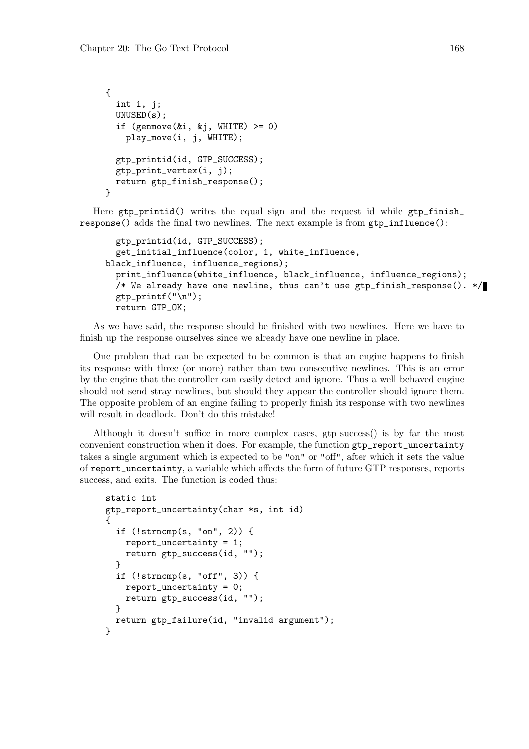```
{
  int i, j;
 UNUSED(s);
  if (genmove(ki, kj, WHICHT E) >= 0)play_move(i, j, WHITE);
  gtp_printid(id, GTP_SUCCESS);
  gtp_print_vertex(i, j);
 return gtp_finish_response();
}
```
Here  $gtp$ -printid() writes the equal sign and the request id while  $gtp$ -finish response() adds the final two newlines. The next example is from gtp\_influence():

```
gtp_printid(id, GTP_SUCCESS);
  get_initial_influence(color, 1, white_influence,
black_influence, influence_regions);
  print_influence(white_influence, black_influence, influence_regions);
  /* We already have one newline, thus can't use gtp_finish_response(). */
  gtp\_print(f("n");
 return GTP_OK;
```
As we have said, the response should be finished with two newlines. Here we have to finish up the response ourselves since we already have one newline in place.

One problem that can be expected to be common is that an engine happens to finish its response with three (or more) rather than two consecutive newlines. This is an error by the engine that the controller can easily detect and ignore. Thus a well behaved engine should not send stray newlines, but should they appear the controller should ignore them. The opposite problem of an engine failing to properly finish its response with two newlines will result in deadlock. Don't do this mistake!

Although it doesn't suffice in more complex cases, gtp success() is by far the most convenient construction when it does. For example, the function gtp\_report\_uncertainty takes a single argument which is expected to be "on" or "off", after which it sets the value of report\_uncertainty, a variable which affects the form of future GTP responses, reports success, and exits. The function is coded thus:

```
static int
gtp_report_uncertainty(char *s, int id)
{
  if (!strncmp(s, "on", 2)) {
    report_uncertainty = 1;
    return gtp_success(id, "");
  }
  if (!strncmp(s, "off", 3)) {
    report_uncertainty = 0;
   return gtp_success(id, "");
  }
 return gtp_failure(id, "invalid argument");
}
```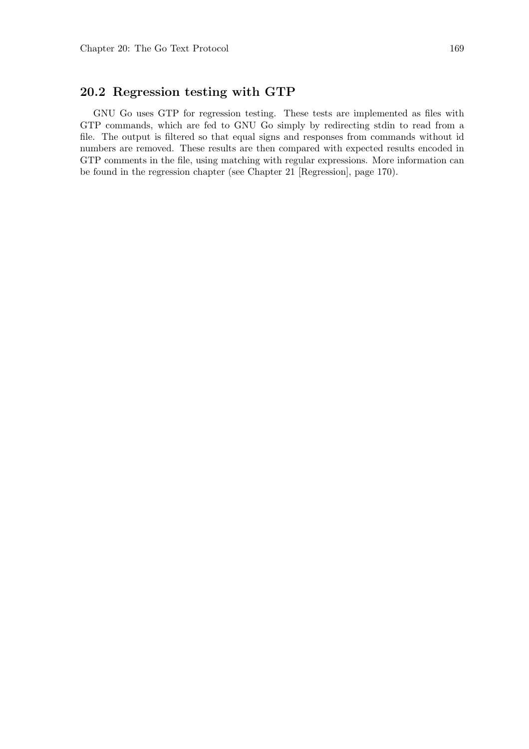### 20.2 Regression testing with GTP

GNU Go uses GTP for regression testing. These tests are implemented as files with GTP commands, which are fed to GNU Go simply by redirecting stdin to read from a file. The output is filtered so that equal signs and responses from commands without id numbers are removed. These results are then compared with expected results encoded in GTP comments in the file, using matching with regular expressions. More information can be found in the regression chapter (see Chapter 21 [Regression], page 170).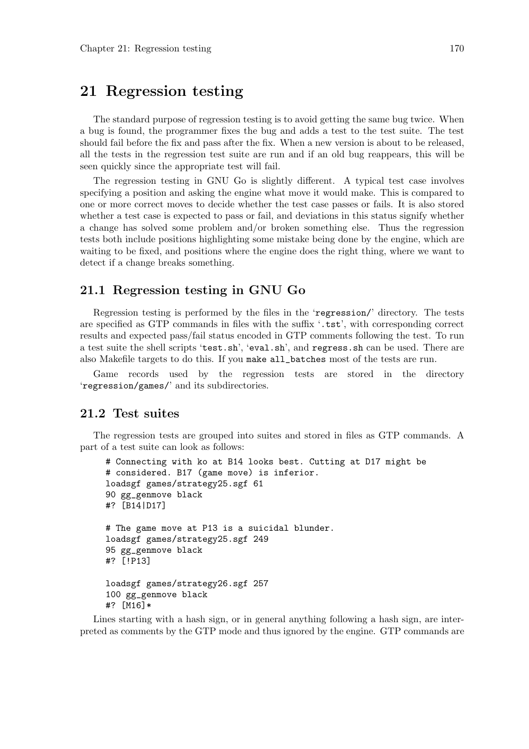## 21 Regression testing

The standard purpose of regression testing is to avoid getting the same bug twice. When a bug is found, the programmer fixes the bug and adds a test to the test suite. The test should fail before the fix and pass after the fix. When a new version is about to be released, all the tests in the regression test suite are run and if an old bug reappears, this will be seen quickly since the appropriate test will fail.

The regression testing in GNU Go is slightly different. A typical test case involves specifying a position and asking the engine what move it would make. This is compared to one or more correct moves to decide whether the test case passes or fails. It is also stored whether a test case is expected to pass or fail, and deviations in this status signify whether a change has solved some problem and/or broken something else. Thus the regression tests both include positions highlighting some mistake being done by the engine, which are waiting to be fixed, and positions where the engine does the right thing, where we want to detect if a change breaks something.

#### 21.1 Regression testing in GNU Go

Regression testing is performed by the files in the 'regression/' directory. The tests are specified as GTP commands in files with the suffix '.tst', with corresponding correct results and expected pass/fail status encoded in GTP comments following the test. To run a test suite the shell scripts 'test.sh', 'eval.sh', and regress.sh can be used. There are also Makefile targets to do this. If you make all\_batches most of the tests are run.

Game records used by the regression tests are stored in the directory 'regression/games/' and its subdirectories.

#### 21.2 Test suites

The regression tests are grouped into suites and stored in files as GTP commands. A part of a test suite can look as follows:

```
# Connecting with ko at B14 looks best. Cutting at D17 might be
# considered. B17 (game move) is inferior.
loadsgf games/strategy25.sgf 61
90 gg_genmove black
#? [B14|D17]
# The game move at P13 is a suicidal blunder.
loadsgf games/strategy25.sgf 249
95 gg_genmove black
#? [!P13]
loadsgf games/strategy26.sgf 257
100 gg_genmove black
#? [M16]*
```
Lines starting with a hash sign, or in general anything following a hash sign, are interpreted as comments by the GTP mode and thus ignored by the engine. GTP commands are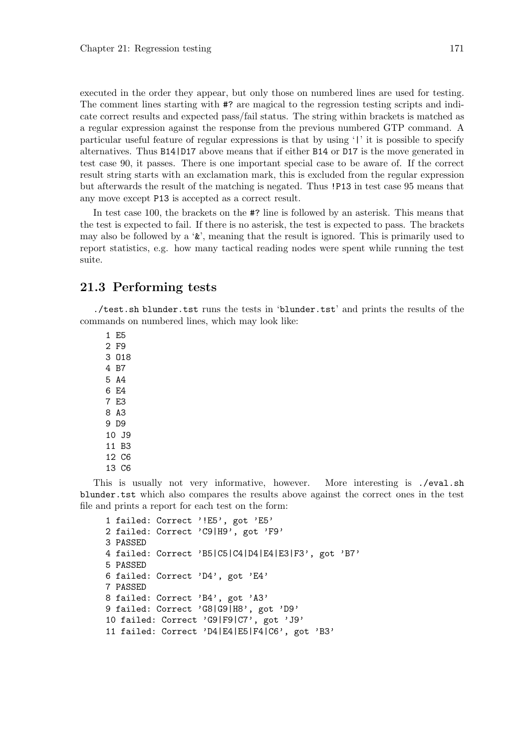executed in the order they appear, but only those on numbered lines are used for testing. The comment lines starting with #? are magical to the regression testing scripts and indicate correct results and expected pass/fail status. The string within brackets is matched as a regular expression against the response from the previous numbered GTP command. A particular useful feature of regular expressions is that by using '|' it is possible to specify alternatives. Thus B14|D17 above means that if either B14 or D17 is the move generated in test case 90, it passes. There is one important special case to be aware of. If the correct result string starts with an exclamation mark, this is excluded from the regular expression but afterwards the result of the matching is negated. Thus !P13 in test case 95 means that any move except P13 is accepted as a correct result.

In test case 100, the brackets on the #? line is followed by an asterisk. This means that the test is expected to fail. If there is no asterisk, the test is expected to pass. The brackets may also be followed by a ' $\&$ ', meaning that the result is ignored. This is primarily used to report statistics, e.g. how many tactical reading nodes were spent while running the test suite.

#### 21.3 Performing tests

./test.sh blunder.tst runs the tests in 'blunder.tst' and prints the results of the commands on numbered lines, which may look like:

1 E5 2 F9 3 O18 4 B7 5 A4 6 E4 7 E3 8 A3 9 D9 10 J9 11 B3 12 C6 13 C6

This is usually not very informative, however. More interesting is ./eval.sh blunder.tst which also compares the results above against the correct ones in the test file and prints a report for each test on the form:

```
1 failed: Correct '!E5', got 'E5'
2 failed: Correct 'C9|H9', got 'F9'
3 PASSED
4 failed: Correct 'B5|C5|C4|D4|E4|E3|F3', got 'B7'
5 PASSED
6 failed: Correct 'D4', got 'E4'
7 PASSED
8 failed: Correct 'B4', got 'A3'
9 failed: Correct 'G8|G9|H8', got 'D9'
10 failed: Correct 'G9|F9|C7', got 'J9'
11 failed: Correct 'D4|E4|E5|F4|C6', got 'B3'
```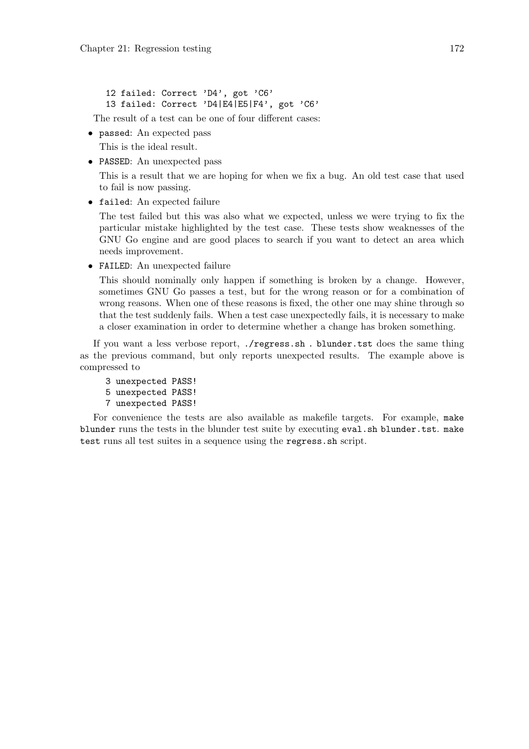12 failed: Correct 'D4', got 'C6' 13 failed: Correct 'D4|E4|E5|F4', got 'C6'

The result of a test can be one of four different cases:

• passed: An expected pass

This is the ideal result.

• PASSED: An unexpected pass

This is a result that we are hoping for when we fix a bug. An old test case that used to fail is now passing.

• failed: An expected failure

The test failed but this was also what we expected, unless we were trying to fix the particular mistake highlighted by the test case. These tests show weaknesses of the GNU Go engine and are good places to search if you want to detect an area which needs improvement.

• FAILED: An unexpected failure

This should nominally only happen if something is broken by a change. However, sometimes GNU Go passes a test, but for the wrong reason or for a combination of wrong reasons. When one of these reasons is fixed, the other one may shine through so that the test suddenly fails. When a test case unexpectedly fails, it is necessary to make a closer examination in order to determine whether a change has broken something.

If you want a less verbose report, ./regress.sh . blunder.tst does the same thing as the previous command, but only reports unexpected results. The example above is compressed to

- 3 unexpected PASS!
- 5 unexpected PASS!
- 7 unexpected PASS!

For convenience the tests are also available as makefile targets. For example, make blunder runs the tests in the blunder test suite by executing eval.sh blunder.tst. make test runs all test suites in a sequence using the regress.sh script.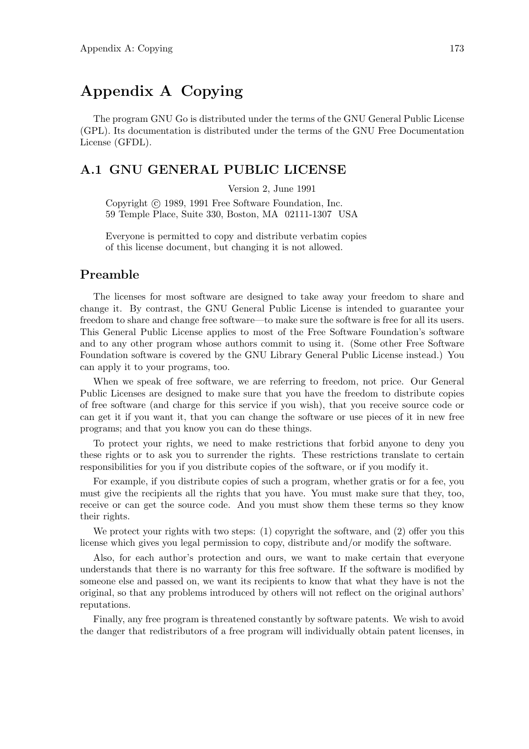# Appendix A Copying

The program GNU Go is distributed under the terms of the GNU General Public License (GPL). Its documentation is distributed under the terms of the GNU Free Documentation License (GFDL).

### A.1 GNU GENERAL PUBLIC LICENSE

Version 2, June 1991

Copyright  $\odot$  1989, 1991 Free Software Foundation, Inc. 59 Temple Place, Suite 330, Boston, MA 02111-1307 USA

Everyone is permitted to copy and distribute verbatim copies of this license document, but changing it is not allowed.

#### Preamble

The licenses for most software are designed to take away your freedom to share and change it. By contrast, the GNU General Public License is intended to guarantee your freedom to share and change free software—to make sure the software is free for all its users. This General Public License applies to most of the Free Software Foundation's software and to any other program whose authors commit to using it. (Some other Free Software Foundation software is covered by the GNU Library General Public License instead.) You can apply it to your programs, too.

When we speak of free software, we are referring to freedom, not price. Our General Public Licenses are designed to make sure that you have the freedom to distribute copies of free software (and charge for this service if you wish), that you receive source code or can get it if you want it, that you can change the software or use pieces of it in new free programs; and that you know you can do these things.

To protect your rights, we need to make restrictions that forbid anyone to deny you these rights or to ask you to surrender the rights. These restrictions translate to certain responsibilities for you if you distribute copies of the software, or if you modify it.

For example, if you distribute copies of such a program, whether gratis or for a fee, you must give the recipients all the rights that you have. You must make sure that they, too, receive or can get the source code. And you must show them these terms so they know their rights.

We protect your rights with two steps: (1) copyright the software, and (2) offer you this license which gives you legal permission to copy, distribute and/or modify the software.

Also, for each author's protection and ours, we want to make certain that everyone understands that there is no warranty for this free software. If the software is modified by someone else and passed on, we want its recipients to know that what they have is not the original, so that any problems introduced by others will not reflect on the original authors' reputations.

Finally, any free program is threatened constantly by software patents. We wish to avoid the danger that redistributors of a free program will individually obtain patent licenses, in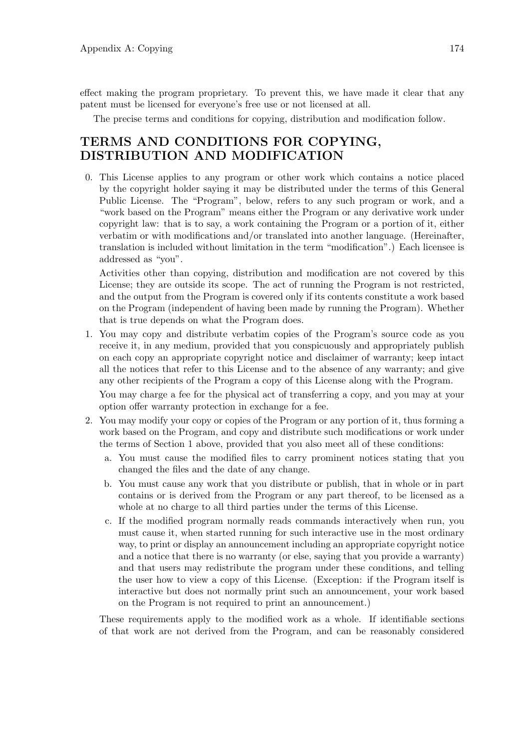effect making the program proprietary. To prevent this, we have made it clear that any patent must be licensed for everyone's free use or not licensed at all.

The precise terms and conditions for copying, distribution and modification follow.

### TERMS AND CONDITIONS FOR COPYING, DISTRIBUTION AND MODIFICATION

0. This License applies to any program or other work which contains a notice placed by the copyright holder saying it may be distributed under the terms of this General Public License. The "Program", below, refers to any such program or work, and a "work based on the Program" means either the Program or any derivative work under copyright law: that is to say, a work containing the Program or a portion of it, either verbatim or with modifications and/or translated into another language. (Hereinafter, translation is included without limitation in the term "modification".) Each licensee is addressed as "you".

Activities other than copying, distribution and modification are not covered by this License; they are outside its scope. The act of running the Program is not restricted, and the output from the Program is covered only if its contents constitute a work based on the Program (independent of having been made by running the Program). Whether that is true depends on what the Program does.

1. You may copy and distribute verbatim copies of the Program's source code as you receive it, in any medium, provided that you conspicuously and appropriately publish on each copy an appropriate copyright notice and disclaimer of warranty; keep intact all the notices that refer to this License and to the absence of any warranty; and give any other recipients of the Program a copy of this License along with the Program.

You may charge a fee for the physical act of transferring a copy, and you may at your option offer warranty protection in exchange for a fee.

- 2. You may modify your copy or copies of the Program or any portion of it, thus forming a work based on the Program, and copy and distribute such modifications or work under the terms of Section 1 above, provided that you also meet all of these conditions:
	- a. You must cause the modified files to carry prominent notices stating that you changed the files and the date of any change.
	- b. You must cause any work that you distribute or publish, that in whole or in part contains or is derived from the Program or any part thereof, to be licensed as a whole at no charge to all third parties under the terms of this License.
	- c. If the modified program normally reads commands interactively when run, you must cause it, when started running for such interactive use in the most ordinary way, to print or display an announcement including an appropriate copyright notice and a notice that there is no warranty (or else, saying that you provide a warranty) and that users may redistribute the program under these conditions, and telling the user how to view a copy of this License. (Exception: if the Program itself is interactive but does not normally print such an announcement, your work based on the Program is not required to print an announcement.)

These requirements apply to the modified work as a whole. If identifiable sections of that work are not derived from the Program, and can be reasonably considered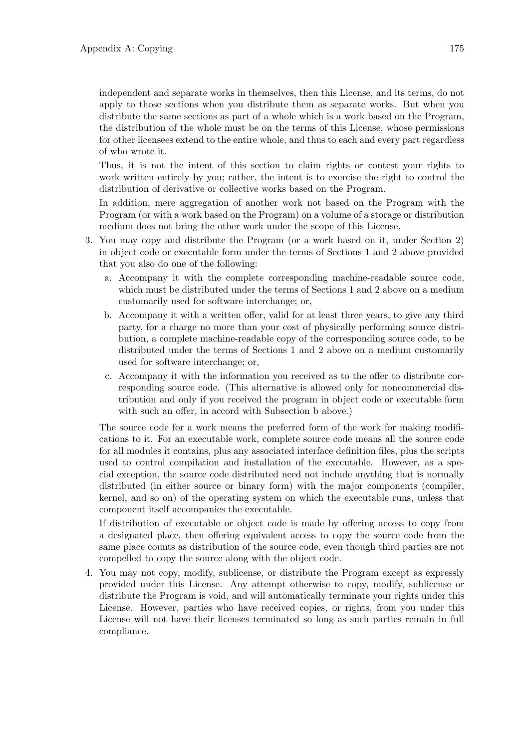distribute the same sections as part of a whole which is a work based on the Program, the distribution of the whole must be on the terms of this License, whose permissions for other licensees extend to the entire whole, and thus to each and every part regardless of who wrote it.

Thus, it is not the intent of this section to claim rights or contest your rights to work written entirely by you; rather, the intent is to exercise the right to control the distribution of derivative or collective works based on the Program.

In addition, mere aggregation of another work not based on the Program with the Program (or with a work based on the Program) on a volume of a storage or distribution medium does not bring the other work under the scope of this License.

- 3. You may copy and distribute the Program (or a work based on it, under Section 2) in object code or executable form under the terms of Sections 1 and 2 above provided that you also do one of the following:
	- a. Accompany it with the complete corresponding machine-readable source code, which must be distributed under the terms of Sections 1 and 2 above on a medium customarily used for software interchange; or,
	- b. Accompany it with a written offer, valid for at least three years, to give any third party, for a charge no more than your cost of physically performing source distribution, a complete machine-readable copy of the corresponding source code, to be distributed under the terms of Sections 1 and 2 above on a medium customarily used for software interchange; or,
	- c. Accompany it with the information you received as to the offer to distribute corresponding source code. (This alternative is allowed only for noncommercial distribution and only if you received the program in object code or executable form with such an offer, in accord with Subsection b above.)

The source code for a work means the preferred form of the work for making modifications to it. For an executable work, complete source code means all the source code for all modules it contains, plus any associated interface definition files, plus the scripts used to control compilation and installation of the executable. However, as a special exception, the source code distributed need not include anything that is normally distributed (in either source or binary form) with the major components (compiler, kernel, and so on) of the operating system on which the executable runs, unless that component itself accompanies the executable.

If distribution of executable or object code is made by offering access to copy from a designated place, then offering equivalent access to copy the source code from the same place counts as distribution of the source code, even though third parties are not compelled to copy the source along with the object code.

4. You may not copy, modify, sublicense, or distribute the Program except as expressly provided under this License. Any attempt otherwise to copy, modify, sublicense or distribute the Program is void, and will automatically terminate your rights under this License. However, parties who have received copies, or rights, from you under this License will not have their licenses terminated so long as such parties remain in full compliance.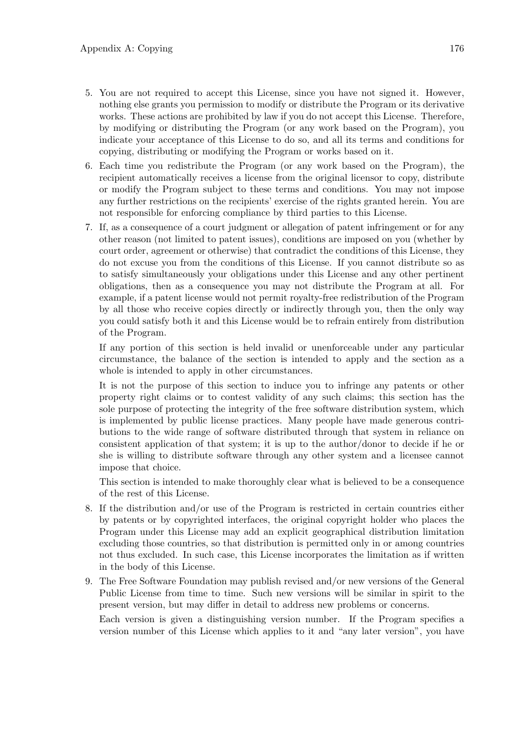- 5. You are not required to accept this License, since you have not signed it. However, nothing else grants you permission to modify or distribute the Program or its derivative works. These actions are prohibited by law if you do not accept this License. Therefore, by modifying or distributing the Program (or any work based on the Program), you indicate your acceptance of this License to do so, and all its terms and conditions for copying, distributing or modifying the Program or works based on it.
- 6. Each time you redistribute the Program (or any work based on the Program), the recipient automatically receives a license from the original licensor to copy, distribute or modify the Program subject to these terms and conditions. You may not impose any further restrictions on the recipients' exercise of the rights granted herein. You are not responsible for enforcing compliance by third parties to this License.
- 7. If, as a consequence of a court judgment or allegation of patent infringement or for any other reason (not limited to patent issues), conditions are imposed on you (whether by court order, agreement or otherwise) that contradict the conditions of this License, they do not excuse you from the conditions of this License. If you cannot distribute so as to satisfy simultaneously your obligations under this License and any other pertinent obligations, then as a consequence you may not distribute the Program at all. For example, if a patent license would not permit royalty-free redistribution of the Program by all those who receive copies directly or indirectly through you, then the only way you could satisfy both it and this License would be to refrain entirely from distribution of the Program.

If any portion of this section is held invalid or unenforceable under any particular circumstance, the balance of the section is intended to apply and the section as a whole is intended to apply in other circumstances.

It is not the purpose of this section to induce you to infringe any patents or other property right claims or to contest validity of any such claims; this section has the sole purpose of protecting the integrity of the free software distribution system, which is implemented by public license practices. Many people have made generous contributions to the wide range of software distributed through that system in reliance on consistent application of that system; it is up to the author/donor to decide if he or she is willing to distribute software through any other system and a licensee cannot impose that choice.

This section is intended to make thoroughly clear what is believed to be a consequence of the rest of this License.

- 8. If the distribution and/or use of the Program is restricted in certain countries either by patents or by copyrighted interfaces, the original copyright holder who places the Program under this License may add an explicit geographical distribution limitation excluding those countries, so that distribution is permitted only in or among countries not thus excluded. In such case, this License incorporates the limitation as if written in the body of this License.
- 9. The Free Software Foundation may publish revised and/or new versions of the General Public License from time to time. Such new versions will be similar in spirit to the present version, but may differ in detail to address new problems or concerns.

Each version is given a distinguishing version number. If the Program specifies a version number of this License which applies to it and "any later version", you have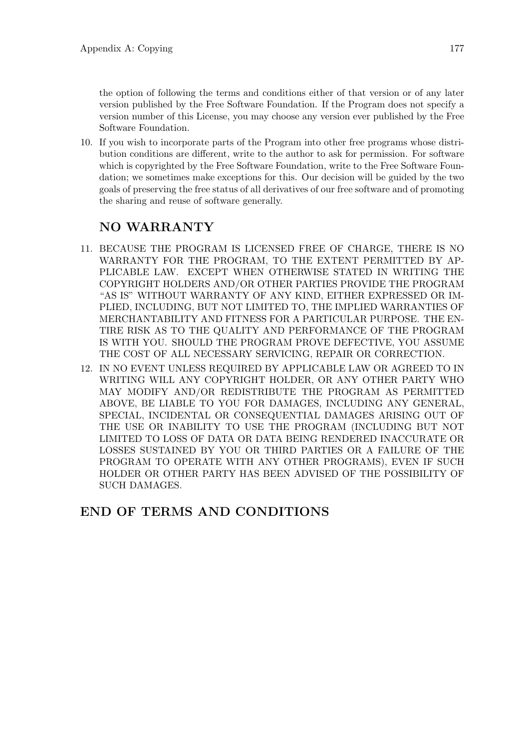the option of following the terms and conditions either of that version or of any later version published by the Free Software Foundation. If the Program does not specify a version number of this License, you may choose any version ever published by the Free Software Foundation.

10. If you wish to incorporate parts of the Program into other free programs whose distribution conditions are different, write to the author to ask for permission. For software which is copyrighted by the Free Software Foundation, write to the Free Software Foundation; we sometimes make exceptions for this. Our decision will be guided by the two goals of preserving the free status of all derivatives of our free software and of promoting the sharing and reuse of software generally.

## NO WARRANTY

- 11. BECAUSE THE PROGRAM IS LICENSED FREE OF CHARGE, THERE IS NO WARRANTY FOR THE PROGRAM, TO THE EXTENT PERMITTED BY AP-PLICABLE LAW. EXCEPT WHEN OTHERWISE STATED IN WRITING THE COPYRIGHT HOLDERS AND/OR OTHER PARTIES PROVIDE THE PROGRAM "AS IS" WITHOUT WARRANTY OF ANY KIND, EITHER EXPRESSED OR IM-PLIED, INCLUDING, BUT NOT LIMITED TO, THE IMPLIED WARRANTIES OF MERCHANTABILITY AND FITNESS FOR A PARTICULAR PURPOSE. THE EN-TIRE RISK AS TO THE QUALITY AND PERFORMANCE OF THE PROGRAM IS WITH YOU. SHOULD THE PROGRAM PROVE DEFECTIVE, YOU ASSUME THE COST OF ALL NECESSARY SERVICING, REPAIR OR CORRECTION.
- 12. IN NO EVENT UNLESS REQUIRED BY APPLICABLE LAW OR AGREED TO IN WRITING WILL ANY COPYRIGHT HOLDER, OR ANY OTHER PARTY WHO MAY MODIFY AND/OR REDISTRIBUTE THE PROGRAM AS PERMITTED ABOVE, BE LIABLE TO YOU FOR DAMAGES, INCLUDING ANY GENERAL, SPECIAL, INCIDENTAL OR CONSEQUENTIAL DAMAGES ARISING OUT OF THE USE OR INABILITY TO USE THE PROGRAM (INCLUDING BUT NOT LIMITED TO LOSS OF DATA OR DATA BEING RENDERED INACCURATE OR LOSSES SUSTAINED BY YOU OR THIRD PARTIES OR A FAILURE OF THE PROGRAM TO OPERATE WITH ANY OTHER PROGRAMS), EVEN IF SUCH HOLDER OR OTHER PARTY HAS BEEN ADVISED OF THE POSSIBILITY OF SUCH DAMAGES.

## END OF TERMS AND CONDITIONS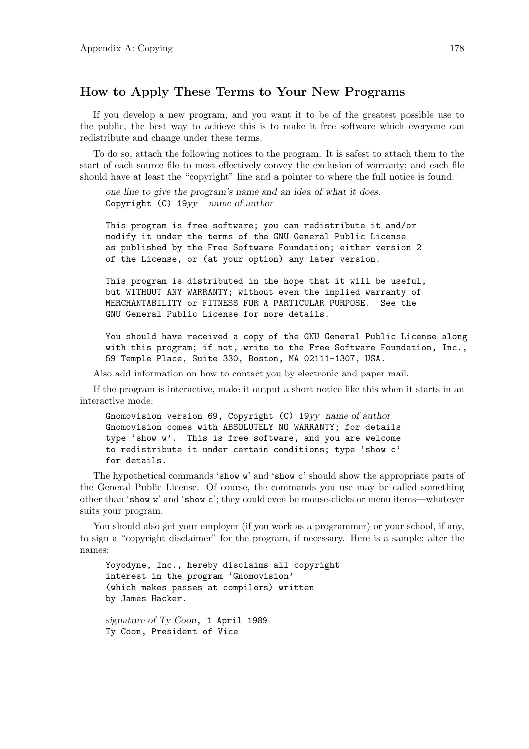#### How to Apply These Terms to Your New Programs

If you develop a new program, and you want it to be of the greatest possible use to the public, the best way to achieve this is to make it free software which everyone can redistribute and change under these terms.

To do so, attach the following notices to the program. It is safest to attach them to the start of each source file to most effectively convey the exclusion of warranty; and each file should have at least the "copyright" line and a pointer to where the full notice is found.

one line to give the program's name and an idea of what it does. Copyright (C) 19yy name of author

This program is free software; you can redistribute it and/or modify it under the terms of the GNU General Public License as published by the Free Software Foundation; either version 2 of the License, or (at your option) any later version.

This program is distributed in the hope that it will be useful, but WITHOUT ANY WARRANTY; without even the implied warranty of MERCHANTABILITY or FITNESS FOR A PARTICULAR PURPOSE. See the GNU General Public License for more details.

You should have received a copy of the GNU General Public License along with this program; if not, write to the Free Software Foundation, Inc., 59 Temple Place, Suite 330, Boston, MA 02111-1307, USA.

Also add information on how to contact you by electronic and paper mail.

If the program is interactive, make it output a short notice like this when it starts in an interactive mode:

Gnomovision version 69, Copyright (C) 19yy name of author Gnomovision comes with ABSOLUTELY NO WARRANTY; for details type 'show w'. This is free software, and you are welcome to redistribute it under certain conditions; type 'show c' for details.

The hypothetical commands 'show w' and 'show c' should show the appropriate parts of the General Public License. Of course, the commands you use may be called something other than 'show w' and 'show c'; they could even be mouse-clicks or menu items—whatever suits your program.

You should also get your employer (if you work as a programmer) or your school, if any, to sign a "copyright disclaimer" for the program, if necessary. Here is a sample; alter the names:

Yoyodyne, Inc., hereby disclaims all copyright interest in the program 'Gnomovision' (which makes passes at compilers) written by James Hacker.

signature of Ty Coon, 1 April 1989 Ty Coon, President of Vice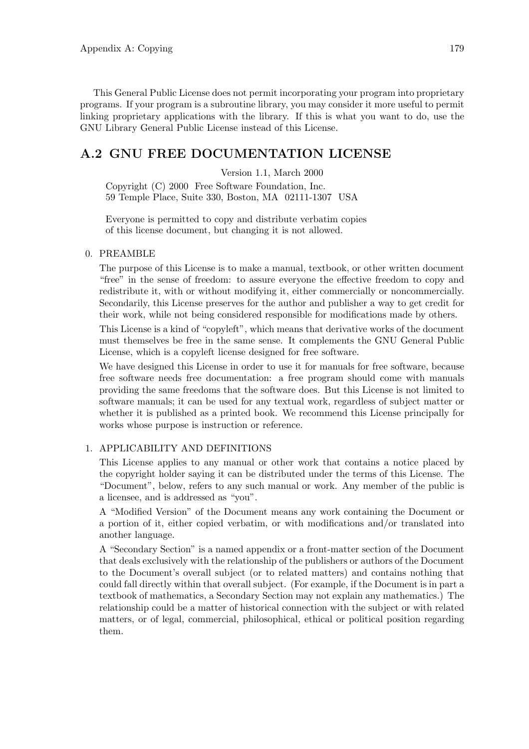This General Public License does not permit incorporating your program into proprietary programs. If your program is a subroutine library, you may consider it more useful to permit linking proprietary applications with the library. If this is what you want to do, use the GNU Library General Public License instead of this License.

#### A.2 GNU FREE DOCUMENTATION LICENSE

Version 1.1, March 2000

Copyright (C) 2000 Free Software Foundation, Inc. 59 Temple Place, Suite 330, Boston, MA 02111-1307 USA

Everyone is permitted to copy and distribute verbatim copies of this license document, but changing it is not allowed.

#### 0. PREAMBLE

The purpose of this License is to make a manual, textbook, or other written document "free" in the sense of freedom: to assure everyone the effective freedom to copy and redistribute it, with or without modifying it, either commercially or noncommercially. Secondarily, this License preserves for the author and publisher a way to get credit for their work, while not being considered responsible for modifications made by others.

This License is a kind of "copyleft", which means that derivative works of the document must themselves be free in the same sense. It complements the GNU General Public License, which is a copyleft license designed for free software.

We have designed this License in order to use it for manuals for free software, because free software needs free documentation: a free program should come with manuals providing the same freedoms that the software does. But this License is not limited to software manuals; it can be used for any textual work, regardless of subject matter or whether it is published as a printed book. We recommend this License principally for works whose purpose is instruction or reference.

#### 1. APPLICABILITY AND DEFINITIONS

This License applies to any manual or other work that contains a notice placed by the copyright holder saying it can be distributed under the terms of this License. The "Document", below, refers to any such manual or work. Any member of the public is a licensee, and is addressed as "you".

A "Modified Version" of the Document means any work containing the Document or a portion of it, either copied verbatim, or with modifications and/or translated into another language.

A "Secondary Section" is a named appendix or a front-matter section of the Document that deals exclusively with the relationship of the publishers or authors of the Document to the Document's overall subject (or to related matters) and contains nothing that could fall directly within that overall subject. (For example, if the Document is in part a textbook of mathematics, a Secondary Section may not explain any mathematics.) The relationship could be a matter of historical connection with the subject or with related matters, or of legal, commercial, philosophical, ethical or political position regarding them.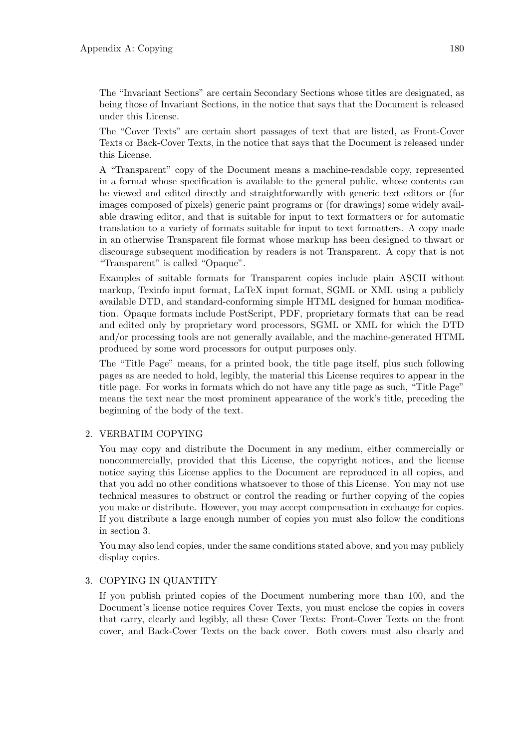The "Invariant Sections" are certain Secondary Sections whose titles are designated, as being those of Invariant Sections, in the notice that says that the Document is released under this License.

The "Cover Texts" are certain short passages of text that are listed, as Front-Cover Texts or Back-Cover Texts, in the notice that says that the Document is released under this License.

A "Transparent" copy of the Document means a machine-readable copy, represented in a format whose specification is available to the general public, whose contents can be viewed and edited directly and straightforwardly with generic text editors or (for images composed of pixels) generic paint programs or (for drawings) some widely available drawing editor, and that is suitable for input to text formatters or for automatic translation to a variety of formats suitable for input to text formatters. A copy made in an otherwise Transparent file format whose markup has been designed to thwart or discourage subsequent modification by readers is not Transparent. A copy that is not "Transparent" is called "Opaque".

Examples of suitable formats for Transparent copies include plain ASCII without markup, Texinfo input format, LaTeX input format, SGML or XML using a publicly available DTD, and standard-conforming simple HTML designed for human modification. Opaque formats include PostScript, PDF, proprietary formats that can be read and edited only by proprietary word processors, SGML or XML for which the DTD and/or processing tools are not generally available, and the machine-generated HTML produced by some word processors for output purposes only.

The "Title Page" means, for a printed book, the title page itself, plus such following pages as are needed to hold, legibly, the material this License requires to appear in the title page. For works in formats which do not have any title page as such, "Title Page" means the text near the most prominent appearance of the work's title, preceding the beginning of the body of the text.

#### 2. VERBATIM COPYING

You may copy and distribute the Document in any medium, either commercially or noncommercially, provided that this License, the copyright notices, and the license notice saying this License applies to the Document are reproduced in all copies, and that you add no other conditions whatsoever to those of this License. You may not use technical measures to obstruct or control the reading or further copying of the copies you make or distribute. However, you may accept compensation in exchange for copies. If you distribute a large enough number of copies you must also follow the conditions in section 3.

You may also lend copies, under the same conditions stated above, and you may publicly display copies.

#### 3. COPYING IN QUANTITY

If you publish printed copies of the Document numbering more than 100, and the Document's license notice requires Cover Texts, you must enclose the copies in covers that carry, clearly and legibly, all these Cover Texts: Front-Cover Texts on the front cover, and Back-Cover Texts on the back cover. Both covers must also clearly and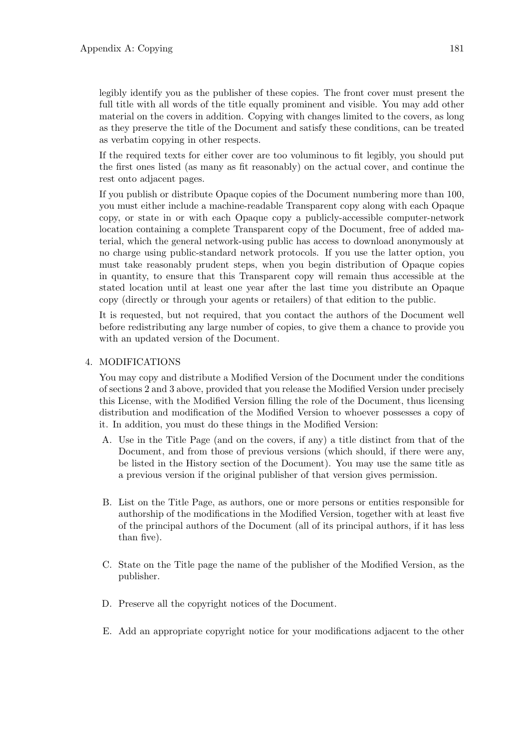legibly identify you as the publisher of these copies. The front cover must present the full title with all words of the title equally prominent and visible. You may add other material on the covers in addition. Copying with changes limited to the covers, as long as they preserve the title of the Document and satisfy these conditions, can be treated as verbatim copying in other respects.

If the required texts for either cover are too voluminous to fit legibly, you should put the first ones listed (as many as fit reasonably) on the actual cover, and continue the rest onto adjacent pages.

If you publish or distribute Opaque copies of the Document numbering more than 100, you must either include a machine-readable Transparent copy along with each Opaque copy, or state in or with each Opaque copy a publicly-accessible computer-network location containing a complete Transparent copy of the Document, free of added material, which the general network-using public has access to download anonymously at no charge using public-standard network protocols. If you use the latter option, you must take reasonably prudent steps, when you begin distribution of Opaque copies in quantity, to ensure that this Transparent copy will remain thus accessible at the stated location until at least one year after the last time you distribute an Opaque copy (directly or through your agents or retailers) of that edition to the public.

It is requested, but not required, that you contact the authors of the Document well before redistributing any large number of copies, to give them a chance to provide you with an updated version of the Document.

#### 4. MODIFICATIONS

You may copy and distribute a Modified Version of the Document under the conditions of sections 2 and 3 above, provided that you release the Modified Version under precisely this License, with the Modified Version filling the role of the Document, thus licensing distribution and modification of the Modified Version to whoever possesses a copy of it. In addition, you must do these things in the Modified Version:

- A. Use in the Title Page (and on the covers, if any) a title distinct from that of the Document, and from those of previous versions (which should, if there were any, be listed in the History section of the Document). You may use the same title as a previous version if the original publisher of that version gives permission.
- B. List on the Title Page, as authors, one or more persons or entities responsible for authorship of the modifications in the Modified Version, together with at least five of the principal authors of the Document (all of its principal authors, if it has less than five).
- C. State on the Title page the name of the publisher of the Modified Version, as the publisher.
- D. Preserve all the copyright notices of the Document.
- E. Add an appropriate copyright notice for your modifications adjacent to the other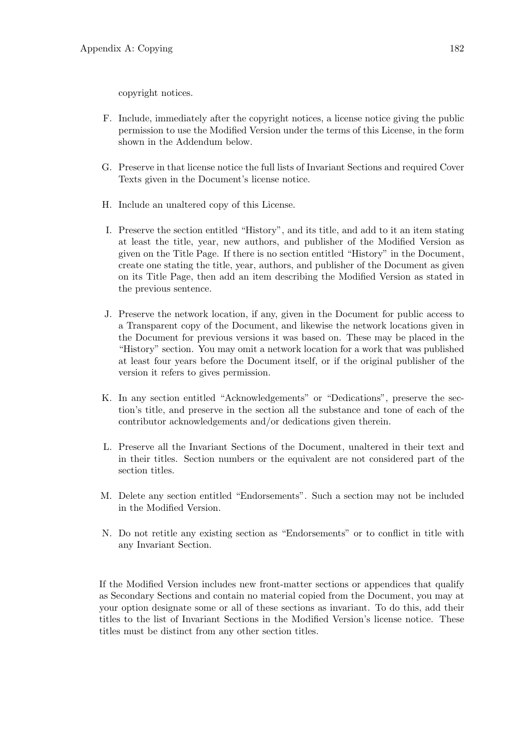copyright notices.

- F. Include, immediately after the copyright notices, a license notice giving the public permission to use the Modified Version under the terms of this License, in the form shown in the Addendum below.
- G. Preserve in that license notice the full lists of Invariant Sections and required Cover Texts given in the Document's license notice.
- H. Include an unaltered copy of this License.
- I. Preserve the section entitled "History", and its title, and add to it an item stating at least the title, year, new authors, and publisher of the Modified Version as given on the Title Page. If there is no section entitled "History" in the Document, create one stating the title, year, authors, and publisher of the Document as given on its Title Page, then add an item describing the Modified Version as stated in the previous sentence.
- J. Preserve the network location, if any, given in the Document for public access to a Transparent copy of the Document, and likewise the network locations given in the Document for previous versions it was based on. These may be placed in the "History" section. You may omit a network location for a work that was published at least four years before the Document itself, or if the original publisher of the version it refers to gives permission.
- K. In any section entitled "Acknowledgements" or "Dedications", preserve the section's title, and preserve in the section all the substance and tone of each of the contributor acknowledgements and/or dedications given therein.
- L. Preserve all the Invariant Sections of the Document, unaltered in their text and in their titles. Section numbers or the equivalent are not considered part of the section titles.
- M. Delete any section entitled "Endorsements". Such a section may not be included in the Modified Version.
- N. Do not retitle any existing section as "Endorsements" or to conflict in title with any Invariant Section.

If the Modified Version includes new front-matter sections or appendices that qualify as Secondary Sections and contain no material copied from the Document, you may at your option designate some or all of these sections as invariant. To do this, add their titles to the list of Invariant Sections in the Modified Version's license notice. These titles must be distinct from any other section titles.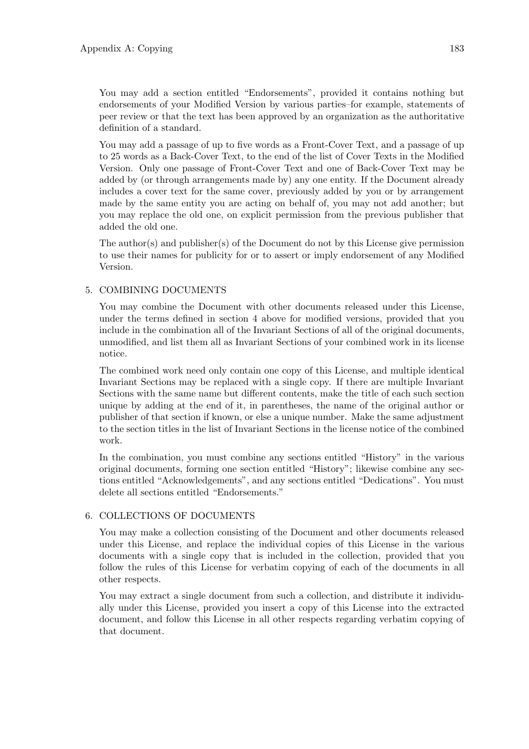You may add a section entitled "Endorsements", provided it contains nothing but endorsements of your Modified Version by various parties–for example, statements of peer review or that the text has been approved by an organization as the authoritative definition of a standard.

You may add a passage of up to five words as a Front-Cover Text, and a passage of up to 25 words as a Back-Cover Text, to the end of the list of Cover Texts in the Modified Version. Only one passage of Front-Cover Text and one of Back-Cover Text may be added by (or through arrangements made by) any one entity. If the Document already includes a cover text for the same cover, previously added by you or by arrangement made by the same entity you are acting on behalf of, you may not add another; but you may replace the old one, on explicit permission from the previous publisher that added the old one.

The author(s) and publisher(s) of the Document do not by this License give permission to use their names for publicity for or to assert or imply endorsement of any Modified Version.

#### 5. COMBINING DOCUMENTS

You may combine the Document with other documents released under this License, under the terms defined in section 4 above for modified versions, provided that you include in the combination all of the Invariant Sections of all of the original documents, unmodified, and list them all as Invariant Sections of your combined work in its license notice.

The combined work need only contain one copy of this License, and multiple identical Invariant Sections may be replaced with a single copy. If there are multiple Invariant Sections with the same name but different contents, make the title of each such section unique by adding at the end of it, in parentheses, the name of the original author or publisher of that section if known, or else a unique number. Make the same adjustment to the section titles in the list of Invariant Sections in the license notice of the combined work.

In the combination, you must combine any sections entitled "History" in the various original documents, forming one section entitled "History"; likewise combine any sections entitled "Acknowledgements", and any sections entitled "Dedications". You must delete all sections entitled "Endorsements."

#### 6. COLLECTIONS OF DOCUMENTS

You may make a collection consisting of the Document and other documents released under this License, and replace the individual copies of this License in the various documents with a single copy that is included in the collection, provided that you follow the rules of this License for verbatim copying of each of the documents in all other respects.

You may extract a single document from such a collection, and distribute it individually under this License, provided you insert a copy of this License into the extracted document, and follow this License in all other respects regarding verbatim copying of that document.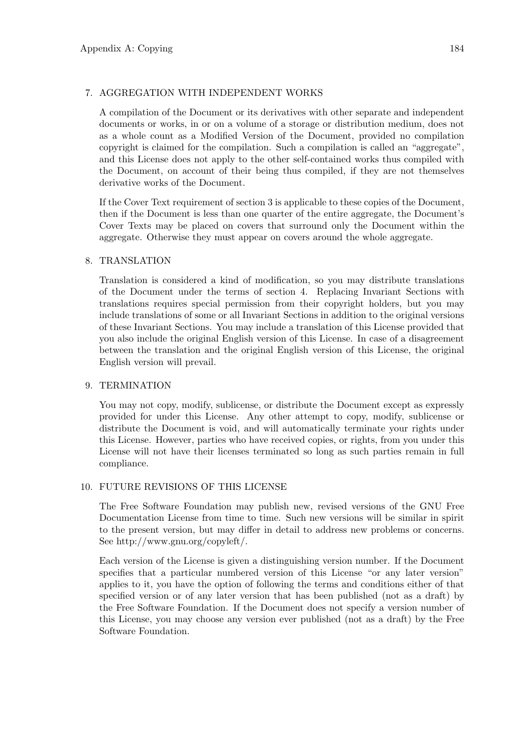#### 7. AGGREGATION WITH INDEPENDENT WORKS

A compilation of the Document or its derivatives with other separate and independent documents or works, in or on a volume of a storage or distribution medium, does not as a whole count as a Modified Version of the Document, provided no compilation copyright is claimed for the compilation. Such a compilation is called an "aggregate", and this License does not apply to the other self-contained works thus compiled with the Document, on account of their being thus compiled, if they are not themselves derivative works of the Document.

If the Cover Text requirement of section 3 is applicable to these copies of the Document, then if the Document is less than one quarter of the entire aggregate, the Document's Cover Texts may be placed on covers that surround only the Document within the aggregate. Otherwise they must appear on covers around the whole aggregate.

#### 8. TRANSLATION

Translation is considered a kind of modification, so you may distribute translations of the Document under the terms of section 4. Replacing Invariant Sections with translations requires special permission from their copyright holders, but you may include translations of some or all Invariant Sections in addition to the original versions of these Invariant Sections. You may include a translation of this License provided that you also include the original English version of this License. In case of a disagreement between the translation and the original English version of this License, the original English version will prevail.

#### 9. TERMINATION

You may not copy, modify, sublicense, or distribute the Document except as expressly provided for under this License. Any other attempt to copy, modify, sublicense or distribute the Document is void, and will automatically terminate your rights under this License. However, parties who have received copies, or rights, from you under this License will not have their licenses terminated so long as such parties remain in full compliance.

#### 10. FUTURE REVISIONS OF THIS LICENSE

The Free Software Foundation may publish new, revised versions of the GNU Free Documentation License from time to time. Such new versions will be similar in spirit to the present version, but may differ in detail to address new problems or concerns. See http://www.gnu.org/copyleft/.

Each version of the License is given a distinguishing version number. If the Document specifies that a particular numbered version of this License "or any later version" applies to it, you have the option of following the terms and conditions either of that specified version or of any later version that has been published (not as a draft) by the Free Software Foundation. If the Document does not specify a version number of this License, you may choose any version ever published (not as a draft) by the Free Software Foundation.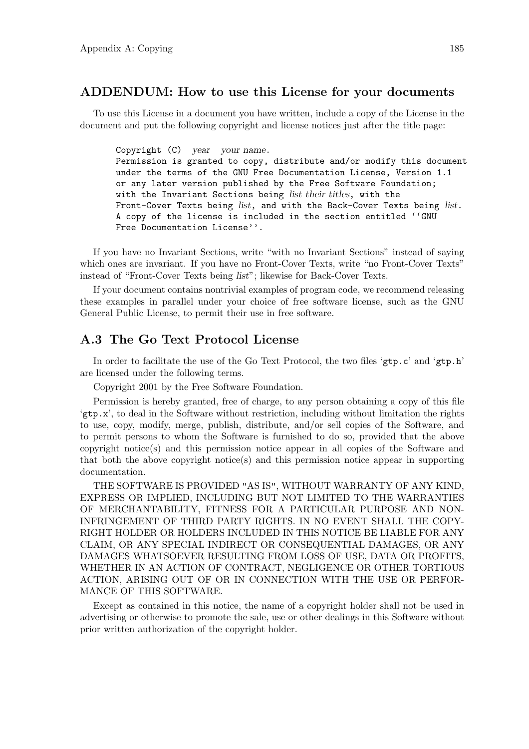#### ADDENDUM: How to use this License for your documents

To use this License in a document you have written, include a copy of the License in the document and put the following copyright and license notices just after the title page:

Copyright (C) year your name. Permission is granted to copy, distribute and/or modify this document under the terms of the GNU Free Documentation License, Version 1.1 or any later version published by the Free Software Foundation; with the Invariant Sections being list their titles, with the Front-Cover Texts being list, and with the Back-Cover Texts being list. A copy of the license is included in the section entitled ''GNU Free Documentation License''.

If you have no Invariant Sections, write "with no Invariant Sections" instead of saying which ones are invariant. If you have no Front-Cover Texts, write "no Front-Cover Texts" instead of "Front-Cover Texts being list"; likewise for Back-Cover Texts.

If your document contains nontrivial examples of program code, we recommend releasing these examples in parallel under your choice of free software license, such as the GNU General Public License, to permit their use in free software.

#### A.3 The Go Text Protocol License

In order to facilitate the use of the Go Text Protocol, the two files ' $gtp.c'$  and ' $gtp.h'$ ' are licensed under the following terms.

Copyright 2001 by the Free Software Foundation.

Permission is hereby granted, free of charge, to any person obtaining a copy of this file 'gtp.x', to deal in the Software without restriction, including without limitation the rights to use, copy, modify, merge, publish, distribute, and/or sell copies of the Software, and to permit persons to whom the Software is furnished to do so, provided that the above copyright notice(s) and this permission notice appear in all copies of the Software and that both the above copyright notice(s) and this permission notice appear in supporting documentation.

THE SOFTWARE IS PROVIDED "AS IS", WITHOUT WARRANTY OF ANY KIND, EXPRESS OR IMPLIED, INCLUDING BUT NOT LIMITED TO THE WARRANTIES OF MERCHANTABILITY, FITNESS FOR A PARTICULAR PURPOSE AND NON-INFRINGEMENT OF THIRD PARTY RIGHTS. IN NO EVENT SHALL THE COPY-RIGHT HOLDER OR HOLDERS INCLUDED IN THIS NOTICE BE LIABLE FOR ANY CLAIM, OR ANY SPECIAL INDIRECT OR CONSEQUENTIAL DAMAGES, OR ANY DAMAGES WHATSOEVER RESULTING FROM LOSS OF USE, DATA OR PROFITS, WHETHER IN AN ACTION OF CONTRACT, NEGLIGENCE OR OTHER TORTIOUS ACTION, ARISING OUT OF OR IN CONNECTION WITH THE USE OR PERFOR-MANCE OF THIS SOFTWARE.

Except as contained in this notice, the name of a copyright holder shall not be used in advertising or otherwise to promote the sale, use or other dealings in this Software without prior written authorization of the copyright holder.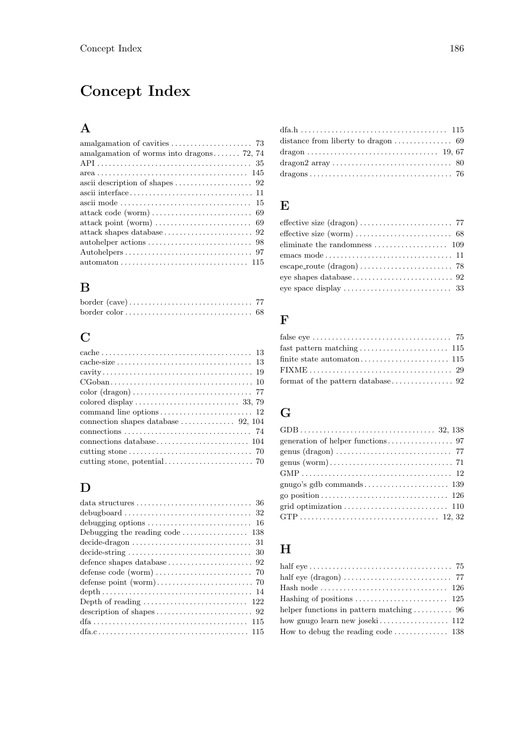# Concept Index

## A

| amalgamation of worms into dragons 72, 74                                                           |
|-----------------------------------------------------------------------------------------------------|
|                                                                                                     |
|                                                                                                     |
| ascii description of shapes $\ldots \ldots \ldots \ldots \ldots \ldots$ 92                          |
|                                                                                                     |
|                                                                                                     |
|                                                                                                     |
|                                                                                                     |
|                                                                                                     |
|                                                                                                     |
|                                                                                                     |
| $automaton \ldots \ldots \ldots \ldots \ldots \ldots \ldots \ldots \ldots \ldots \ldots \ldots 115$ |

### B

## C

| $cache-size \ldots \ldots \ldots \ldots \ldots \ldots \ldots \ldots \ldots \ldots 13$           |  |
|-------------------------------------------------------------------------------------------------|--|
|                                                                                                 |  |
| $CGoban \ldots \ldots \ldots \ldots \ldots \ldots \ldots \ldots \ldots \ldots \ldots \ldots 10$ |  |
|                                                                                                 |  |
| colored display $\ldots \ldots \ldots \ldots \ldots \ldots \ldots \ldots$ 33, 79                |  |
|                                                                                                 |  |
| connection shapes database $\dots \dots \dots \dots$ 92, 104                                    |  |
|                                                                                                 |  |
|                                                                                                 |  |
|                                                                                                 |  |
|                                                                                                 |  |

## D

| debugging options $\ldots \ldots \ldots \ldots \ldots \ldots \ldots \ldots$ 16                                               |
|------------------------------------------------------------------------------------------------------------------------------|
| Debugging the reading code $\ldots \ldots \ldots \ldots \ldots 138$                                                          |
|                                                                                                                              |
| $\text{decide-string} \dots \dots \dots \dots \dots \dots \dots \dots \dots \dots \dots \dots \dots \dots \dots \dots \dots$ |
|                                                                                                                              |
|                                                                                                                              |
|                                                                                                                              |
|                                                                                                                              |
| Depth of reading $\ldots \ldots \ldots \ldots \ldots \ldots \ldots \ldots 122$                                               |
|                                                                                                                              |
|                                                                                                                              |
|                                                                                                                              |

## E

| eliminate the randomness $\ldots \ldots \ldots \ldots \ldots \ldots 109$ |  |
|--------------------------------------------------------------------------|--|
|                                                                          |  |
|                                                                          |  |
|                                                                          |  |
|                                                                          |  |

## F

## G

## H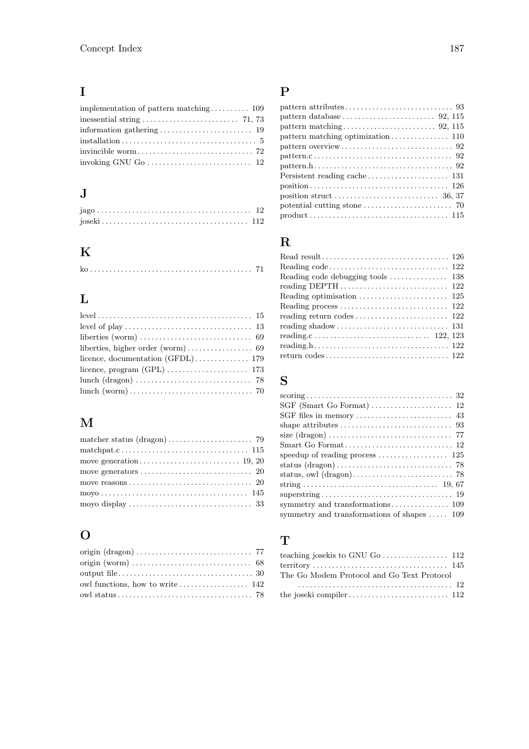## I

## J

| $jago \ldots \ldots \ldots \ldots \ldots \ldots \ldots \ldots \ldots \ldots \ldots \ldots \ldots 12$ |  |  |  |  |  |  |  |  |  |  |  |  |  |  |  |  |
|------------------------------------------------------------------------------------------------------|--|--|--|--|--|--|--|--|--|--|--|--|--|--|--|--|
|                                                                                                      |  |  |  |  |  |  |  |  |  |  |  |  |  |  |  |  |

## K

## L

| $level \ldots \ldots \ldots \ldots \ldots \ldots \ldots \ldots \ldots \ldots \ldots \ldots \ldots 15$ |
|-------------------------------------------------------------------------------------------------------|
|                                                                                                       |
|                                                                                                       |
|                                                                                                       |
|                                                                                                       |
|                                                                                                       |
|                                                                                                       |
|                                                                                                       |
|                                                                                                       |

### M

| moyo display $\ldots \ldots \ldots \ldots \ldots \ldots \ldots \ldots \ldots$ 33 |
|----------------------------------------------------------------------------------|
|                                                                                  |

## O

| owl functions, how to write $\dots \dots \dots \dots \dots \dots \dots$ 142 |  |
|-----------------------------------------------------------------------------|--|
|                                                                             |  |

### P

| pattern matching optimization $\ldots \ldots \ldots \ldots 110$                                   |
|---------------------------------------------------------------------------------------------------|
|                                                                                                   |
|                                                                                                   |
|                                                                                                   |
|                                                                                                   |
|                                                                                                   |
|                                                                                                   |
| potential cutting stone $\ldots \ldots \ldots \ldots \ldots \ldots$ 70                            |
| $product \ldots \ldots \ldots \ldots \ldots \ldots \ldots \ldots \ldots \ldots \ldots \ldots 115$ |

### R

| Reading optimisation $\ldots \ldots \ldots \ldots \ldots \ldots \ldots$ 125 |  |
|-----------------------------------------------------------------------------|--|
|                                                                             |  |
|                                                                             |  |
|                                                                             |  |
|                                                                             |  |
|                                                                             |  |
|                                                                             |  |

## S

| speedup of reading process $\dots \dots \dots \dots \dots \dots$ 125 |
|----------------------------------------------------------------------|
|                                                                      |
|                                                                      |
|                                                                      |
|                                                                      |
|                                                                      |
| symmetry and transformations of shapes $\dots$ 109                   |
|                                                                      |

### T

| teaching josekis to GNU Go $\dots \dots \dots \dots \dots \dots$ 112 |  |
|----------------------------------------------------------------------|--|
|                                                                      |  |
| The Go Modem Protocol and Go Text Protocol                           |  |
|                                                                      |  |
|                                                                      |  |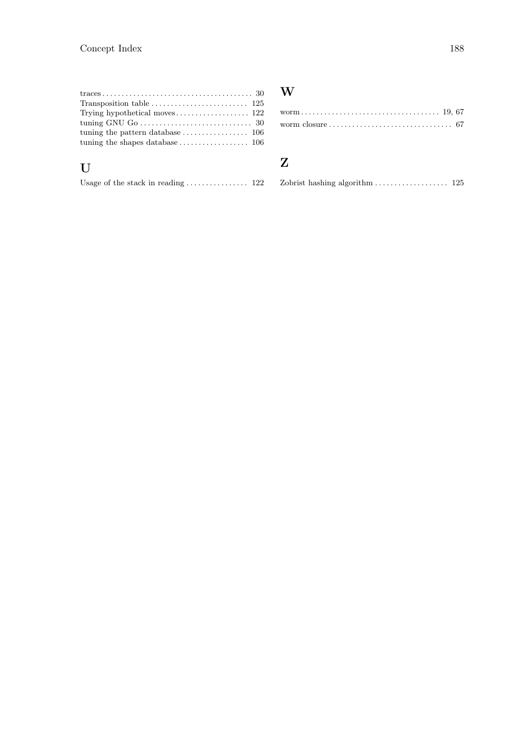| Transposition table $\ldots \ldots \ldots \ldots \ldots \ldots \ldots \ldots 125$ |  |
|-----------------------------------------------------------------------------------|--|
|                                                                                   |  |
|                                                                                   |  |
| tuning the pattern database $\dots \dots \dots \dots \dots \dots \dots$ 106       |  |
|                                                                                   |  |
|                                                                                   |  |

## $\mathbf U$

|  |  | Usage of the stack in reading $\ldots \ldots \ldots \ldots 122$ |  |  |  |  |  |
|--|--|-----------------------------------------------------------------|--|--|--|--|--|
|  |  |                                                                 |  |  |  |  |  |

### W

### Z

|  |  | Zobrist hashing algorithm $\ldots \ldots \ldots \ldots \ldots 125$ |  |
|--|--|--------------------------------------------------------------------|--|
|--|--|--------------------------------------------------------------------|--|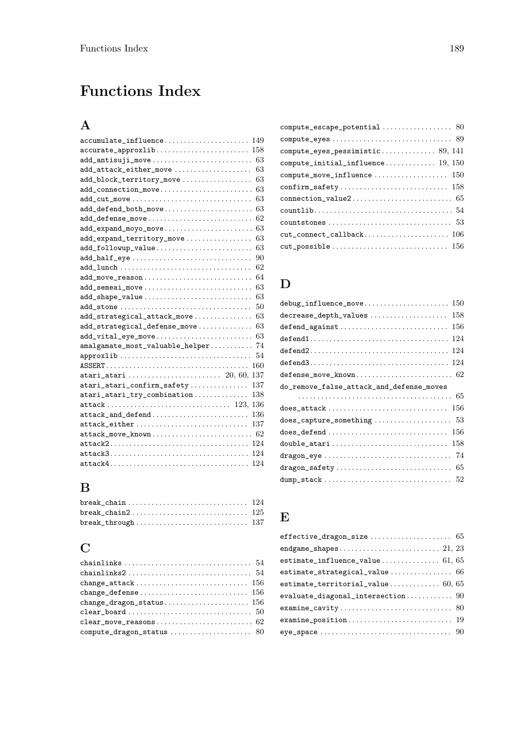# Functions Index

## A

| accumulate_influence<br>149           |
|---------------------------------------|
| accurate_approxlib<br>158             |
| 63<br>add_antisuji_move               |
| 63<br>add_attack_either_move          |
| 63<br>add_block_territory_move        |
| 63<br>add_connection_move             |
| 63<br>add_cut_move                    |
| 63<br>add_defend_both_move            |
| 62<br>add_defense_move                |
| 63<br>add_expand_moyo_move            |
| 63<br>add_expand_territory_move       |
| 63<br>add_followup_value              |
| add_half_eye<br>90                    |
| 62                                    |
| 64<br>add_move_reason                 |
| 63<br>add_semeai_move                 |
| 63<br>add_shape_value                 |
| add_stone<br>50                       |
| 63<br>add_strategical_attack_move     |
| 63<br>add_strategical_defense_move    |
| 63<br>add_vital_eye_move              |
| amalgamate_most_valuable_helper<br>74 |
| approxlib<br>54                       |
| 160                                   |
| 137                                   |
| atari_atari_confirm_safety<br>137     |
| 138<br>atari_atari_try_combination    |
| 136                                   |
| 136<br>attack_and_defend              |
| 137<br>attack_either                  |
| 62<br>attack_move_known               |
| 124                                   |
| 124                                   |
| 124                                   |

## B

### C

| change_defense $\dots\dots\dots\dots\dots\dots\dots\dots\dots\dots\ 156$           |  |
|------------------------------------------------------------------------------------|--|
|                                                                                    |  |
|                                                                                    |  |
| $clear_{\text{move}_{\text{reasons}}\dots\dots\dots\dots\dots\dots\dots\dots\,62}$ |  |
| $\verb compute_dragon_sstatus   \dots, \dots, \dots, \dots, \ 80$                  |  |

| $compute\_escape\_potential \dots \dots \dots \dots \dots \ 80$                        |
|----------------------------------------------------------------------------------------|
| $compute\_eyes \ldots \ldots \ldots \ldots \ldots \ldots \ldots \ldots \ldots \ 89$    |
|                                                                                        |
| $\texttt{compute\_initial\_influence} \dots \dots \dots \dots \ 19, \ 150$             |
|                                                                                        |
| $\texttt{confirm\_safety} \dots \dots \dots \dots \dots \dots \dots \dots \dots \ 158$ |
| $connection\_value2 \ldots \ldots \ldots \ldots \ldots \ldots \ldots \ldots \quad 65$  |
|                                                                                        |
| $countstone s \dots \dots \dots \dots \dots \dots \dots \dots \dots \dots \dots \ 53$  |
| $cut\_connect\_callback. \dots \dots \dots \dots \dots \dots \dots \ 106$              |
|                                                                                        |

### D

| debug_influence_move<br>150                                                                                                     |
|---------------------------------------------------------------------------------------------------------------------------------|
| decrease_depth_values<br>158                                                                                                    |
| defend_against<br>156                                                                                                           |
| 124                                                                                                                             |
| $\texttt{defined2} \dots \dots \dots \dots \dots \dots \dots \dots \dots \dots \dots \dots \dots \dots \dots \dots \dots \dots$ |
| defend $3 \ldots \ldots \ldots \ldots \ldots \ldots \ldots \ldots \ldots \ldots \ldots \ldots 124$                              |
| $defense_move_known \ldots \ldots \ldots \ldots \ldots \ldots \ldots \quad 62$                                                  |
| do_remove_false_attack_and_defense_moves                                                                                        |
|                                                                                                                                 |
| does_attack<br>156                                                                                                              |
|                                                                                                                                 |
| 156                                                                                                                             |
| double_atari<br>158                                                                                                             |
|                                                                                                                                 |
| dragon_safety<br>-65                                                                                                            |
|                                                                                                                                 |

### E

| $effective_\text{dragon\_size}\dots\dots\dots\dots\dots\dots\dots65$        |
|-----------------------------------------------------------------------------|
|                                                                             |
|                                                                             |
| estimate_strategical_value 66                                               |
| estimate_territorial_value $60, 65$                                         |
|                                                                             |
| $examine_cavity \dots \dots \dots \dots \dots \dots \dots \dots \dots \ 80$ |
|                                                                             |
|                                                                             |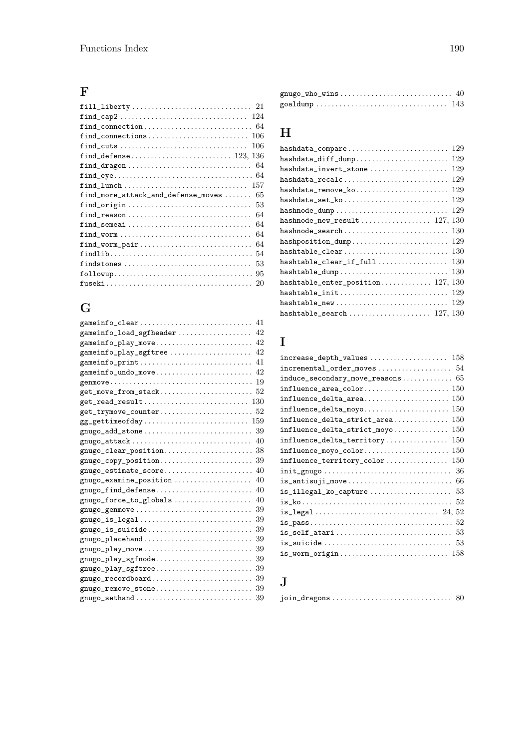### F

| $\texttt{find\_cap2} \dots \dots \dots \dots \dots \dots \dots \dots \dots \dots \quad 124$                    |
|----------------------------------------------------------------------------------------------------------------|
|                                                                                                                |
| $find\_connections \dots \dots \dots \dots \dots \dots \dots \dots \dots \dots$<br>106                         |
| $find\_cuts$<br>106                                                                                            |
|                                                                                                                |
| find_dragon<br>-64                                                                                             |
| $\verb"find\_eye{}.\dots\dots\dots\dots\dots\dots\dots\dots\dots\ 64$                                          |
| 157                                                                                                            |
| 65<br>$find\_more\_attack\_and\_define\_moves \dots \dots$                                                     |
| find_origin<br>53                                                                                              |
| find_reason<br>64                                                                                              |
| find_semeai<br>64                                                                                              |
| find_worm<br>64                                                                                                |
| find_worm_pair<br>64                                                                                           |
| 54                                                                                                             |
| 53<br>findstones                                                                                               |
| -95                                                                                                            |
| ${\tt fuseki} \ldots \ldots \ldots \ldots \ldots \ldots \ldots \ldots \ldots \ldots \ldots \ldots \; {\tt 20}$ |
|                                                                                                                |

## G

| gameinfo_load_sgfheader<br>42                                                          |
|----------------------------------------------------------------------------------------|
| 42<br>gameinfo_play_move                                                               |
| gameinfo_play_sgftree<br>42                                                            |
| gameinfo_print<br>41                                                                   |
|                                                                                        |
|                                                                                        |
|                                                                                        |
|                                                                                        |
|                                                                                        |
| $gg\_gettime of day \ldots \ldots \ldots \ldots \ldots \ldots \ldots \ldots \quad 159$ |
|                                                                                        |
|                                                                                        |
|                                                                                        |
|                                                                                        |
|                                                                                        |
| gnugo_examine_position<br>40                                                           |
|                                                                                        |
| 40<br>gnugo_force_to_globals                                                           |
|                                                                                        |
|                                                                                        |
|                                                                                        |
|                                                                                        |
|                                                                                        |
|                                                                                        |
|                                                                                        |
|                                                                                        |
|                                                                                        |
| gnugo_sethand $\ldots \ldots \ldots \ldots \ldots \ldots \ldots \ldots \ldots 39$      |

| $gnugo_who_wins \ldots \ldots \ldots \ldots \ldots \ldots \ldots \ldots \quad 40$ |  |
|-----------------------------------------------------------------------------------|--|
|                                                                                   |  |

### H

| 129<br>hashdata_compare                                                      |
|------------------------------------------------------------------------------|
| 129<br>hashdata_diff_dump                                                    |
| 129<br>hashdata_invert_stone                                                 |
| hashdata_recalc<br>129                                                       |
| 129<br>hashdata_remove_ko                                                    |
| 129<br>hashdata_set_ko                                                       |
| 129                                                                          |
| 130                                                                          |
| 130<br>hashnode_search                                                       |
| 129<br>hashposition_dump                                                     |
| hashtable_clear<br>130                                                       |
| hashtable_clear_if_full<br>130                                               |
| hashtable_dump<br>130                                                        |
| 130<br>$hashtable{\_}enter{\_}position{\_}\ldots{\_}\ldots{\_}\ 127,$        |
| hashtable_init<br>129                                                        |
| hashtable_new<br>129                                                         |
| ${\tt hashtable\_search}\ \dots \dots \dots \dots \dots \dots \ 127, \, 130$ |

### I

| $incremental{\_}order{\_}moves \dots \dots \dots \dots \dots \dots 54$         |  |
|--------------------------------------------------------------------------------|--|
|                                                                                |  |
| influence_area_color<br>150                                                    |  |
| influence_delta_area<br>150                                                    |  |
| influence_delta_moyo<br>150                                                    |  |
| 150<br>influence_delta_strict_area                                             |  |
| 150<br>influence_delta_strict_moyo                                             |  |
| 150<br>influence_delta_territory                                               |  |
| influence_moyo_color<br>150                                                    |  |
| 150<br>influence_territory_color                                               |  |
| init_gnugo<br>36                                                               |  |
| is_antisuji_move<br>66                                                         |  |
| 53<br>$is$ <sub>1</sub> llegal_ko_capture                                      |  |
|                                                                                |  |
|                                                                                |  |
|                                                                                |  |
|                                                                                |  |
|                                                                                |  |
| $is\_worm\_origin \dots \dots \dots \dots \dots \dots \dots \dots \dots \ 158$ |  |

## J

|--|--|--|--|--|--|--|--|--|--|--|--|--|--|--|--|--|--|--|--|--|--|--|--|--|--|--|--|--|--|--|--|--|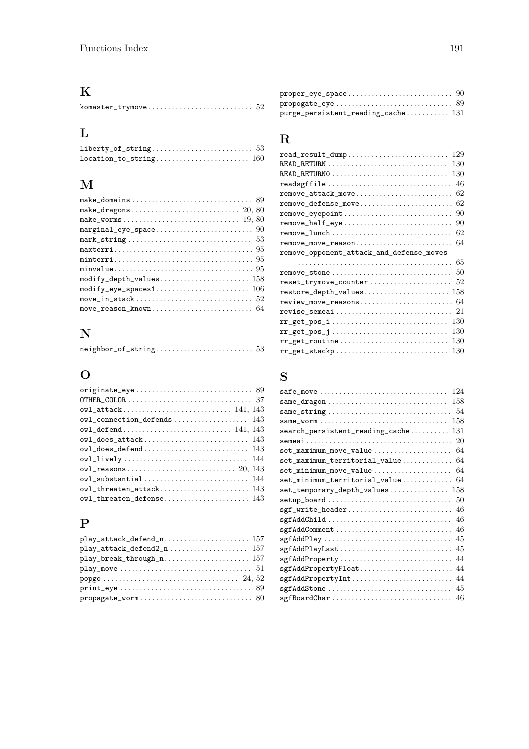#### K

|--|--|--|--|--|--|--|--|--|--|--|--|--|--|--|--|--|--|--|

#### L

#### M

| $marginal\_eye\_space \dots \dots \dots \dots \dots \dots \dots \dots \dots \dots \dots \dots \dots$ |  |
|------------------------------------------------------------------------------------------------------|--|
|                                                                                                      |  |
|                                                                                                      |  |
|                                                                                                      |  |
|                                                                                                      |  |
| $\texttt{modify\_depth\_values} \dots \dots \dots \dots \dots \dots \dots \ 158$                     |  |
| $\texttt{modify\_eye\_spaces1} \dots \dots \dots \dots \dots \dots \dots \ 106$                      |  |
|                                                                                                      |  |
| $move\_reason\_known \dots \dots \dots \dots \dots \dots \dots \dots \ 64$                           |  |
|                                                                                                      |  |

#### N

| $neighbor_of_string \ldots \ldots \ldots \ldots \ldots \ldots \ldots 53$ |  |
|--------------------------------------------------------------------------|--|
|--------------------------------------------------------------------------|--|

#### O

| OTHER_COLOR $\ldots \ldots \ldots \ldots \ldots \ldots \ldots \ldots \ldots \ldots 37$    |
|-------------------------------------------------------------------------------------------|
|                                                                                           |
| owl_attack 141, 143                                                                       |
| $ov1$ <sub>c</sub> connection_defends  143                                                |
|                                                                                           |
|                                                                                           |
| $\texttt{owl\_does\_defined} \dots \dots \dots \dots \dots \dots \dots \dots \dots \ 143$ |
|                                                                                           |
|                                                                                           |
| owl_substantial 144                                                                       |
| owl_threaten_attack 143                                                                   |
|                                                                                           |

### P

| popgo $\ldots \ldots \ldots \ldots \ldots \ldots \ldots \ldots \ldots \ldots \ldots \quad 24, 52$ |
|---------------------------------------------------------------------------------------------------|
| $print\_eye \ldots \ldots \ldots \ldots \ldots \ldots \ldots \ldots \ldots \quad 89$              |
| propagate_worm 80                                                                                 |

#### proper\_eye\_space . . . . . . . . . . . . . . . . . . . . . . . . . . . 90  $propogate\_eye \dots \dots \dots \dots \dots \dots \dots \dots \dots \dots \dots \ 89$  $pure\_persistent\_reading\_cache \ldots \ldots \ldots \quad 131$

#### R

| 129<br>read_result_dump                                                                             |
|-----------------------------------------------------------------------------------------------------|
| 130                                                                                                 |
| 130                                                                                                 |
| readsgffile<br>46                                                                                   |
| 62<br>remove_attack_move                                                                            |
| remove_defense_move<br>62                                                                           |
| remove_eyepoint<br>90                                                                               |
| remove_half_eye<br>90                                                                               |
| 62                                                                                                  |
| $remove\_move\_reason \dots \dots \dots \dots \dots \dots \dots \dots \ 64$                         |
| remove_opponent_attack_and_defense_moves                                                            |
| 65                                                                                                  |
| remove_stone<br>50                                                                                  |
| 52<br>reset_trymove_counter                                                                         |
| $\verb restore_depth_vvalues  \dots \dots \dots \dots \dots \dots \dots \ 158$                      |
| review_move_reasons<br>-64                                                                          |
| revise_semeai<br>21                                                                                 |
| 130                                                                                                 |
| 130                                                                                                 |
| 130<br>$rr\_get\_routine \dots \dots \dots \dots \dots \dots \dots \dots \dots$                     |
| $\verb+rr_get_stackp+ \ldots \ldots \ldots \ldots \ldots \ldots \ldots \ldots \ldots \ldots$<br>130 |
|                                                                                                     |

#### S

| 124<br>safe_move                                                   |
|--------------------------------------------------------------------|
| 158                                                                |
|                                                                    |
| 158<br>same_worm                                                   |
| 131<br>search_persistent_reading_cache                             |
|                                                                    |
| 64                                                                 |
| 64                                                                 |
| 64                                                                 |
| $set\_minimum\_territorial\_value$ 64                              |
| $set{\_temparray\_\_depth{\_}values\ldots\ldots\ldots\ldots\_158}$ |
| setup_board<br>50                                                  |
| sgf_write_header<br>46                                             |
| sgfAddChild<br>46                                                  |
| sgfAddComment<br>46                                                |
| 45<br>sgfAddPlay                                                   |
| sgfAddPlayLast<br>45                                               |
| 44<br>sgfAddProperty                                               |
| sgfAddPropertyFloat<br>44                                          |
| sgfAddPropertyInt<br>44                                            |
| 45<br>sgfAddStone                                                  |
| sgfBoardChar<br>46                                                 |
|                                                                    |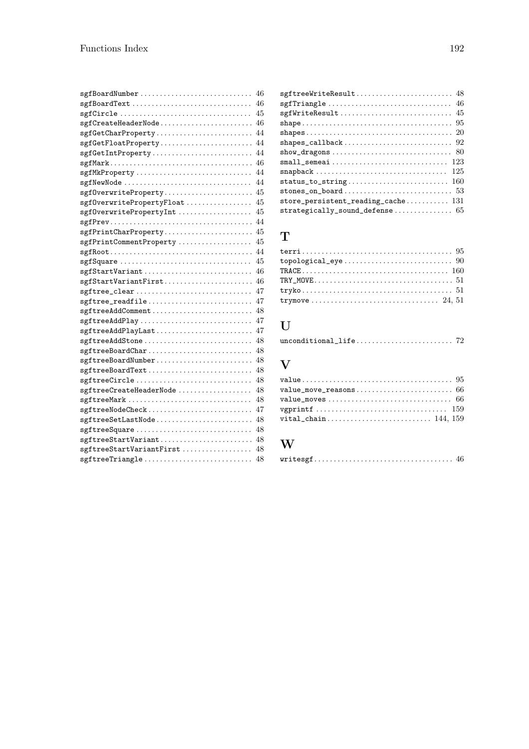| sgfBoardText                                                                                       | 46 |
|----------------------------------------------------------------------------------------------------|----|
| sgfCircle                                                                                          | 45 |
| $\texttt{sgfCreateHeaderNode}\dots\dots\dots\dots\dots\dots\dots \dots \ 46$                       |    |
| sgfGetCharProperty                                                                                 | 44 |
| sgfGetFloatProperty 44                                                                             |    |
| sgfGetIntProperty                                                                                  | 44 |
|                                                                                                    |    |
| sgfMkProperty                                                                                      | 44 |
| sgfNewNode                                                                                         | 44 |
|                                                                                                    |    |
| $sgf0$ verwritePropertyFloat  45                                                                   |    |
| sgf0verwritePropertyInt  45                                                                        |    |
|                                                                                                    |    |
|                                                                                                    |    |
| sgfPrintCommentProperty                                                                            | 45 |
| $sgfRoot \ldots \ldots \ldots \ldots \ldots \ldots \ldots \ldots \ldots \ldots \ldots \ldots \ 44$ |    |
| sgfSquare                                                                                          | 45 |
|                                                                                                    |    |
|                                                                                                    |    |
| sgftree_clear                                                                                      | 47 |
| sgftree_readfile                                                                                   | 47 |
| sgftreeAddComment                                                                                  | 48 |
| sgftreeAddPlay                                                                                     | 47 |
| sgftreeAddPlayLast                                                                                 | 47 |
| sgftreeAddStone                                                                                    | 48 |
| sgftreeBoardChar                                                                                   | 48 |
| sgftreeBoardNumber 48                                                                              |    |
| sgftreeBoardText                                                                                   | 48 |
| sgftreeCircle                                                                                      | 48 |
| sgftreeCreateHeaderNode                                                                            | 48 |
| sgftreeMark                                                                                        | 48 |
| sgftreeNodeCheck                                                                                   | 47 |
| sgftreeSetLastNode 48                                                                              |    |
| sgftreeSquare                                                                                      | 48 |
| sgftreeStartVariant 48                                                                             |    |
| sgftreeStartVariantFirst                                                                           | 48 |
| sgftreeTriangle                                                                                    | 48 |

| sgf $Triangle \ldots \ldots \ldots \ldots \ldots \ldots \ldots \ldots \ldots \ldots \quad 46$ |
|-----------------------------------------------------------------------------------------------|
| $sgfWriteResult \dots \dots \dots \dots \dots \dots \dots \dots \dots \dots \ 45$             |
|                                                                                               |
|                                                                                               |
|                                                                                               |
|                                                                                               |
|                                                                                               |
|                                                                                               |
|                                                                                               |
|                                                                                               |
| store_persistent_reading_cache 131                                                            |
| strategically_sound_defense 65                                                                |

#### T

| $topological\_eye \ldots \ldots \ldots \ldots \ldots \ldots \ldots \ldots \ldots 90$          |
|-----------------------------------------------------------------------------------------------|
|                                                                                               |
|                                                                                               |
| $tryko \ldots \ldots \ldots \ldots \ldots \ldots \ldots \ldots \ldots \ldots \ldots 51$       |
| trymove $\ldots \ldots \ldots \ldots \ldots \ldots \ldots \ldots \ldots \ldots \ldots$ 24, 51 |

#### U

|--|

#### V

| vital_chain 144, 159 |
|----------------------|

### W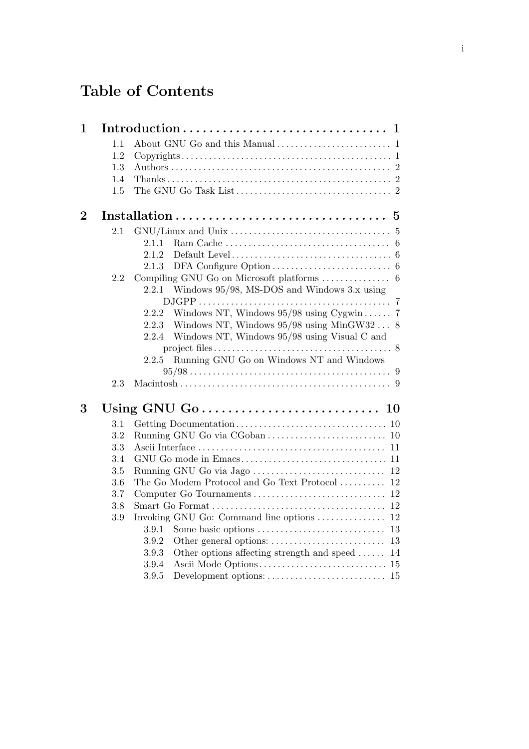# Table of Contents

| $\mathbf{1}$   |            | $\mathbf 1$                                                                             |
|----------------|------------|-----------------------------------------------------------------------------------------|
|                | 1.1        |                                                                                         |
|                | 1.2        |                                                                                         |
|                | 1.3        |                                                                                         |
|                | 1.4        |                                                                                         |
|                | 1.5        |                                                                                         |
| $\overline{2}$ |            | $\bf{5}$                                                                                |
|                | 2.1        | $\overline{5}$                                                                          |
|                |            | $\overline{6}$<br>2.1.1                                                                 |
|                |            | 2.1.2<br>Default Level $\dots\dots\dots\dots\dots\dots\dots\dots\dots\dots\dots\dots$ 6 |
|                |            | 2.1.3                                                                                   |
|                | 2.2        |                                                                                         |
|                |            | Windows 95/98, MS-DOS and Windows 3.x using<br>2.2.1                                    |
|                |            | -7                                                                                      |
|                |            | Windows NT, Windows $95/98$ using Cygwin 7<br>2.2.2                                     |
|                |            | Windows NT, Windows $95/98$ using MinGW32  8<br>2.2.3                                   |
|                |            | Windows NT, Windows 95/98 using Visual C and<br>2.2.4                                   |
|                |            | Running GNU Go on Windows NT and Windows<br>2.2.5                                       |
|                |            |                                                                                         |
|                | 2.3        |                                                                                         |
|                |            |                                                                                         |
| 3              |            |                                                                                         |
|                | $3.1\,$    |                                                                                         |
|                | 3.2        | 10                                                                                      |
|                | 3.3        | 11                                                                                      |
|                | 3.4        |                                                                                         |
|                | 3.5        | 12                                                                                      |
|                | 3.6        | The Go Modem Protocol and Go Text Protocol<br>12                                        |
|                | 3.7<br>3.8 | Computer Go Tournaments<br>12<br>12                                                     |
|                | 3.9        | 12<br>Invoking GNU Go: Command line options                                             |
|                |            | Some basic options<br>3.9.1<br>13                                                       |
|                |            | 3.9.2<br>13                                                                             |
|                |            | Other options affecting strength and speed $\dots$<br>3.9.3<br>14                       |
|                |            | 3.9.4                                                                                   |
|                |            | 3.9.5                                                                                   |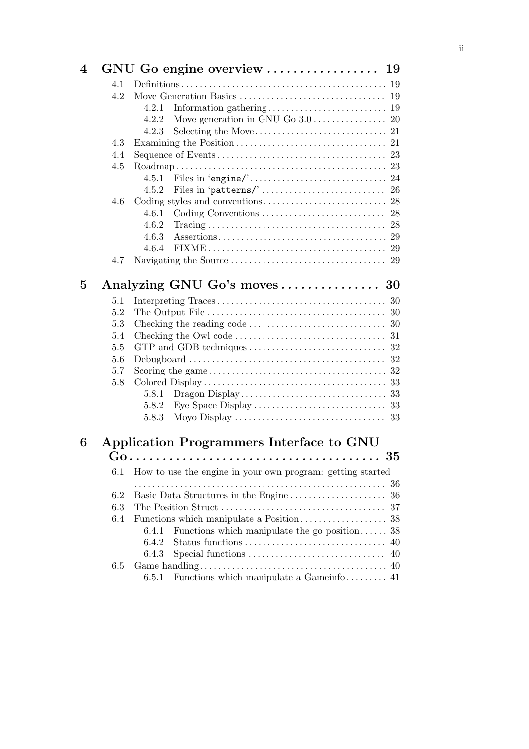| $\boldsymbol{4}$ |                  |                                                            |        |
|------------------|------------------|------------------------------------------------------------|--------|
|                  | 4.1              |                                                            |        |
|                  | 4.2              |                                                            |        |
|                  |                  | 4.2.1                                                      |        |
|                  |                  | 4.2.2                                                      |        |
|                  |                  | 4.2.3                                                      |        |
|                  | 4.3              |                                                            |        |
|                  | 4.4              |                                                            |        |
|                  | 4.5              |                                                            |        |
|                  |                  | 4.5.1                                                      |        |
|                  |                  | 4.5.2                                                      |        |
|                  | 4.6              |                                                            |        |
|                  |                  | 4.6.1                                                      |        |
|                  |                  | 4.6.2                                                      |        |
|                  |                  | 4.6.3                                                      |        |
|                  |                  | 4.6.4                                                      |        |
|                  | 4.7              |                                                            |        |
| $\bf{5}$         |                  | Analyzing GNU Go's moves  30                               |        |
|                  | 5.1              |                                                            |        |
|                  | 5.2              |                                                            |        |
|                  | 5.3              |                                                            |        |
|                  | 5.4              |                                                            |        |
|                  | 5.5              |                                                            |        |
|                  | 5.6              |                                                            |        |
|                  | 5.7              |                                                            |        |
|                  | 5.8              |                                                            |        |
|                  |                  | 5.8.1                                                      |        |
|                  |                  | 5.8.2                                                      |        |
|                  |                  | 5.8.3                                                      |        |
| 6                |                  | Application Programmers Interface to GNU                   |        |
|                  | $G_{\mathbf{t}}$ |                                                            | $35\,$ |
|                  | 6.1              | How to use the engine in your own program: getting started |        |
|                  | 6.2              |                                                            | 36     |
|                  | 6.3              |                                                            | 37     |
|                  | 6.4              |                                                            |        |
|                  |                  | Functions which manipulate the go position<br>6.4.1        | 38     |
|                  |                  | 6.4.2<br>Status functions                                  | 40     |
|                  |                  | 6.4.3                                                      | 40     |
|                  | 6.5              |                                                            |        |
|                  |                  | Functions which manipulate a Gameinfo 41<br>6.5.1          |        |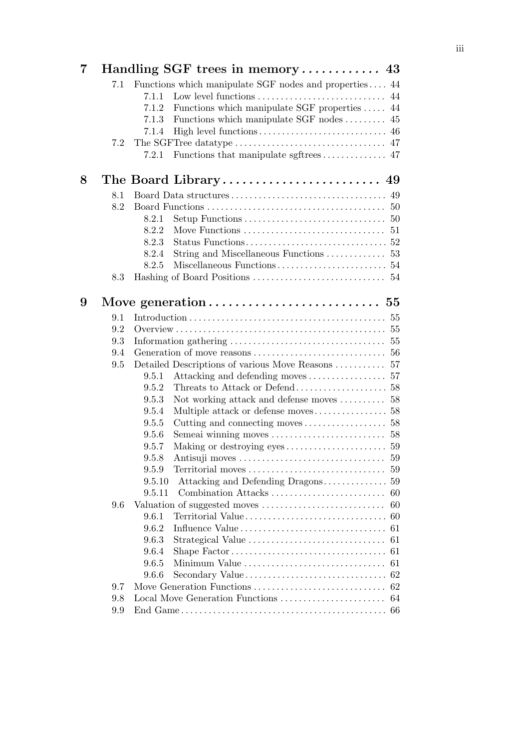| $\overline{7}$ |     | Handling SGF trees in memory 43                        |    |
|----------------|-----|--------------------------------------------------------|----|
|                | 7.1 | Functions which manipulate SGF nodes and properties 44 |    |
|                |     | 7.1.1                                                  |    |
|                |     | Functions which manipulate SGF properties  44<br>7.1.2 |    |
|                |     | Functions which manipulate SGF nodes  45<br>7.1.3      |    |
|                |     | 7.1.4                                                  |    |
|                | 7.2 |                                                        |    |
|                |     | 7.2.1                                                  |    |
| 8              |     |                                                        |    |
|                | 8.1 |                                                        |    |
|                | 8.2 |                                                        |    |
|                |     | 8.2.1                                                  |    |
|                |     | 8.2.2                                                  |    |
|                |     | 8.2.3                                                  |    |
|                |     | 8.2.4                                                  |    |
|                |     | 8.2.5                                                  |    |
|                | 8.3 |                                                        |    |
| 9              |     |                                                        |    |
|                | 9.1 |                                                        |    |
|                | 9.2 |                                                        |    |
|                | 9.3 |                                                        |    |
|                | 9.4 |                                                        |    |
|                | 9.5 | Detailed Descriptions of various Move Reasons  57      |    |
|                |     | 9.5.1                                                  |    |
|                |     | 9.5.2                                                  |    |
|                |     | Not working attack and defense moves  58<br>9.5.3      |    |
|                |     | 9.5.4                                                  |    |
|                |     | 9.5.5                                                  |    |
|                |     | 9.5.6                                                  |    |
|                |     | 9.5.7                                                  |    |
|                |     | Antisuji moves<br>9.5.8                                | 59 |
|                |     | 9.5.9                                                  |    |
|                |     | 9.5.10                                                 |    |
|                |     | 9.5.11<br>Combination Attacks                          | 60 |
|                | 9.6 |                                                        | 60 |
|                |     | 9.6.1<br>Territorial Value                             | 60 |
|                |     | 9.6.2                                                  | 61 |
|                |     | 9.6.3<br>Strategical Value                             | 61 |
|                |     | 9.6.4                                                  | 61 |
|                |     | 9.6.5<br>Minimum Value                                 | 61 |
|                |     | Secondary Value<br>9.6.6                               | 62 |
|                | 9.7 | Move Generation Functions                              | 62 |
|                | 9.8 |                                                        | 64 |
|                | 9.9 |                                                        |    |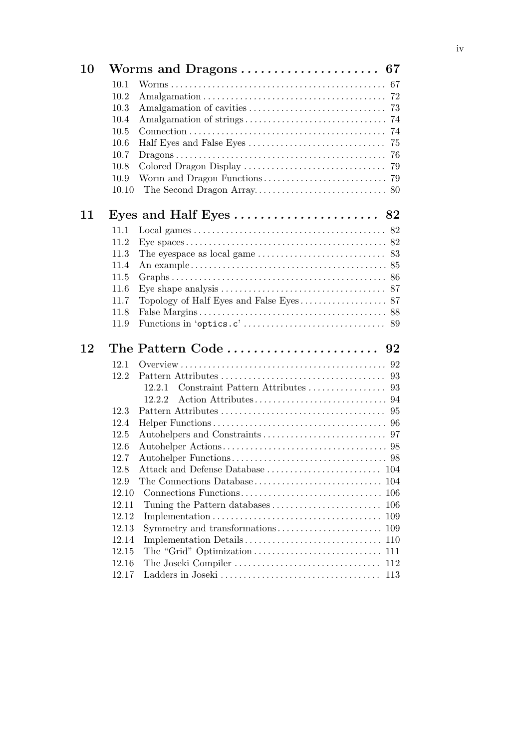| 10 |       |                                                                                 |     |
|----|-------|---------------------------------------------------------------------------------|-----|
|    | 10.1  |                                                                                 |     |
|    | 10.2  |                                                                                 |     |
|    | 10.3  |                                                                                 |     |
|    | 10.4  |                                                                                 |     |
|    | 10.5  |                                                                                 |     |
|    | 10.6  |                                                                                 | 75  |
|    | 10.7  |                                                                                 |     |
|    | 10.8  |                                                                                 |     |
|    | 10.9  |                                                                                 |     |
|    | 10.10 |                                                                                 |     |
| 11 |       |                                                                                 |     |
|    | 11.1  |                                                                                 |     |
|    | 11.2  |                                                                                 |     |
|    | 11.3  | The eyespace as local game $\dots \dots \dots \dots \dots \dots \dots \dots$ 83 |     |
|    | 11.4  |                                                                                 |     |
|    | 11.5  |                                                                                 |     |
|    | 11.6  |                                                                                 |     |
|    | 11.7  |                                                                                 |     |
|    | 11.8  |                                                                                 |     |
|    | 11.9  |                                                                                 |     |
| 12 |       |                                                                                 |     |
|    | 12.1  |                                                                                 |     |
|    | 12.2  |                                                                                 |     |
|    |       | 12.2.1                                                                          |     |
|    |       | 12.2.2                                                                          |     |
|    | 12.3  |                                                                                 |     |
|    | 12.4  |                                                                                 |     |
|    | 12.5  |                                                                                 |     |
|    | 12.6  |                                                                                 |     |
|    | 12.7  |                                                                                 |     |
|    | 12.8  | Attack and Defense Database                                                     | 104 |
|    | 12.9  | The Connections Database                                                        | 104 |
|    | 12.10 |                                                                                 |     |
|    | 12.11 |                                                                                 | 106 |
|    | 12.12 |                                                                                 | 109 |
|    | 12.13 | Symmetry and transformations                                                    | 109 |
|    | 12.14 |                                                                                 | 110 |
|    | 12.15 |                                                                                 | 111 |
|    | 12.16 |                                                                                 | 112 |
|    | 12.17 |                                                                                 |     |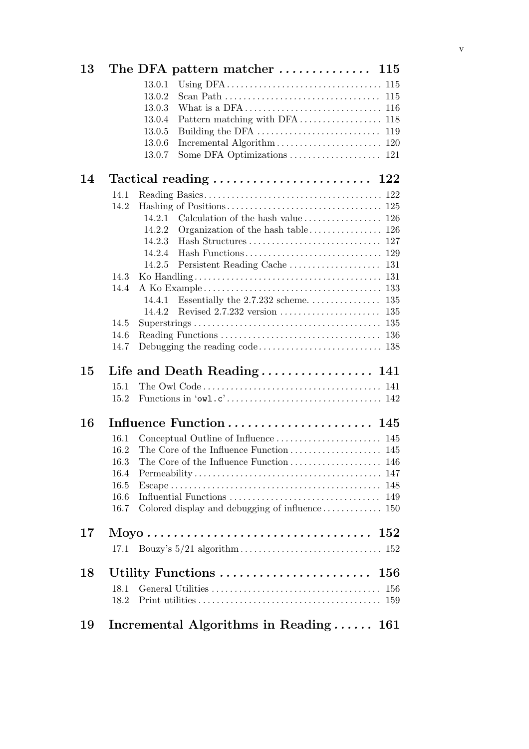| 13         | The DFA pattern matcher $\dots \dots \dots \dots \dots$ 115             |         |
|------------|-------------------------------------------------------------------------|---------|
|            | 13.0.1                                                                  |         |
|            | 13.0.2                                                                  |         |
|            | 13.0.3                                                                  |         |
|            | 13.0.4                                                                  |         |
|            | 13.0.5                                                                  |         |
|            | 13.0.6                                                                  |         |
|            | 13.0.7                                                                  |         |
| 14         | Tactical reading $\ldots \ldots \ldots \ldots \ldots \ldots \ldots 122$ |         |
| 14.1       |                                                                         |         |
| 14.2       |                                                                         |         |
|            | 14.2.1                                                                  |         |
|            | 14.2.2                                                                  |         |
|            | 14.2.3                                                                  |         |
|            | 14.2.4                                                                  |         |
|            | 14.2.5                                                                  |         |
| 14.3       |                                                                         |         |
| 14.4       |                                                                         |         |
|            | 14.4.1                                                                  |         |
|            | 14.4.2                                                                  |         |
| 14.5       |                                                                         |         |
| 14.6       |                                                                         |         |
| 14.7       |                                                                         |         |
| 15         |                                                                         |         |
| 15.1       |                                                                         |         |
| 15.2       |                                                                         |         |
| 16         |                                                                         |         |
| 16.1       |                                                                         |         |
| 16.2       |                                                                         |         |
| 16.3       |                                                                         |         |
| 16.4       |                                                                         |         |
| 16.5       |                                                                         |         |
| 16.6       |                                                                         | 149     |
| 16.7       |                                                                         |         |
| 17         |                                                                         | $152\,$ |
| 17.1       |                                                                         |         |
|            |                                                                         |         |
|            |                                                                         |         |
|            |                                                                         |         |
| 18.1       |                                                                         |         |
| 18<br>18.2 |                                                                         |         |